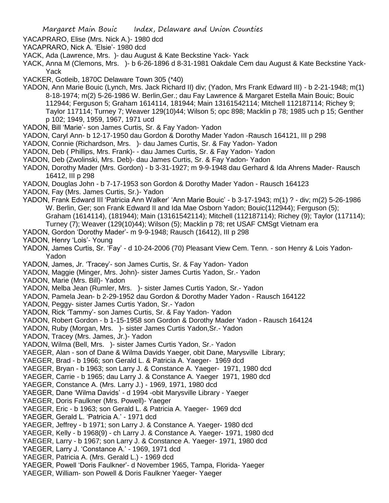YACAPRARO, Elise (Mrs. Nick A.)- 1980 dcd

YACAPRARO, Nick A. 'Elsie'- 1980 dcd

YACK, Ada (Lawrence, Mrs. )- dau August & Kate Beckstine Yack- Yack

YACK, Anna M (Clemons, Mrs. )- b 6-26-1896 d 8-31-1981 Oakdale Cem dau August & Kate Beckstine Yack-Yack

YACKER, Gotleib, 1870C Delaware Town 305 (\*40)

YADON, Ann Marie Bouic (Lynch, Mrs. Jack Richard II) div; (Yadon, Mrs Frank Edward III) - b 2-21-1948; m(1) 8-18-1974; m(2) 5-26-1986 W. Berlin,Ger.; dau Fay Lawrence & Margaret Estella Main Bouic; Bouic 112944; Ferguson 5; Graham 1614114, 181944; Main 13161542114; Mitchell 112187114; Richey 9; Taylor 117114; Turney 7; Weaver 129(10)44; Wilson 5; opc 898; Macklin p 78; 1985 uch p 15; Genther p 102; 1949, 1959, 1967, 1971 ucd

YADON, Bill 'Marie'- son James Curtis, Sr. & Fay Yadon- Yadon

YADON, Caryl Ann- b 12-17-1950 dau Gordon & Dorothy Mader Yadon -Rausch 164121, III p 298

YADON, Connie (Richardson, Mrs. )- dau James Curtis, Sr. & Fay Yadon- Yadon

YADON, Deb ( Phillips, Mrs. Frank)- - dau James Curtis, Sr. & Fay Yadon- Yadon

YADON, Deb (Zwolinski, Mrs. Deb)- dau James Curtis, Sr. & Fay Yadon- Yadon

YADON, Dorothy Mader (Mrs. Gordon) - b 3-31-1927; m 9-9-1948 dau Gerhard & Ida Ahrens Mader- Rausch 16412, III p 298

YADON, Douglas John - b 7-17-1953 son Gordon & Dorothy Mader Yadon - Rausch 164123

YADON, Fay (Mrs. James Curtis, Sr.)- Yadon

YADON, Frank Edward III 'Patricia Ann Walker' 'Ann Marie Bouic' - b 3-17-1943; m(1) ? - div; m(2) 5-26-1986 W. Berlin, Ger; son Frank Edward II and Ida Mae Osborn Yadon; Bouic(112944); Ferguson (5); Graham (1614114), (181944); Main (13161542114); Mitchell (112187114); Richey (9); Taylor (117114);

Turney (7); Weaver (129(10)44); Wilson (5); Macklin p 78; ret USAF CMSgt Vietnam era

YADON, Gordon 'Dorothy Mader'- m 9-9-1948; Rausch (16412), III p 298

YADON, Henry 'Lois'- Young

YADON, James Curtis, Sr. 'Fay' - d 10-24-2006 (70) Pleasant View Cem. Tenn. - son Henry & Lois Yadon-Yadon

YADON, James, Jr. 'Tracey'- son James Curtis, Sr. & Fay Yadon- Yadon

## YADON, Maggie (Minger, Mrs. John)- sister James Curtis Yadon, Sr.- Yadon

YADON, Marie (Mrs. Bill)- Yadon

YADON, Melba Jean (Rumler, Mrs. )- sister James Curtis Yadon, Sr.- Yadon

YADON, Pamela Jean- b 2-29-1952 dau Gordon & Dorothy Mader Yadon - Rausch 164122

- YADON, Peggy- sister James Curtis Yadon, Sr.- Yadon
- YADON, Rick 'Tammy'- son James Curtis, Sr. & Fay Yadon- Yadon

YADON, Robert Gordon - b 1-15-1958 son Gordon & Dorothy Mader Yadon - Rausch 164124

YADON, Ruby (Morgan, Mrs. )- sister James Curtis Yadon,Sr.- Yadon

YADON, Tracey (Mrs. James, Jr.)- Yadon

YADON, Wilma (Bell, Mrs. )- sister James Curtis Yadon, Sr.- Yadon

YAEGER, Alan - son of Dane & Wilma Davids Yaeger, obit Dane, Marysville Library;

YAEGER, Brad - b 1966; son Gerald L. & Patricia A. Yaeger- 1969 dcd

YAEGER, Bryan - b 1963; son Larry J. & Constance A. Yaeger- 1971, 1980 dcd

YAEGER, Carrie - b 1965; dau Larry J. & Constance A. Yaeger 1971, 1980 dcd

YAEGER, Constance A. (Mrs. Larry J.) - 1969, 1971, 1980 dcd

YAEGER, Dane 'Wilma Davids' - d 1994 -obit Marysville Library - Yaeger

YAEGER, Doris Faulkner (Mrs. Powell)- Yaeger

YAEGER, Eric - b 1963; son Gerald L. & Patricia A. Yaeger- 1969 dcd

YAEGER, Gerald L. 'Patricia A.' - 1971 dcd

YAEGER, Jeffrey - b 1971; son Larry J. & Constance A. Yaeger- 1980 dcd

YAEGER, Kelly - b 1968(9) - ch Larry J. & Constance A. Yaeger- 1971, 1980 dcd

YAEGER, Larry - b 1967; son Larry J. & Constance A. Yaeger- 1971, 1980 dcd

YAEGER, Larry J. 'Constance A.' - 1969, 1971 dcd

YAEGER, Patricia A. (Mrs. Gerald L.) - 1969 dcd

YAEGER, Powell 'Doris Faulkner'- d November 1965, Tampa, Florida- Yaeger

YAEGER, William- son Powell & Doris Faulkner Yaeger- Yaeger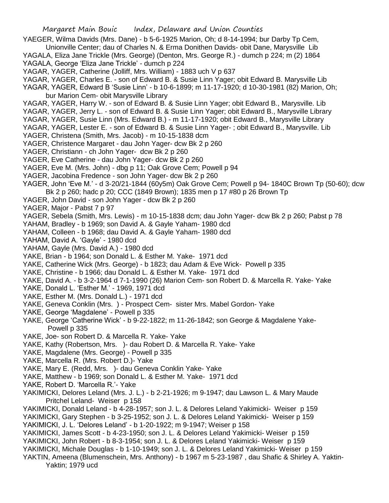- YAEGER, Wilma Davids (Mrs. Dane) b 5-6-1925 Marion, Oh; d 8-14-1994; bur Darby Tp Cem, Unionville Center; dau of Charles N. & Erma Donithen Davids- obit Dane, Marysville Lib YAGALA, Eliza Jane Trickle (Mrs. George) (Denton, Mrs. George R.) - dumch p 224; m (2) 1864
- YAGALA, George 'Eliza Jane Trickle' dumch p 224
- YAGAR, YAGER, Catherine (Jolliff, Mrs. William) 1883 uch V p 637
- YAGAR, YAGER, Charles E. son of Edward B. & Susie Linn Yager; obit Edward B. Marysville Lib
- YAGAR, YAGER, Edward B 'Susie Linn' b 10-6-1899; m 11-17-1920; d 10-30-1981 (82) Marion, Oh; bur Marion Cem- obit Marysville Library
- YAGAR, YAGER, Harry W. son of Edward B. & Susie Linn Yager; obit Edward B., Marysville. Lib
- YAGAR, YAGER, Jerry L. son of Edward B. & Susie Linn Yager; obit Edward B., Marysville Library
- YAGAR, YAGER, Susie Linn (Mrs. Edward B.) m 11-17-1920; obit Edward B., Marysville Library
- YAGAR, YAGER, Lester E. son of Edward B. & Susie Linn Yager- ; obit Edward B., Marysville. Lib
- YAGER, Christena (Smith, Mrs. Jacob) m 10-15-1838 dcm
- YAGER, Christence Margaret dau John Yager- dcw Bk 2 p 260
- YAGER, Christiann ch John Yager- dcw Bk 2 p 260
- YAGER, Eve Catherine dau John Yager- dcw Bk 2 p 260
- YAGER, Eve M. (Mrs. John) dbg p 11; Oak Grove Cem; Powell p 94
- YAGER, Jacobina Fredence son John Yager- dcw Bk 2 p 260
- YAGER, John 'Eve M.' d 3-20/21-1844 (60y5m) Oak Grove Cem; Powell p 94- 1840C Brown Tp (50-60); dcw
- Bk 2 p 260; hadc p 20; CCC (1849 Brown); 1835 men p 17 #80 p 26 Brown Tp
- YAGER, John David son John Yager dcw Bk 2 p 260
- YAGER, Major Pabst 7 p 97
- YAGER, Sebela (Smith, Mrs. Lewis) m 10-15-1838 dcm; dau John Yager- dcw Bk 2 p 260; Pabst p 78
- YAHAM, Bradley b 1969; son David A. & Gayle Yaham- 1980 dcd
- YAHAM, Colleen b 1968; dau David A. & Gayle Yaham- 1980 dcd
- YAHAM, David A. 'Gayle' 1980 dcd
- YAHAM, Gayle (Mrs. David A.) 1980 dcd
- YAKE, Brian b 1964; son Donald L. & Esther M. Yake- 1971 dcd
- YAKE, Catherine Wick (Mrs. George) b 1823; dau Adam & Eve Wick- Powell p 335
- YAKE, Christine b 1966; dau Donald L. & Esther M. Yake- 1971 dcd
- YAKE, David A. b 3-2-1964 d 7-1-1990 (26) Marion Cem- son Robert D. & Marcella R. Yake- Yake
- YAKE, Donald L. 'Esther M.' 1969, 1971 dcd
- YAKE, Esther M. (Mrs. Donald L.) 1971 dcd
- YAKE, Geneva Conklin (Mrs. ) Prospect Cem- sister Mrs. Mabel Gordon- Yake
- YAKE, George 'Magdalene' Powell p 335
- YAKE, George 'Catherine Wick' b 9-22-1822; m 11-26-1842; son George & Magdalene Yake-Powell p 335
- YAKE, Joe- son Robert D. & Marcella R. Yake- Yake
- YAKE, Kathy (Robertson, Mrs. )- dau Robert D. & Marcella R. Yake- Yake
- YAKE, Magdalene (Mrs. George) Powell p 335
- YAKE, Marcella R. (Mrs. Robert D.)- Yake
- YAKE, Mary E. (Redd, Mrs. )- dau Geneva Conklin Yake- Yake
- YAKE, Matthew b 1969; son Donald L. & Esther M. Yake- 1971 dcd
- YAKE, Robert D. 'Marcella R.'- Yake
- YAKIMICKI, Delores Leland (Mrs. J. L.) b 2-21-1926; m 9-1947; dau Lawson L. & Mary Maude Pritchel Leland- Weiser p 158
- YAKIMICKI, Donald Leland b 4-28-1957; son J. L. & Delores Leland Yakimicki- Weiser p 159 YAKIMICKI, Gary Stephen - b 3-25-1952; son J. L. & Delores Leland Yakimicki- Weiser p 159
- YAKIMICKI, J. L. 'Delores Leland' b 1-20-1922; m 9-1947; Weiser p 158
- YAKIMICKI, James Scott b 4-23-1950; son J. L. & Delores Leland Yakimicki- Weiser p 159 YAKIMICKI, John Robert - b 8-3-1954; son J. L. & Delores Leland Yakimicki- Weiser p 159 YAKIMICKI, Michale Douglas - b 1-10-1949; son J. L. & Delores Leland Yakimicki- Weiser p 159
- YAKTIN, Ameena (Blumenschein, Mrs. Anthony) b 1967 m 5-23-1987 , dau Shafic & Shirley A. Yaktin-

Yaktin; 1979 ucd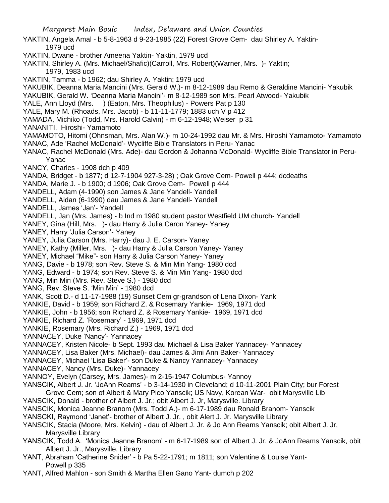Margaret Main Bouic Index, Delaware and Union Counties YAKTIN, Angela Amal - b 5-8-1963 d 9-23-1985 (22) Forest Grove Cem- dau Shirley A. Yaktin-1979 ucd YAKTIN, Dwane - brother Ameena Yaktin- Yaktin, 1979 ucd YAKTIN, Shirley A. (Mrs. Michael/Shafic)(Carroll, Mrs. Robert)(Warner, Mrs. )- Yaktin; 1979, 1983 ucd YAKTIN, Tamma - b 1962; dau Shirley A. Yaktin; 1979 ucd YAKUBIK, Deanna Maria Mancini (Mrs. Gerald W.)- m 8-12-1989 dau Remo & Geraldine Mancini- Yakubik YAKUBIK, Gerald W. 'Deanna Maria Mancini'- m 8-12-1989 son Mrs. Pearl Atwood- Yakubik YALE, Ann Lloyd (Mrs. ) (Eaton, Mrs. Theophilus) - Powers Pat p 130 YALE, Mary M. (Rhoads, Mrs. Jacob) - b 11-11-1779; 1883 uch V p 412 YAMADA, Michiko (Todd, Mrs. Harold Calvin) - m 6-12-1948; Weiser p 31 YANANITI, Hiroshi- Yamamoto YAMAMOTO, Hitomi (Ohnsman, Mrs. Alan W.)- m 10-24-1992 dau Mr. & Mrs. Hiroshi Yamamoto- Yamamoto YANAC, Ade 'Rachel McDonald'- Wycliffe Bible Translators in Peru- Yanac YANAC, Rachel McDonald (Mrs. Ade)- dau Gordon & Johanna McDonald- Wycliffe Bible Translator in Peru-Yanac YANCY, Charles - 1908 dch p 409 YANDA, Bridget - b 1877; d 12-7-1904 927-3-28) ; Oak Grove Cem- Powell p 444; dcdeaths YANDA, Marie J. - b 1900; d 1906; Oak Grove Cem- Powell p 444 YANDELL, Adam (4-1990) son James & Jane Yandell- Yandell YANDELL, Aidan (6-1990) dau James & Jane Yandell- Yandell YANDELL, James 'Jan'- Yandell YANDELL, Jan (Mrs. James) - b Ind m 1980 student pastor Westfield UM church- Yandell YANEY, Gina (Hill, Mrs. )- dau Harry & Julia Caron Yaney- Yaney YANEY, Harry 'Julia Carson'- Yaney YANEY, Julia Carson (Mrs. Harry)- dau J. E. Carson- Yaney YANEY, Kathy (Miller, Mrs. )- dau Harry & Julia Carson Yaney- Yaney YANEY, Michael "Mike"- son Harry & Julia Carson Yaney- Yaney YANG, Davie - b 1978; son Rev. Steve S. & Min Min Yang- 1980 dcd YANG, Edward - b 1974; son Rev. Steve S. & Min Min Yang- 1980 dcd YANG, Min Min (Mrs. Rev. Steve S.) - 1980 dcd YANG, Rev. Steve S. 'Min Min' - 1980 dcd YANK, Scott D.- d 11-17-1988 (19) Sunset Cem gr-grandson of Lena Dixon- Yank YANKIE, David - b 1959; son Richard Z. & Rosemary Yankie- 1969, 1971 dcd YANKIE, John - b 1956; son Richard Z. & Rosemary Yankie- 1969, 1971 dcd YANKIE, Richard Z. 'Rosemary' - 1969, 1971 dcd YANKIE, Rosemary (Mrs. Richard Z.) - 1969, 1971 dcd YANNACEY, Duke 'Nancy'- Yannacey YANNACEY, Kristen Nicole- b Sept. 1993 dau Michael & Lisa Baker Yannacey- Yannacey YANNACEY, Lisa Baker (Mrs. Michael)- dau James & Jimi Ann Baker- Yannacey YANNACEY, Michael 'Lisa Baker'- son Duke & Nancy Yannacey- Yannacey YANNACEY, Nancy (Mrs. Duke)- Yannacey YANNOY, Evelyn (Carsey, Mrs. James)- m 2-15-1947 Columbus- Yannoy YANSCIK, Albert J. Jr. 'JoAnn Reams' - b 3-14-1930 in Cleveland; d 10-11-2001 Plain City; bur Forest Grove Cem; son of Albert & Mary Pico Yanscik; US Navy, Korean War- obit Marysville Lib YANSCIK, Donald - brother of Albert J. Jr.; obit Albert J. Jr, Marysville. Library YANSCIK, Monica Jeanne Branom (Mrs. Todd A.)- m 6-17-1989 dau Ronald Branom- Yanscik YANSCKI, Raymond 'Janet'- brother of Albert J. Jr. , obit Alert J. Jr. Marysville Library YANSCIK, Stacia (Moore, Mrs. Kelvin) - dau of Albert J. Jr. & Jo Ann Reams Yanscik; obit Albert J. Jr, Marysville Library YANSCIK, Todd A. 'Monica Jeanne Branom' - m 6-17-1989 son of Albert J. Jr. & JoAnn Reams Yanscik, obit Albert J. Jr., Marysville. Library YANT, Abraham 'Catherine Snider' - b Pa 5-22-1791; m 1811; son Valentine & Louise Yant-Powell p 335

YANT, Alfred Mahlon - son Smith & Martha Ellen Gano Yant- dumch p 202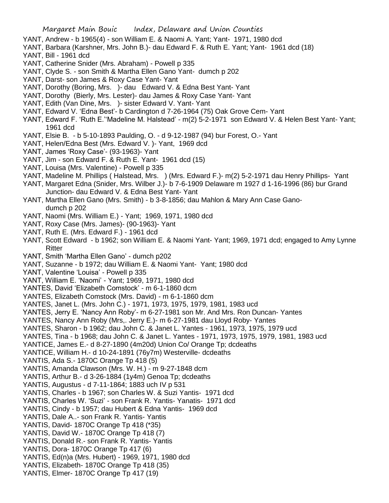- YANT, Andrew b 1965(4) son William E. & Naomi A. Yant; Yant- 1971, 1980 dcd
- YANT, Barbara (Karshner, Mrs. John B.)- dau Edward F. & Ruth E. Yant; Yant- 1961 dcd (18)
- YANT, Bill 1961 dcd
- YANT, Catherine Snider (Mrs. Abraham) Powell p 335
- YANT, Clyde S. son Smith & Martha Ellen Gano Yant- dumch p 202
- YANT, Darst- son James & Roxy Case Yant- Yant
- YANT, Dorothy (Boring, Mrs. )- dau Edward V. & Edna Best Yant- Yant
- YANT, Dorothy (Bierly, Mrs. Lester)- dau James & Roxy Case Yant- Yant
- YANT, Edith (Van Dine, Mrs. )- sister Edward V. Yant- Yant
- YANT, Edward V. 'Edna Best'- b Cardington d 7-26-1964 (75) Oak Grove Cem- Yant
- YANT, Edward F. 'Ruth E.''Madeline M. Halstead' m(2) 5-2-1971 son Edward V. & Helen Best Yant- Yant; 1961 dcd
- YANT, Elsie B. b 5-10-1893 Paulding, O. d 9-12-1987 (94) bur Forest, O.- Yant
- YANT, Helen/Edna Best (Mrs. Edward V. )- Yant, 1969 dcd
- YANT, James 'Roxy Case'- (93-1963)- Yant
- YANT, Jim son Edward F. & Ruth E. Yant- 1961 dcd (15)
- YANT, Louisa (Mrs. Valentine) Powell p 335
- YANT, Madeline M. Phillips ( Halstead, Mrs. ) (Mrs. Edward F.)- m(2) 5-2-1971 dau Henry Phillips- Yant
- YANT, Margaret Edna (Snider, Mrs. Wilber J.)- b 7-6-1909 Delaware m 1927 d 1-16-1996 (86) bur Grand Junction- dau Edward V. & Edna Best Yant- Yant
- YANT, Martha Ellen Gano (Mrs. Smith) b 3-8-1856; dau Mahlon & Mary Ann Case Ganodumch p 202
- YANT, Naomi (Mrs. William E.) Yant; 1969, 1971, 1980 dcd
- YANT, Roxy Case (Mrs. James)- (90-1963)- Yant
- YANT, Ruth E. (Mrs. Edward F.) 1961 dcd
- YANT, Scott Edward b 1962; son William E. & Naomi Yant- Yant; 1969, 1971 dcd; engaged to Amy Lynne **Ritter**
- YANT, Smith 'Martha Ellen Gano' dumch p202
- YANT, Suzanne b 1972; dau William E. & Naomi Yant- Yant; 1980 dcd
- YANT, Valentine 'Louisa' Powell p 335
- YANT, William E. 'Naomi' Yant; 1969, 1971, 1980 dcd
- YANTES, David 'Elizabeth Comstock' m 6-1-1860 dcm
- YANTES, Elizabeth Comstock (Mrs. David) m 6-1-1860 dcm
- YANTES, Janet L. (Mrs. John C.) 1971, 1973, 1975, 1979, 1981, 1983 ucd
- YANTES, Jerry E. 'Nancy Ann Roby'- m 6-27-1981 son Mr. And Mrs. Ron Duncan- Yantes
- YANTES, Nancy Ann Roby (Mrs,. Jerry E.)- m 6-27-1981 dau Lloyd Roby- Yantes
- YANTES, Sharon b 1962; dau John C. & Janet L. Yantes 1961, 1973, 1975, 1979 ucd
- YANTES, Tina b 1968; dau John C. & Janet L. Yantes 1971, 1973, 1975, 1979, 1981, 1983 ucd
- YANTICE, James E.- d 8-27-1890 (4m20d) Union Co/ Orange Tp; dcdeaths
- YANTICE, William H.- d 10-24-1891 (76y7m) Westerville- dcdeaths
- YANTIS, Ada S.- 1870C Orange Tp 418 (5)
- YANTIS, Amanda Clawson (Mrs. W. H.) m 9-27-1848 dcm
- YANTIS, Arthur B.- d 3-26-1884 (1y4m) Genoa Tp; dcdeaths
- YANTIS, Augustus d 7-11-1864; 1883 uch IV p 531
- YANTIS, Charles b 1967; son Charles W. & Suzi Yantis- 1971 dcd
- YANTIS, Charles W. 'Suzi' son Frank R. Yantis- Yanatis- 1971 dcd
- YANTIS, Cindy b 1957; dau Hubert & Edna Yantis- 1969 dcd
- YANTIS, Dale A..- son Frank R. Yantis- Yantis
- YANTIS, David- 1870C Orange Tp 418 (\*35)
- YANTIS, David W.- 1870C Orange Tp 418 (7)
- YANTIS, Donald R.- son Frank R. Yantis- Yantis
- YANTIS, Dora- 1870C Orange Tp 417 (6)
- YANTIS, Ed(n)a (Mrs. Hubert) 1969, 1971, 1980 dcd
- YANTIS, Elizabeth- 1870C Orange Tp 418 (35)
- YANTIS, Elmer- 1870C Orange Tp 417 (19)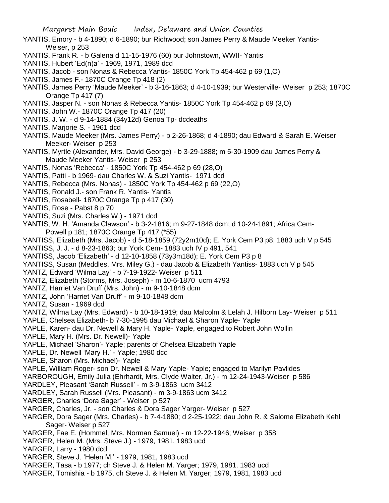- YANTIS, Emory b 4-1890; d 6-1890; bur Richwood; son James Perry & Maude Meeker Yantis-Weiser, p 253
- YANTIS, Frank R. b Galena d 11-15-1976 (60) bur Johnstown, WWII- Yantis
- YANTIS, Hubert 'Ed(n)a' 1969, 1971, 1989 dcd
- YANTIS, Jacob son Nonas & Rebecca Yantis- 1850C York Tp 454-462 p 69 (1,O)
- YANTIS, James F.- 1870C Orange Tp 418 (2)
- YANTIS, James Perry 'Maude Meeker' b 3-16-1863; d 4-10-1939; bur Westerville- Weiser p 253; 1870C Orange Tp 417 (7)
- YANTIS, Jasper N. son Nonas & Rebecca Yantis- 1850C York Tp 454-462 p 69 (3,O)
- YANTIS, John W.- 1870C Orange Tp 417 (20)
- YANTIS, J. W. d 9-14-1884 (34y12d) Genoa Tp- dcdeaths
- YANTIS, Marjorie S. 1961 dcd
- YANTIS, Maude Meeker (Mrs. James Perry) b 2-26-1868; d 4-1890; dau Edward & Sarah E. Weiser Meeker- Weiser p 253
- YANTIS, Myrtle (Alexander, Mrs. David George) b 3-29-1888; m 5-30-1909 dau James Perry & Maude Meeker Yantis- Weiser p 253
- YANTIS, Nonas 'Rebecca' 1850C York Tp 454-462 p 69 (28,O)
- YANTIS, Patti b 1969- dau Charles W. & Suzi Yantis- 1971 dcd
- YANTIS, Rebecca (Mrs. Nonas) 1850C York Tp 454-462 p 69 (22,O)
- YANTIS, Ronald J.- son Frank R. Yantis- Yantis
- YANTIS, Rosabell- 1870C Orange Tp p 417 (30)
- YANTIS, Rose Pabst 8 p 70
- YANTIS, Suzi (Mrs. Charles W.) 1971 dcd
- YANTIS, W. H. 'Amanda Clawson' b 3-2-1816; m 9-27-1848 dcm; d 10-24-1891; Africa Cem- Powell p 181; 1870C Orange Tp 417 (\*55)
- YANTISS, Elizabeth (Mrs. Jacob) d 5-18-1859 (72y2m10d); E. York Cem P3 p8; 1883 uch V p 545
- YANTISS, J. J. d 8-23-1863; bur York Cem- 1883 uch IV p 491, 541
- YANTISS, Jacob 'Elizabeth' d 12-10-1858 (73y3m18d); E. York Cem P3 p 8
- YANTISS, Susan (Meddles, Mrs. Miley G.) dau Jacob & Elizabeth Yantiss- 1883 uch V p 545
- YANTZ, Edward 'Wilma Lay' b 7-19-1922- Weiser p 511
- YANTZ, Elizabeth (Storms, Mrs. Joseph) m 10-6-1870 ucm 4793
- YANTZ, Harriet Van Druff (Mrs. John) m 9-10-1848 dcm
- YANTZ, John 'Harriet Van Druff' m 9-10-1848 dcm
- YANTZ, Susan 1969 dcd
- YANTZ, Wilma Lay (Mrs. Edward) b 10-18-1919; dau Malcolm & Lelah J. Hilborn Lay- Weiser p 511
- YAPLE, Chelsea Elizabeth- b 7-30-1995 dau Michael & Sharon Yaple- Yaple
- YAPLE, Karen- dau Dr. Newell & Mary H. Yaple- Yaple, engaged to Robert John Wollin
- YAPLE, Mary H. (Mrs. Dr. Newell)- Yaple
- YAPLE, Michael 'Sharon'- Yaple; parents of Chelsea Elizabeth Yaple
- YAPLE, Dr. Newell 'Mary H.' Yaple; 1980 dcd
- YAPLE, Sharon (Mrs. Michael)- Yaple
- YAPLE, William Roger- son Dr. Newell & Mary Yaple- Yaple; engaged to Marilyn Pavlides
- YARBOROUGH, Emily Julia (Ehrhardt, Mrs. Clyde Walter, Jr.) m 12-24-1943-Weiser p 586
- YARDLEY, Pleasant 'Sarah Russell' m 3-9-1863 ucm 3412
- YARDLEY, Sarah Russell (Mrs. Pleasant) m 3-9-1863 ucm 3412
- YARGER, Charles 'Dora Sager' Weiser p 527
- YARGER, Charles, Jr. son Charles & Dora Sager Yarger- Weiser p 527
- YARGER, Dora Sager (Mrs. Charles) b 7-4-1880; d 2-25-1922; dau John R. & Salome Elizabeth Kehl Sager- Weiser p 527
- YARGER, Fae E. (Hommel, Mrs. Norman Samuel) m 12-22-1946; Weiser p 358
- YARGER, Helen M. (Mrs. Steve J.) 1979, 1981, 1983 ucd
- YARGER, Larry 1980 dcd
- YARGER, Steve J. 'Helen M.' 1979, 1981, 1983 ucd
- YARGER, Tasa b 1977; ch Steve J. & Helen M. Yarger; 1979, 1981, 1983 ucd
- YARGER, Tomishia b 1975, ch Steve J. & Helen M. Yarger; 1979, 1981, 1983 ucd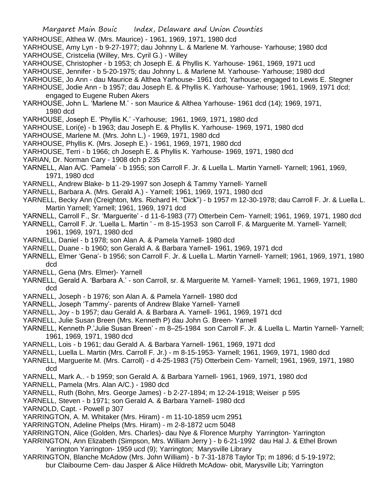- YARHOUSE, Althea W. (Mrs. Maurice) 1961, 1969, 1971, 1980 dcd
- YARHOUSE, Amy Lyn b 9-27-1977; dau Johnny L. & Marlene M. Yarhouse- Yarhouse; 1980 dcd
- YARHOUSE, Cristcelia (Willey, Mrs. Cyril G.) Willey
- YARHOUSE, Christopher b 1953; ch Joseph E. & Phyllis K. Yarhouse- 1961, 1969, 1971 ucd
- YARHOUSE, Jennifer b 5-20-1975; dau Johnny L. & Marlene M. Yarhouse- Yarhouse; 1980 dcd
- YARHOUSE, Jo Ann dau Maurice & Althea Yarhouse- 1961 dcd; Yarhouse; engaged to Lewis E. Stegner
- YARHOUSE, Jodie Ann b 1957; dau Joseph E. & Phyllis K. Yarhouse- Yarhouse; 1961, 1969, 1971 dcd; engaged to Eugene Ruben Akers
- YARHOUSE, John L. 'Marlene M.' son Maurice & Althea Yarhouse- 1961 dcd (14); 1969, 1971, 1980 dcd
- YARHOUSE, Joseph E. 'Phyllis K.' -Yarhouse; 1961, 1969, 1971, 1980 dcd
- YARHOUSE, Lori(e) b 1963; dau Joseph E. & Phyllis K. Yarhouse- 1969, 1971, 1980 dcd
- YARHOUSE, Marlene M. (Mrs. John L.) 1969, 1971, 1980 dcd
- YARHOUSE, Phyllis K. (Mrs. Joseph E.) 1961, 1969, 1971, 1980 dcd
- YARHOUSE, Terri b 1966; ch Joseph E. & Phyllis K. Yarhouse- 1969, 1971, 1980 dcd
- YARIAN, Dr. Norman Cary 1908 dch p 235
- YARNELL, Alan A/C. 'Pamela' b 1955; son Carroll F. Jr. & Luella L. Martin Yarnell- Yarnell; 1961, 1969, 1971, 1980 dcd
- YARNELL, Andrew Blake- b 11-29-1997 son Joseph & Tammy Yarnell- Yarnell
- YARNELL, Barbara A. (Mrs. Gerald A.) Yarnell; 1961, 1969, 1971, 1980 dcd
- YARNELL, Becky Ann (Creighton, Mrs. Richard H. "Dick") b 1957 m 12-30-1978; dau Carroll F. Jr. & Luella L. Martin Yarnell; Yarnell; 1961, 1969, 1971 dcd
- YARNELL, Carroll F., Sr. 'Marguerite' d 11-6-1983 (77) Otterbein Cem- Yarnell; 1961, 1969, 1971, 1980 dcd
- YARNELL, Carroll F. Jr. 'Luella L. Martin ' m 8-15-1953 son Carroll F. & Marguerite M. Yarnell- Yarnell; 1961, 1969, 1971, 1980 dcd
- YARNELL, Daniel b 1978; son Alan A. & Pamela Yarnell- 1980 dcd
- YARNELL, Duane b 1960; son Gerald A. & Barbara Yarnell- 1961, 1969, 1971 dcd
- YARNELL, Elmer 'Gena'- b 1956; son Carroll F. Jr. & Luella L. Martin Yarnell- Yarnell; 1961, 1969, 1971, 1980 dcd
- YARNELL, Gena (Mrs. Elmer)- Yarnell
- YARNELL, Gerald A. 'Barbara A.' son Carroll, sr. & Marguerite M. Yarnell- Yarnell; 1961, 1969, 1971, 1980 dcd
- YARNELL, Joseph b 1976; son Alan A. & Pamela Yarnell- 1980 dcd
- YARNELL, Joseph 'Tammy'- parents of Andrew Blake Yarnell- Yarnell
- YARNELL, Joy b 1957; dau Gerald A. & Barbara A. Yarnell- 1961, 1969, 1971 dcd
- YARNELL, Julie Susan Breen (Mrs. Kenneth P) dau John G. Breen- Yarnell
- YARNELL, Kenneth P.'Julie Susan Breen' m 8–25-1984 son Carroll F. Jr. & Luella L. Martin Yarnell- Yarnell; 1961, 1969, 1971, 1980 dcd
- YARNELL, Lois b 1961; dau Gerald A. & Barbara Yarnell- 1961, 1969, 1971 dcd
- YARNELL, Luella L. Martin (Mrs. Carroll F. Jr.) m 8-15-1953- Yarnell; 1961, 1969, 1971, 1980 dcd
- YARNELL, Marguerite M. (Mrs. Carroll) d 4-25-1983 (75) Otterbein Cem- Yarnell; 1961, 1969, 1971, 1980 dcd
- YARNELL, Mark A.. b 1959; son Gerald A. & Barbara Yarnell- 1961, 1969, 1971, 1980 dcd
- YARNELL, Pamela (Mrs. Alan A/C.) 1980 dcd
- YARNELL, Ruth (Bohn, Mrs. George James) b 2-27-1894; m 12-24-1918; Weiser p 595
- YARNELL, Steven b 1971; son Gerald A. & Barbara Yarnell- 1980 dcd
- YARNOLD, Capt. Powell p 307
- YARRINGTON, A. M. Whitaker (Mrs. Hiram) m 11-10-1859 ucm 2951
- YARRINGTON, Adeline Phelps (Mrs. Hiram) m 2-8-1872 ucm 5048
- YARRINGTON, Alice (Golden, Mrs. Charles)- dau Nye & Florence Murphy Yarrington- Yarrington
- YARRINGTON, Ann Elizabeth (Simpson, Mrs. William Jerry ) b 6-21-1992 dau Hal J. & Ethel Brown Yarrington Yarrington- 1959 ucd (9); Yarrington; Marysville Library
- YARRINGTON, Blanche McAdow (Mrs. John William) b 7-31-1878 Taylor Tp; m 1896; d 5-19-1972; bur Claibourne Cem- dau Jasper & Alice Hildreth McAdow- obit, Marysville Lib; Yarrington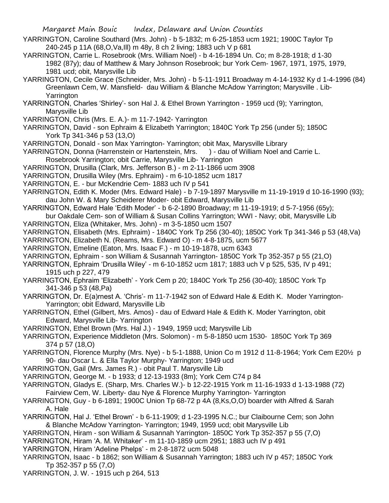- YARRINGTON, Caroline Southard (Mrs. John) b 5-1832; m 6-25-1853 ucm 1921; 1900C Taylor Tp 240-245 p 11A (68,O,Va,Ill) m 48y, 8 ch 2 living; 1883 uch V p 681
- YARRINGTON, Carrie L. Rosebrook (Mrs. William Noel) b 4-16-1894 Un. Co; m 8-28-1918; d 1-30 1982 (87y); dau of Matthew & Mary Johnson Rosebrook; bur York Cem- 1967, 1971, 1975, 1979, 1981 ucd; obit, Marysville Lib
- YARRINGTON, Cecile Grace (Schneider, Mrs. John) b 5-11-1911 Broadway m 4-14-1932 Ky d 1-4-1996 (84) Greenlawn Cem, W. Mansfield- dau William & Blanche McAdow Yarrington; Marysville . Lib-Yarrington
- YARRINGTON, Charles 'Shirley'- son Hal J. & Ethel Brown Yarrington 1959 ucd (9); Yarrington, Marysville Lib
- YARRINGTON, Chris (Mrs. E. A.)- m 11-7-1942- Yarrington
- YARRINGTON, David son Ephraim & Elizabeth Yarrington; 1840C York Tp 256 (under 5); 1850C York Tp 341-346 p 53 (13,O)
- YARRINGTON, Donald son Max Yarrington- Yarrington; obit Max, Marysville Library
- YARRINGTON, Donna (Harrenstein or Hartenstein, Mrs. ) dau of William Noel and Carrie L. Rosebrook Yarrington; obit Carrie, Marysville Lib- Yarrington
- YARRINGTON, Drusilla (Clark, Mrs. Jefferson B.) m 2-11-1866 ucm 3908
- YARRINGTON, Drusilla Wiley (Mrs. Ephraim) m 6-10-1852 ucm 1817
- YARRINGTON, E. bur McKendrie Cem- 1883 uch IV p 541
- YARRINGTON, Edith K. Moder (Mrs. Edward Hale) b 7-19-1897 Marysville m 11-19-1919 d 10-16-1990 (93); dau John W. & Mary Scheiderer Moder- obit Edward, Marysville Lib
- YARRINGTON, Edward Hale 'Edith Moder' b 6-2-1890 Broadway; m 11-19-1919; d 5-7-1956 (65y);
- bur Oakdale Cem- son of William & Susan Collins Yarrington; WWI Navy; obit, Marysville Lib YARRINGTON, Eliza (Whitaker, Mrs. John) - m 3-5-1850 ucm 1507
- YARRINGTON, Elisabeth (Mrs. Ephraim) 1840C York Tp 256 (30-40); 1850C York Tp 341-346 p 53 (48,Va)
- YARRINGTON, Elizabeth N. (Reams, Mrs. Edward O) m 4-8-1875, ucm 5677
- YARRINGTON, Emeline (Eaton, Mrs. Isaac F.) m 10-19-1878, ucm 6343
- YARRINGTON, Ephraim son William & Susannah Yarrington- 1850C York Tp 352-357 p 55 (21,O)
- YARRINGTON, Ephraim 'Drusilla Wiley' m 6-10-1852 ucm 1817; 1883 uch V p 525, 535, IV p 491; 1915 uch p 227, 479
- YARRINGTON, Ephraim 'Elizabeth' York Cem p 20; 1840C York Tp 256 (30-40); 1850C York Tp 341-346 p 53 (48,Pa)
- YARRINGTON, Dr. E(a)rnest A. 'Chris'- m 11-7-1942 son of Edward Hale & Edith K. Moder Yarrington-Yarrington; obit Edward, Marysville Lib
- YARRINGTON, Ethel (Gilbert, Mrs. Amos) dau of Edward Hale & Edith K. Moder Yarrington, obit Edward, Marysville Lib- Yarrington
- YARRINGTON, Ethel Brown (Mrs. Hal J.) 1949, 1959 ucd; Marysville Lib
- YARRINGTON, Experience Middleton (Mrs. Solomon) m 5-8-1850 ucm 1530- 1850C York Tp 369 374 p 57 (18,O)
- YARRINGTON, Florence Murphy (Mrs. Nye) b 5-1-1888, Union Co m 1912 d 11-8-1964; York Cem E20½ p 90- dau Oscar L. & Ella Taylor Murphy- Yarrington; 1949 ucd
- YARRINGTON, Gail (Mrs. James R.) obit Paul T. Marysville Lib
- YARRINGTON, George M. b 1933; d 12-13-1933 (8m); York Cem C74 p 84
- YARRINGTON, Gladys E. (Sharp, Mrs. Charles W.)- b 12-22-1915 York m 11-16-1933 d 1-13-1988 (72) Fairview Cem, W. Liberty- dau Nye & Florence Murphy Yarrington- Yarrington
- YARRINGTON, Guy b 6-1891; 1900C Union Tp 68-72 p 4A (8,Ks,O,O) boarder with Alfred & Sarah A. Hale
- YARRINGTON, Hal J. 'Ethel Brown' b 6-11-1909; d 1-23-1995 N.C.; bur Claibourne Cem; son John & Blanche McAdow Yarrington- Yarrington; 1949, 1959 ucd; obit Marysville Lib
- YARRINGTON, Hiram son William & Susannah Yarrington- 1850C York Tp 352-357 p 55 (7,O)
- YARRINGTON, Hiram 'A. M. Whitaker' m 11-10-1859 ucm 2951; 1883 uch IV p 491
- YARRINGTON, Hiram 'Adeline Phelps' m 2-8-1872 ucm 5048
- YARRINGTON, Isaac b 1862; son William & Susannah Yarrington; 1883 uch IV p 457; 1850C York Tp 352-357 p 55 (7,O)
- YARRINGTON, J. W. 1915 uch p 264, 513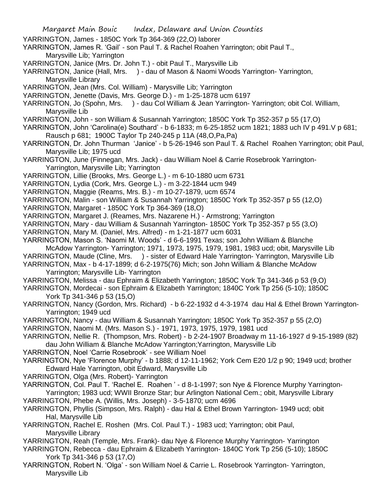YARRINGTON, James - 1850C York Tp 364-369 (22,O) laborer YARRINGTON, James R. 'Gail' - son Paul T. & Rachel Roahen Yarrington; obit Paul T., Marysville Lib; Yarrington YARRINGTON, Janice (Mrs. Dr. John T.) - obit Paul T., Marysville Lib YARRINGTON, Janice (Hall, Mrs. ) - dau of Mason & Naomi Woods Yarrington- Yarrington, Marysville Library YARRINGTON, Jean (Mrs. Col. William) - Marysville Lib; Yarrington YARRINGTON, Jenette (Davis, Mrs. George D.) - m 1-25-1878 ucm 6197 YARRINGTON, Jo (Spohn, Mrs. ) - dau Col William & Jean Yarrington- Yarrington; obit Col. William, Marysville Lib YARRINGTON, John - son William & Susannah Yarrington; 1850C York Tp 352-357 p 55 (17,O) YARRINGTON, John 'Carolina(e) Southard' - b 6-1833; m 6-25-1852 ucm 1821; 1883 uch IV p 491.V p 681; Rausch p 681; 1900C Taylor Tp 240-245 p 11A (48,O,Pa,Pa) YARRINGTON, Dr. John Thurman 'Janice' - b 5-26-1946 son Paul T. & Rachel Roahen Yarrington; obit Paul, Marysville Lib; 1975 ucd YARRINGTON, June (Finnegan, Mrs. Jack) - dau William Noel & Carrie Rosebrook Yarrington-Yarrington, Marysville Lib; Yarrington YARRINGTON, Lillie (Brooks, Mrs. George L.) - m 6-10-1880 ucm 6731 YARRINGTON, Lydia (Cork, Mrs. George L.) - m 3-22-1844 ucm 949 YARRINGTON, Maggie (Reams, Mrs. B.) - m 10-27-1879, ucm 6574 YARRINGTON, Malin - son William & Susannah Yarrington; 1850C York Tp 352-357 p 55 (12,O) YARRINGTON, Margaret - 1850C York Tp 364-369 (18,O) YARRINGTON, Margaret J. (Reames, Mrs. Nazarene H.) - Armstrong; Yarrington YARRINGTON, Mary - dau William & Susannah Yarrington- 1850C York Tp 352-357 p 55 (3,O) YARRINGTON, Mary M. (Daniel, Mrs. Alfred) - m 1-21-1877 ucm 6031 YARRINGTON, Mason S. 'Naomi M. Woods' - d 6-6-1991 Texas; son John William & Blanche McAdow Yarrington- Yarrington; 1971, 1973, 1975, 1979, 1981, 1983 ucd; obit, Marysville Lib YARRINGTON, Maude (Cline, Mrs. ) - sister of Edward Hale Yarrington- Yarrington, Marysville Lib YARRINGTON, Max - b 4-17-1899; d 6-2-1975(76) Mich; son John William & Blanche McAdow Yarrington; Marysville Lib- Yarrington YARRINGTON, Melissa - dau Ephraim & Elizabeth Yarrington; 1850C York Tp 341-346 p 53 (9,O) YARRINGTON, Mordecai - son Ephraim & Elizabeth Yarrington; 1840C York Tp 256 (5-10); 1850C York Tp 341-346 p 53 (15,O) YARRINGTON, Nancy (Gordon, Mrs. Richard) - b 6-22-1932 d 4-3-1974 dau Hal & Ethel Brown Yarrington-Yarrington; 1949 ucd YARRINGTON, Nancy - dau William & Susannah Yarrington; 1850C York Tp 352-357 p 55 (2,O) YARRINGTON, Naomi M. (Mrs. Mason S.) - 1971, 1973, 1975, 1979, 1981 ucd YARRINGTON, Nellie R. (Thompson, Mrs. Robert) - b 2-24-1907 Broadway m 11-16-1927 d 9-15-1989 (82) dau John William & Blanche McAdow Yarrington;Yarrington, Marysville Lib YARRINGTON, Noel 'Carrie Rosebrook' - see William Noel YARRINGTON, Nye 'Florence Murphy' - b 1888; d 12-11-1962; York Cem E20 1/2 p 90; 1949 ucd; brother Edward Hale Yarrington, obit Edward, Marysville Lib YARRINGTON, Olga (Mrs. Robert)- Yarrington YARRINGTON, Col. Paul T. 'Rachel E. Roahen ' - d 8-1-1997; son Nye & Florence Murphy Yarrington-Yarrington; 1983 ucd; WWII Bronze Star; bur Arlington National Cem.; obit, Marysville Library YARRINGTON, Phebe A. (Willis, Mrs. Joseph) - 3-5-1870; ucm 4696 YARRINGTON, Phyllis (Simpson, Mrs. Ralph) - dau Hal & Ethel Brown Yarrington- 1949 ucd; obit Hal, Marysville Lib YARRINGTON, Rachel E. Roshen (Mrs. Col. Paul T.) - 1983 ucd; Yarrington; obit Paul, Marysville Library YARRINGTON, Reah (Temple, Mrs. Frank)- dau Nye & Florence Murphy Yarrington- Yarrington YARRINGTON, Rebecca - dau Ephraim & Elizabeth Yarrington- 1840C York Tp 256 (5-10); 1850C York Tp 341-346 p 53 (17,O) YARRINGTON, Robert N. 'Olga' - son William Noel & Carrie L. Rosebrook Yarrington- Yarrington, Marysville Lib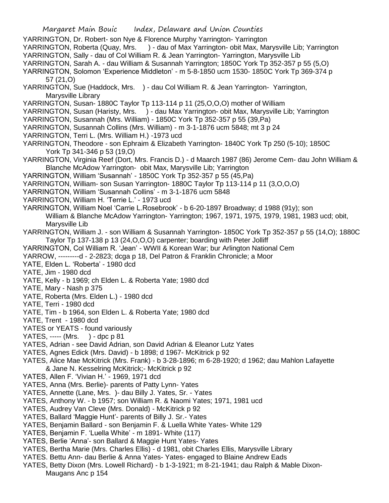YARRINGTON, Dr. Robert- son Nye & Florence Murphy Yarrington- Yarrington YARRINGTON, Roberta (Quay, Mrs. ) - dau of Max Yarrington- obit Max, Marysville Lib; Yarrington YARRINGTON, Sally - dau of Col William R. & Jean Yarrington- Yarrington, Marysville Lib YARRINGTON, Sarah A. - dau William & Susannah Yarrington; 1850C York Tp 352-357 p 55 (5,O) YARRINGTON, Solomon 'Experience Middleton' - m 5-8-1850 ucm 1530- 1850C York Tp 369-374 p 57 (21,O) YARRINGTON, Sue (Haddock, Mrs. ) - dau Col William R. & Jean Yarrington- Yarrington, Marysville Library YARRINGTON, Susan- 1880C Taylor Tp 113-114 p 11 (25,O,O,O) mother of William YARRINGTON, Susan (Haristy, Mrs. ) - dau Max Yarrington- obit Max, Marysville Lib; Yarrington YARRINGTON, Susannah (Mrs. William) - 1850C York Tp 352-357 p 55 (39,Pa) YARRINGTON, Susannah Collins (Mrs. William) - m 3-1-1876 ucm 5848; mt 3 p 24 YARRINGTON, Terri L. (Mrs. William H.) -1973 ucd YARRINGTON, Theodore - son Ephraim & Elizabeth Yarrington- 1840C York Tp 250 (5-10); 1850C York Tp 341-346 p 53 (19,O) YARRINGTON, Virginia Reef (Dort, Mrs. Francis D.) - d Maarch 1987 (86) Jerome Cem- dau John William & Blanche McAdow Yarrington- obit Max, Marysville Lib; Yarrington YARRINGTON, William 'Susannah' - 1850C York Tp 352-357 p 55 (45,Pa) YARRINGTON, William- son Susan Yarrington- 1880C Taylor Tp 113-114 p 11 (3,O,O,O) YARRINGTON, William 'Susannah Collins' - m 3-1-1876 ucm 5848 YARRINGTON, William H. 'Terrie L.' - 1973 ucd YARRINGTON, William Noel 'Carrie L.Rosebrook' - b 6-20-1897 Broadway; d 1988 (91y); son William & Blanche McAdow Yarrington- Yarrington; 1967, 1971, 1975, 1979, 1981, 1983 ucd; obit, Marysville Lib YARRINGTON, William J. - son William & Susannah Yarrington- 1850C York Tp 352-357 p 55 (14,O); 1880C Taylor Tp 137-138 p 13 (24,O,O,O) carpenter; boarding with Peter Jolliff YARRINGTON, Col William R. 'Jean' - WWII & Korean War; bur Arlington National Cem YARROW, ---------d - 2-2823; dcga p 18, Del Patron & Franklin Chronicle; a Moor YATE, Elden L. 'Roberta' - 1980 dcd YATE, Jim - 1980 dcd YATE, Kelly - b 1969; ch Elden L. & Roberta Yate; 1980 dcd YATE, Mary - Nash p 375 YATE, Roberta (Mrs. Elden L.) - 1980 dcd YATE, Terri - 1980 dcd YATE, Tim - b 1964, son Elden L. & Roberta Yate; 1980 dcd YATE, Trent - 1980 dcd YATES or YEATS - found variously YATES, ----- (Mrs. ) - dpc p 81 YATES, Adrian - see David Adrian, son David Adrian & Eleanor Lutz Yates YATES, Agnes Edick (Mrs. David) - b 1898; d 1967- McKitrick p 92 YATES, Alice Mae McKitrick (Mrs. Frank) - b 3-28-1896; m 6-28-1920; d 1962; dau Mahlon Lafayette & Jane N. Kesselring McKitrick;- McKitrick p 92 YATES, Allen F. 'Vivian H.' - 1969, 1971 dcd YATES, Anna (Mrs. Berlie)- parents of Patty Lynn- Yates YATES, Annette (Lane, Mrs. )- dau Billy J. Yates, Sr. - Yates YATES, Anthony W. - b 1957; son William R. & Naomi Yates; 1971, 1981 ucd YATES, Audrey Van Cleve (Mrs. Donald) - McKitrick p 92 YATES, Ballard 'Maggie Hunt'- parents of Billy J. Sr.- Yates YATES, Benjamin Ballard - son Benjamin F. & Luella White Yates- White 129 YATES, Benjamin F. 'Luella White' - m 1891- White (117) YATES, Berlie 'Anna'- son Ballard & Maggie Hunt Yates- Yates YATES, Bertha Marie (Mrs. Charles Ellis) - d 1981, obit Charles Ellis, Marysville Library YATES. Bettu Ann- dau Berlie & Anna Yates- Yates- engaged to Blaine Andrew Eads

YATES, Betty Dixon (Mrs. Lowell Richard) - b 1-3-1921; m 8-21-1941; dau Ralph & Mable Dixon-Maugans Anc p 154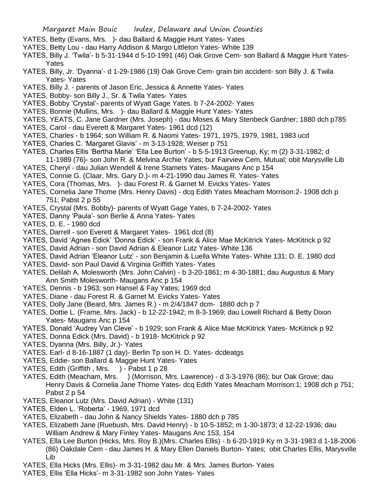- YATES, Betty (Evans, Mrs. )- dau Ballard & Maggie Hunt Yates- Yates
- YATES, Betty Lou dau Harry Addison & Margo Littleton Yates- White 139
- YATES, Billy J. 'Twila'- b 5-31-1944 d 5-10-1991 (46) Oak Grove Cem- son Ballard & Maggie Hunt Yates-Yates
- YATES, Billy, Jr. 'Dyanna'- d 1-29-1986 (19) Oak Grove Cem- grain bin accident- son Billy J. & Twila Yates- Yates
- YATES, Billy J. parents of Jason Eric, Jessica & Annette Yates- Yates
- YATES, Bobby- son Billy J., Sr. & Twila Yates- Yates
- YATES, Bobby 'Crystal'- parents of Wyatt Gage Yates. b 7-24-2002- Yates
- YATES, Bonnie (Mullins, Mrs. )- dau Ballard & Maggie Hunt Yates- Yates
- YATES, YEATS, C. Jane Gardner (Mrs. Joseph) dau Moses & Mary Stenbeck Gardner; 1880 dch p785
- YATES, Carol dau Everett & Margaret Yates- 1961 dcd (12)
- YATES, Charles b 1964; son William R. & Naomi Yates- 1971, 1975, 1979, 1981, 1983 ucd
- YATES, Charles C. 'Margaret Glavis' m 3-13-1928; Weiser p 751
- YATES, Charles Ellis 'Bertha Marie' 'Ella Lee Burton' b 5-5-1913 Greenup, Ky; m (2) 3-31-1982; d 11-1989 (76)- son John R. & Melvina Archie Yates; bur Fairview Cem, Mutual; obit Marysville Lib
- YATES, Cheryl dau Julian Wendell & Irene Stamets Yates- Maugans Anc p 154
- YATES, Connie G. (Claar, Mrs. Gary D.)- m 4-21-1990 dau James R. Yates- Yates
- YATES, Cora (Thomas, Mrs. )- dau Forest R. & Garnet M. Evicks Yates- Yates
- YATES, Cornelia Jane Thome (Mrs. Henry Davis) dcq Edith Yates Meacham Morrison:2- 1908 dch p 751; Pabst 2 p 55
- YATES, Crystal (Mrs. Bobby)- parents of Wyatt Gage Yates, b 7-24-2002- Yates
- YATES, Danny 'Paula'- son Berlie & Anna Yates- Yates
- YATES, D. E. 1980 dcd
- YATES, Darrell son Everett & Margaret Yates- 1961 dcd (8)
- YATES, David 'Agnes Edick' 'Donna Edick' son Frank & Alice Mae McKitrick Yates- McKitrick p 92
- YATES, David Adrian son David Adrian & Eleanor Lutz Yates- White 136
- YATES, David Adrian 'Eleanor Lutz' son Benjamin & Luella White Yates- White 131; D. E. 1980 dcd
- YATES, David- son Paul David & Virginia Griffith Yates- Yates
- YATES, Delilah A. Molesworth (Mrs. John Calvin) b 3-20-1861; m 4-30-1881; dau Augustus & Mary Ann Smith Molesworth- Maugans Anc p 154
- YATES, Dennis b 1963; son Hansel & Fay Yates; 1969 dcd
- YATES, Diane dau Forest R. & Garnet M. Evicks Yates- Yates
- YATES, Dolly Jane (Beard, Mrs. James R.) m 2/4/1847 dcm- 1880 dch p 7
- YATES, Dottie L. (Frame, Mrs. Jack) b 12-22-1942; m 8-3-1969; dau Lowell Richard & Betty Dixon Yates- Maugans Anc p 154
- YATES, Donald 'Audrey Van Cleve' b 1929; son Frank & Alice Mae McKitrick Yates- McKitrick p 92
- YATES, Donna Edick (Mrs. David) b 1918- McKitrick p 92
- YATES, Dyanna (Mrs. Billy, Jr.)- Yates
- YATES, Earl- d 8-16-1887 (1 day)- Berlin Tp son H. D. Yates- dcdeatgs
- YATES, Eddie- son Ballard & Maggie Hunt Yates- Yates
- YATES, Edith (Griffith, Mrs. ) Pabst 1 p 28
- YATES, Edith (Meacham, Mrs. ) (Morrison, Mrs. Lawrence) d 3-3-1976 (86); bur Oak Grove; dau Henry Davis & Cornelia Jane Thome Yates- dcq Edith Yates Meacham Morrison:1; 1908 dch p 751; Pabst 2 p 54
- YATES, Eleanor Lutz (Mrs. David Adrian) White (131)
- YATES, Elden L. 'Roberta' 1969, 1971 dcd
- YATES, Elizabeth dau John & Nancy Shields Yates- 1880 dch p 785
- YATES, Elizabeth Jane (Ruebush, Mrs. David Henry) b 10-5-1852; m 1-30-1873; d 12-22-1936; dau William Andrew & Mary Finley Yates- Maugans Anc 153, 154
- YATES, Ella Lee Burton (Hicks, Mrs. Roy B.)(Mrs. Charles Ellis) b 6-20-1919 Ky m 3-31-1983 d 1-18-2006 (86) Oakdale Cem - dau James H. & Mary Ellen Daniels Burton- Yates; obit Charles Ellis, Marysville Lib
- YATES, Ella Hicks (Mrs. Ellis)- m 3-31-1982 dau Mr. & Mrs. James Burton- Yates
- YATES, Ellis 'Ella Hicks'- m 3-31-1982 son John Yates- Yates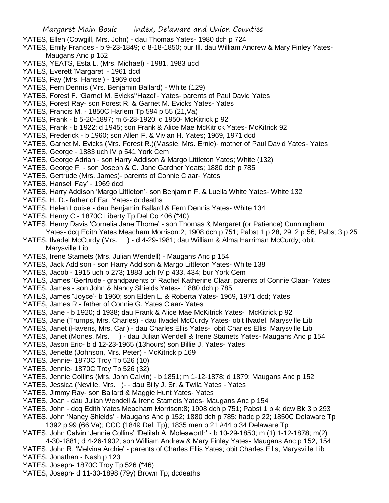- YATES, Ellen (Cowgill, Mrs. John) dau Thomas Yates- 1980 dch p 724
- YATES, Emily Frances b 9-23-1849; d 8-18-1850; bur Ill. dau William Andrew & Mary Finley Yates-Maugans Anc p 152
- YATES, YEATS, Esta L. (Mrs. Michael) 1981, 1983 ucd
- YATES, Everett 'Margaret' 1961 dcd
- YATES, Fay (Mrs. Hansel) 1969 dcd
- YATES, Fern Dennis (Mrs. Benjamin Ballard) White (129)
- YATES, Forest F. 'Garnet M. Evicks''Hazel'- Yates- parents of Paul David Yates
- YATES, Forest Ray- son Forest R. & Garnet M. Evicks Yates- Yates
- YATES, Francis M. 1850C Harlem Tp 594 p 55 (21,Va)
- YATES, Frank b 5-20-1897; m 6-28-1920; d 1950- McKitrick p 92
- YATES, Frank b 1922; d 1945; son Frank & Alice Mae McKitrick Yates- McKitrick 92
- YATES, Frederick b 1960; son Allen F. & Vivian H. Yates; 1969, 1971 dcd
- YATES, Garnet M. Evicks (Mrs. Forest R.)(Massie, Mrs. Ernie)- mother of Paul David Yates- Yates
- YATES, George 1883 uch IV p 541 York Cem
- YATES, George Adrian son Harry Addison & Margo Littleton Yates; White (132)
- YATES, George F. son Joseph & C. Jane Gardner Yeats; 1880 dch p 785
- YATES, Gertrude (Mrs. James)- parents of Connie Claar- Yates
- YATES, Hansel 'Fay' 1969 dcd
- YATES, Harry Addison 'Margo Littleton'- son Benjamin F. & Luella White Yates- White 132
- YATES, H. D.- father of Earl Yates- dcdeaths
- YATES, Helen Louise dau Benjamin Ballard & Fern Dennis Yates- White 134
- YATES, Henry C.- 1870C Liberty Tp Del Co 406 (\*40)
- YATES, Henry Davis 'Cornelia Jane Thome' son Thomas & Margaret (or Patience) Cunningham Yates- dcq Edith Yates Meacham Morrison:2; 1908 dch p 751; Pabst 1 p 28, 29; 2 p 56; Pabst 3 p 25
- YATES, Ilvadel McCurdy (Mrs. ) d 4-29-1981; dau William & Alma Harriman McCurdy; obit, Marysville Lib
- YATES, Irene Stamets (Mrs. Julian Wendell) Maugans Anc p 154
- YATES, Jack Addison son Harry Addison & Margo Littleton Yates- White 138
- YATES, Jacob 1915 uch p 273; 1883 uch IV p 433, 434; bur York Cem
- YATES, James 'Gertrude'- grandparents of Rachel Katherine Claar, parents of Connie Claar- Yates
- YATES, James son John & Nancy Shields Yates- 1880 dch p 785
- YATES, James "Joyce'- b 1960; son Elden L. & Roberta Yates- 1969, 1971 dcd; Yates
- YATES, James R.- father of Connie G. Yates Claar- Yates
- YATES, Jane b 1920; d 1938; dau Frank & Alice Mae McKitrick Yates- McKitrick p 92
- YATES, Jane (Trumps, Mrs. Charles) dau Ilvadel McCurdy Yates- obit Ilvadel, Marysville Lib
- YATES, Janet (Havens, Mrs. Carl) dau Charles Ellis Yates- obit Charles Ellis, Marysville Lib
- YATES, Janet (Mones, Mrs. ) dau Julian Wendell & Irene Stamets Yates- Maugans Anc p 154
- YATES, Jason Eric- b d 12-23-1965 (13hours) son Billie J. Yates- Yates
- YATES, Jenette (Johnson, Mrs. Peter) McKitrick p 169
- YATES, Jennie- 1870C Troy Tp 526 (10)
- YATES, Jennie- 1870C Troy Tp 526 (32)
- YATES, Jennie Collins (Mrs. John Calvin) b 1851; m 1-12-1878; d 1879; Maugans Anc p 152
- YATES, Jessica (Neville, Mrs. )- dau Billy J. Sr. & Twila Yates Yates
- YATES, Jimmy Ray- son Ballard & Maggie Hunt Yates- Yates
- YATES, Joan dau Julian Wendell & Irene Stamets Yates- Maugans Anc p 154
- YATES, John dcq Edith Yates Meacham Morrison:8; 1908 dch p 751; Pabst 1 p 4; dcw Bk 3 p 293
- YATES, John 'Nancy Shields' Maugans Anc p 152; 1880 dch p 785; hadc p 22; 1850C Delaware Tp
- 1392 p 99 (66,Va); CCC (1849 Del. Tp); 1835 men p 21 #44 p 34 Delaware Tp YATES, John Calvin 'Jennie Collins' 'Delilah A. Molesworth' - b 10-29-1850; m (1) 1-12-1878; m(2)
- 4-30-1881; d 4-26-1902; son William Andrew & Mary Finley Yates- Maugans Anc p 152, 154
- YATES, John R. 'Melvina Archie' parents of Charles Ellis Yates; obit Charles Ellis, Marysville Lib YATES, Jonathan - Nash p 123
- YATES, Joseph- 1870C Troy Tp 526 (\*46)
- YATES, Joseph- d 11-30-1898 (79y) Brown Tp; dcdeaths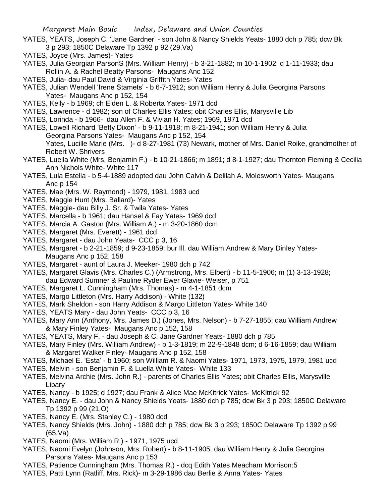- YATES, YEATS, Joseph C. 'Jane Gardner' son John & Nancy Shields Yeats- 1880 dch p 785; dcw Bk 3 p 293; 1850C Delaware Tp 1392 p 92 (29,Va)
- YATES, Joyce (Mrs. James)- Yates
- YATES, Julia Georgian ParsonS (Mrs. William Henry) b 3-21-1882; m 10-1-1902; d 1-11-1933; dau Rollin A. & Rachel Beatty Parsons- Maugans Anc 152
- YATES, Julia- dau Paul David & Virginia Griffith Yates- Yates
- YATES, Julian Wendell 'Irene Stamets' b 6-7-1912; son William Henry & Julia Georgina Parsons Yates- Maugans Anc p 152, 154
- YATES, Kelly b 1969; ch Elden L. & Roberta Yates- 1971 dcd
- YATES, Lawrence d 1982; son of Charles Ellis Yates; obit Charles Ellis, Marysville Lib
- YATES, Lorinda b 1966- dau Allen F. & Vivian H. Yates; 1969, 1971 dcd
- YATES, Lowell Richard 'Betty Dixon' b 9-11-1918; m 8-21-1941; son William Henry & Julia
	- Georgina Parsons Yates- Maugans Anc p 152, 154

Yates, Lucille Marie (Mrs. )- d 8-27-1981 (73) Newark, mother of Mrs. Daniel Roike, grandmother of Robert W. Shrivers

- YATES, Luella White (Mrs. Benjamin F.) b 10-21-1866; m 1891; d 8-1-1927; dau Thornton Fleming & Cecilia Ann Nichols White- White 117
- YATES, Lula Estella b 5-4-1889 adopted dau John Calvin & Delilah A. Molesworth Yates- Maugans Anc p 154
- YATES, Mae (Mrs. W. Raymond) 1979, 1981, 1983 ucd
- YATES, Maggie Hunt (Mrs. Ballard)- Yates
- YATES, Maggie- dau Billy J. Sr. & Twila Yates- Yates
- YATES, Marcella b 1961; dau Hansel & Fay Yates- 1969 dcd
- YATES, Marcia A. Gaston (Mrs. William A.) m 3-20-1860 dcm
- YATES, Margaret (Mrs. Everett) 1961 dcd
- YATES, Margaret dau John Yeats- CCC p 3, 16
- YATES, Margaret b 2-21-1859; d 9-23-1859; bur Ill. dau William Andrew & Mary Dinley Yates-Maugans Anc p 152, 158
- YATES, Margaret aunt of Laura J. Meeker- 1980 dch p 742
- YATES, Margaret Glavis (Mrs. Charles C.) (Armstrong, Mrs. Elbert) b 11-5-1906; m (1) 3-13-1928; dau Edward Sumner & Pauline Ryder Ewer Glavie- Weiser, p 751
- YATES, Margaret L. Cunningham (Mrs. Thomas) m 4-1-1851 dcm
- YATES, Margo Littleton (Mrs. Harry Addison) White (132)
- YATES, Mark Sheldon son Harry Addison & Margo Littleton Yates- White 140
- YATES, YEATS Mary dau John Yeats- CCC p 3, 16
- YATES, Mary Ann (Anthony, Mrs. James D.) (Jones, Mrs. Nelson) b 7-27-1855; dau William Andrew & Mary Finley Yates- Maugans Anc p 152, 158
- YATES, YEATS, Mary F. dau Joseph & C. Jane Gardner Yeats- 1880 dch p 785
- YATES, Mary Finley (Mrs. William Andrew) b 1-3-1819; m 22-9-1848 dcm; d 6-16-1859; dau William & Margaret Walker Finley- Maugans Anc p 152, 158
- YATES, Michael E. 'Esta' b 1960; son William R. & Naomi Yates- 1971, 1973, 1975, 1979, 1981 ucd
- YATES, Melvin son Benjamin F. & Luella White Yates- White 133
- YATES, Melvina Archie (Mrs. John R.) parents of Charles Ellis Yates; obit Charles Ellis, Marysville Libary
- YATES, Nancy b 1925; d 1927; dau Frank & Alice Mae McKitrick Yates- McKitrick 92
- YATES, Nancy E. dau John & Nancy Shields Yeats- 1880 dch p 785; dcw Bk 3 p 293; 1850C Delaware Tp 1392 p 99 (21,O)
- YATES, Nancy E. (Mrs. Stanley C.) 1980 dcd
- YATES, Nancy Shields (Mrs. John) 1880 dch p 785; dcw Bk 3 p 293; 1850C Delaware Tp 1392 p 99 (65,Va)
- YATES, Naomi (Mrs. William R.) 1971, 1975 ucd
- YATES, Naomi Evelyn (Johnson, Mrs. Robert) b 8-11-1905; dau William Henry & Julia Georgina Parsons Yates- Maugans Anc p 153
- YATES, Patience Cunningham (Mrs. Thomas R.) dcq Edith Yates Meacham Morrison:5
- YATES, Patti Lynn (Ratliff, Mrs. Rick)- m 3-29-1986 dau Berlie & Anna Yates- Yates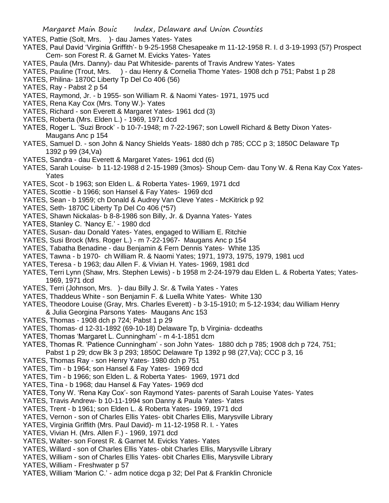- YATES, Pattie (Solt, Mrs. )- dau James Yates- Yates
- YATES, Paul David 'Virginia Griffith'- b 9-25-1958 Chesapeake m 11-12-1958 R. I. d 3-19-1993 (57) Prospect Cem- son Forest R. & Garnet M. Evicks Yates- Yates
- YATES, Paula (Mrs. Danny)- dau Pat Whiteside- parents of Travis Andrew Yates- Yates
- YATES, Pauline (Trout, Mrs. ) dau Henry & Cornelia Thome Yates- 1908 dch p 751; Pabst 1 p 28
- YATES, Philina- 1870C Liberty Tp Del Co 406 (56)
- YATES, Ray Pabst 2 p 54
- YATES, Raymond, Jr. b 1955- son William R. & Naomi Yates- 1971, 1975 ucd
- YATES, Rena Kay Cox (Mrs. Tony W.)- Yates
- YATES, Richard son Everett & Margaret Yates- 1961 dcd (3)
- YATES, Roberta (Mrs. Elden L.) 1969, 1971 dcd
- YATES, Roger L. 'Suzi Brock' b 10-7-1948; m 7-22-1967; son Lowell Richard & Betty Dixon Yates-Maugans Anc p 154
- YATES, Samuel D. son John & Nancy Shields Yeats- 1880 dch p 785; CCC p 3; 1850C Delaware Tp 1392 p 99 (34,Va)
- YATES, Sandra dau Everett & Margaret Yates- 1961 dcd (6)
- YATES, Sarah Louise- b 11-12-1988 d 2-15-1989 (3mos)- Shoup Cem- dau Tony W. & Rena Kay Cox Yates-Yates
- YATES, Scot b 1963; son Elden L. & Roberta Yates- 1969, 1971 dcd
- YATES, Scottie b 1966; son Hansel & Fay Yates- 1969 dcd
- YATES, Sean b 1959; ch Donald & Audrey Van Cleve Yates McKitrick p 92
- YATES, Seth- 1870C Liberty Tp Del Co 406 (\*57)
- YATES, Shawn Nickalas- b 8-8-1986 son Billy, Jr. & Dyanna Yates- Yates
- YATES, Stanley C. 'Nancy E.' 1980 dcd
- YATES, Susan- dau Donald Yates- Yates, engaged to William E. Ritchie
- YATES, Susi Brock (Mrs. Roger L.) m 7-22-1967- Maugans Anc p 154
- YATES, Tabatha Benadine dau Benjamin & Fern Dennis Yates- White 135
- YATES, Tawna b 1970- ch William R. & Naomi Yates; 1971, 1973, 1975, 1979, 1981 ucd
- YATES, Teresa b 1963; dau Allen F. & Vivian H. Yates- 1969, 1981 dcd
- YATES, Terri Lynn (Shaw, Mrs. Stephen Lewis) b 1958 m 2-24-1979 dau Elden L. & Roberta Yates; Yates-1969, 1971 dcd
- YATES, Terri (Johnson, Mrs. )- dau Billy J. Sr. & Twila Yates Yates
- YATES, Thaddeus White son Benjamin F. & Luella White Yates- White 130
- YATES, Theodore Louise (Gray, Mrs. Charles Everett) b 3-15-1910; m 5-12-1934; dau William Henry & Julia Georgina Parsons Yates- Maugans Anc 153
- YATES, Thomas 1908 dch p 724; Pabst 1 p 29
- YATES, Thomas- d 12-31-1892 (69-10-18) Delaware Tp, b Virginia- dcdeaths
- YATES, Thomas 'Margaret L. Cunningham' m 4-1-1851 dcm
- YATES, Thomas R. 'Patience Cunningham' son John Yates- 1880 dch p 785; 1908 dch p 724, 751;
- Pabst 1 p 29; dcw Bk 3 p 293; 1850C Delaware Tp 1392 p 98 (27,Va); CCC p 3, 16
- YATES, Thomas Ray son Henry Yates- 1980 dch p 751
- YATES, Tim b 1964; son Hansel & Fay Yates- 1969 dcd
- YATES, Tim b 1966; son Elden L. & Roberta Yates- 1969, 1971 dcd
- YATES, Tina b 1968; dau Hansel & Fay Yates- 1969 dcd
- YATES, Tony W. 'Rena Kay Cox'- son Raymond Yates- parents of Sarah Louise Yates- Yates
- YATES, Travis Andrew- b 10-11-1994 son Danny & Paula Yates- Yates
- YATES, Trent b 1961; son Elden L. & Roberta Yates- 1969, 1971 dcd
- YATES, Vernon son of Charles Ellis Yates- obit Charles Ellis, Marysville Library
- YATES, Virginia Griffith (Mrs. Paul David)- m 11-12-1958 R. I. Yates
- YATES, Vivian H. (Mrs. Allen F.) 1969, 1971 dcd
- YATES, Walter- son Forest R. & Garnet M. Evicks Yates- Yates
- YATES, Willard son of Charles Ellis Yates- obit Charles Ellis, Marysville Library
- YATES, William son of Charles Ellis Yates- obit Charles Ellis, Marysville Library
- YATES, William Freshwater p 57
- YATES, William 'Marion C.' adm notice dcga p 32; Del Pat & Franklin Chronicle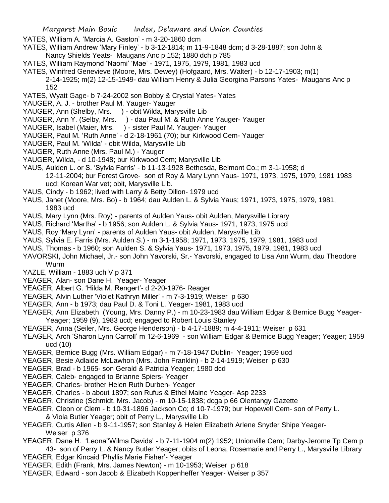- YATES, William A. 'Marcia A. Gaston' m 3-20-1860 dcm
- YATES, William Andrew 'Mary Finley' b 3-12-1814; m 11-9-1848 dcm; d 3-28-1887; son John &
- Nancy Shields Yeats- Maugans Anc p 152; 1880 dch p 785
- YATES, William Raymond 'Naomi' 'Mae' 1971, 1975, 1979, 1981, 1983 ucd
- YATES, Winifred Genevieve (Moore, Mrs. Dewey) (Hofgaard, Mrs. Walter) b 12-17-1903; m(1)
	- 2-14-1925; m(2) 12-15-1949- dau William Henry & Julia Georgina Parsons Yates- Maugans Anc p 152
- YATES, Wyatt Gage- b 7-24-2002 son Bobby & Crystal Yates- Yates
- YAUGER, A. J. brother Paul M. Yauger- Yauger
- YAUGER, Ann (Shelby, Mrs. ) obit Wilda, Marysville Lib
- YAUGER, Ann Y. (Selby, Mrs. ) dau Paul M. & Ruth Anne Yauger- Yauger
- YAUGER, Isabel (Maier, Mrs. ) sister Paul M. Yauger- Yauger
- YAUGER, Paul M. 'Ruth Anne' d 2-18-1961 (70); bur Kirkwood Cem- Yauger
- YAUGER, Paul M. 'Wilda' obit Wilda, Marysville Lib
- YAUGER, Ruth Anne (Mrs. Paul M.) Yauger
- YAUGER, Wilda, d 10-1948; bur Kirkwood Cem; Marysville Lib
- YAUS, Aulden L. or S. 'Sylvia Farris' b 11-13-1928 Bethesda, Belmont Co.; m 3-1-1958; d 12-11-2004; bur Forest Grove- son of Roy & Mary Lynn Yaus- 1971, 1973, 1975, 1979, 1981 1983 ucd; Korean War vet; obit, Marysville Lib.
- YAUS, Cindy b 1962; lived with Larry & Betty Dillon- 1979 ucd
- YAUS, Janet (Moore, Mrs. Bo) b 1964; dau Aulden L. & Sylvia Yaus; 1971, 1973, 1975, 1979, 1981, 1983 ucd
- YAUS, Mary Lynn (Mrs. Roy) parents of Aulden Yaus- obit Aulden, Marysville Library
- YAUS, Richard 'Martha' b 1956; son Aulden L. & Sylvia Yaus- 1971, 1973, 1975 ucd
- YAUS, Roy 'Mary Lynn' parents of Aulden Yaus- obit Aulden, Marysville Lib
- YAUS, Sylvia E. Farris (Mrs. Aulden S.) m 3-1-1958; 1971, 1973, 1975, 1979, 1981, 1983 ucd
- YAUS, Thomas b 1960; son Aulden S. & Sylvia Yaus- 1971, 1973, 1975, 1979, 1981, 1983 ucd
- YAVORSKI, John Michael, Jr.- son John Yavorski, Sr.- Yavorski, engaged to Lisa Ann Wurm, dau Theodore Wurm
- YAZLE, William 1883 uch V p 371
- YEAGER, Alan- son Dane H. Yeager- Yeager
- YEAGER, Albert G. 'Hilda M. Rengert'- d 2-20-1976- Reager
- YEAGER, Alvin Luther 'Violet Kathryn Miller' m 7-3-1919; Weiser p 630
- YEAGER, Ann b 1973; dau Paul D. & Toni L. Yeager- 1981, 1983 ucd
- YEAGER, Ann Elizabeth (Young, Mrs. Danny P.) m 10-23-1983 dau William Edgar & Bernice Bugg Yeager-Yeager; 1959 (9), 1983 ucd; engaged to Robert Louis Stanley
- YEAGER, Anna (Seiler, Mrs. George Henderson) b 4-17-1889; m 4-4-1911; Weiser p 631
- YEAGER, Arch 'Sharon Lynn Carroll' m 12-6-1969 son William Edgar & Bernice Bugg Yeager; Yeager; 1959 ucd (10)
- YEAGER, Bernice Bugg (Mrs. William Edgar) m 7-18-1947 Dublin- Yeager; 1959 ucd
- YEAGER, Besie Adlaide McLawhon (Mrs. John Franklin) b 2-14-1919; Weiser p 630
- YEAGER, Brad b 1965- son Gerald & Patricia Yeager; 1980 dcd
- YEAGER, Caleb- engaged to Brianne Spiers- Yeager
- YEAGER, Charles- brother Helen Ruth Durben- Yeager
- YEAGER, Charles b about 1897; son Rufus & Ethel Maine Yeager- Asp 2233
- YEAGER, Christine (Schmidt, Mrs. Jacob) m 10-15-1838; dcga p 66 Olentangy Gazette
- YEAGER, Cleon or Clem b 10-31-1896 Jackson Co; d 10-7-1979; bur Hopewell Cem- son of Perry L.
	- & Viola Butler Yeager; obit of Perry L., Marysville Lib
- YEAGER, Curtis Allen b 9-11-1957; son Stanley & Helen Elizabeth Arlene Snyder Shipe Yeager-Weiser p 376
- YEAGER, Dane H. 'Leona''Wilma Davids' b 7-11-1904 m(2) 1952; Unionville Cem; Darby-Jerome Tp Cem p 43- son of Perry L. & Nancy Butler Yeager; obits of Leona, Rosemarie and Perry L., Marysville Library YEAGER, Edgar Kincaid 'Phyllis Marie Fisher'- Yeager
- YEAGER, Edith (Frank, Mrs. James Newton) m 10-1953; Weiser p 618
- YEAGER, Edward son Jacob & Elizabeth Koppenheffer Yeager- Weiser p 357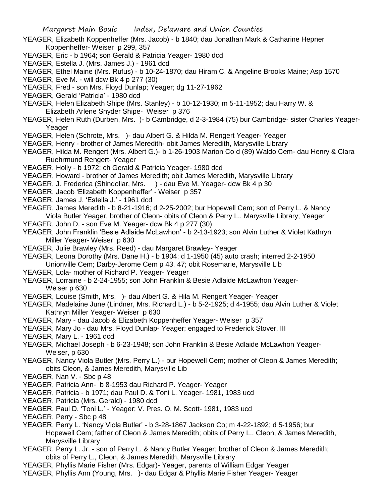- YEAGER, Elizabeth Koppenheffer (Mrs. Jacob) b 1840; dau Jonathan Mark & Catharine Hepner Koppenheffer- Weiser p 299, 357
- YEAGER, Eric b 1964; son Gerald & Patricia Yeager- 1980 dcd
- YEAGER, Estella J. (Mrs. James J.) 1961 dcd
- YEAGER, Ethel Maine (Mrs. Rufus) b 10-24-1870; dau Hiram C. & Angeline Brooks Maine; Asp 1570
- YEAGER, Eve M. will dcw Bk 4 p 277 (30)
- YEAGER, Fred son Mrs. Floyd Dunlap; Yeager; dg 11-27-1962
- YEAGER, Gerald 'Patricia' 1980 dcd
- YEAGER, Helen Elizabeth Shipe (Mrs. Stanley) b 10-12-1930; m 5-11-1952; dau Harry W. & Elizabeth Arlene Snyder Shipe- Weiser p 376
- YEAGER, Helen Ruth (Durben, Mrs. )- b Cambridge, d 2-3-1984 (75) bur Cambridge- sister Charles Yeager-Yeager
- YEAGER, Helen (Schrote, Mrs. )- dau Albert G. & Hilda M. Rengert Yeager- Yeager
- YEAGER, Henry brother of James Meredith- obit James Meredith, Marysville Library
- YEAGER, Hilda M. Rengert (Mrs. Albert G.)- b 1-26-1903 Marion Co d (89) Waldo Cem- dau Henry & Clara Ruehrmund Rengert- Yeager
- YEAGER, Holly b 1972; ch Gerald & Patricia Yeager- 1980 dcd
- YEAGER, Howard brother of James Meredith; obit James Meredith, Marysville Library
- YEAGER, J. Frederica (Shindollar, Mrs. ) dau Eve M. Yeager- dcw Bk 4 p 30
- YEAGER, Jacob 'Elizabeth Koppenheffer' Weiser p 357
- YEAGER, James J. 'Estella J.' 1961 dcd
- YEAGER, James Meredith b 8-21-1916; d 2-25-2002; bur Hopewell Cem; son of Perry L. & Nancy Viola Butler Yeager, brother of Cleon- obits of Cleon & Perry L., Marysville Library; Yeager
- YEAGER, John D. son Eve M. Yeager- dcw Bk 4 p 277 (30)
- YEAGER, John Franklin 'Besie Adlaide McLawhon' b 2-13-1923; son Alvin Luther & Violet Kathryn Miller Yeager- Weiser p 630
- YEAGER, Julie Brawley (Mrs. Reed) dau Margaret Brawley- Yeager
- YEAGER, Leona Dorothy (Mrs. Dane H.) b 1904; d 1-1950 (45) auto crash; interred 2-2-1950
- Unionville Cem; Darby-Jerome Cem p 43, 47; obit Rosemarie, Marysville Lib
- YEAGER, Lola- mother of Richard P. Yeager- Yeager
- YEAGER, Lorraine b 2-24-1955; son John Franklin & Besie Adlaide McLawhon Yeager-Weiser p 630
- YEAGER, Louise (Smith, Mrs. )- dau Albert G. & Hila M. Rengert Yeager- Yeager
- YEAGER, Madelaine June (Lindner, Mrs. Richard L.) b 5-2-1925; d 4-1955; dau Alvin Luther & Violet Kathryn Miller Yeager- Weiser p 630
- YEAGER, Mary dau Jacob & Elizabeth Koppenheffer Yeager- Weiser p 357
- YEAGER, Mary Jo dau Mrs. Floyd Dunlap- Yeager; engaged to Frederick Stover, III
- YEAGER, Mary L. 1961 dcd
- YEAGER, Michael Joseph b 6-23-1948; son John Franklin & Besie Adlaide McLawhon Yeager-Weiser, p 630
- YEAGER, Nancy Viola Butler (Mrs. Perry L.) bur Hopewell Cem; mother of Cleon & James Meredith; obits Cleon, & James Meredith, Marysville Lib
- YEAGER, Nan V. Sbc p 48
- YEAGER, Patricia Ann- b 8-1953 dau Richard P. Yeager- Yeager
- YEAGER, Patricia b 1971; dau Paul D. & Toni L. Yeager- 1981, 1983 ucd
- YEAGER, Patricia (Mrs. Gerald) 1980 dcd
- YEAGER, Paul D. 'Toni L.' Yeager; V. Pres. O. M. Scott- 1981, 1983 ucd
- YEAGER, Perry Sbc p 48
- YEAGER, Perry L. 'Nancy Viola Butler' b 3-28-1867 Jackson Co; m 4-22-1892; d 5-1956; bur Hopewell Cem; father of Cleon & James Meredith; obits of Perry L., Cleon, & James Meredith, Marysville Library
- YEAGER, Perry L. Jr. son of Perry L. & Nancy Butler Yeager; brother of Cleon & James Meredith; obits of Perry L., Cleon, & James Meredith, Marysville Library
- YEAGER, Phyllis Marie Fisher (Mrs. Edgar)- Yeager, parents of William Edgar Yeager
- YEAGER, Phyllis Ann (Young, Mrs. )- dau Edgar & Phyllis Marie Fisher Yeager- Yeager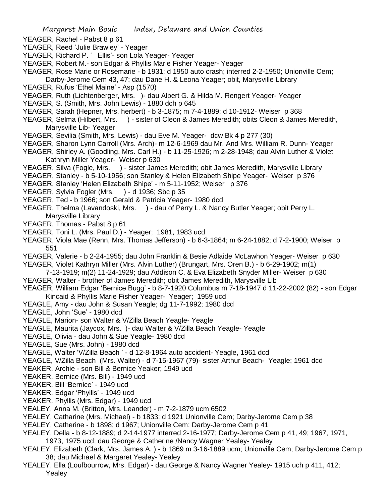- YEAGER, Rachel Pabst 8 p 61
- YEAGER, Reed 'Julie Brawley' Yeager
- YEAGER, Richard P. ' Ellis'- son Lola Yeager- Yeager
- YEAGER, Robert M.- son Edgar & Phyllis Marie Fisher Yeager- Yeager
- YEAGER, Rose Marie or Rosemarie b 1931; d 1950 auto crash; interred 2-2-1950; Unionville Cem; Darby-Jerome Cem 43, 47; dau Dane H. & Leona Yeager; obit, Marysville Library
- YEAGER, Rufus 'Ethel Maine' Asp (1570)
- YEAGER, Ruth (Lichtenberger, Mrs. )- dau Albert G. & Hilda M. Rengert Yeager- Yeager
- YEAGER, S. (Smith, Mrs. John Lewis) 1880 dch p 645
- YEAGER, Sarah (Hepner, Mrs. herbert) b 3-1875; m 7-4-1889; d 10-1912- Weiser p 368
- YEAGER, Selma (Hilbert, Mrs. ) sister of Cleon & James Meredith; obits Cleon & James Meredith, Marysville Lib- Yeager
- YEAGER, Sevilia (Smith, Mrs. Lewis) dau Eve M. Yeager- dcw Bk 4 p 277 (30)
- YEAGER, Sharon Lynn Carroll (Mrs. Arch)- m 12-6-1969 dau Mr. And Mrs. William R. Dunn- Yeager
- YEAGER, Shirley A. (Goodling, Mrs. Carl H.) b 11-25-1926; m 2-28-1948; dau Alvin Luther & Violet Kathryn Miller Yeager- Weiser p 630
- YEAGER, Silva (Fogle, Mrs. ) sister James Meredith; obit James Meredith, Marysville Library
- YEAGER, Stanley b 5-10-1956; son Stanley & Helen Elizabeth Shipe Yeager- Weiser p 376
- YEAGER, Stanley 'Helen Elizabeth Shipe' m 5-11-1952; Weiser p 376
- YEAGER, Sylvia Fogler (Mrs. ) d 1936; Sbc p 35
- YEAGER, Ted b 1966; son Gerald & Patricia Yeager- 1980 dcd
- YEAGER, Thelma (Lavandoski, Mrs. ) dau of Perry L. & Nancy Butler Yeager; obit Perry L, Marysville Library
- YEAGER, Thomas Pabst 8 p 61
- YEAGER, Toni L. (Mrs. Paul D.) Yeager; 1981, 1983 ucd
- YEAGER, Viola Mae (Renn, Mrs. Thomas Jefferson) b 6-3-1864; m 6-24-1882; d 7-2-1900; Weiser p 551
- YEAGER, Valerie b 2-24-1955; dau John Franklin & Besie Adlaide McLawhon Yeager- Weiser p 630
- YEAGER, Violet Kathryn Miller (Mrs. Alvin Luther) (Brungart, Mrs. Oren B.) b 6-29-1902; m(1)
- 7-13-1919; m(2) 11-24-1929; dau Addison C. & Eva Elizabeth Snyder Miller- Weiser p 630
- YEAGER, Walter brother of James Meredith; obit James Meredith, Marysville Lib
- YEAGER, William Edgar 'Bernice Bugg' b 8-7-1920 Columbus m 7-18-1947 d 11-22-2002 (82) son Edgar Kincaid & Phyllis Marie Fisher Yeager- Yeager; 1959 ucd
- YEAGLE, Amy dau John & Susan Yeagle; dg 11-7-1992; 1980 dcd
- YEAGLE, John 'Sue' 1980 dcd
- YEAGLE, Marion- son Walter & V/Zilla Beach Yeagle- Yeagle
- YEAGLE, Maurita (Jaycox, Mrs. )- dau Walter & V/Zilla Beach Yeagle- Yeagle
- YEAGLE, Olivia dau John & Sue Yeagle- 1980 dcd
- YEAGLE, Sue (Mrs. John) 1980 dcd
- YEAGLE, Walter 'V/Zilla Beach ' d 12-8-1964 auto accident- Yeagle, 1961 dcd
- YEAGLE, V/Zilla Beach (Mrs. Walter) d 7-15-1967 (79)- sister Arthur Beach- Yeagle; 1961 dcd
- YEAKER, Archie son Bill & Bernice Yeaker; 1949 ucd
- YEAKER, Bernice (Mrs. Bill) 1949 ucd
- YEAKER, Bill 'Bernice' 1949 ucd
- YEAKER, Edgar 'Phyllis' 1949 ucd
- YEAKER, Phyllis (Mrs. Edgar) 1949 ucd
- YEALEY, Anna M. (Britton, Mrs. Leander) m 7-2-1879 ucm 6502
- YEALEY, Catharine (Mrs. Michael) b 1833; d 1921 Unionville Cem; Darby-Jerome Cem p 38
- YEALEY, Catherine b 1898; d 1967; Unionville Cem; Darby-Jerome Cem p 41
- YEALEY, Della b 8-12-1889; d 2-14-1977 interred 2-16-1977; Darby-Jerome Cem p 41, 49; 1967, 1971, 1973, 1975 ucd; dau George & Catherine /Nancy Wagner Yealey- Yealey
- YEALEY, Elizabeth (Clark, Mrs. James A. ) b 1869 m 3-16-1889 ucm; Unionville Cem; Darby-Jerome Cem p 38; dau Michael & Margaret Yealey- Yealey
- YEALEY, Ella (Loufbourrow, Mrs. Edgar) dau George & Nancy Wagner Yealey- 1915 uch p 411, 412; Yealey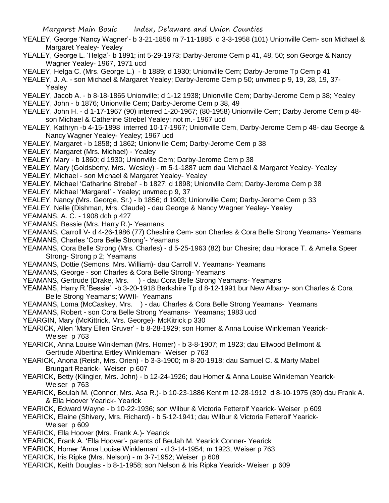- YEALEY, George 'Nancy Wagner'- b 3-21-1856 m 7-11-1885 d 3-3-1958 (101) Unionville Cem- son Michael & Margaret Yealey- Yealey
- YEALEY, George L. 'Helga'- b 1891; int 5-29-1973; Darby-Jerome Cem p 41, 48, 50; son George & Nancy Wagner Yealey- 1967, 1971 ucd
- YEALEY, Helga C. (Mrs. George L.) b 1889; d 1930; Unionville Cem; Darby-Jerome Tp Cem p 41

YEALEY, J. A. - son Michael & Margaret Yealey; Darby-Jerome Cem p 50; unvmec p 9, 19, 28, 19, 37- Yealey

YEALEY, Jacob A. - b 8-18-1865 Unionville; d 1-12 1938; Unionville Cem; Darby-Jerome Cem p 38; Yealey

YEALEY, John - b 1876; Unionville Cem; Darby-Jerome Cem p 38, 49

- YEALEY, John H. d 1-17-1967 (90) interred 1-20-1967; (80-1958) Unionville Cem; Darby Jerome Cem p 48 son Michael & Catherine Strebel Yealey; not m.- 1967 ucd
- YEALEY, Kathryn -b 4-15-1898 interred 10-17-1967; Unionville Cem, Darby-Jerome Cem p 48- dau George & Nancy Wagner Yealey- Yealey; 1967 ucd
- YEALEY, Margaret b 1858; d 1862; Unionville Cem; Darby-Jerome Cem p 38
- YEALEY, Margaret (Mrs. Michael) Yealey
- YEALEY, Mary b 1860; d 1930; Unionville Cem; Darby-Jerome Cem p 38
- YEALEY, Mary (Goldsberry, Mrs. Wesley) m 5-1-1887 ucm dau Michael & Margaret Yealey- Yealey
- YEALEY, Michael son Michael & Margaret Yealey- Yealey
- YEALEY, Michael 'Catharine Strebel' b 1827; d 1898; Unionville Cem; Darby-Jerome Cem p 38 YEALEY, Michael 'Margaret' - Yealey; unvmec p 9, 37
- YEALEY, Nancy (Mrs. George, Sr.) b 1856; d 1903; Unionville Cem; Darby-Jerome Cem p 33
- YEALEY, Nelle (Dishman, Mrs. Claude) dau George & Nancy Wagner Yealey- Yealey
- YEAMANS, A. C. 1908 dch p 427
- YEAMANS, Bessie (Mrs. Harry R.)- Yeamans

YEAMANS, Carroll V- d 4-26-1986 (77) Cheshire Cem- son Charles & Cora Belle Strong Yeamans- Yeamans

- YEAMANS, Charles 'Cora Belle Strong'- Yeamans
- YEAMANS, Cora Belle Strong (Mrs. Charles) d 5-25-1963 (82) bur Chesire; dau Horace T. & Amelia Speer Strong- Strong p 2; Yeamans
- YEAMANS, Dottie (Semons, Mrs. William)- dau Carroll V. Yeamans- Yeamans
- YEAMANS, George son Charles & Cora Belle Strong- Yeamans
- YEAMANS, Gertrude (Drake, Mrs. ) dau Cora Belle Strong Yeamans- Yeamans
- YEAMANS, Harry R.'Bessie' -b 3-20-1918 Berkshire Tp d 8-12-1991 bur New Albany- son Charles & Cora Belle Strong Yeamans; WWII- Yeamans
- YEAMANS, Loma (McCaskey, Mrs. ) dau Charles & Cora Belle Strong Yeamans- Yeamans
- YEAMANS, Robert son Cora Belle Strong Yeamans- Yeamans; 1983 ucd
- YEARGIN, Mary (McKittrick, Mrs. George)- McKitrick p 330
- YEARICK, Allen 'Mary Ellen Gruver' b 8-28-1929; son Homer & Anna Louise Winkleman Yearick-Weiser p 763
- YEARICK, Anna Louise Winkleman (Mrs. Homer) b 3-8-1907; m 1923; dau Ellwood Bellmont & Gertrude Albertina Ertley Winkleman- Weiser p 763
- YEARICK, Anona (Reish, Mrs. Orien) b 3-3-1900; m 8-20-1918; dau Samuel C. & Marty Mabel Brungart Rearick- Weiser p 607
- YEARICK, Betty (Klingler, Mrs. John) b 12-24-1926; dau Homer & Anna Louise Winkleman Yearick-Weiser p 763
- YEARICK, Beulah M. (Connor, Mrs. Asa R.)- b 10-23-1886 Kent m 12-28-1912 d 8-10-1975 (89) dau Frank A. & Ella Hoover Yearick- Yearick
- YEARICK, Edward Wayne b 10-22-1936; son Wilbur & Victoria Fetterolf Yearick- Weiser p 609

YEARICK, Elaine (Shivery, Mrs. Richard) - b 5-12-1941; dau Wilbur & Victoria Fetterolf Yearick-Weiser p 609

- YEARICK, Ella Hoover (Mrs. Frank A.)- Yearick
- YEARICK, Frank A. 'Ella Hoover'- parents of Beulah M. Yearick Conner- Yearick
- YEARICK, Homer 'Anna Louise Winkleman' d 3-14-1954; m 1923; Weiser p 763
- YEARICK, Iris Ripke (Mrs. Nelson) m 3-7-1952; Weiser p 608
- YEARICK, Keith Douglas b 8-1-1958; son Nelson & Iris Ripka Yearick- Weiser p 609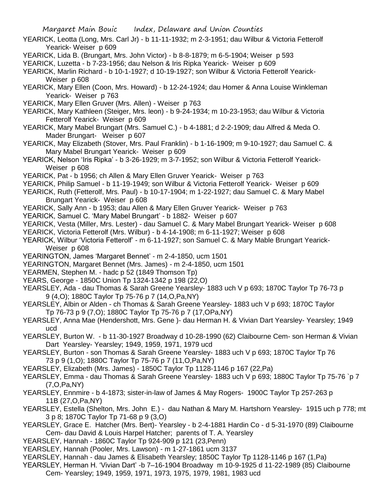- YEARICK, Leotta (Long, Mrs. Carl Jr) b 11-11-1932; m 2-3-1951; dau Wilbur & Victoria Fetterolf Yearick- Weiser p 609
- YEARICK, Lida B. (Brungart, Mrs. John Victor) b 8-8-1879; m 6-5-1904; Weiser p 593
- YEARICK, Luzetta b 7-23-1956; dau Nelson & Iris Ripka Yearick- Weiser p 609
- YEARICK, Marlin Richard b 10-1-1927; d 10-19-1927; son Wilbur & Victoria Fetterolf Yearick-Weiser p 608
- YEARICK, Mary Ellen (Coon, Mrs. Howard) b 12-24-1924; dau Homer & Anna Louise Winkleman Yearick- Weiser p 763
- YEARICK, Mary Ellen Gruver (Mrs. Allen) Weiser p 763
- YEARICK, Mary Kathleen (Steiger, Mrs. leon) b 9-24-1934; m 10-23-1953; dau Wilbur & Victoria Fetterolf Yearick- Weiser p 609
- YEARICK, Mary Mabel Brungart (Mrs. Samuel C.) b 4-1881; d 2-2-1909; dau Alfred & Meda O. Mader Brungart- Weiser p 607
- YEARICK, May Elizabeth (Stover, Mrs. Paul Franklin) b 1-16-1909; m 9-10-1927; dau Samuel C. & Mary Mabel Brungart Yearick- Weiser p 609
- YEARICK, Nelson 'Iris Ripka' b 3-26-1929; m 3-7-1952; son Wilbur & Victoria Fetterolf Yearick-Weiser p 608
- YEARICK, Pat b 1956; ch Allen & Mary Ellen Gruver Yearick- Weiser p 763
- YEARICK, Philip Samuel b 11-19-1949; son Wilbur & Victoria Fetterolf Yearick- Weiser p 609
- YEARICK, Ruth (Fetterolf, Mrs. Paul) b 10-17-1904; m 1-22-1927; dau Samuel C. & Mary Mabel Brungart Yearick- Weiser p 608
- YEARICK, Sally Ann b 1953; dau Allen & Mary Ellen Gruver Yearick- Weiser p 763
- YEARICK, Samuel C. 'Mary Mabel Brungart' b 1882- Weiser p 607
- YEARICK, Vesta (Miller, Mrs. Lester) dau Samuel C. & Mary Mabel Brungart Yearick- Weiser p 608
- YEARICK, Victoria Fetterolf (Mrs. Wilbur) b 4-14-1908; m 6-11-1927; Weiser p 608
- YEARICK, Wilbur 'Victoria Fetterolf' m 6-11-1927; son Samuel C. & Mary Mable Brungart Yearick-Weiser p 608
- YEARINGTON, James 'Margaret Bennet' m 2-4-1850, ucm 1501
- YEARINGTON, Margaret Bennet (Mrs. James) m 2-4-1850, ucm 1501
- YEARMEN, Stephen M. hadc p 52 (1849 Thomson Tp)
- YEARS, George 1850C Union Tp 1324-1342 p 198 (22,O)
- YEARSLEY, Ada dau Thomas & Sarah Greene Yearsley- 1883 uch V p 693; 1870C Taylor Tp 76-73 p 9 (4,O); 1880C Taylor Tp 75-76 p 7 (14,O,Pa,NY)
- YEARSLEY, Albin or Alden ch Thomas & Sarah Greene Yearsley- 1883 uch V p 693; 1870C Taylor Tp 76-73 p 9 (7,O); 1880C Taylor Tp 75-76 p 7 (17,OPa,NY)
- YEARSLEY, Anna Mae (Hendershott, Mrs. Gene )- dau Herman H. & Vivian Dart Yearsley- Yearsley; 1949 ucd
- YEARSLEY, Burton W. b 11-30-1927 Broadway d 10-28-1990 (62) Claibourne Cem- son Herman & Vivian Dart Yearsley- Yearsley; 1949, 1959, 1971, 1979 ucd
- YEARSLEY, Burton son Thomas & Sarah Greene Yearsley- 1883 uch V p 693; 1870C Taylor Tp 76 73 p 9 (1,O); 1880C Taylor Tp 75-76 p 7 (11,O,Pa,NY)
- YEARSLEY, Elizabeth (Mrs. James) 1850C Taylor Tp 1128-1146 p 167 (22,Pa)
- YEARSLEY, Emma dau Thomas & Sarah Greene Yearsley- 1883 uch V p 693; 1880C Taylor Tp 75-76 `p 7 (7,O,Pa,NY)
- YEARSLEY, Ennmire b 4-1873; sister-in-law of James & May Rogers- 1900C Taylor Tp 257-263 p 11B (27,O,Pa,NY)
- YEARSLEY, Estella (Shelton, Mrs. John E.) dau Nathan & Mary M. Hartshorn Yearsley- 1915 uch p 778; mt 3 p 8; 1870C Taylor Tp 71-68 p 9 (3,O)
- YEARSLEY, Grace E. Hatcher (Mrs. Bert)- Yearsley b 2-4-1881 Hardin Co d 5-31-1970 (89) Claibourne Cem- dau David & Louis Harpel Hatcher; parents of T. A. Yearsley
- YEARSLEY, Hannah 1860C Taylor Tp 924-909 p 121 (23,Penn)
- YEARSLEY, Hannah (Pooler, Mrs. Lawson) m 1-27-1861 ucm 3137
- YEARSLEY, Hannah dau James & Elisabeth Yearsley; 1850C Taylor Tp 1128-1146 p 167 (1,Pa)
- YEARSLEY, Herman H. 'Vivian Dart' -b 7–16-1904 Broadway m 10-9-1925 d 11-22-1989 (85) Claibourne Cem- Yearsley; 1949, 1959, 1971, 1973, 1975, 1979, 1981, 1983 ucd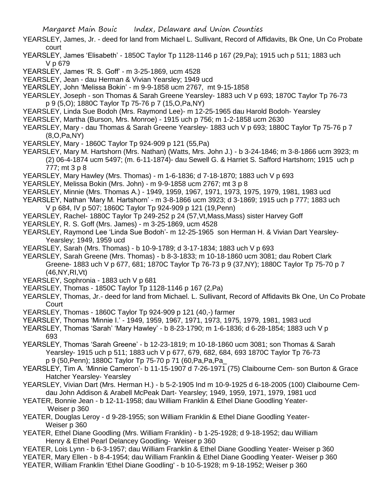- YEARSLEY, James, Jr. deed for land from Michael L. Sullivant, Record of Affidavits, Bk One, Un Co Probate court
- YEARSLEY, James 'Elisabeth' 1850C Taylor Tp 1128-1146 p 167 (29,Pa); 1915 uch p 511; 1883 uch V p 679
- YEARSLEY, James 'R. S. Goff' m 3-25-1869, ucm 4528
- YEARSLEY, Jean dau Herman & Vivian Yearsley; 1949 ucd
- YEARSLEY, John 'Melissa Bokin' m 9-9-1858 ucm 2767, mt 9-15-1858
- YEARSLEY, Joseph son Thomas & Sarah Greene Yearsley- 1883 uch V p 693; 1870C Taylor Tp 76-73 p 9 (5,O); 1880C Taylor Tp 75-76 p 7 (15,O,Pa,NY)
- YEARSLEY, Linda Sue Bodoh (Mrs. Raymond Lee)- m 12-25-1965 dau Harold Bodoh- Yearsley
- YEARSLEY, Martha (Burson, Mrs. Monroe) 1915 uch p 756; m 1-2-1858 ucm 2630
- YEARSLEY, Mary dau Thomas & Sarah Greene Yearsley- 1883 uch V p 693; 1880C Taylor Tp 75-76 p 7 (8,O,Pa,NY)
- YEARSLEY, Mary 1860C Taylor Tp 924-909 p 121 (55,Pa)
- YEARSLEY, Mary M. Hartshorn (Mrs. Nathan) (Watts, Mrs. John J.) b 3-24-1846; m 3-8-1866 ucm 3923; m (2) 06-4-1874 ucm 5497; (m. 6-11-1874)- dau Sewell G. & Harriet S. Safford Hartshorn; 1915 uch p 777; mt 3 p 8
- YEARSLEY, Mary Hawley (Mrs. Thomas) m 1-6-1836; d 7-18-1870; 1883 uch V p 693
- YEARSLEY, Melissa Bokin (Mrs. John) m 9-9-1858 ucm 2767; mt 3 p 8
- YEARSLEY, Minnie (Mrs. Thomas A.) 1949, 1959, 1967, 1971, 1973, 1975, 1979, 1981, 1983 ucd
- YEARSLEY, Nathan 'Mary M. Hartshorn' m 3-8-1866 ucm 3923; d 3-1869; 1915 uch p 777; 1883 uch V p 684, IV p 507; 1860C Taylor Tp 924-909 p 121 (19,Penn)
- YEARSLEY, Rachel- 1880C Taylor Tp 249-252 p 24 (57,Vt,Mass,Mass) sister Harvey Goff
- YEARSLEY, R. S. Goff (Mrs. James) m 3-25-1869, ucm 4528
- YEARSLEY, Raymond Lee 'Linda Sue Bodoh'- m 12-25-1965 son Herman H. & Vivian Dart Yearsley-Yearsley; 1949, 1959 ucd
- YEARSLEY, Sarah (Mrs. Thomas) b 10-9-1789; d 3-17-1834; 1883 uch V p 693
- YEARSLEY, Sarah Greene (Mrs. Thomas) b 8-3-1833; m 10-18-1860 ucm 3081; dau Robert Clark Greene- 1883 uch V p 677, 681; 1870C Taylor Tp 76-73 p 9 (37,NY); 1880C Taylor Tp 75-70 p 7 (46,NY,RI,Vt)
- YEARSLEY, Sophronia 1883 uch V p 681
- YEARSLEY, Thomas 1850C Taylor Tp 1128-1146 p 167 (2,Pa)
- YEARSLEY, Thomas, Jr.- deed for land from Michael. L. Sullivant, Record of Affidavits Bk One, Un Co Probate **Court**
- YEARSLEY, Thomas 1860C Taylor Tp 924-909 p 121 (40,-) farmer
- YEARSLEY, Thomas 'Minnie I.' 1949, 1959, 1967, 1971, 1973, 1975, 1979, 1981, 1983 ucd
- YEARSLEY, Thomas 'Sarah' 'Mary Hawley' b 8-23-1790; m 1-6-1836; d 6-28-1854; 1883 uch V p 693
- YEARSLEY, Thomas 'Sarah Greene' b 12-23-1819; m 10-18-1860 ucm 3081; son Thomas & Sarah Yearsley- 1915 uch p 511; 1883 uch V p 677, 679, 682, 684, 693 1870C Taylor Tp 76-73 p 9 (50,Penn); 1880C Taylor Tp 75-70 p 71 (60,Pa,Pa,Pa\_
- YEARSLEY, Tim A. 'Minnie Cameron'- b 11-15-1907 d 7-26-1971 (75) Claibourne Cem- son Burton & Grace Hatcher Yearsley- Yearsley
- YEARSLEY, Vivian Dart (Mrs. Herman H.) b 5-2-1905 Ind m 10-9-1925 d 6-18-2005 (100) Claibourne Cemdau John Addison & Arabell McPeak Dart- Yearsley; 1949, 1959, 1971, 1979, 1981 ucd
- YEATER, Bonnie Jean b 12-11-1958; dau William Franklin & Ethel Diane Goodling Yeater-Weiser p 360
- YEATER, Douglas Leroy d 9-28-1955; son William Franklin & Ethel Diane Goodling Yeater-Weiser p 360
- YEATER, Ethel Diane Goodling (Mrs. William Franklin) b 1-25-1928; d 9-18-1952; dau William Henry & Ethel Pearl Delancey Goodling- Weiser p 360
- YEATER, Lois Lynn b 6-3-1957; dau William Franklin & Ethel Diane Goodling Yeater- Weiser p 360
- YEATER, Mary Ellen b 8-4-1954; dau William Franklin & Ethel Diane Goodling Yeater- Weiser p 360
- YEATER, William Franklin 'Ethel Diane Goodling' b 10-5-1928; m 9-18-1952; Weiser p 360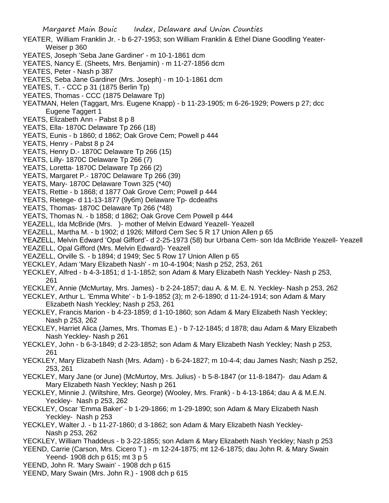- YEATER, William Franklin Jr. b 6-27-1953; son William Franklin & Ethel Diane Goodling Yeater-Weiser p 360
- YEATES, Joseph 'Seba Jane Gardiner' m 10-1-1861 dcm
- YEATES, Nancy E. (Sheets, Mrs. Benjamin) m 11-27-1856 dcm
- YEATES, Peter Nash p 387
- YEATES, Seba Jane Gardiner (Mrs. Joseph) m 10-1-1861 dcm
- YEATES, T. CCC p 31 (1875 Berlin Tp)
- YEATES, Thomas CCC (1875 Delaware Tp)
- YEATMAN, Helen (Taggart, Mrs. Eugene Knapp) b 11-23-1905; m 6-26-1929; Powers p 27; dcc Eugene Taggert 1
- YEATS, Elizabeth Ann Pabst 8 p 8
- YEATS, Ella- 1870C Delaware Tp 266 (18)
- YEATS, Eunis b 1860; d 1862; Oak Grove Cem; Powell p 444
- YEATS, Henry Pabst 8 p 24
- YEATS, Henry D.- 1870C Delaware Tp 266 (15)
- YEATS, Lilly- 1870C Delaware Tp 266 (7)
- YEATS, Loretta- 1870C Delaware Tp 266 (2)
- YEATS, Margaret P.- 1870C Delaware Tp 266 (39)
- YEATS, Mary- 1870C Delaware Town 325 (\*40)
- YEATS, Rettie b 1868; d 1877 Oak Grove Cem; Powell p 444
- YEATS, Rietege- d 11-13-1877 (9y6m) Delaware Tp- dcdeaths
- YEATS, Thomas- 1870C Delaware Tp 266 (\*48)
- YEATS, Thomas N. b 1858; d 1862; Oak Grove Cem Powell p 444
- YEAZELL, Ida McBride (Mrs. )- mother of Melvin Edward Yeazell- Yeazell
- YEAZELL, Martha M. b 1902; d 1926; Milford Cem Sec 5 R 17 Union Allen p 65
- YEAZELL, Melvin Edward 'Opal Gifford'- d 2-25-1973 (58) bur Urbana Cem- son Ida McBride Yeazell- Yeazell
- YEAZELL, Opal Gifford (Mrs. Melvin Edward)- Yeazell
- YEAZELL, Orville S. b 1894; d 1949; Sec 5 Row 17 Union Allen p 65
- YECKLEY, Adam 'Mary Elizabeth Nash' m 10-4-1904; Nash p 252, 253, 261
- YECKLEY, Alfred b 4-3-1851; d 1-1-1852; son Adam & Mary Elizabeth Nash Yeckley- Nash p 253, 261
- YECKLEY, Annie (McMurtay, Mrs. James) b 2-24-1857; dau A. & M. E. N. Yeckley- Nash p 253, 262
- YECKLEY, Arthur L. 'Emma White' b 1-9-1852 (3); m 2-6-1890; d 11-24-1914; son Adam & Mary Elizabeth Nash Yeckley; Nash p 253, 261
- YECKLEY, Francis Marion b 4-23-1859; d 1-10-1860; son Adam & Mary Elizabeth Nash Yeckley; Nash p 253, 262
- YECKLEY, Harriet Alica (James, Mrs. Thomas E.) b 7-12-1845; d 1878; dau Adam & Mary Elizabeth Nash Yeckley- Nash p 261
- YECKLEY, John b 6-3-1849; d 2-23-1852; son Adam & Mary Elizabeth Nash Yeckley; Nash p 253, 261
- YECKLEY, Mary Elizabeth Nash (Mrs. Adam) b 6-24-1827; m 10-4-4; dau James Nash; Nash p 252, 253, 261
- YECKLEY, Mary Jane (or June) (McMurtoy, Mrs. Julius) b 5-8-1847 (or 11-8-1847)- dau Adam & Mary Elizabeth Nash Yeckley; Nash p 261
- YECKLEY, Minnie J. (Wiltshire, Mrs. George) (Wooley, Mrs. Frank) b 4-13-1864; dau A & M.E.N. Yeckley- Nash p 253, 262
- YECKLEY, Oscar 'Emma Baker' b 1-29-1866; m 1-29-1890; son Adam & Mary Elizabeth Nash Yeckley- Nash p 253
- YECKLEY, Walter J. b 11-27-1860; d 3-1862; son Adam & Mary Elizabeth Nash Yeckley-Nash p 253, 262
- YECKLEY, William Thaddeus b 3-22-1855; son Adam & Mary Elizabeth Nash Yeckley; Nash p 253
- YEEND, Carrie (Carson, Mrs. Cicero T.) m 12-24-1875; mt 12-6-1875; dau John R. & Mary Swain Yeend- 1908 dch p 615; mt 3 p 5
- YEEND, John R. 'Mary Swain' 1908 dch p 615
- YEEND, Mary Swain (Mrs. John R.) 1908 dch p 615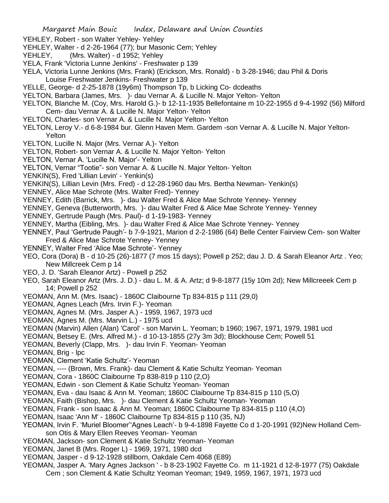- YEHLEY, Robert son Walter Yehley- Yehley
- YEHLEY, Walter d 2-26-1964 (77); bur Masonic Cem; Yehley
- YEHLEY, (Mrs. Walter) d 1952; Yehley
- YELA, Frank 'Victoria Lunne Jenkins' Freshwater p 139
- YELA, Victoria Lunne Jenkins (Mrs. Frank) (Erickson, Mrs. Ronald) b 3-28-1946; dau Phil & Doris Louise Freshwater Jenkins- Freshwater p 139
- YELLE, George- d 2-25-1878 (19y6m) Thompson Tp, b Licking Co- dcdeaths
- YELTON, Barbara (James, Mrs. )- dau Vernar A. & Lucille N. Major Yelton- Yelton
- YELTON, Blanche M. (Coy, Mrs. Harold G.)- b 12-11-1935 Bellefontaine m 10-22-1955 d 9-4-1992 (56) Milford Cem- dau Vernar A. & Lucille N. Major Yelton- Yelton
- YELTON, Charles- son Vernar A. & Lucille N. Major Yelton- Yelton
- YELTON, Leroy V.- d 6-8-1984 bur. Glenn Haven Mem. Gardem -son Vernar A. & Lucille N. Major Yelton-Yelton
- YELTON, Lucille N. Major (Mrs. Vernar A.)- Yelton
- YELTON, Robert- son Vernar A. & Lucille N. Major Yelton- Yelton
- YELTON, Vernar A. 'Lucille N. Major'- Yelton
- YELTON, Vernar "Tootie"- son Vernar A. & Lucille N. Major Yelton- Yelton
- YENKIN(S), Fred 'Lillian Levin' Yenkin(s)
- YENKIN(S), Lillian Levin (Mrs. Fred) d 12-28-1960 dau Mrs. Bertha Newman- Yenkin(s)
- YENNEY, Alice Mae Schrote (Mrs. Walter Fred)- Yenney
- YENNEY, Edith (Barrick, Mrs. )- dau Walter Fred & Alice Mae Schrote Yenney- Yenney
- YENNEY, Geneva (Butterworth, Mrs. )- dau Walter Fred & Alice Mae Schrote Yenney- Yenney
- YENNEY, Gertrude Paugh (Mrs. Paul)- d 1-19-1983- Yenney
- YENNEY, Martha (Eibling, Mrs. )- dau Walter Fred & Alice Mae Schrote Yenney- Yenney
- YENNEY, Paul 'Gertrude Paugh'- b 7-9-1921, Marion d 2-2-1986 (64) Belle Center Fairview Cem- son Walter Fred & Alice Mae Schrote Yenney- Yenney
- YENNEY, Walter Fred 'Alice Mae Schrote'- Yenney
- YEO, Cora (Dora) B d 10-25 (26)-1877 (7 mos 15 days); Powell p 252; dau J. D. & Sarah Eleanor Artz . Yeo; New Millcreek Cem p 14
- YEO, J. D. 'Sarah Eleanor Artz) Powell p 252
- YEO, Sarah Eleanor Artz (Mrs. J. D.) dau L. M. & A. Artz; d 9-8-1877 (15y 10m 2d); New Millcreeek Cem p 14; Powell p 252
- YEOMAN, Ann M. (Mrs. Isaac) 1860C Claibourne Tp 834-815 p 111 (29,0)
- YEOMAN, Agnes Leach (Mrs. Irvin F.)- Yeoman
- YEOMAN, Agnes M. (Mrs. Jasper A.) 1959, 1967, 1973 ucd
- YEOMAN, Agnes M. (Mrs. Marvin L.) 1975 ucd
- YEOMAN (Marvin) Allen (Alan) 'Carol' son Marvin L. Yeoman; b 1960; 1967, 1971, 1979, 1981 ucd
- YEOMAN, Betsey E. (Mrs. Alfred M.) d 10-13-1855 (27y 3m 3d); Blockhouse Cem; Powell 51
- YEOMAN, Beverly (Clapp, Mrs. )- dau Irvin F. Yeoman- Yeoman
- YEOMAN, Brig lpc
- YEOMAN, Clement 'Katie Schultz'- Yeoman
- YEOMAN, ---- (Brown, Mrs. Frank)- dau Clement & Katie Schultz Yeoman- Yeoman
- YEOMAN, Cora 1860C Claibourne Tp 838-819 p 110 (2,O)
- YEOMAN, Edwin son Clement & Katie Schultz Yeoman- Yeoman
- YEOMAN, Eva dau Isaac & Ann M. Yeoman; 1860C Claibourne Tp 834-815 p 110 (5,O)
- YEOMAN, Faith (Bishop, Mrs. )- dau Clement & Katie Schultz Yeoman- Yeoman
- YEOMAN, Frank son Isaac & Ann M. Yeoman; 1860C Claibourne Tp 834-815 p 110 (4,O)
- YEOMAN, Isaac 'Ann M' 1860C Claibourne Tp 834-815 p 110 (35, NJ)
- YEOMAN, Irvin F. 'Muriel Bloomer''Agnes Leach'- b 9-4-1898 Fayette Co d 1-20-1991 (92)New Holland Cemson Otis & Mary Ellen Reeves Yeoman- Yeoman
- YEOMAN, Jackson- son Clement & Katie Schultz Yeoman- Yeoman
- YEOMAN, Janet B (Mrs. Roger L) 1969, 1971, 1980 dcd
- YEOMAN, Jasper d 9-12-1928 stillborn, Oakdale Cem 4068 (E89)
- YEOMAN, Jasper A. 'Mary Agnes Jackson ' b 8-23-1902 Fayette Co. m 11-1921 d 12-8-1977 (75) Oakdale Cem ; son Clement & Katie Schultz Yeoman Yeoman; 1949, 1959, 1967, 1971, 1973 ucd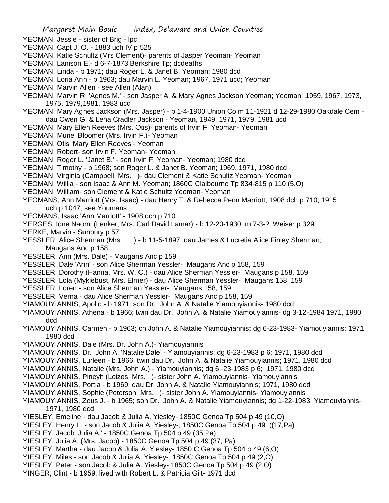- YEOMAN, Jessie sister of Brig lpc
- YEOMAN, Capt J. O. 1883 uch IV p 525
- YEOMAN, Katie Schultz (Mrs Clement)- parents of Jasper Yeoman- Yeoman
- YEOMAN, Lanison E.- d 6-7-1873 Berkshire Tp; dcdeaths
- YEOMAN, Linda b 1971; dau Roger L. & Janet B. Yeoman; 1980 dcd
- YEOMAN, Loria Ann b 1963; dau Marvin L. Yeoman; 1967, 1971 ucd; Yeoman
- YEOMAN, Marvin Allen see Allen (Alan)
- YEOMAN, Marvin R. 'Agnes M.' son Jasper A. & Mary Agnes Jackson Yeoman; Yeoman; 1959, 1967, 1973, 1975, 1979,1981, 1983 ucd
- YEOMAN, Mary Agnes Jackson (Mrs. Jasper) b 1-4-1900 Union Co m 11-1921 d 12-29-1980 Oakdale Cem dau Owen G. & Lena Cradler Jackson - Yeoman, 1949, 1971, 1979, 1981 ucd
- YEOMAN, Mary Ellen Reeves (Mrs. Otis)- parents of Irvin F. Yeoman- Yeoman
- YEOMAN, Muriel Bloomer (Mrs. Irvin F.)- Yeoman
- YEOMAN, Otis 'Mary Ellen Reeves'- Yeoman
- YEOMAN, Robert- son Irvin F. Yeoman- Yeoman
- YEOMAN, Roger L. 'Janet B.' son Irvin F. Yeoman- Yeoman; 1980 dcd
- YEOMAN, Timothy b 1968; son Roger L. & Janet B. Yeoman; 1969, 1971, 1980 dcd
- YEOMAN, Virginia (Campbell, Mrs. )- dau Clement & Katie Schultz Yeoman- Yeoman
- YEOMAN, Willia son Isaac & Ann M. Yeoman; 1860C Claibourne Tp 834-815 p 110 (5,O)
- YEOMAN, William- son Clement & Katie Schultz Yeoman- Yeoman
- YEOMANS, Ann Marriott (Mrs. Isaac) dau Henry T. & Rebecca Penn Marriott; 1908 dch p 710; 1915 uch p 1047; see Youmans
- YEOMANS, Isaac 'Ann Marriott' 1908 dch p 710
- YERGES, Ione Naomi (Lenker, Mrs. Carl David Lamar) b 12-20-1930; m 7-3-?; Weiser p 329
- YERKE, Marvin Sunbury p 57
- YESSLER, Alice Sherman (Mrs. ) b 11-5-1897; dau James & Lucretia Alice Finley Sherman; Maugans Anc p 158
- YESSLER, Ann (Mrs. Dale) Maugans Anc p 159
- YESSLER, Dale 'Ann' son Alice Sherman Yessler- Maugans Anc p 158, 159
- YESSLER, Dorothy (Hanna, Mrs. W. C.) dau Alice Sherman Yessler- Maugans p 158, 159
- YESSLER, Lola (Myklebust, Mrs. Elmer) dau Alice Sherman Yessler- Maugans 158, 159
- YESSLER, Loren son Alice Sherman Yessler- Maugans 158, 159
- YESSLER, Verna dau Alice Sherman Yessler- Maugans Anc p 158, 159
- YIAMOUYIANNIS, Apollo b 1971; son Dr. John A. & Natalie Yiamouyiannis- 1980 dcd
- YIAMOUYIANNIS, Athena b 1966; twin dau Dr. John A. & Natalie Yiamouyiannis- dg 3-12-1984 1971, 1980 dcd
- YIAMOUYIANNIS, Carmen b 1963; ch John A. & Natalie Yiamouyiannis; dg 6-23-1983- Yiamouyiannis; 1971, 1980 dcd
- YIAMOUYIANNIS, Dale (Mrs. Dr. John A.)- Yiamouyiannis
- YIAMOUYIANNIS, Dr. John A. 'Natalie'Dale' Yiamouyiannis; dg 6-23-1983 p 6; 1971, 1980 dcd
- YIAMOUYIANNIS, Lurleen b 1966; twin dau Dr. John A. & Natalie Yiamouyiannis; 1971, 1980 dcd
- YIAMOUYIANNIS, Natalie (Mrs. John A.) Yiamouyiannis; dg 6 -23-1983 p 6; 1971, 1980 dcd
- YIAMOUYIANNIS, Pineyh (Loizos, Mrs. )- sister John A. Yiamouyiannis- Yiamouyiannis
- YIAMOUYIANNIS, Portia b 1969; dau Dr. John A. & Natalie Yiamouyiannis; 1971, 1980 dcd
- YIAMOUYIANNIS, Sophie (Peterson, Mrs. )- sister John A. Yiamouyiannis- Yiamouyiannis
- YIAMOUYIANNIS, Zeus J. b 1965; son Dr. John A. & Natalie Yiamouyiannis; dg 1-22-1983; Yiamouyiannis-1971, 1980 dcd
- YIESLEY, Emeline dau Jacob & Julia A. Yiesley- 1850C Genoa Tp 504 p 49 (10,O)
- YIESLEY, Henry L. son Jacob & Julia A. Yiesley-; 1850C Genoa Tp 504 p 49 ((17,Pa)
- YIESLEY, Jacob 'Julia A.' 1850C Genoa Tp 504 p 49 (35,Pa)
- YIESLEY, Julia A. (Mrs. Jacob) 1850C Genoa Tp 504 p 49 (37, Pa)
- YIESLEY, Martha dau Jacob & Julia A. Yiesley- 1850 C Genoa Tp 504 p 49 (6,O)
- YIESLEY, Miles son Jacob & Julia A. Yiesley- 1850C Genoa Tp 504 p 49 (2,O)
- YIESLEY, Peter son Jacob & Julia A. Yiesley- 1850C Genoa Tp 504 p 49 (2,O)
- YINGER, Clint b 1959; lived with Robert L. & Patricia Gilt- 1971 dcd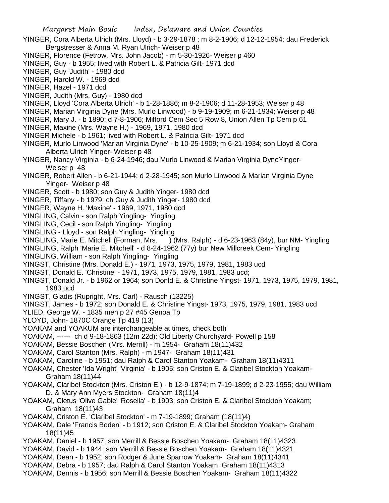- YINGER, Cora Alberta Ulrich (Mrs. Lloyd) b 3-29-1878 ; m 8-2-1906; d 12-12-1954; dau Frederick Bergstresser & Anna M. Ryan Ulrich- Weiser p 48
- YINGER, Florence (Fetrow, Mrs. John Jacob) m 5-30-1926- Weiser p 460
- YINGER, Guy b 1955; lived with Robert L. & Patricia Gilt- 1971 dcd
- YINGER, Guy 'Judith' 1980 dcd
- YINGER, Harold W. 1969 dcd
- YINGER, Hazel 1971 dcd
- YINGER, Judith (Mrs. Guy) 1980 dcd
- YINGER, Lloyd 'Cora Alberta Ulrich' b 1-28-1886; m 8-2-1906; d 11-28-1953; Weiser p 48
- YINGER, Marian Virginia Dyne (Mrs. Murlo Linwood) b 9-19-1909; m 6-21-1934; Weiser p 48
- YINGER, Mary J. b 1890; d 7-8-1906; Milford Cem Sec 5 Row 8, Union Allen Tp Cem p 61
- YINGER, Maxine (Mrs. Wayne H.) 1969, 1971, 1980 dcd
- YINGER Michele b 1961; lived with Robert L. & Patricia Gilt- 1971 dcd
- YINGER, Murlo Linwood 'Marian Virginia Dyne' b 10-25-1909; m 6-21-1934; son Lloyd & Cora Alberta Ulrich Yinger- Weiser p 48
- YINGER, Nancy Virginia b 6-24-1946; dau Murlo Linwood & Marian Virginia DyneYinger-Weiser p 48
- YINGER, Robert Allen b 6-21-1944; d 2-28-1945; son Murlo Linwood & Marian Virginia Dyne Yinger- Weiser p 48
- YINGER, Scott b 1980; son Guy & Judith Yinger- 1980 dcd
- YINGER, Tiffany b 1979; ch Guy & Judith Yinger- 1980 dcd
- YINGER, Wayne H. 'Maxine' 1969, 1971, 1980 dcd
- YINGLING, Calvin son Ralph Yingling- Yingling
- YINGLING, Cecil son Ralph Yingling- Yingling
- YINGLING Lloyd son Ralph Yingling- Yingling
- YINGLING, Marie E. Mitchell (Forman, Mrs. ) (Mrs. Ralph) d 6-23-1963 (84y), bur NM- Yingling
- YINGLING, Ralph 'Marie E. Mitchell' d 8-24-1962 (77y) bur New Millcreek Cem- Yingling
- YINGLING, William son Ralph Yingling- Yingling
- YINGST, Christine (Mrs. Donald E.) 1971, 1973, 1975, 1979, 1981, 1983 ucd
- YINGST, Donald E. 'Christine' 1971, 1973, 1975, 1979, 1981, 1983 ucd;
- YINGST, Donald Jr. b 1962 or 1964; son Donld E. & Christine Yingst- 1971, 1973, 1975, 1979, 1981, 1983 ucd
- YINGST, Gladis (Rupright, Mrs. Carl) Rausch (13225)
- YINGST, James b 1972; son Donald E. & Christine Yingst- 1973, 1975, 1979, 1981, 1983 ucd
- YLIED, George W. 1835 men p 27 #45 Genoa Tp
- YLOYD, John- 1870C Orange Tp 419 (13)
- YOAKAM and YOAKUM are interchangeable at times, check both
- YOAKAM, ------ ch d 9-18-1863 (12m 22d); Old Liberty Churchyard- Powell p 158
- YOAKAM, Bessie Boschen (Mrs. Merrill) m 1954- Graham 18(11)432
- YOAKAM, Carol Stanton (Mrs. Ralph) m 1947- Graham 18(11)431
- YOAKAM, Caroline b 1951; dau Ralph & Carol Stanton Yoakam- Graham 18(11)4311
- YOAKAM, Chester 'Ida Wright' 'Virginia' b 1905; son Criston E. & Claribel Stockton Yoakam-Graham 18(11)44
- YOAKAM, Claribel Stockton (Mrs. Criston E.) b 12-9-1874; m 7-19-1899; d 2-23-1955; dau William D. & Mary Ann Myers Stockton- Graham 18(11)4
- YOAKAM, Cletus 'Olive Gable' 'Rosella' b 1903; son Criston E. & Claribel Stockton Yoakam; Graham 18(11)43
- YOAKAM, Criston E. 'Claribel Stockton' m 7-19-1899; Graham (18(11)4)
- YOAKAM, Dale 'Francis Boden' b 1912; son Criston E. & Claribel Stockton Yoakam- Graham 18(11)45
- YOAKAM, Daniel b 1957; son Merrill & Bessie Boschen Yoakam- Graham 18(11)4323
- YOAKAM, David b 1944; son Merrill & Bessie Boschen Yoakam- Graham 18(11)4321
- YOAKAM, Dean b 1952; son Rodger & June Sparrow Yoakam- Graham 18(11)4341
- YOAKAM, Debra b 1957; dau Ralph & Carol Stanton Yoakam Graham 18(11)4313
- YOAKAM, Dennis b 1956; son Merrill & Bessie Boschen Yoakam- Graham 18(11)4322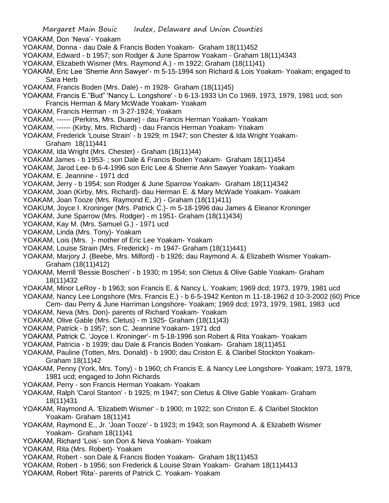YOAKAM, Don 'Neva'- Yoakam

- YOAKAM, Donna dau Dale & Francis Boden Yoakam- Graham 18(11)452
- YOAKAM, Edward b 1957; son Rodger & June Sparrow Yoakam Graham 18(11)4343
- YOAKAM, Elizabeth Wismer (Mrs. Raymond A.) m 1922; Graham (18(11)41)
- YOAKAM, Eric Lee 'Sherrie Ann Sawyer'- m 5-15-1994 son Richard & Lois Yoakam- Yoakam; engaged to Sara Herb
- YOAKAM, Francis Boden (Mrs. Dale) m 1928- Graham (18(11)45)
- YOAKAM, Francis E."Bud" 'Nancy L. Longshore' b 6-13-1933 Un Co 1969, 1973, 1979, 1981 ucd; son Francis Herman & Mary McWade Yoakam- Yoakam
- YOAKAM, Francis Herman m 3-27-1924; Yoakam
- YOAKAM, ------ (Perkins, Mrs. Duane) dau Francis Herman Yoakam- Yoakam
- YOAKAM, ------ (Kirby, Mrs. Richard) dau Francis Herman Yoakam- Yoakam
- YOAKAM, Frederick 'Louise Strain' b 1929; m 1947; son Chester & Ida Wright Yoakam-Graham 18(11)441
- YOAKAM, Ida Wright (Mrs. Chester) Graham (18(11)44)
- YOAKAM James b 1953- ; son Dale & Francis Boden Yoakam- Graham 18(11)454
- YOAKAM, Jarod Lee- b 6-4-1996 son Eric Lee & Sherrie Ann Sawyer Yoakam- Yoakam
- YOAKAM, E. Jeannine 1971 dcd
- YOAKAM, Jerry b 1954; son Rodger & June Sparrow Yoakam- Graham 18(11)4342
- YOAKAM, Joan (Kirby, Mrs. Richard)- dau Herman E. & Mary McWade Yoakam- Yoakam
- YOAKAM, Joan Tooze (Mrs. Raymond E, Jr) Graham (18(11)411)
- YOAKUM, Joyce I. Kroninger (Mrs. Patrick C.)- m 5-18-1996 dau James & Eleanor Kroninger
- YOAKAM, June Sparrow (Mrs. Rodger) m 1951- Graham (18(11)434)
- YOAKAM, Kay M. (Mrs. Samuel G.) 1971 ucd
- YOAKAM, Linda (Mrs. Tony)- Yoakam
- YOAKAM, Lois (Mrs. )- mother of Eric Lee Yoakam- Yoakam
- YOAKAM, Louise Strain (Mrs. Frederick) m 1947- Graham (18(11)441)
- YOAKAM, Marjory J. (Beebe, Mrs. Milford) b 1926; dau Raymond A. & Elizabeth Wismer Yoakam-Graham (18(11)412)
- YOAKAM, Merrill 'Bessie Boschen' b 1930; m 1954; son Cletus & Olive Gable Yoakam- Graham 18(11)432
- YOAKAM, Minor LeRoy b 1963; son Francis E. & Nancy L. Yoakam; 1969 dcd; 1973, 1979, 1981 ucd
- YOAKAM, Nancy Lee Longshore (Mrs. Francis E.) b 6-5-1942 Kenton m 11-18-1962 d 10-3-2002 (60) Price Cem- dau Perry & June Harriman Longshore- Yoakam; 1969 dcd; 1973, 1979, 1981, 1983 ucd
- YOAKAM, Neva (Mrs. Don)- parents of Richard Yoakam- Yoakam
- YOAKAM, Olive Gable (Mrs. Cletus) m 1925- Graham (18(11)43)
- YOAKAM, Patrick b 1957; son C. Jeannine Yoakam- 1971 dcd
- YOAKAM, Patrick C. 'Joyce I. Kroninger'- m 5-18-1996 son Robert & Rita Yoakam- Yoakam
- YOAKAM, Patricia b 1939; dau Dale & Francis Boden Yoakam- Graham 18(11)451
- YOAKAM, Pauline (Totten, Mrs. Donald) b 1900; dau Criston E. & Claribel Stockton Yoakam-Graham 18(11)42
- YOAKAM, Penny (York, Mrs. Tony) b 1960; ch Francis E. & Nancy Lee Longshore- Yoakam; 1973, 1979, 1981 ucd; engaged to John Richards
- YOAKAM, Perry son Francis Herman Yoakam- Yoakam
- YOAKAM, Ralph 'Carol Stanton' b 1925; m 1947; son Cletus & Olive Gable Yoakam- Graham 18(11)431
- YOAKAM, Raymond A. 'Elizabeth Wismer' b 1900; m 1922; son Criston E. & Claribel Stockton Yoakam- Graham 18(11)41
- YOAKAM, Raymond E., Jr. 'Joan Tooze' b 1923; m 1943; son Raymond A. & Elizabeth Wismer Yoakam- Graham 18(11)41
- YOAKAM, Richard 'Lois'- son Don & Neva Yoakam- Yoakam
- YOAKAM, Rita (Mrs. Robert)- Yoakam
- YOAKAM, Robert son Dale & Francis Boden Yoakam- Graham 18(11)453
- YOAKAM, Robert b 1956; son Frederick & Louise Strain Yoakam- Graham 18(11)4413
- YOAKAM, Robert 'Rita'- parents of Patrick C. Yoakam- Yoakam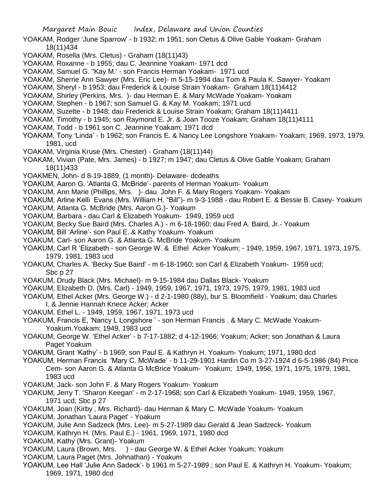- YOAKAM, Rodger 'June Sparrow' b 1932; m 1951; son Cletus & Olive Gable Yoakam- Graham 18(11)434
- YOAKAM, Rosella (Mrs. Cletus) Graham (18(11)43)
- YOAKAM, Roxanne b 1955; dau C. Jeannine Yoakam- 1971 dcd
- YOAKAM, Samuel G. "Kay M.' son Francis Herman Yoakam- 1971 ucd
- YOAKAM, Sherrie Ann Sawyer (Mrs. Eric Lee)- m 5-15-1994 dau Tom & Paula K. Sawyer- Yoakam
- YOAKAM, Sheryl b 1953; dau Frederick & Louise Strain Yoakam- Graham 18(11)4412
- YOAKAM, Shirley (Perkins, Mrs. )- dau Herman E. & Mary McWade Yoakam- Yoakam
- YOAKAM, Stephen b 1967; son Samuel G. & Kay M. Yoakam; 1971 ucd
- YOAKAM, Suzette b 1948; dau Frederick & Louise Strain Yoakam; Graham 18(11)4411
- YOAKAM, Timothy b 1945; son Raymond E. Jr. & Joan Tooze Yoakam; Graham 18(11)4111
- YOAKAM, Todd b 1961 son C. Jeannine Yoakam; 1971 dcd
- YOAKAM, Tony 'Linda' b 1962; son Francis E. & Nancy Lee Longshore Yoakam- Yoakam; 1969, 1973, 1979, 1981, ucd
- YOAKAM, Virginia Kruse (Mrs. Chester) Graham (18(11)44)
- YOAKAM, Vivian (Pate, Mrs. James) b 1927; m 1947; dau Cletus & Olive Gable Yoakam; Graham 18(11)433
- YOAKMEN, John- d 8-19-1889, (1 month)- Delaware- dcdeaths
- YOAKUM, Aaron G. 'Atlanta G. McBride'- parents of Herman Yoakum- Yoakum
- YOAKUM, Ann Marie (Phillips, Mrs. )- dau John F. & Mary Rogers Yoakam- Yoakam
- YOAKUM, Arline Kelli Evans (Mrs. William H. "Bill")- m 9-3-1988 dau Robert E. & Bessie B. Casey- Yoakum
- YOAKUM, Atlanta G. McBride (Mrs. Aaron G.)- Yoakum
- YOAKUM, Barbara dau Carl & Elizabeth Yoakum- 1949, 1959 ucd
- YOAKUM, Becky Sue Baird (Mrs. Charles A.) m 6-18-1960; dau Fred A. Baird, Jr.- Yoakum
- YOAKUM, Bill 'Arline'- son Paul E. & Kathy Yoakum- Yoakum
- YOAKUM, Carl- son Aaron G. & Atlanta G. McBride Yoakum- Yoakum
- YOAKUM, Carl R 'Elizabeth son George W. & Ethel Acker Yoakum; 1949, 1959, 1967, 1971, 1973, 1975, 1979, 1981, 1983 ucd
- YOAKUM, Charles A. 'Becky Sue Baird' m 6-18-1960; son Carl & Elizabeth Yoakum- 1959 ucd; Sbc p 27
- YOAKUM, Drudy Black (Mrs. Michael)- m 9-15-1984 dau Dallas Black- Yoakum
- YOAKUM, Elizabeth D. (Mrs. Carl) 1949, 1959, 1967, 1971, 1973, 1975, 1979, 1981, 1983 ucd
- YOAKUM, Ethel Acker (Mrs. George W.) d 2-1-1980 (88y), bur S. Bloomfield Yoakum; dau Charles I. & Jennie Hannah Knece Acker; Acker
- YOAKUM, Ethel L. 1949, 1959, 1967, 1971, 1973 ucd
- YOAKUM, Francis E, 'Nancy L Longshore ' son Herman Francis . & Mary C. McWade Yoakum-Yoakum.Yoakam; 1949, 1983 ucd
- YOAKUM, George W. 'Ethel Acker' b 7-17-1882; d 4-12-1966; Yoakum; Acker; son Jonathan & Laura Paget Yoakum
- YOAKUM, Grant 'Kathy' b 1969; son Paul E. & Kathryn H. Yoakum- Yoakum; 1971, 1980 dcd
- YOAKUM, Herman Francis 'Mary C. McWade' b 11-29-1901 Hardin Co m 3-27-1924 d 6-5-1986 (84) Price Cem- son Aaron G. & Atlanta G McBrice Yoakum- Yoakum; 1949, 1956, 1971, 1975, 1979, 1981, 1983 ucd
- YOAKUM, Jack- son John F. & Mary Rogers Yoakum- Yoakum
- YOAKUM, Jerry T. 'Sharon Keegan' m 2-17-1968; son Carl & Elizabeth Yoakum- 1949, 1959, 1967, 1971 ucd; Sbc p 27
- YOAKUM, Joan (Kirby , Mrs. Richard)- dau Herman & Mary C. McWade Yoakum- Yoakum
- YOAKUM, Jonathan 'Laura Paget' Yoakum
- YOAKUM, Julie Ann Sadzeck (Mrs. Lee)- m 5-27-1989 dau Gerald & Jean Sadzeck- Yoakum
- YOAKUM, Kathryn H. (Mrs. Paul E.) 1961, 1969, 1971, 1980 dcd
- YOAKUM, Kathy (Mrs. Grant)- Yoakum
- YOAKUM, Laura (Brown, Mrs. ) dau George W. & Ethel Acker Yoakum; Yoakum
- YOAKUM, Laura Paget (Mrs. Johnathan) Yoakum
- YOAKUM, Lee Hall 'Julie Ann Sadeck'- b 1961 m 5-27-1989 ; son Paul E. & Kathryn H. Yoakum- Yoakum; 1969, 1971, 1980 dcd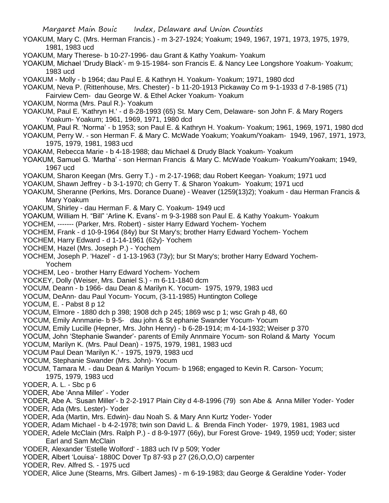- YOAKUM, Mary C. (Mrs. Herman Francis.) m 3-27-1924; Yoakum; 1949, 1967, 1971, 1973, 1975, 1979, 1981, 1983 ucd
- YOAKUM, Mary Therese- b 10-27-1996- dau Grant & Kathy Yoakum- Yoakum
- YOAKUM, Michael 'Drudy Black'- m 9-15-1984- son Francis E. & Nancy Lee Longshore Yoakum- Yoakum; 1983 ucd
- YOAKUM Molly b 1964; dau Paul E. & Kathryn H. Yoakum- Yoakum; 1971, 1980 dcd
- YOAKUM, Neva P. (Rittenhouse, Mrs. Chester) b 11-20-1913 Pickaway Co m 9-1-1933 d 7-8-1985 (71)
- Fairview Cem- dau George W. & Ethel Acker Yoakum- Yoakum
- YOAKUM, Norma (Mrs. Paul R.)- Yoakum
- YOAKUM, Paul E. 'Kathryn H.' d 8-28-1993 (65) St. Mary Cem, Delaware- son John F. & Mary Rogers Yoakum- Yoakum; 1961, 1969, 1971, 1980 dcd
- YOAKUM, Paul R. 'Norma' b 1953; son Paul E. & Kathryn H. Yoakum- Yoakum; 1961, 1969, 1971, 1980 dcd
- YOAKUM, Perry W. son Herman F. & Mary C. McWade Yoakum; Yoakum/Yoakam- 1949, 1967, 1971, 1973, 1975, 1979, 1981, 1983 ucd
- YOAKAM, Rebecca Marie b 4-18-1988; dau Michael & Drudy Black Yoakum- Yoakum
- YOAKUM, Samuel G. 'Martha' son Herman Francis & Mary C. McWade Yoakum- Yoakum/Yoakam; 1949, 1967 ucd
- YOAKUM, Sharon Keegan (Mrs. Gerry T.) m 2-17-1968; dau Robert Keegan- Yoakum; 1971 ucd
- YOAKUM, Shawn Jeffrey b 3-1-1970; ch Gerry T. & Sharon Yoakum- Yoakum; 1971 ucd
- YOAKUM, Sheranne (Perkins, Mrs. Dorance Duane) Weaver (1259(13)2); Yoakum dau Herman Francis & Mary Yoakum
- YOAKUM, Shirley dau Herman F. & Mary C. Yoakum- 1949 ucd
- YOAKUM, William H. "Bill" 'Arline K. Evans'- m 9-3-1988 son Paul E. & Kathy Yoakum- Yoakum
- YOCHEM, ------- (Parker, Mrs. Robert) sister Harry Edward Yochem- Yochem
- YOCHEM, Frank d 10-9-1964 (84y) bur St Mary's; brother Harry Edward Yochem- Yochem
- YOCHEM, Harry Edward d 1-14-1961 (62y)- Yochem
- YOCHEM, Hazel (Mrs. Joseph P.) Yochem
- YOCHEM, Joseph P. 'Hazel' d 1-13-1963 (73y); bur St Mary's; brother Harry Edward Yochem-Yochem
- YOCHEM, Leo brother Harry Edward Yochem- Yochem
- YOCKEY, Dolly (Weiser, Mrs. Daniel S.) m 6-11-1840 dcm
- YOCUM, Deann b 1966- dau Dean & Marilyn K. Yocum- 1975, 1979, 1983 ucd
- YOCUM, DeAnn- dau Paul Yocum- Yocum, (3-11-1985) Huntington College
- YOCUM, E. Pabst 8 p 12
- YOCUM, Elmore 1880 dch p 398; 1908 dch p 245; 1869 wsc p 1; wsc Grah p 48, 60
- YOCUM, Emily Annmarie- b 9-5- dau john & St ephanie Swander Yocum- Yocum
- YOCUM, Emily Lucille (Hepner, Mrs. John Henry) b 6-28-1914; m 4-14-1932; Weiser p 370
- YOCUM, John 'Stephanie Swander'- parents of Emily Annmaire Yocum- son Roland & Marty Yocum
- YOCUM, Marilyn K. (Mrs. Paul Dean) 1975, 1979, 1981, 1983 ucd
- YOCUM Paul Dean 'Marilyn K.' 1975, 1979, 1983 ucd
- YOCUM, Stephanie Swander (Mrs. John)- Yocum
- YOCUM, Tamara M. dau Dean & Marilyn Yocum- b 1968; engaged to Kevin R. Carson- Yocum; 1975, 1979, 1983 ucd
- YODER, A. L. Sbc p 6
- YODER, Abe 'Anna Miller' Yoder
- YODER, Abe A. 'Susan Miller'- b 2-2-1917 Plain City d 4-8-1996 (79) son Abe & Anna Miller Yoder- Yoder YODER, Ada (Mrs. Lester)- Yoder
- YODER, Ada (Martin, Mrs. Edwin)- dau Noah S. & Mary Ann Kurtz Yoder- Yoder
- YODER, Adam Michael b 4-2-1978; twin son David L. & Brenda Finch Yoder- 1979, 1981, 1983 ucd
- YODER, Adele McClain (Mrs. Ralph P.) d 8-9-1977 (66y), bur Forest Grove- 1949, 1959 ucd; Yoder; sister Earl and Sam McClain
- YODER, Alexander 'Estelle Wolford' 1883 uch IV p 509; Yoder
- YODER, Albert 'Louisa'- 1880C Dover Tp 87-93 p 27 (26,O,O,O) carpenter
- YODER, Rev. Alfred S. 1975 ucd
- YODER, Alice June (Stearns, Mrs. Gilbert James) m 6-19-1983; dau George & Geraldine Yoder- Yoder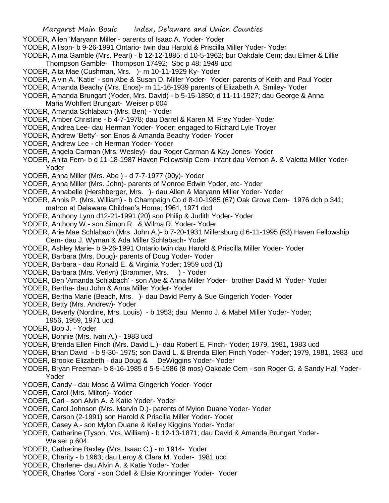- YODER, Allen 'Maryann Miller'- parents of Isaac A. Yoder- Yoder
- YODER, Allison- b 9-26-1991 Ontario- twin dau Harold & Priscilla Miller Yoder- Yoder
- YODER, Alma Gamble (Mrs. Pearl) b 12-12-1885; d 10-5-1962; bur Oakdale Cem; dau Elmer & Lillie Thompson Gamble- Thompson 17492; Sbc p 48; 1949 ucd
- YODER, Alta Mae (Cushman, Mrs. )- m 10-11-1929 Ky- Yoder
- YODER, Alvin A. 'Katie' son Abe & Susan D. Miller Yoder- Yoder; parents of Keith and Paul Yoder
- YODER, Amanda Beachy (Mrs. Enos)- m 11-16-1939 parents of Elizabeth A. Smiley- Yoder
- YODER, Amanda Brungart (Yoder, Mrs. David) b 5-15-1850; d 11-11-1927; dau George & Anna Maria Wohlfert Brungart- Weiser p 604
- YODER, Amanda Schlabach (Mrs. Ben) Yoder
- YODER, Amber Christine b 4-7-1978; dau Darrel & Karen M. Frey Yoder- Yoder
- YODER, Andrea Lee- dau Herman Yoder- Yoder; engaged to Richard Lyle Troyer
- YODER, Andrew 'Betty'- son Enos & Amanda Beachy Yoder- Yoder
- YODER, Andrew Lee ch Herman Yoder- Yoder
- YODER, Angela Carman (Mrs. Wesley)- dau Roger Carman & Kay Jones- Yoder
- YODER, Anita Fern- b d 11-18-1987 Haven Fellowship Cem- infant dau Vernon A. & Valetta Miller Yoder-Yoder
- YODER, Anna Miller (Mrs. Abe ) d 7-7-1977 (90y)- Yoder
- YODER, Anna Miller (Mrs. John)- parents of Monroe Edwin Yoder, etc- Yoder
- YODER, Annabelle (Hershberger, Mrs. )- dau Allen & Maryann Miller Yoder- Yoder
- YODER, Annis P. (Mrs. William) b Champaign Co d 8-10-1985 (67) Oak Grove Cem- 1976 dch p 341; matron at Delaware Children's Home; 1961, 1971 dcd
- YODER, Anthony Lynn d12-21-1991 (20) son Philip & Judith Yoder- Yoder
- YODER, Anthony W.- son Simon R. & Wilma R. Yoder- Yoder
- YODER, Arie Mae Schlabach (Mrs. John A.)- b 7-20-1931 Millersburg d 6-11-1995 (63) Haven Fellowship Cem- dau J. Wyman & Ada Miller Schlabach- Yoder
- YODER, Ashley Marie- b 9-26-1991 Ontario twin dau Harold & Priscilla Miller Yoder- Yoder
- YODER, Barbara (Mrs. Doug)- parents of Doug Yoder- Yoder
- YODER, Barbara dau Ronald E. & Virginia Yoder; 1959 ucd (1)
- YODER, Barbara (Mrs. Verlyn) (Brammer, Mrs. ) Yoder
- YODER, Ben 'Amanda Schlabach' son Abe & Anna Miller Yoder- brother David M. Yoder- Yoder
- YODER, Bertha- dau John & Anna Miller Yoder- Yoder
- YODER, Bertha Marie (Beach, Mrs. )- dau David Perry & Sue Gingerich Yoder- Yoder
- YODER, Betty (Mrs. Andrew)- Yoder
- YODER, Beverly (Nordine, Mrs. Louis) b 1953; dau Menno J. & Mabel Miller Yoder- Yoder; 1956, 1959, 1971 ucd
- YODER, Bob J. Yoder
- YODER, Bonnie (Mrs. Ivan A.) 1983 ucd
- YODER, Brenda Ellen Finch (Mrs. David L.)- dau Robert E. Finch- Yoder; 1979, 1981, 1983 ucd
- YODER, Brian David b 9-30- 1975; son David L. & Brenda Ellen Finch Yoder- Yoder; 1979, 1981, 1983 ucd YODER, Brooke Elizabeth - dau Doug & DeWiggins Yoder- Yoder
- YODER, Bryan Freeman- b 8-16-1985 d 5-5-1986 (8 mos) Oakdale Cem son Roger G. & Sandy Hall Yoder-Yoder
- YODER, Candy dau Mose & Wilma Gingerich Yoder- Yoder
- YODER, Carol (Mrs. Milton)- Yoder
- YODER, Carl son Alvin A. & Katie Yoder- Yoder
- YODER, Carol Johnson (Mrs. Marvin D.)- parents of Mylon Duane Yoder- Yoder
- YODER, Carson (2-1991) son Harold & Priscilla Miller Yoder- Yoder
- YODER, Casey A.- son Mylon Duane & Kelley Kiggins Yoder- Yoder
- YODER, Catharine (Tyson, Mrs. William) b 12-13-1871; dau David & Amanda Brungart Yoder-Weiser p 604
- YODER, Catherine Baxley (Mrs. Isaac C.) m 1914- Yoder
- YODER, Charity b 1963; dau Leroy & Clara M. Yoder- 1981 ucd
- YODER, Charlene- dau Alvin A. & Katie Yoder- Yoder
- YODER, Charles 'Cora' son Odell & Elsie Kronninger Yoder- Yoder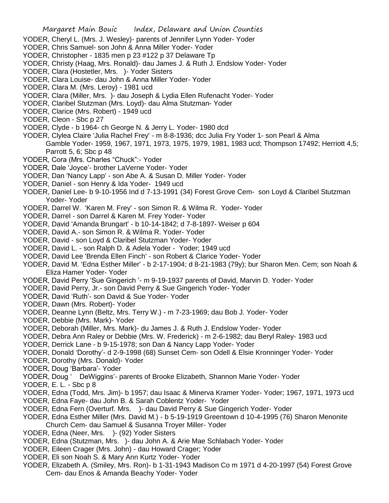- YODER, Cheryl L. (Mrs. J. Wesley)- parents of Jennifer Lynn Yoder- Yoder
- YODER, Chris Samuel- son John & Anna Miller Yoder- Yoder
- YODER, Christopher 1835 men p 23 #122 p 37 Delaware Tp
- YODER, Christy (Haag, Mrs. Ronald)- dau James J. & Ruth J. Endslow Yoder- Yoder
- YODER, Clara (Hostetler, Mrs. )- Yoder Sisters
- YODER, Clara Louise- dau John & Anna Miller Yoder- Yoder
- YODER, Clara M. (Mrs. Leroy) 1981 ucd
- YODER, Clara (Miller, Mrs. )- dau Joseph & Lydia Ellen Rufenacht Yoder- Yoder
- YODER, Claribel Stutzman (Mrs. Loyd)- dau Alma Stutzman- Yoder
- YODER, Clarice (Mrs. Robert) 1949 ucd
- YODER, Cleon Sbc p 27
- YODER, Clyde b 1964- ch George N. & Jerry L. Yoder- 1980 dcd
- YODER, Clylea Claire 'Julia Rachel Frey' m 8-8-1936; dcc Julia Fry Yoder 1- son Pearl & Alma
	- Gamble Yoder- 1959, 1967, 1971, 1973, 1975, 1979, 1981, 1983 ucd; Thompson 17492; Herriott 4,5; Parrott 5, 6; Sbc p 48
- YODER, Cora (Mrs. Charles "Chuck":- Yoder
- YODER, Dale 'Joyce'- brother LaVerne Yoder- Yoder
- YODER, Dan 'Nancy Lapp' son Abe A. & Susan D. Miller Yoder- Yoder
- YODER, Daniel son Henry & Ida Yoder- 1949 ucd
- YODER, Daniel Lee- b 9-10-1956 Ind d 7-13-1991 (34) Forest Grove Cem- son Loyd & Claribel Stutzman Yoder- Yoder
- YODER, Darrel W. 'Karen M. Frey' son Simon R. & Wilma R. Yoder- Yoder
- YODER, Darrel son Darrel & Karen M. Frey Yoder- Yoder
- YODER, David 'Amanda Brungart' b 10-14-1842; d 7-8-1897- Weiser p 604
- YODER, David A.- son Simon R. & Wilma R. Yoder- Yoder
- YODER, David son Loyd & Claribel Stutzman Yoder- Yoder
- YODER, David L. son Ralph D. & Adela Yoder Yoder; 1949 ucd
- YODER, David Lee 'Brenda Ellen Finch' son Robert & Clarice Yoder- Yoder
- YODER, David M. 'Edna Esther Miller' b 2-17-1904; d 8-21-1983 (79y); bur Sharon Men. Cem; son Noah & Eliza Hamer Yoder- Yoder
- YODER, David Perry 'Sue Gingerich '- m 9-19-1937 parents of David, Marvin D. Yoder- Yoder
- YODER, David Perry, Jr.- son David Perry & Sue Gingerich Yoder- Yoder
- YODER, David 'Ruth'- son David & Sue Yoder- Yoder
- YODER, Dawn (Mrs. Robert)- Yoder
- YODER, Deanne Lynn (Beltz, Mrs. Terry W.) m 7-23-1969; dau Bob J. Yoder- Yoder
- YODER, Debbie (Mrs. Mark)- Yoder
- YODER, Deborah (Miller, Mrs. Mark)- du James J. & Ruth J. Endslow Yoder- Yoder
- YODER, Debra Ann Raley or Debbie (Mrs. W. Frederick) m 2-6-1982; dau Beryl Raley- 1983 ucd
- YODER, Derrick Lane b 9-15-1978; son Dan & Nancy Lapp Yoder- Yoder
- YODER, Donald 'Dorothy'- d 2-9-1998 (68) Sunset Cem- son Odell & Elsie Kronninger Yoder- Yoder
- YODER, Dorothy (Mrs. Donald)- Yoder
- YODER, Doug 'Barbara'- Yoder
- YODER, Doug ' DeWiggins'- parents of Brooke Elizabeth, Shannon Marie Yoder- Yoder
- YODER, E. L. Sbc p 8
- YODER, Edna (Todd, Mrs. Jim)- b 1957; dau Isaac & Minerva Kramer Yoder- Yoder; 1967, 1971, 1973 ucd
- YODER, Edna Faye- dau John B. & Sarah Coblentz Yoder- Yoder
- YODER, Edna Fern (Overturf. Mrs. )- dau David Perry & Sue Gingerich Yoder- Yoder
- YODER, Edna Esther Miller (Mrs. David M.) b 5-19-1919 Greentown d 10-4-1995 (76) Sharon Menonite
- Church Cem- dau Samuel & Susanna Troyer Miller- Yoder
- YODER, Edna (Neer, Mrs. )- (92) Yoder Sisters
- YODER, Edna (Stutzman, Mrs. )- dau John A. & Arie Mae Schlabach Yoder- Yoder
- YODER, Eileen Crager (Mrs. John) dau Howard Crager; Yoder
- YODER, Eli son Noah S. & Mary Ann Kurtz Yoder- Yoder
- YODER, Elizabeth A. (Smiley, Mrs. Ron)- b 1-31-1943 Madison Co m 1971 d 4-20-1997 (54) Forest Grove Cem- dau Enos & Amanda Beachy Yoder- Yoder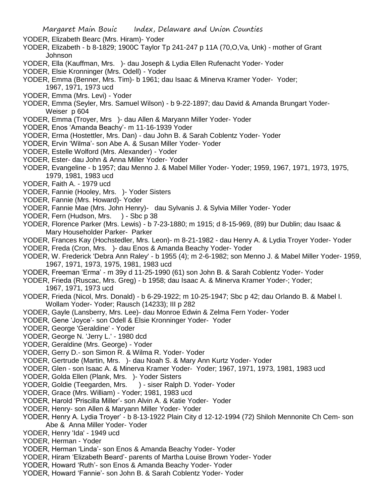- YODER, Elizabeth Bearc (Mrs. Hiram)- Yoder
- YODER, Elizabeth b 8-1829; 1900C Taylor Tp 241-247 p 11A (70,O,Va, Unk) mother of Grant Johnson
- YODER, Ella (Kauffman, Mrs. )- dau Joseph & Lydia Ellen Rufenacht Yoder- Yoder
- YODER, Elsie Kronninger (Mrs. Odell) Yoder
- YODER, Emma (Benner, Mrs. Tim)- b 1961; dau Isaac & Minerva Kramer Yoder- Yoder; 1967, 1971, 1973 ucd
- YODER, Emma (Mrs. Levi) Yoder
- YODER, Emma (Seyler, Mrs. Samuel Wilson) b 9-22-1897; dau David & Amanda Brungart Yoder-Weiser p 604
- YODER, Emma (Troyer, Mrs )- dau Allen & Maryann Miller Yoder- Yoder
- YODER, Enos 'Amanda Beachy'- m 11-16-1939 Yoder
- YODER, Erma (Hostettler, Mrs. Dan) dau John B. & Sarah Coblentz Yoder- Yoder
- YODER, Ervin 'Wilma'- son Abe A. & Susan Miller Yoder- Yoder
- YODER, Estelle Wolford (Mrs. Alexander) Yoder
- YODER, Ester- dau John & Anna Miller Yoder- Yoder
- YODER, Evangeline b 1957; dau Menno J. & Mabel Miller Yoder- Yoder; 1959, 1967, 1971, 1973, 1975, 1979, 1981, 1983 ucd
- YODER, Faith A. 1979 ucd
- YODER, Fannie (Hooley, Mrs. )- Yoder Sisters
- YODER, Fannie (Mrs. Howard)- Yoder
- YODER, Fannie Mae (Mrs. John Henry)- dau Sylvanis J. & Sylvia Miller Yoder- Yoder
- YODER, Fern (Hudson, Mrs. ) Sbc p 38
- YODER, Florence Parker (Mrs. Lewis) b 7-23-1880; m 1915; d 8-15-969, (89) bur Dublin; dau Isaac & Mary Householder Parker- Parker
- YODER, Frances Kay (Hochstedler, Mrs. Leon)- m 8-21-1982 dau Henry A. & Lydia Troyer Yoder- Yoder
- YODER, Freda (Cron, Mrs. )- dau Enos & Amanda Beachy Yoder- Yoder
- YODER, W. Frederick 'Debra Ann Raley' b 1955 (4); m 2-6-1982; son Menno J. & Mabel Miller Yoder- 1959, 1967, 1971, 1973, 1975, 1981, 1983 ucd
- YODER, Freeman 'Erma' m 39y d 11-25-1990 (61) son John B. & Sarah Coblentz Yoder- Yoder
- YODER, Frieda (Ruscac, Mrs. Greg) b 1958; dau Isaac A. & Minerva Kramer Yoder-; Yoder; 1967, 1971, 1973 ucd
- YODER, Frieda (Nicol, Mrs. Donald) b 6-29-1922; m 10-25-1947; Sbc p 42; dau Orlando B. & Mabel I. Wollam Yoder- Yoder; Rausch (14233); III p 282
- YODER, Gayle (Lansberry, Mrs. Lee)- dau Monroe Edwin & Zelma Fern Yoder- Yoder
- YODER, Gene 'Joyce'- son Odell & Elsie Kronninger Yoder- Yoder
- YODER, George 'Geraldine' Yoder
- YODER, George N. 'Jerry L.' 1980 dcd
- YODER, Geraldine (Mrs. George) Yoder
- YODER, Gerry D.- son Simon R. & Wilma R. Yoder- Yoder
- YODER, Gertrude (Martin, Mrs. )- dau Noah S. & Mary Ann Kurtz Yoder- Yoder
- YODER, Glen son Isaac A. & Minerva Kramer Yoder- Yoder; 1967, 1971, 1973, 1981, 1983 ucd
- YODER, Golda Ellen (Plank, Mrs. )- Yoder Sisters
- YODER, Goldie (Teegarden, Mrs. ) siser Ralph D. Yoder- Yoder
- YODER, Grace (Mrs. William) Yoder; 1981, 1983 ucd
- YODER, Harold 'Priscilla Miller'- son Alvin A. & Katie Yoder- Yoder
- YODER, Henry- son Allen & Maryann Miller Yoder- Yoder
- YODER, Henry A. Lydia Troyer' b 8-13-1922 Plain City d 12-12-1994 (72) Shiloh Mennonite Ch Cem- son Abe & Anna Miller Yoder- Yoder
- YODER, Henry 'Ida' 1949 ucd
- YODER, Herman Yoder
- YODER, Herman 'Linda'- son Enos & Amanda Beachy Yoder- Yoder
- YODER, Hiram 'Elizabeth Beard'- parents of Martha Louise Brown Yoder- Yoder
- YODER, Howard 'Ruth'- son Enos & Amanda Beachy Yoder- Yoder
- YODER, Howard 'Fannie'- son John B. & Sarah Coblentz Yoder- Yoder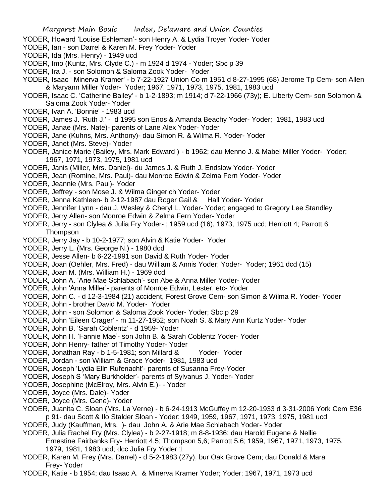- YODER, Howard 'Louise Eshleman'- son Henry A. & Lydia Troyer Yoder- Yoder
- YODER, Ian son Darrel & Karen M. Frey Yoder- Yoder
- YODER, Ida (Mrs. Henry) 1949 ucd
- YODER, Imo (Kuntz, Mrs. Clyde C.) m 1924 d 1974 Yoder; Sbc p 39
- YODER, Ira J. son Solomon & Saloma Zook Yoder- Yoder
- YODER, Isaac ' Minerva Kramer' b 7-22-1927 Union Co m 1951 d 8-27-1995 (68) Jerome Tp Cem- son Allen & Maryann Miller Yoder- Yoder; 1967, 1971, 1973, 1975, 1981, 1983 ucd
- YODER, Isaac C. 'Catherine Bailey' b 1-2-1893; m 1914; d 7-22-1966 (73y); E. Liberty Cem- son Solomon & Saloma Zook Yoder- Yoder
- YODER, Ivan A. 'Bonnie' 1983 ucd
- YODER, James J. 'Ruth J.' d 1995 son Enos & Amanda Beachy Yoder- Yoder; 1981, 1983 ucd
- YODER, Janae (Mrs. Nate)- parents of Lane Alex Yoder- Yoder
- YODER, Jane (Kuhns, Mrs. Anthony)- dau Simon R. & Wilma R. Yoder- Yoder
- YODER, Janet (Mrs. Steve)- Yoder
- YODER, Janice Marie (Bailey, Mrs. Mark Edward ) b 1962; dau Menno J. & Mabel Miller Yoder- Yoder; 1967, 1971, 1973, 1975, 1981 ucd
- YODER, Janis (Miller, Mrs. Daniel)- du James J. & Ruth J. Endslow Yoder- Yoder
- YODER, Jean (Romine, Mrs. Paul)- dau Monroe Edwin & Zelma Fern Yoder- Yoder
- YODER, Jeannie (Mrs. Paul)- Yoder
- YODER, Jeffrey son Mose J. & Wilma Gingerich Yoder- Yoder
- YODER, Jenna Kathleen- b 2-12-1987 dau Roger Gail & Hall Yoder- Yoder
- YODER, Jennifer Lynn dau J. Wesley & Cheryl L. Yoder- Yoder; engaged to Gregory Lee Standley
- YODER, Jerry Allen- son Monroe Edwin & Zelma Fern Yoder- Yoder
- YODER, Jerry son Clylea & Julia Fry Yoder- ; 1959 ucd (16), 1973, 1975 ucd; Herriott 4; Parrott 6 **Thompson**
- YODER, Jerry Jay b 10-2-1977; son Alvin & Katie Yoder- Yoder
- YODER, Jerry L. (Mrs. George N.) 1980 dcd
- YODER, Jesse Allen- b 6-22-1991 son David & Ruth Yoder- Yoder
- YODER, Joan (Oehler, Mrs. Fred) dau William & Annis Yoder; Yoder- Yoder; 1961 dcd (15)
- YODER, Joan M. (Mrs. William H.) 1969 dcd
- YODER, John A. 'Arie Mae Schlabach'- son Abe & Anna Miller Yoder- Yoder
- YODER, John 'Anna Miller'- parents of Monroe Edwin, Lester, etc- Yoder
- YODER, John C. d 12-3-1984 (21) accident, Forest Grove Cem- son Simon & Wilma R. Yoder- Yoder
- YODER, John brother David M. Yoder- Yoder
- YODER, John son Solomon & Saloma Zook Yoder- Yoder; Sbc p 29
- YODER, John 'Eileen Crager' m 11-27-1952; son Noah S. & Mary Ann Kurtz Yoder- Yoder
- YODER, John B. 'Sarah Coblentz' d 1959- Yoder
- YODER, John H. 'Fannie Mae'- son John B. & Sarah Coblentz Yoder- Yoder
- YODER, John Henry- father of Timothy Yoder- Yoder
- YODER, Jonathan Ray b 1-5-1981; son Millard & Yoder- Yoder
- YODER, Jordan son William & Grace Yoder- 1981, 1983 ucd
- YODER, Joseph 'Lydia Elln Rufenacht'- parents of Susanna Frey-Yoder
- YODER, Joseph S 'Mary Burkholder'- parents of Sylvanus J. Yoder- Yoder
- YODER, Josephine (McElroy, Mrs. Alvin E.)- Yoder
- YODER, Joyce (Mrs. Dale)- Yoder
- YODER, Joyce (Mrs. Gene)- Yoder
- YODER, Juanita C. Sloan (Mrs. La Verne) b 6-24-1913 McGuffey m 12-20-1933 d 3-31-2006 York Cem E36 p 91- dau Scott & Ilo Stalder Sloan - Yoder; 1949, 1959, 1967, 1971, 1973, 1975, 1981 ucd
- YODER, Judy (Kauffman, Mrs. )- dau John A. & Arie Mae Schlabach Yoder- Yoder
- YODER, Julia Rachel Fry (Mrs. Clylea) b 2-27-1918; m 8-8-1936; dau Harold Eugene & Nellie Ernestine Fairbanks Fry- Herriott 4,5; Thompson 5,6; Parrott 5.6; 1959, 1967, 1971, 1973, 1975, 1979, 1981, 1983 ucd; dcc Julia Fry Yoder 1
- YODER, Karen M. Frey (Mrs. Darrel) d 5-2-1983 (27y), bur Oak Grove Cem; dau Donald & Mara Frey- Yoder
- YODER, Katie b 1954; dau Isaac A. & Minerva Kramer Yoder; Yoder; 1967, 1971, 1973 ucd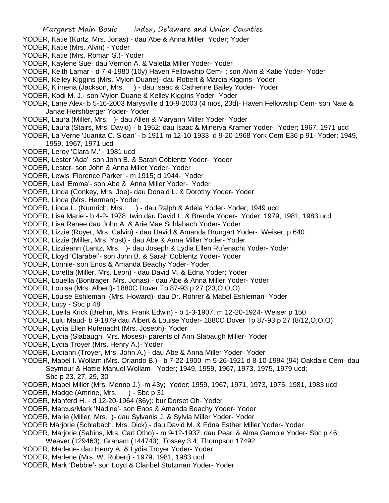- YODER, Katie (Kurtz, Mrs. Jonas) dau Abe & Anna Miller Yoder; Yoder
- YODER, Katie (Mrs. Alvin) Yoder
- YODER, Katie (Mrs. Roman S.)- Yoder
- YODER, Kaylene Sue- dau Vernon A. & Valetta Miller Yoder- Yoder
- YODER, Keith Lamar d 7-4-1980 (10y) Haven Fellowship Cem- ; son Alvin & Katie Yoder- Yoder
- YODER, Kelley Kiggins (Mrs. Mylon Duane)- dau Robert & Marcia Kiggins- Yoder
- YODER, Klimena (Jackson, Mrs. ) dau Isaac & Catherine Bailey Yoder- Yoder
- YODER, Kodi M. J.- son Mylon Duane & Kelley Kiggins Yoder- Yoder
- YODER, Lane Alex- b 5-16-2003 Marysville d 10-9-2003 (4 mos, 23d)- Haven Fellowship Cem- son Nate & Janae Hershberger Yoder- Yoder
- YODER, Laura (Miller, Mrs. )- dau Allen & Maryann Miller Yoder- Yoder
- YODER, Laura (Stairs, Mrs. David) b 1952; dau Isaac & Minerva Kramer Yoder- Yoder; 1967, 1971 ucd
- YODER, La Verne 'Juanita C. Sloan' b 1911 m 12-10-1933 d 9-20-1968 York Cem E36 p 91- Yoder; 1949, 1959, 1967, 1971 ucd
- YODER, Leroy 'Clara M.' 1981 ucd
- YODER, Lester 'Ada'- son John B. & Sarah Coblentz Yoder- Yoder
- YODER, Lester- son John & Anna Miller Yoder- Yoder
- YODER, Lewis 'Florence Parker' m 1915; d 1944- Yoder
- YODER, Levi 'Emma'- son Abe & Anna Miller Yoder- Yoder
- YODER, Linda (Conkey, Mrs. Joe)- dau Donald L. & Dorothy Yoder- Yoder
- YODER, Linda (Mrs. Herman)- Yoder
- YODER, Linda L. (Numrich, Mrs. ) dau Ralph & Adela Yoder- Yoder; 1949 ucd
- YODER, Lisa Marie b 4-2- 1978; twin dau David L. & Brenda Yoder- Yoder; 1979, 1981, 1983 ucd
- YODER, Lisa Renee dau John A. & Arie Mae Schlabach Yoder- Yoder
- YODER, Lizzie (Royer, Mrs. Calvin) dau David & Amanda Brungart Yoder- Weiser, p 640
- YODER, Lizzie (Miller, Mrs. Yost) dau Abe & Anna Miller Yoder- Yoder
- YODER, Lizzieann (Lantz, Mrs. )- dau Joseph & Lydia Ellen Rufenacht Yoder- Yoder
- YODER, Lloyd 'Clarabel'- son John B. & Sarah Coblentz Yoder- Yoder
- YODER, Lonnie- son Enos & Amanda Beachy Yoder- Yoder
- YODER, Loretta (Miller, Mrs. Leon) dau David M. & Edna Yoder; Yoder
- YODER, Louella (Bontrager, Mrs. Jonas) dau Abe & Anna Miller Yoder- Yoder
- YODER, Louisa (Mrs. Albert)- 1880C Dover Tp 87-93 p 27 (23,O,O,O)
- YODER, Louise Eshleman (Mrs. Howard)- dau Dr. Rohrer & Mabel Eshleman- Yoder
- YODER, Lucy Sbc p 48
- YODER, Luella Krick (Brehm, Mrs. Frank Edwin) b 1-3-1907; m 12-20-1924- Weiser p 150
- YODER, Lulu Maud- b 9-1879 dau Albert & Louise Yoder- 1880C Dover Tp 87-93 p 27 (8/12,O,O,O)
- YODER, Lydia Ellen Rufenacht (Mrs. Joseph)- Yoder
- YODER, Lydia (Slabaugh, Mrs. Moses)- parents of Ann Slabaugh Miller- Yoder
- YODER, Lydia Troyer (Mrs. Henry A.)- Yoder
- YODER, Lydiann (Troyer, Mrs. John A.) dau Abe & Anna Miller Yoder- Yoder
- YODER, Mabel I. Wollam (Mrs. Orlando B.) b 7-22-1900 m 5-26-1921 d 8-10-1994 (94) Oakdale Cem- dau Seymour & Hattie Manuel Wollam- Yoder; 1949, 1959, 1967, 1973, 1975, 1979 ucd; Sbc p 23, 27, 29, 30
- YODER, Mabel Miller (Mrs. Menno J.) -m 43y; Yoder; 1959, 1967, 1971, 1973, 1975, 1981, 1983 ucd
- YODER, Madge (Amrine, Mrs. ) Sbc p 31
- YODER, Manferd H. d 12-20-1964 (86y); bur Dorset Oh- Yoder
- YODER, Marcus/Mark 'Nadine'- son Enos & Amanda Beachy Yoder- Yoder
- YODER, Marie (Miller, Mrs. )- dau Sylvanis J. & Sylvia Miller Yoder- Yoder
- YODER Marjorie (Schlabach, Mrs. Dick) dau David M. & Edna Esther Miller Yoder- Yoder
- YODER, Marjorie (Sabins, Mrs. Carl Otho) m 9-12-1937; dau Pearl & Alma Gamble Yoder- Sbc p 46;
- Weaver (129463); Graham (144743); Tossey 3,4; Thompson 17492
- YODER, Marlene- dau Henry A. & Lydia Troyer Yoder- Yoder
- YODER, Marlene (Mrs. W. Robert) 1979, 1981, 1983 ucd
- YODER, Mark 'Debbie'- son Loyd & Claribel Stutzman Yoder- Yoder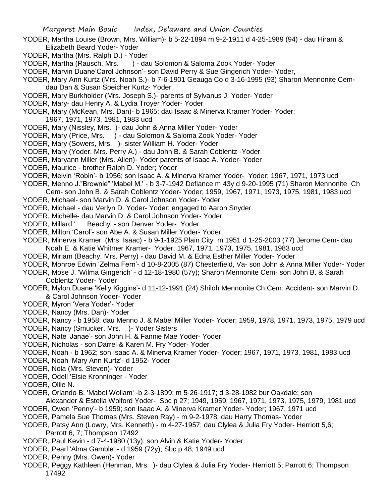- YODER, Martha Louise (Brown, Mrs. William)- b 5-22-1894 m 9-2-1911 d 4-25-1989 (94) dau Hiram & Elizabeth Beard Yoder- Yoder
- YODER, Martha (Mrs. Ralph D.) Yoder
- YODER, Martha (Rausch, Mrs. ) dau Solomon & Saloma Zook Yoder- Yoder
- YODER, Marvin Duane'Carol Johnson'- son David Perry & Sue Gingerich Yoder- Yoder,
- YODER, Mary Ann Kurtz (Mrs. Noah S.)- b 7-6-1901 Geauga Co d 3-16-1995 (93) Sharon Mennonite Cemdau Dan & Susan Speicher Kurtz- Yoder
- YODER, Mary Burkholder (Mrs. Joseph S.)- parents of Sylvanus J. Yoder- Yoder
- YODER, Mary- dau Henry A. & Lydia Troyer Yoder- Yoder
- YODER, Mary (McKean, Mrs. Dan)- b 1965; dau Isaac & Minerva Kramer Yoder- Yoder;
	- 1967, 1971, 1973, 1981, 1983 ucd
- YODER, Mary (Nissley, Mrs. )- dau John & Anna Miller Yoder- Yoder
- YODER, Mary (Price, Mrs. ) dau Solomon & Saloma Zook Yoder- Yoder
- YODER, Mary (Sowers, Mrs. )- sister William H. Yoder- Yoder
- YODER, Mary (Yoder, Mrs. Perry A.) dau John B. & Sarah Coblentz -Yoder
- YODER, Maryann Miller (Mrs. Allen)- Yoder parents of Isaac A. Yoder- Yoder
- YODER, Maurice brother Ralph D. Yoder; Yoder
- YODER, Melvin 'Robin'- b 1956; son Isaac A. & Minerva Kramer Yoder- Yoder; 1967, 1971, 1973 ucd
- YODER, Menno J."Brownie" 'Mabel M.' b 3-7-1942 Defiance m 43y d 9-20-1995 (71) Sharon Mennonite Ch
- Cem- son John B. & Sarah Coblentz Yoder- Yoder; 1959, 1967, 1971, 1973, 1975, 1981, 1983 ucd
- YODER, Michael- son Marvin D. & Carol Johnson Yoder- Yoder
- YODER, Michael dau Verlyn D. Yoder- Yoder; engaged to Aaron Snyder
- YODER, Michelle- dau Marvin D. & Carol Johnson Yoder- Yoder
- YODER, Millard ' Beachy' son Denver Yoder- Yoder
- YODER, Milton 'Carol'- son Abe A. & Susan Miller Yoder- Yoder
- YODER, Minerva Kramer (Mrs. Isaac) b 9-1-1925 Plain City m 1951 d 1-25-2003 (77) Jerome Cem- dau Noah E. & Katie Whitmer Kramer- Yoder; 1967, 1971, 1973, 1975, 1981, 1983 ucd
- YODER, Miriam (Beachy, Mrs. Perry) dau David M. & Edna Esther Miller Yoder- Yoder
- YODER, Monroe Edwin 'Zelma Fern'- d 10-8-2005 (87) Chesterfield, Va- son John & Anna Miller Yoder- Yoder
- YODER, Mose J. 'Wilma Gingerich' d 12-18-1980 (57y); Sharon Mennonite Cem- son John B. & Sarah Coblentz Yoder- Yoder
- YODER, Mylon Duane 'Kelly Kiggins'- d 11-12-1991 (24) Shiloh Mennonite Ch Cem. Accident- son Marvin D. & Carol Johnson Yoder- Yoder
- YODER, Myron 'Vera Yoder'- Yoder
- YODER, Nancy (Mrs. Dan)- Yoder
- YODER, Nancy b 1958; dau Menno J. & Mabel Miller Yoder- Yoder; 1959, 1978, 1971, 1973, 1975, 1979 ucd
- YODER, Nancy (Smucker, Mrs. )- Yoder Sisters
- YODER, Nate 'Janae'- son John H. & Fannie Mae Yoder- Yoder
- YODER, Nicholas son Darrel & Karen M. Fry Yoder- Yoder
- YODER, Noah b 1962; son Isaac A. & Minerva Kramer Yoder- Yoder; 1967, 1971, 1973, 1981, 1983 ucd
- YODER, Noah 'Mary Ann Kurtz'- d 1952- Yoder
- YODER, Nola (Mrs. Steven)- Yoder
- YODER, Odell 'Elsie Kronninger Yoder
- YODER, Ollie N.
- YODER, Orlando B. 'Mabel Wollam' -b 2-3-1899; m 5-26-1917; d 3-28-1982 bur Oakdale; son
- Alexander & Estella Wolford Yoder- Sbc p 27; 1949, 1959, 1967, 1971, 1973, 1975, 1979, 1981 ucd
- YODER, Owen 'Penny'- b 1959; son Isaac A. & Minerva Kramer Yoder- Yoder; 1967, 1971 ucd
- YODER, Pamela Sue Thomas (Mrs. Steven Ray) m 9-2-1978; dau Harry Thomas- Yoder
- YODER, Patsy Ann (Lowry, Mrs. Kenneth) m 4-27-1957; dau Clylea & Julia Fry Yoder- Herriott 5,6; Parrott 6, 7; Thompson 17492
- YODER, Paul Kevin d 7-4-1980 (13y); son Alvin & Katie Yoder- Yoder
- YODER, Pearl 'Alma Gamble' d 1959 (72y); Sbc p 48; 1949 ucd
- YODER, Penny (Mrs. Owen)- Yoder
- YODER, Peggy Kathleen (Henman, Mrs. )- dau Clylea & Julia Fry Yoder- Herriott 5; Parrott 6; Thompson 17492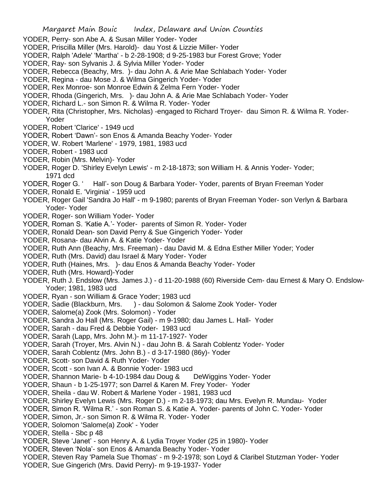- YODER, Perry- son Abe A. & Susan Miller Yoder- Yoder
- YODER, Priscilla Miller (Mrs. Harold)- dau Yost & Lizzie Miller- Yoder
- YODER, Ralph 'Adele' 'Martha' b 2-28-1908; d 9-25-1983 bur Forest Grove; Yoder
- YODER, Ray- son Sylvanis J. & Sylvia Miller Yoder- Yoder
- YODER, Rebecca (Beachy, Mrs. )- dau John A. & Arie Mae Schlabach Yoder- Yoder
- YODER, Regina dau Mose J. & Wilma Gingerich Yoder- Yoder
- YODER, Rex Monroe- son Monroe Edwin & Zelma Fern Yoder- Yoder
- YODER, Rhoda (Gingerich, Mrs. )- dau John A. & Arie Mae Schlabach Yoder- Yoder
- YODER, Richard L.- son Simon R. & Wilma R. Yoder- Yoder
- YODER, Rita (Christopher, Mrs. Nicholas) -engaged to Richard Troyer- dau Simon R. & Wilma R. Yoder-Yoder
- YODER, Robert 'Clarice' 1949 ucd
- YODER, Robert 'Dawn'- son Enos & Amanda Beachy Yoder- Yoder
- YODER, W. Robert 'Marlene' 1979, 1981, 1983 ucd
- YODER, Robert 1983 ucd
- YODER, Robin (Mrs. Melvin)- Yoder
- YODER, Roger D. 'Shirley Evelyn Lewis' m 2-18-1873; son William H. & Annis Yoder- Yoder; 1971 dcd
- YODER, Roger G. ' Hall'- son Doug & Barbara Yoder- Yoder, parents of Bryan Freeman Yoder
- YODER, Ronald E. 'Virginia' 1959 ucd
- YODER, Roger Gail 'Sandra Jo Hall' m 9-1980; parents of Bryan Freeman Yoder- son Verlyn & Barbara Yoder- Yoder
- YODER, Roger- son William Yoder- Yoder
- YODER, Roman S. 'Katie A.'- Yoder- parents of Simon R. Yoder- Yoder
- YODER, Ronald Dean- son David Perry & Sue Gingerich Yoder- Yoder
- YODER, Rosana- dau Alvin A. & Katie Yoder- Yoder
- YODER, Ruth Ann (Beachy, Mrs. Freeman) dau David M. & Edna Esther Miller Yoder; Yoder
- YODER, Ruth (Mrs. David) dau Israel & Mary Yoder- Yoder
- YODER, Ruth (Haines, Mrs. )- dau Enos & Amanda Beachy Yoder- Yoder
- YODER, Ruth (Mrs. Howard)-Yoder
- YODER, Ruth J. Endslow (Mrs. James J.) d 11-20-1988 (60) Riverside Cem- dau Ernest & Mary O. Endslow-Yoder; 1981, 1983 ucd
- YODER, Ryan son William & Grace Yoder; 1983 ucd
- YODER, Sadie (Blackburn, Mrs. ) dau Solomon & Salome Zook Yoder- Yoder
- YODER, Salome(a) Zook (Mrs. Solomon) Yoder
- YODER, Sandra Jo Hall (Mrs. Roger Gail) m 9-1980; dau James L. Hall- Yoder
- YODER, Sarah dau Fred & Debbie Yoder- 1983 ucd
- YODER, Sarah (Lapp, Mrs. John M.)- m 11-17-1927- Yoder
- YODER, Sarah (Troyer, Mrs. Alvin N.) dau John B. & Sarah Coblentz Yoder- Yoder
- YODER, Sarah Coblentz (Mrs. John B.) d 3-17-1980 (86y)- Yoder
- YODER, Scott- son David & Ruth Yoder- Yoder
- YODER, Scott son Ivan A. & Bonnie Yoder- 1983 ucd
- YODER, Shannon Marie- b 4-10-1984 dau Doug & DeWiggins Yoder- Yoder
- YODER, Shaun b 1-25-1977; son Darrel & Karen M. Frey Yoder- Yoder
- YODER, Sheila dau W. Robert & Marlene Yoder 1981, 1983 ucd
- YODER, Shirley Evelyn Lewis (Mrs. Roger D.) m 2-18-1973; dau Mrs. Evelyn R. Mundau- Yoder
- YODER, Simon R. 'Wilma R.' son Roman S. & Katie A. Yoder- parents of John C. Yoder- Yoder
- YODER, Simon, Jr.- son Simon R. & Wilma R. Yoder- Yoder
- YODER, Solomon 'Salome(a) Zook' Yoder
- YODER, Stella Sbc p 48
- YODER, Steve 'Janet' son Henry A. & Lydia Troyer Yoder (25 in 1980)- Yoder
- YODER, Steven 'Nola'- son Enos & Amanda Beachy Yoder- Yoder
- YODER, Steven Ray 'Pamela Sue Thomas' m 9-2-1978; son Loyd & Claribel Stutzman Yoder- Yoder
- YODER, Sue Gingerich (Mrs. David Perry)- m 9-19-1937- Yoder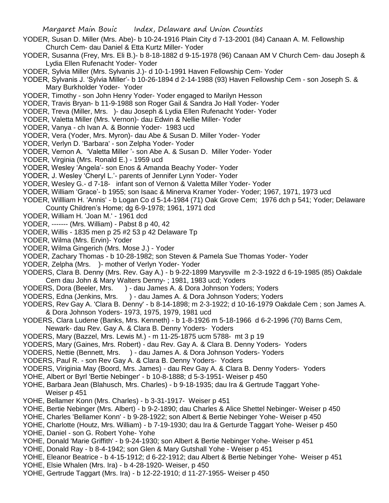- YODER, Susan D. Miller (Mrs. Abe)- b 10-24-1916 Plain City d 7-13-2001 (84) Canaan A. M. Fellowship Church Cem- dau Daniel & Etta Kurtz Miller- Yoder
- YODER, Susanna (Frey, Mrs. Eli B.)- b 8-18-1882 d 9-15-1978 (96) Canaan AM V Church Cem- dau Joseph & Lydia Ellen Rufenacht Yoder- Yoder
- YODER, Sylvia Miller (Mrs. Sylvanis J.)- d 10-1-1991 Haven Fellowship Cem- Yoder
- YODER, Sylvanis J. 'Sylvia Miller'- b 10-26-1894 d 2-14-1988 (93) Haven Fellowship Cem son Joseph S. & Mary Burkholder Yoder- Yoder
- YODER, Timothy son John Henry Yoder- Yoder engaged to Marilyn Hesson
- YODER, Travis Bryan- b 11-9-1988 son Roger Gail & Sandra Jo Hall Yoder- Yoder
- YODER, Treva (Miller, Mrs. )- dau Joseph & Lydia Ellen Rufenacht Yoder- Yoder
- YODER, Valetta Miller (Mrs. Vernon)- dau Edwin & Nellie Miller- Yoder
- YODER, Vanya ch Ivan A. & Bonnie Yoder- 1983 ucd
- YODER, Vera (Yoder, Mrs. Myron)- dau Abe & Susan D. Miller Yoder- Yoder
- YODER, Verlyn D. 'Barbara' son Zelpha Yoder- Yoder
- YODER, Vernon A. 'Valetta Miller '- son Abe A. & Susan D. Miller Yoder- Yoder
- YODER, Virginia (Mrs. Ronald E.) 1959 ucd
- YODER, Wesley 'Angela'- son Enos & Amanda Beachy Yoder- Yoder
- YODER, J. Wesley 'Cheryl L.'- parents of Jennifer Lynn Yoder- Yoder
- YODER, Wesley G.- d 7-18- infant son of Vernon & Valetta Miller Yoder- Yoder
- YODER, William 'Grace'- b 1955; son Isaac & Minerva Kramer Yoder- Yoder; 1967, 1971, 1973 ucd
- YODER, Willliam H. 'Annis' b Logan Co d 5-14-1984 (71) Oak Grove Cem; 1976 dch p 541; Yoder; Delaware County Children's Home; dg 6-9-1978; 1961, 1971 dcd
- YODER, William H. 'Joan M.' 1961 dcd
- YODER, ------- (Mrs. William) Pabst 8 p 40, 42
- YODER, Willis 1835 men p 25 #2 53 p 42 Delaware Tp
- YODER, Wilma (Mrs. Ervin)- Yoder
- YODER, Wilma Gingerich (Mrs. Mose J.) Yoder
- YODER, Zachary Thomas b 10-28-1982; son Steven & Pamela Sue Thomas Yoder- Yoder
- YODER, Zelpha (Mrs. )- mother of Verlyn Yoder- Yoder
- YODERS, Clara B. Denny (Mrs. Rev. Gay A.) b 9-22-1899 Marysville m 2-3-1922 d 6-19-1985 (85) Oakdale Cem dau John & Mary Walters Denny- ; 1981, 1983 ucd; Yoders
- YODERS, Dora (Beeler, Mrs. ) dau James A. & Dora Johnson Yoders; Yoders
- YODERS, Edna (Jenkins, Mrs. ) dau James A. & Dora Johnson Yoders; Yoders
- YODERS, Rev Gay A. 'Clara B. Denny' b 8-14-1898; m 2-3-1922; d 10-16-1979 Oakdale Cem ; son James A. & Dora Johnson Yoders- 1973, 1975, 1979, 1981 ucd
- YODERS, Clara Ludene (Banks, Mrs. Kenneth) b 1-8-1926 m 5-18-1966 d 6-2-1996 (70) Barns Cem, Newark- dau Rev. Gay A. & Clara B. Denny Yoders- Yoders
- YODERS, Mary (Bazzel, Mrs. Lewis M.) m 11-25-1875 ucm 5788- mt 3 p 19
- YODERS, Mary (Gaines, Mrs. Robert) dau Rev. Gay A. & Clara B. Denny Yoders- Yoders
- YODERS, Nettie (Bennett, Mrs. ) dau James A. & Dora Johnson Yoders- Yoders
- YODERS, Paul R. son Rev Gay A. & Clara B. Denny Yoders- Yoders
- YODERS, Viriginia May (Boord, Mrs. James) dau Rev Gay A. & Clara B. Denny Yoders- Yoders
- YOHE, Albert or Byrl 'Bertie Nebinger' b 10-8-1888; d 5-3-1951- Weiser p 450
- YOHE, Barbara Jean (Blahusch, Mrs. Charles) b 9-18-1935; dau Ira & Gertrude Taggart Yohe- Weiser p 451
- YOHE, Bellamer Konn (Mrs. Charles) b 3-31-1917- Weiser p 451
- YOHE, Bertie Nebinger (Mrs. Albert) b 9-2-1890; dau Charles & Alice Shettel Nebinger- Weiser p 450
- YOHE, Charles 'Bellamer Konn' b 9-28-1922; son Albert & Bertie Nebinger Yohe- Weiser p 450
- YOHE, Charlotte (Houtz, Mrs. William) b 7-19-1930; dau Ira & Gerturde Taggart Yohe- Weiser p 450
- YOHE, Daniel son G. Robert Yohe- Yohe
- YOHE, Donald 'Marie Griffith' b 9-24-1930; son Albert & Bertie Nebinger Yohe- Weiser p 451
- YOHE, Donald Ray b 8-4-1942; son Glen & Mary Gutshall Yohe Weiser p 451
- YOHE, Eleanor Beatrice b 4-15-1912; d 6-22-1912; dau Albert & Bertie Nebinger Yohe- Weiser p 451
- YOHE, Elsie Whalen (Mrs. Ira) b 4-28-1920- Weiser, p 450
- YOHE, Gertrude Taggart (Mrs. Ira) b 12-22-1910; d 11-27-1955- Weiser p 450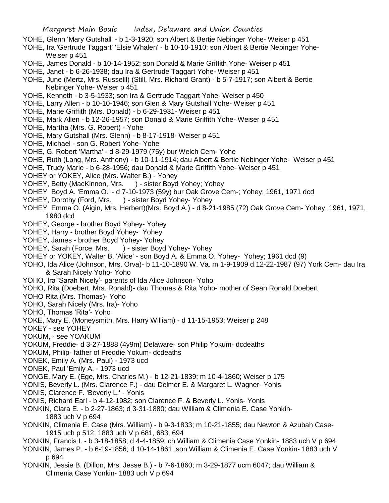- YOHE, Glenn 'Mary Gutshall' b 1-3-1920; son Albert & Bertie Nebinger Yohe- Weiser p 451
- YOHE, Ira 'Gertrude Taggart' 'Elsie Whalen' b 10-10-1910; son Albert & Bertie Nebinger Yohe-Weiser p 451
- YOHE, James Donald b 10-14-1952; son Donald & Marie Griffith Yohe- Weiser p 451
- YOHE, Janet b 6-26-1938; dau Ira & Gertrude Taggart Yohe- Weiser p 451
- YOHE, June (Mertz, Mrs. Russelll) (Still, Mrs. Richard Grant) b 5-7-1917; son Albert & Bertie Nebinger Yohe- Weiser p 451
- YOHE, Kenneth b 3-5-1933; son Ira & Gertrude Taggart Yohe- Weiser p 450
- YOHE, Larry Allen b 10-10-1946; son Glen & Mary Gutshall Yohe- Weiser p 451
- YOHE, Marie Griffith (Mrs. Donald) b 6-29-1931- Weiser p 451
- YOHE, Mark Allen b 12-26-1957; son Donald & Marie Griffith Yohe- Weiser p 451
- YOHE, Martha (Mrs. G. Robert) Yohe
- YOHE, Mary Gutshall (Mrs. Glenn) b 8-17-1918- Weiser p 451
- YOHE, Michael son G. Robert Yohe- Yohe
- YOHE, G. Robert 'Martha' d 8-29-1979 (75y) bur Welch Cem- Yohe
- YOHE, Ruth (Lang, Mrs. Anthony) b 10-11-1914; dau Albert & Bertie Nebinger Yohe- Weiser p 451
- YOHE, Trudy Marie b 6-28-1956; dau Donald & Marie Griffith Yohe- Weiser p 451
- YOHEY or YOKEY, Alice (Mrs. Walter B.) Yohey
- YOHEY, Betty (MacKinnon, Mrs. ) sister Boyd Yohey; Yohey
- YOHEY Boyd A. 'Emma O.' d 7-10-1973 (59y) bur Oak Grove Cem-; Yohey; 1961, 1971 dcd
- YOHEY, Dorothy (Ford, Mrs. ) sister Boyd Yohey- Yohey
- YOHEY Emma O. (Aigin, Mrs. Herbert)(Mrs. Boyd A.) d 8-21-1985 (72) Oak Grove Cem- Yohey; 1961, 1971, 1980 dcd
- YOHEY, George brother Boyd Yohey- Yohey
- YOHEY, Harry brother Boyd Yohey- Yohey
- YOHEY, James brother Boyd Yohey- Yohey
- YOHEY, Sarah (Force, Mrs. ) sister Boyd Yohey- Yohey
- YOHEY or YOKEY, Walter B. 'Alice' son Boyd A. & Emma O. Yohey- Yohey; 1961 dcd (9)
- YOHO, Ida Alice (Johnson, Mrs. Orva)- b 11-10-1890 W. Va. m 1-9-1909 d 12-22-1987 (97) York Cem- dau Ira & Sarah Nicely Yoho- Yoho
- YOHO, Ira 'Sarah Nicely'- parents of Ida Alice Johnson- Yoho
- YOHO, Rita (Doebert, Mrs. Ronald)- dau Thomas & Rita Yoho- mother of Sean Ronald Doebert
- YOHO Rita (Mrs. Thomas)- Yoho
- YOHO, Sarah Nicely (Mrs. Ira)- Yoho
- YOHO, Thomas 'Rita'- Yoho
- YOKE, Mary E. (Moneysmith, Mrs. Harry William) d 11-15-1953; Weiser p 248
- YOKEY see YOHEY
- YOKUM, see YOAKUM
- YOKUM, Freddie- d 3-27-1888 (4y9m) Delaware- son Philip Yokum- dcdeaths
- YOKUM, Philip- father of Freddie Yokum- dcdeaths
- YONEK, Emily A. (Mrs. Paul) 1973 ucd
- YONEK, Paul 'Emily A. 1973 ucd
- YONGE, Mary E. (Ege, Mrs. Charles M.) b 12-21-1839; m 10-4-1860; Weiser p 175
- YONIS, Beverly L. (Mrs. Clarence F.) dau Delmer E. & Margaret L. Wagner- Yonis
- YONIS, Clarence F. 'Beverly L.' Yonis
- YONIS, Richard Earl b 4-12-1982; son Clarence F. & Beverly L. Yonis- Yonis
- YONKIN, Clara E. b 2-27-1863; d 3-31-1880; dau William & Climenia E. Case Yonkin-1883 uch V p 694
- YONKIN, Climenia E. Case (Mrs. William) b 9-3-1833; m 10-21-1855; dau Newton & Azubah Case-1915 uch p 512; 1883 uch V p 681, 683, 694
- YONKIN, Francis I. b 3-18-1858; d 4-4-1859; ch William & Climenia Case Yonkin- 1883 uch V p 694
- YONKIN, James P. b 6-19-1856; d 10-14-1861; son William & Climenia E. Case Yonkin- 1883 uch V p 694
- YONKIN, Jessie B. (Dillon, Mrs. Jesse B.) b 7-6-1860; m 3-29-1877 ucm 6047; dau William & Climenia Case Yonkin- 1883 uch V p 694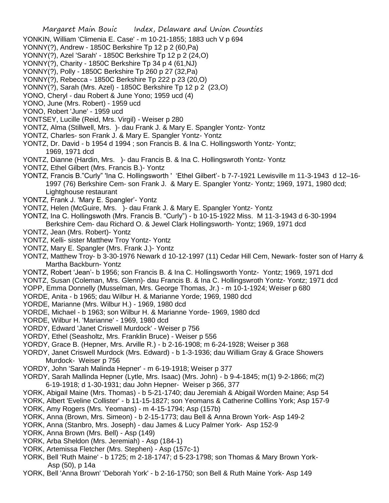- YONKIN, William 'Climenia E. Case' m 10-21-1855; 1883 uch V p 694
- YONNY(?), Andrew 1850C Berkshire Tp 12 p 2 (60,Pa)
- YONNY(?), Azel 'Sarah' 1850C Berkshire Tp 12 p 2 (24,O)
- YONNY(?), Charity 1850C Berkshire Tp 34 p 4 (61,NJ)
- YONNY(?), Polly 1850C Berkshire Tp 260 p 27 (32,Pa)
- YONNY(?), Rebecca 1850C Berkshire Tp 222 p 23 (20,O)
- YONNY(?), Sarah (Mrs. Azel) 1850C Berkshire Tp 12 p 2 (23,O)
- YONO, Cheryl dau Robert & June Yono; 1959 ucd (4)
- YONO, June (Mrs. Robert) 1959 ucd
- YONO, Robert 'June' 1959 ucd
- YONTSEY, Lucille (Reid, Mrs. Virgil) Weiser p 280
- YONTZ, Alma (Stillwell, Mrs. )- dau Frank J. & Mary E. Spangler Yontz- Yontz
- YONTZ, Charles- son Frank J. & Mary E. Spangler Yontz- Yontz
- YONTZ, Dr. David b 1954 d 1994 ; son Francis B. & Ina C. Hollingsworth Yontz- Yontz; 1969, 1971 dcd
- YONTZ, Dianne (Hardin, Mrs. )- dau Francis B. & Ina C. Hollingswroth Yontz- Yontz
- YONTZ, Ethel Gilbert (Mrs. Francis B.)- Yontz
- YONTZ, Francis B."Curly" 'Ina C. Hollingsworth ' 'Ethel Gilbert'- b 7-7-1921 Lewisville m 11-3-1943 d 12–16- 1997 (76) Berkshire Cem- son Frank J. & Mary E. Spangler Yontz- Yontz; 1969, 1971, 1980 dcd; Lightghouse restaurant
- YONTZ, Frank J. 'Mary E. Spangler'- Yontz
- YONTZ, Helen (McGuire, Mrs. )- dau Frank J. & Mary E. Spangler Yontz- Yontz
- YONTZ, Ina C. Hollingswoth (Mrs. Francis B. "Curly") b 10-15-1922 Miss. M 11-3-1943 d 6-30-1994 Berkshire Cem- dau Richard O. & Jewel Clark Hollingsworth- Yontz; 1969, 1971 dcd
- YONTZ, Jean (Mrs. Robert)- Yontz
- YONTZ, Kelli- sister Matthew Troy Yontz- Yontz
- YONTZ, Mary E. Spangler (Mrs. Frank J.)- Yontz
- YONTZ, Matthew Troy- b 3-30-1976 Newark d 10-12-1997 (11) Cedar Hill Cem, Newark- foster son of Harry & Martha Backburn- Yontz
- YONTZ, Robert 'Jean'- b 1956; son Francis B. & Ina C. Hollingsworth Yontz- Yontz; 1969, 1971 dcd
- YONTZ, Susan (Coleman, Mrs. Glenn)- dau Francis B. & Ina C. Hollingswroth Yontz- Yontz; 1971 dcd
- YOPP, Emma Donnelly (Musselman, Mrs. George Thomas, Jr.) m 10-1-1924; Weiser p 680
- YORDE, Anita b 1965; dau Wilbur H. & Marianne Yorde; 1969, 1980 dcd
- YORDE, Marianne (Mrs. Wilbur H.) 1969, 1980 dcd
- YORDE, Michael b 1963; son Wilbur H. & Marianne Yorde- 1969, 1980 dcd
- YORDE, Wilbur H. 'Marianne' 1969, 1980 dcd
- YORDY, Edward 'Janet Criswell Murdock' Weiser p 756
- YORDY, Ethel (Seasholtz, Mrs. Franklin Bruce) Weiser p 556
- YORDY, Grace B. (Hepner, Mrs. Arville R.) b 2-16-1908; m 6-24-1928; Weiser p 368
- YORDY, Janet Criswell Murdock (Mrs. Edward) b 1-3-1936; dau William Gray & Grace Showers Murdock- Weiser p 756
- YORDY, John 'Sarah Malinda Hepner' m 6-19-1918; Weiser p 377
- YORDY, Sarah Mallinda Hepner (Lytle, Mrs. Isaac) (Mrs. John) b 9-4-1845; m(1) 9-2-1866; m(2) 6-19-1918; d 1-30-1931; dau John Hepner- Weiser p 366, 377
- YORK, Abigail Maine (Mrs. Thomas) b 5-21-1740; dau Jeremiah & Abigail Worden Maine; Asp 54
- YORK, Albert 'Eveline Collister' b 11-15-1827; son Yeomans & Catherine Colllins York; Asp 157-9 YORK, Amy Rogers (Mrs. Yeomans) - m 4-15-1794; Asp (157b)
- YORK, Anna (Brown, Mrs. Simeon) b 2-15-1773; dau Bell & Anna Brown York- Asp 149-2
- YORK, Anna (Stanbro, Mrs. Joseph) dau James & Lucy Palmer York- Asp 152-9
- YORK, Anna Brown (Mrs. Bell) Asp (149)
- YORK, Arba Sheldon (Mrs. Jeremiah) Asp (184-1)
- YORK, Artemissa Fletcher (Mrs. Stephen) Asp (157c-1)
- YORK, Bell 'Ruth Maine' b 1725; m 2-18-1747; d 5-23-1798; son Thomas & Mary Brown York-Asp (50), p 14a
- YORK, Bell 'Anna Brown' 'Deborah York' b 2-16-1750; son Bell & Ruth Maine York- Asp 149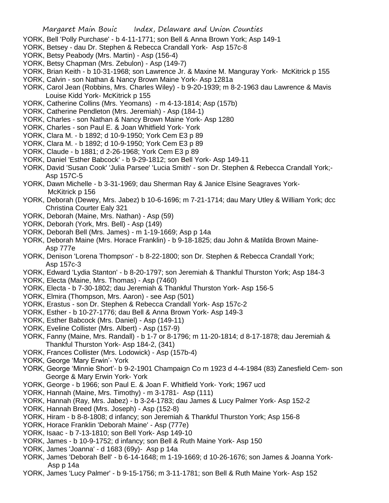- YORK, Bell 'Polly Purchase' b 4-11-1771; son Bell & Anna Brown York; Asp 149-1
- YORK, Betsey dau Dr. Stephen & Rebecca Crandall York- Asp 157c-8
- YORK, Betsy Peabody (Mrs. Martin) Asp (156-4)
- YORK, Betsy Chapman (Mrs. Zebulon) Asp (149-7)
- YORK, Brian Keith b 10-31-1968; son Lawrence Jr. & Maxine M. Manguray York- McKitrick p 155
- YORK, Calvin son Nathan & Nancy Brown Maine York- Asp 1281a
- YORK, Carol Jean (Robbins, Mrs. Charles Wiley) b 9-20-1939; m 8-2-1963 dau Lawrence & Mavis Louise Kidd York- McKitrick p 155
- YORK, Catherine Collins (Mrs. Yeomans) m 4-13-1814; Asp (157b)
- YORK, Catherine Pendleton (Mrs. Jeremiah) Asp (184-1)
- YORK, Charles son Nathan & Nancy Brown Maine York- Asp 1280
- YORK, Charles son Paul E. & Joan Whitfield York- York
- YORK, Clara M. b 1892; d 10-9-1950; York Cem E3 p 89
- YORK, Clara M. b 1892; d 10-9-1950; York Cem E3 p 89
- YORK, Claude b 1881; d 2-26-1968; York Cem E3 p 89
- YORK, Daniel 'Esther Babcock' b 9-29-1812; son Bell York- Asp 149-11
- YORK, David 'Susan Cook' 'Julia Parsee' 'Lucia Smith' son Dr. Stephen & Rebecca Crandall York;- Asp 157C-5
- YORK, Dawn Michelle b 3-31-1969; dau Sherman Ray & Janice Elsine Seagraves York-McKitrick p 156
- YORK, Deborah (Dewey, Mrs. Jabez) b 10-6-1696; m 7-21-1714; dau Mary Utley & William York; dcc Christina Courter Ealy 321
- YORK, Deborah (Maine, Mrs. Nathan) Asp (59)
- YORK, Deborah (York, Mrs. Bell) Asp (149)
- YORK, Deborah Bell (Mrs. James) m 1-19-1669; Asp p 14a
- YORK, Deborah Maine (Mrs. Horace Franklin) b 9-18-1825; dau John & Matilda Brown Maine-Asp 777e
- YORK, Denison 'Lorena Thompson' b 8-22-1800; son Dr. Stephen & Rebecca Crandall York; Asp 157c-3
- YORK, Edward 'Lydia Stanton' b 8-20-1797; son Jeremiah & Thankful Thurston York; Asp 184-3
- YORK, Electa (Maine, Mrs. Thomas) Asp (7460)
- YORK, Electa b 7-30-1802; dau Jeremiah & Thankful Thurston York- Asp 156-5
- YORK, Elmira (Thompson, Mrs. Aaron) see Asp (501)
- YORK, Erastus son Dr. Stephen & Rebecca Crandall York- Asp 157c-2
- YORK, Esther b 10-27-1776; dau Bell & Anna Brown York- Asp 149-3
- YORK, Esther Babcock (Mrs. Daniel) Asp (149-11)
- YORK, Eveline Collister (Mrs. Albert) Asp (157-9)
- YORK, Fanny (Maine, Mrs. Randall) b 1-7 or 8-1796; m 11-20-1814; d 8-17-1878; dau Jeremiah & Thankful Thurston York- Asp 184-2, (341)
- YORK, Frances Collister (Mrs. Lodowick) Asp (157b-4)
- YORK, George 'Mary Erwin'- York
- YORK, George 'Minnie Short'- b 9-2-1901 Champaign Co m 1923 d 4-4-1984 (83) Zanesfield Cem- son George & Mary Erwin York- York
- YORK, George b 1966; son Paul E. & Joan F. Whitfield York- York; 1967 ucd
- YORK, Hannah (Maine, Mrs. Timothy) m 3-1781- Asp (111)
- YORK, Hannah (Ray, Mrs. Jabez) b 3-24-1783; dau James & Lucy Palmer York- Asp 152-2
- YORK, Hannah Breed (Mrs. Joseph) Asp (152-8)
- YORK, Hiram b 8-8-1808; d infancy; son Jeremiah & Thankful Thurston York; Asp 156-8
- YORK, Horace Franklin 'Deborah Maine' Asp (777e)
- YORK, Isaac b 7-13-1810; son Bell York- Asp 149-10
- YORK, James b 10-9-1752; d infancy; son Bell & Ruth Maine York- Asp 150
- YORK, James 'Joanna' d 1683 (69y)- Asp p 14a
- YORK, James 'Deborah Bell' b 6-14-1648; m 1-19-1669; d 10-26-1676; son James & Joanna York-Asp p 14a
- YORK, James 'Lucy Palmer' b 9-15-1756; m 3-11-1781; son Bell & Ruth Maine York- Asp 152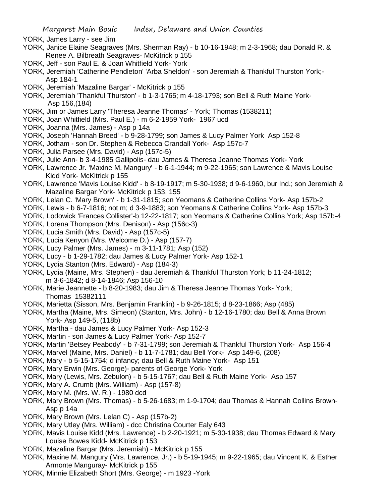- YORK, James Larry see Jim
- YORK, Janice Elaine Seagraves (Mrs. Sherman Ray) b 10-16-1948; m 2-3-1968; dau Donald R. & Renee A. Bilbreath Seagraves- McKitrick p 155
- YORK, Jeff son Paul E. & Joan Whitfield York- York
- YORK, Jeremiah 'Catherine Pendleton' 'Arba Sheldon' son Jeremiah & Thankful Thurston York;- Asp 184-1
- YORK, Jeremiah 'Mazaline Bargar' McKitrick p 155
- YORK, Jeremiah 'Thankful Thurston' b 1-3-1765; m 4-18-1793; son Bell & Ruth Maine York-Asp 156,(184)
- YORK, Jim or James Larry 'Theresa Jeanne Thomas' York; Thomas (1538211)
- YORK, Joan Whitfield (Mrs. Paul E.) m 6-2-1959 York- 1967 ucd
- YORK, Joanna (Mrs. James) Asp p 14a
- YORK, Joseph 'Hannah Breed' b 9-28-1799; son James & Lucy Palmer York Asp 152-8
- YORK, Jotham son Dr. Stephen & Rebecca Crandall York- Asp 157c-7
- YORK, Julia Parsee (Mrs. David) Asp (157c-5)
- YORK, Julie Ann- b 3-4-1985 Gallipolis- dau James & Theresa Jeanne Thomas York- York
- YORK, Lawrence Jr. 'Maxine M. Mangury' b 6-1-1944; m 9-22-1965; son Lawrence & Mavis Louise Kidd York- McKitrick p 155
- YORK, Lawrence 'Mavis Louise Kidd' b 8-19-1917; m 5-30-1938; d 9-6-1960, bur Ind.; son Jeremiah & Mazaline Bargar York- McKitrick p 153, 155
- YORK, Lelan C. 'Mary Brown' b 1-31-1815; son Yeomans & Catherine Collins York- Asp 157b-2
- YORK, Lewis b 6-7-1816; not m; d 3-9-1883; son Yeomans & Catherine Collins York- Asp 157b-3
- YORK, Lodowick 'Frances Collister'-b 12-22-1817; son Yeomans & Catherine Collins York; Asp 157b-4
- YORK, Lorena Thompson (Mrs. Denison) Asp (156c-3)
- YORK, Lucia Smith (Mrs. David) Asp (157c-5)
- YORK, Lucia Kenyon (Mrs. Welcome D.) Asp (157-7)
- YORK, Lucy Palmer (Mrs. James) m 3-11-1781; Asp (152)
- YORK, Lucy b 1-29-1782; dau James & Lucy Palmer York- Asp 152-1
- YORK, Lydia Stanton (Mrs. Edward) Asp (184-3)
- YORK, Lydia (Maine, Mrs. Stephen) dau Jeremiah & Thankful Thurston York; b 11-24-1812; m 3-6-1842; d 8-14-1846; Asp 156-10
- YORK, Marie Jeannette b 8-20-1983; dau Jim & Theresa Jeanne Thomas York- York; Thomas 15382111
- YORK, Marietta (Sisson, Mrs. Benjamin Franklin) b 9-26-1815; d 8-23-1866; Asp (485)
- YORK, Martha (Maine, Mrs. Simeon) (Stanton, Mrs. John) b 12-16-1780; dau Bell & Anna Brown York- Asp 149-5, (118b)
- YORK, Martha dau James & Lucy Palmer York- Asp 152-3
- YORK, Martin son James & Lucy Palmer York- Asp 152-7
- YORK, Martin 'Betsey Peabody' b 7-31-1799; son Jeremiah & Thankful Thurston York- Asp 156-4
- YORK, Marvel (Maine, Mrs. Daniel) b 11-7-1781; dau Bell York- Asp 149-6, (208)
- YORK, Mary b 5-15-1754; d infancy; dau Bell & Ruth Maine York- Asp 151
- YORK, Mary Erwin (Mrs. George)- parents of George York- York
- YORK, Mary (Lewis, Mrs. Zebulon) b 5-15-1767; dau Bell & Ruth Maine York- Asp 157
- YORK, Mary A. Crumb (Mrs. William) Asp (157-8)
- YORK, Mary M. (Mrs. W. R.) 1980 dcd
- YORK, Mary Brown (Mrs. Thomas) b 5-26-1683; m 1-9-1704; dau Thomas & Hannah Collins Brown-Asp p 14a
- YORK, Mary Brown (Mrs. Lelan C) Asp (157b-2)
- YORK, Mary Utley (Mrs. William) dcc Christina Courter Ealy 643
- YORK, Mavis Louise Kidd (Mrs. Lawrence) b 2-20-1921; m 5-30-1938; dau Thomas Edward & Mary Louise Bowes Kidd- McKitrick p 153
- YORK, Mazaline Bargar (Mrs. Jeremiah) McKitrick p 155
- YORK, Maxine M. Mangury (Mrs. Lawrence, Jr.) b 5-19-1945; m 9-22-1965; dau Vincent K. & Esther Armonte Manguray- McKitrick p 155
- YORK, Minnie Elizabeth Short (Mrs. George) m 1923 -York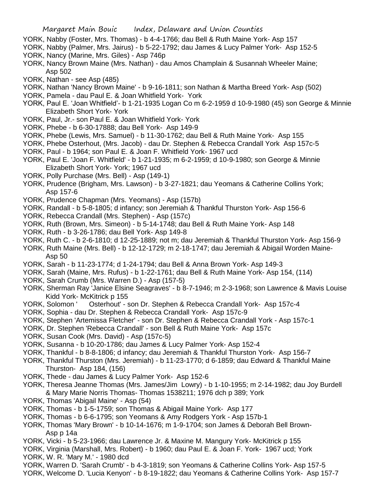- YORK, Nabby (Foster, Mrs. Thomas) b 4-4-1766; dau Bell & Ruth Maine York- Asp 157
- YORK, Nabby (Palmer, Mrs. Jairus) b 5-22-1792; dau James & Lucy Palmer York- Asp 152-5 YORK, Nancy (Marine, Mrs. Giles) - Asp 746p
- YORK, Nancy Brown Maine (Mrs. Nathan) dau Amos Champlain & Susannah Wheeler Maine; Asp 502
- YORK, Nathan see Asp (485)
- YORK, Nathan 'Nancy Brown Maine' b 9-16-1811; son Nathan & Martha Breed York- Asp (502)
- YORK, Pamela dau Paul E. & Joan Whitfield York- York
- YORK, Paul E. 'Joan Whitfield'- b 1-21-1935 Logan Co m 6-2-1959 d 10-9-1980 (45) son George & Minnie Elizabeth Short York- York
- YORK, Paul, Jr.- son Paul E. & Joan Whitfield York- York
- YORK, Phebe b 6-30-17888; dau Bell York- Asp 149-9
- YORK, Phebe (Lewis, Mrs. Samuel) b 11-30-1762; dau Bell & Ruth Maine York- Asp 155
- YORK, Phebe Osterhout, (Mrs. Jacob) dau Dr. Stephen & Rebecca Crandall York Asp 157c-5
- YORK, Paul b 1964; son Paul E. & Joan F. Whitfield York- 1967 ucd
- YORK, Paul E. 'Joan F. Whitfield' b 1-21-1935; m 6-2-1959; d 10-9-1980; son George & Minnie Elizabeth Short York- York; 1967 ucd
- YORK, Polly Purchase (Mrs. Bell) Asp (149-1)
- YORK, Prudence (Brigham, Mrs. Lawson) b 3-27-1821; dau Yeomans & Catherine Collins York; Asp 157-6
- YORK, Prudence Chapman (Mrs. Yeomans) Asp (157b)
- YORK, Randall b 5-8-1805; d infancy; son Jeremiah & Thankful Thurston York- Asp 156-6
- YORK, Rebecca Crandall (Mrs. Stephen) Asp (157c)
- YORK, Ruth (Brown, Mrs. Simeon) b 5-14-1748; dau Bell & Ruth Maine York- Asp 148
- YORK, Ruth b 3-26-1786; dau Bell York- Asp 149-8
- YORK, Ruth C. b 2-6-1810; d 12-25-1889; not m; dau Jeremiah & Thankful Thurston York- Asp 156-9
- YORK, Ruth Maine (Mrs. Bell) b 12-12-1729; m 2-18-1747; dau Jeremiah & Abigail Worden Maine-Asp 50
- YORK, Sarah b 11-23-1774; d 1-24-1794; dau Bell & Anna Brown York- Asp 149-3
- YORK, Sarah (Maine, Mrs. Rufus) b 1-22-1761; dau Bell & Ruth Maine York- Asp 154, (114)
- YORK, Sarah Crumb (Mrs. Warren D.) Asp (157-5)
- YORK, Sherman Ray 'Janice Elsine Seagraves' b 8-7-1946; m 2-3-1968; son Lawrence & Mavis Louise Kidd York- McKitrick p 155
- YORK, Solomon ' Osterhout' son Dr. Stephen & Rebecca Crandall York- Asp 157c-4
- YORK, Sophia dau Dr. Stephen & Rebecca Crandall York- Asp 157c-9
- YORK, Stephen 'Artemissa Fletcher' son Dr. Stephen & Rebecca Crandall York Asp 157c-1
- YORK, Dr. Stephen 'Rebecca Crandall' son Bell & Ruth Maine York- Asp 157c
- YORK, Susan Cook (Mrs. David) Asp (157c-5)
- YORK, Susanna b 10-20-1786; dau James & Lucy Palmer York- Asp 152-4
- YORK, Thankful b 8-8-1806; d infancy; dau Jeremiah & Thankful Thurston York- Asp 156-7
- YORK, Thankful Thurston (Mrs. Jeremiah) b 11-23-1770; d 6-1859; dau Edward & Thankful Maine Thurston- Asp 184, (156)
- YORK, Thede dau James & Lucy Palmer York- Asp 152-6
- YORK, Theresa Jeanne Thomas (Mrs. James/Jim Lowry) b 1-10-1955; m 2-14-1982; dau Joy Burdell & Mary Marie Norris Thomas- Thomas 1538211; 1976 dch p 389; York
- YORK, Thomas 'Abigail Maine' Asp (54)
- YORK, Thomas b 1-5-1759; son Thomas & Abigail Maine York- Asp 177
- YORK, Thomas b 6-6-1795; son Yeomans & Amy Rodgers York Asp 157b-1
- YORK, Thomas 'Mary Brown' b 10-14-1676; m 1-9-1704; son James & Deborah Bell Brown-Asp p 14a
- YORK, Vicki b 5-23-1966; dau Lawrence Jr. & Maxine M. Mangury York- McKitrick p 155
- YORK, Virginia (Marshall, Mrs. Robert) b 1960; dau Paul E. & Joan F. York- 1967 ucd; York
- YORK, W. R. 'Mary M.' 1980 dcd
- YORK, Warren D. 'Sarah Crumb' b 4-3-1819; son Yeomans & Catherine Collins York- Asp 157-5
- YORK, Welcome D. 'Lucia Kenyon' b 8-19-1822; dau Yeomans & Catherine Collins York- Asp 157-7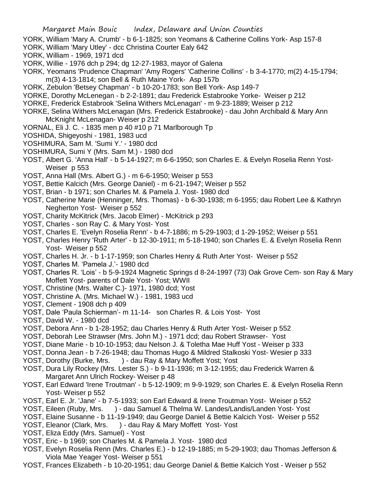- YORK, William 'Mary A. Crumb' b 6-1-1825; son Yeomans & Catherine Collins York- Asp 157-8
- YORK, William 'Mary Utley' dcc Christina Courter Ealy 642
- YORK, William 1969, 1971 dcd
- YORK, Willie 1976 dch p 294; dg 12-27-1983, mayor of Galena
- YORK, Yeomans 'Prudence Chapman' 'Amy Rogers' 'Catherine Collins' b 3-4-1770; m(2) 4-15-1794; m(3) 4-13-1814; son Bell & Ruth Maine York- Asp 157b
- YORK, Zebulon 'Betsey Chapman' b 10-20-1783; son Bell York- Asp 149-7
- YORKE, Dorothy McLenegan b 2-2-1891; dau Frederick Estabrooke Yorke- Weiser p 212
- YORKE, Frederick Estabrook 'Selina Withers McLenagan' m 9-23-1889; Weiser p 212
- YORKE, Selina Withers McLenagan (Mrs. Frederick Estabrooke) dau John Archibald & Mary Ann McKnight McLenagan- Weiser p 212
- YORNAL, Eli J. C. 1835 men p 40 #10 p 71 Marlborough Tp
- YOSHIDA, Shigeyoshi 1981, 1983 ucd
- YOSHIMURA, Sam M. 'Sumi Y.' 1980 dcd
- YOSHIMURA, Sumi Y (Mrs. Sam M.) 1980 dcd
- YOST, Albert G. 'Anna Hall' b 5-14-1927; m 6-6-1950; son Charles E. & Evelyn Roselia Renn Yost-Weiser p 553
- YOST, Anna Hall (Mrs. Albert G.) m 6-6-1950; Weiser p 553
- YOST, Bettie Kalcich (Mrs. George Daniel) m 6-21-1947; Weiser p 552
- YOST, Brian b 1971; son Charles M. & Pamela J. Yost- 1980 dcd
- YOST, Catherine Marie (Henninger, Mrs. Thomas) b 6-30-1938; m 6-1955; dau Robert Lee & Kathryn Negherton Yost- Weiser p 552
- YOST, Charity McKitrick (Mrs. Jacob Elmer) McKitrick p 293
- YOST, Charles son Ray C. & Mary Yost- Yost
- YOST, Charles E. 'Evelyn Roselia Renn' b 4-7-1886; m 5-29-1903; d 1-29-1952; Weiser p 551
- YOST, Charles Henry 'Ruth Arter' b 12-30-1911; m 5-18-1940; son Charles E. & Evelyn Roselia Renn Yost- Weiser p 552
- YOST, Charles H. Jr. b 1-17-1959; son Charles Henry & Ruth Arter Yost- Weiser p 552
- YOST, Charles M. 'Pamela J.'- 1980 dcd
- YOST, Charles R. 'Lois' b 5-9-1924 Magnetic Springs d 8-24-1997 (73) Oak Grove Cem- son Ray & Mary Moffett Yost- parents of Dale Yost- Yost; WWII
- YOST, Christine (Mrs. Walter C.)- 1971, 1980 dcd; Yost
- YOST, Christine A. (Mrs. Michael W.) 1981, 1983 ucd
- YOST, Clement 1908 dch p 409
- YOST, Dale 'Paula Schierman'- m 11-14- son Charles R. & Lois Yost- Yost
- YOST, David W. 1980 dcd
- YOST, Debora Ann b 1-28-1952; dau Charles Henry & Ruth Arter Yost- Weiser p 552
- YOST, Deborah Lee Strawser (Mrs. John M.) 1971 dcd; dau Robert Strawser- Yost
- YOST, Diane Marie b 10-10-1953; dau Nelson J. & Toletha Mae Huff Yost Weiser p 333
- YOST, Donna Jean b 7-26-1948; dau Thomas Hugo & Mildred Stalkoski Yost- Wesier p 333
- YOST, Dorothy (Burke, Mrs. ) dau Ray & Mary Moffett Yost; Yost
- YOST, Dura Lily Rockey (Mrs. Lester S.) b 9-11-1936; m 3-12-1955; dau Frederick Warren & Margaret Ann Ulrich Rockey- Weiser p 48
- YOST, Earl Edward 'Irene Troutman' b 5-12-1909; m 9-9-1929; son Charles E. & Evelyn Roselia Renn Yost- Weiser p 552
- YOST, Earl E. Jr. 'Jane' b 7-5-1933; son Earl Edward & Irene Troutman Yost- Weiser p 552
- YOST, Eileen (Ruby, Mrs. ) dau Samuel & Thelma W. Landes/Landis/Landen Yost-Yost
- YOST, Elaine Susanne b 11-19-1949; dau George Daniel & Bettie Kalcich Yost- Weiser p 552
- YOST, Eleanor (Clark, Mrs. ) dau Ray & Mary Moffett Yost-Yost
- YOST, Eliza Eddy (Mrs. Samuel) Yost
- YOST, Eric b 1969; son Charles M. & Pamela J. Yost- 1980 dcd
- YOST, Evelyn Roselia Renn (Mrs. Charles E.) b 12-19-1885; m 5-29-1903; dau Thomas Jefferson & Viola Mae Yeager Yost- Weiser p 551
- YOST, Frances Elizabeth b 10-20-1951; dau George Daniel & Bettie Kalcich Yost Weiser p 552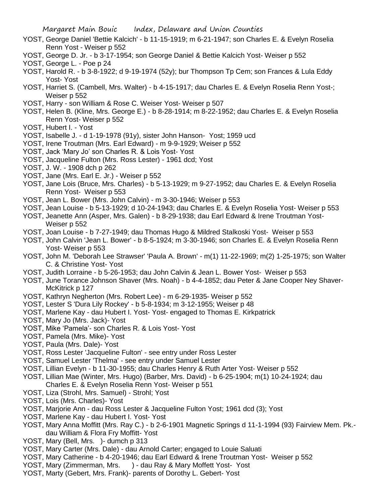- YOST, George Daniel 'Bettie Kalcich' b 11-15-1919; m 6-21-1947; son Charles E. & Evelyn Roselia Renn Yost - Weiser p 552
- YOST, George D. Jr. b 3-17-1954; son George Daniel & Bettie Kalcich Yost- Weiser p 552
- YOST, George L. Poe p 24
- YOST, Harold R. b 3-8-1922; d 9-19-1974 (52y); bur Thompson Tp Cem; son Frances & Lula Eddy Yost- Yost
- YOST, Harriet S. (Cambell, Mrs. Walter) b 4-15-1917; dau Charles E. & Evelyn Roselia Renn Yost-; Weiser p 552
- YOST, Harry son William & Rose C. Weiser Yost- Weiser p 507
- YOST, Helen B. (Kline, Mrs. George E.) b 8-28-1914; m 8-22-1952; dau Charles E. & Evelyn Roselia Renn Yost- Weiser p 552
- YOST, Hubert I. Yost
- YOST, Isabelle J. d 1-19-1978 (91y), sister John Hanson- Yost; 1959 ucd
- YOST, Irene Troutman (Mrs. Earl Edward) m 9-9-1929; Weiser p 552
- YOST, Jack 'Mary Jo' son Charles R. & Lois Yost- Yost
- YOST, Jacqueline Fulton (Mrs. Ross Lester) 1961 dcd; Yost
- YOST, J. W. 1908 dch p 262
- YOST, Jane (Mrs. Earl E. Jr.) Weiser p 552
- YOST, Jane Lois (Bruce, Mrs. Charles) b 5-13-1929; m 9-27-1952; dau Charles E. & Evelyn Roselia Renn Yost- Weiser p 553
- YOST, Jean L. Bower (Mrs. John Calvin) m 3-30-1946; Weiser p 553
- YOST, Jean Louise b 5-13-1929; d 10-24-1943; dau Charles E. & Evelyn Roselia Yost- Weiser p 553
- YOST, Jeanette Ann (Asper, Mrs. Galen) b 8-29-1938; dau Earl Edward & Irene Troutman Yost-Weiser p 552
- YOST, Joan Louise b 7-27-1949; dau Thomas Hugo & Mildred Stalkoski Yost- Weiser p 553
- YOST, John Calvin 'Jean L. Bower' b 8-5-1924; m 3-30-1946; son Charles E. & Evelyn Roselia Renn Yost- Weiser p 553
- YOST, John M. 'Deborah Lee Strawser' 'Paula A. Brown' m(1) 11-22-1969; m(2) 1-25-1975; son Walter C. & Christine Yost- Yost
- YOST, Judith Lorraine b 5-26-1953; dau John Calvin & Jean L. Bower Yost- Weiser p 553
- YOST, June Torance Johnson Shaver (Mrs. Noah) b 4-4-1852; dau Peter & Jane Cooper Ney Shaver-McKitrick p 127
- YOST, Kathryn Negherton (Mrs. Robert Lee) m 6-29-1935- Weiser p 552
- YOST, Lester S 'Dura Lily Rockey' b 5-8-1934; m 3-12-1955; Weiser p 48
- YOST, Marlene Kay dau Hubert I. Yost- Yost- engaged to Thomas E. Kirkpatrick
- YOST, Mary Jo (Mrs. Jack)- Yost
- YOST, Mike 'Pamela'- son Charles R. & Lois Yost- Yost
- YOST, Pamela (Mrs. Mike)- Yost
- YOST, Paula (Mrs. Dale)- Yost
- YOST, Ross Lester 'Jacqueline Fulton' see entry under Ross Lester
- YOST, Samuel Lester 'Thelma' see entry under Samuel Lester
- YOST, Lillian Evelyn b 11-30-1955; dau Charles Henry & Ruth Arter Yost- Weiser p 552
- YOST, Lillian Mae (Winter, Mrs. Hugo) (Barber, Mrs. David) b 6-25-1904; m(1) 10-24-1924; dau Charles E. & Evelyn Roselia Renn Yost- Weiser p 551
- YOST, Liza (Strohl, Mrs. Samuel) Strohl; Yost
- YOST, Lois (Mrs. Charles)- Yost
- YOST, Marjorie Ann dau Ross Lester & Jacqueline Fulton Yost; 1961 dcd (3); Yost
- YOST, Marlene Kay dau Hubert I. Yost- Yost
- YOST, Mary Anna Moffitt (Mrs. Ray C.) b 2-6-1901 Magnetic Springs d 11-1-1994 (93) Fairview Mem. Pk. dau William & Flora Fry Moffitt- Yost
- YOST, Mary (Bell, Mrs. )- dumch p 313
- YOST, Mary Carter (Mrs. Dale) dau Arnold Carter; engaged to Louie Saluati
- YOST, Mary Catherine b 4-20-1946; dau Earl Edward & Irene Troutman Yost- Weiser p 552
- YOST, Mary (Zimmerman, Mrs. ) dau Ray & Mary Moffett Yost-Yost
- YOST, Marty (Gebert, Mrs. Frank)- parents of Dorothy L. Gebert- Yost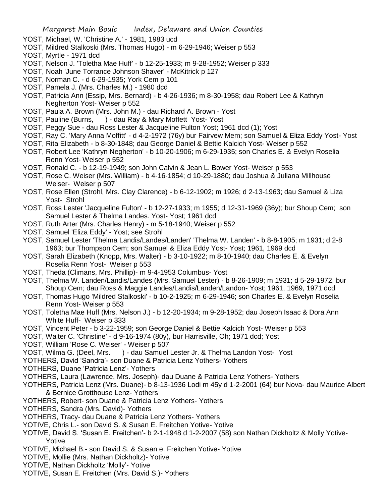- YOST, Michael, W. 'Christine A.' 1981, 1983 ucd
- YOST, Mildred Stalkoski (Mrs. Thomas Hugo) m 6-29-1946; Weiser p 553
- YOST, Myrtle 1971 dcd
- YOST, Nelson J. 'Toletha Mae Huff' b 12-25-1933; m 9-28-1952; Weiser p 333
- YOST, Noah 'June Torrance Johnson Shaver' McKitrick p 127
- YOST, Norman C. d 6-29-1935; York Cem p 101
- YOST, Pamela J. (Mrs. Charles M.) 1980 dcd
- YOST, Patricia Ann (Essip, Mrs. Bernard) b 4-26-1936; m 8-30-1958; dau Robert Lee & Kathryn Negherton Yost- Weiser p 552
- YOST, Paula A. Brown (Mrs. John M.) dau Richard A. Brown Yost
- YOST, Pauline (Burns, ) dau Ray & Mary Moffett Yost-Yost
- YOST, Peggy Sue dau Ross Lester & Jacqueline Fulton Yost; 1961 dcd (1); Yost
- YOST, Ray C. 'Mary Anna Moffitt' d 4-2-1972 (76y) bur Fairvew Mem; son Samuel & Eliza Eddy Yost- Yost
- YOST, Rita Elizabeth b 8-30-1848; dau George Daniel & Bettie Kalcich Yost- Weiser p 552
- YOST, Robert Lee 'Kathryn Negherton' b 10-20-1906; m 6-29-1935; son Charles E. & Evelyn Roselia Renn Yost- Weiser p 552
- YOST, Ronald C. b 12-19-1949; son John Calvin & Jean L. Bower Yost- Weiser p 553
- YOST, Rose C. Weiser (Mrs. William) b 4-16-1854; d 10-29-1880; dau Joshua & Juliana Millhouse Weiser- Weiser p 507
- YOST, Rose Ellen (Strohl, Mrs. Clay Clarence) b 6-12-1902; m 1926; d 2-13-1963; dau Samuel & Liza Yost- Strohl
- YOST, Ross Lester 'Jacqueline Fulton' b 12-27-1933; m 1955; d 12-31-1969 (36y); bur Shoup Cem; son Samuel Lester & Thelma Landes. Yost- Yost; 1961 dcd
- YOST, Ruth Arter (Mrs. Charles Henry) m 5-18-1940; Weiser p 552
- YOST, Samuel 'Eliza Eddy' Yost; see Strohl
- YOST, Samuel Lester 'Thelma Landis/Landes/Landen' 'Thelma W. Landen' b 8-8-1905; m 1931; d 2-8 1963; bur Thompson Cem; son Samuel & Eliza Eddy Yost- Yost; 1961, 1969 dcd
- YOST, Sarah Elizabeth (Knopp, Mrs. Walter) b 3-10-1922; m 8-10-1940; dau Charles E. & Evelyn Roselia Renn Yost- Weiser p 553
- YOST, Theda (Climans, Mrs. Phillip)- m 9-4-1953 Columbus- Yost
- YOST, Thelma W. Landen/Landis/Landes (Mrs. Samuel Lester) b 8-26-1909; m 1931; d 5-29-1972, bur Shoup Cem; dau Ross & Maggie Landes/Landis/Landen/Landon- Yost; 1961, 1969, 1971 dcd
- YOST, Thomas Hugo 'Mildred Stalkoski' b 10-2-1925; m 6-29-1946; son Charles E. & Evelyn Roselia Renn Yost- Weiser p 553
- YOST, Toletha Mae Huff (Mrs. Nelson J.) b 12-20-1934; m 9-28-1952; dau Joseph Isaac & Dora Ann White Huff- Weiser p 333
- YOST, Vincent Peter b 3-22-1959; son George Daniel & Bettie Kalcich Yost- Weiser p 553
- YOST, Walter C. 'Christine' d 9-16-1974 (80y), bur Harrisville, Oh; 1971 dcd; Yost
- YOST, William 'Rose C. Weiser' Weiser p 507
- YOST, Wilma G. (Deel, Mrs. ) dau Samuel Lester Jr. & Thelma Landon Yost-Yost
- YOTHERS, David 'Sandra'- son Duane & Patricia Lenz Yothers- Yothers
- YOTHERS, Duane 'Patricia Lenz'- Yothers
- YOTHERS, Laura (Lawrence, Mrs. Joseph)- dau Duane & Patricia Lenz Yothers- Yothers
- YOTHERS, Patricia Lenz (Mrs. Duane)- b 8-13-1936 Lodi m 45y d 1-2-2001 (64) bur Nova- dau Maurice Albert & Bernice Grotthouse Lenz- Yothers
- YOTHERS, Robert- son Duane & Patricia Lenz Yothers- Yothers
- YOTHERS, Sandra (Mrs. David)- Yothers
- YOTHERS, Tracy- dau Duane & Patricia Lenz Yothers- Yothers
- YOTIVE, Chris L.- son David S. & Susan E. Freitchen Yotive- Yotive
- YOTIVE, David S. 'Susan E. Freitchen'- b 2-1-1948 d 1-2-2007 (58) son Nathan Dickholtz & Molly Yotive-Yotive
- YOTIVE, Michael B.- son David S. & Susan e. Freitchen Yotive- Yotive
- YOTIVE, Mollie (Mrs. Nathan Dickholtz)- Yotive
- YOTIVE, Nathan Dickholtz 'Molly'- Yotive
- YOTIVE, Susan E. Freitchen (Mrs. David S.)- Yothers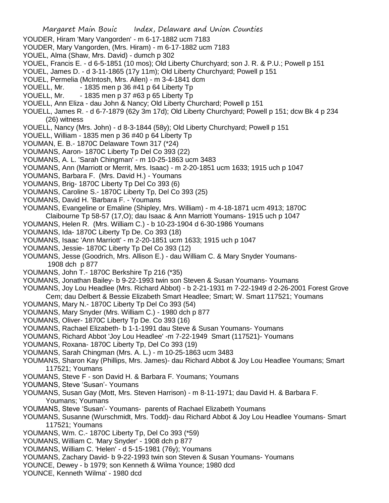- Margaret Main Bouic Index, Delaware and Union Counties YOUDER, Hiram 'Mary Vangorden' - m 6-17-1882 ucm 7183 YOUDER, Mary Vangorden, (Mrs. Hiram) - m 6-17-1882 ucm 7183 YOUEL, Alma (Shaw, Mrs. David) - dumch p 302 YOUEL, Francis E. - d 6-5-1851 (10 mos); Old Liberty Churchyard; son J. R. & P.U.; Powell p 151 YOUEL, James D. - d 3-11-1865 (17y 11m); Old Liberty Churchyard; Powell p 151 YOUEL, Permelia (McIntosh, Mrs. Allen) - m 3-4-1841 dcm YOUELL, Mr.  $-1835$  men p 36 #41 p 64 Liberty Tp YOUELL, Mr.  $-1835$  men p 37 #63 p 65 Liberty Tp YOUELL, Ann Eliza - dau John & Nancy; Old Liberty Churchard; Powell p 151 YOUELL, James R. - d 6-7-1879 (62y 3m 17d); Old Liberty Churchyard; Powell p 151; dcw Bk 4 p 234 (26) witness YOUELL, Nancy (Mrs. John) - d 8-3-1844 (58y); Old Liberty Churchyard; Powell p 151 YOUELL, William - 1835 men p 36 #40 p 64 Liberty Tp YOUMAN, E. B.- 1870C Delaware Town 317 (\*24) YOUMANS, Aaron- 1870C Liberty Tp Del Co 393 (22) YOUMANS, A. L. 'Sarah Chingman' - m 10-25-1863 ucm 3483 YOUMANS, Ann (Marriott or Merrit, Mrs. Isaac) - m 2-20-1851 ucm 1633; 1915 uch p 1047 YOUMANS, Barbara F. (Mrs. David H.) - Youmans YOUMANS, Brig- 1870C Liberty Tp Del Co 393 (6) YOUMANS, Caroline S.- 1870C Liberty Tp, Del Co 393 (25) YOUMANS, David H. 'Barbara F. - Youmans YOUMANS, Evangeline or Emaline (Shipley, Mrs. William) - m 4-18-1871 ucm 4913; 1870C Claibourne Tp 58-57 (17,O); dau Isaac & Ann Marriott Youmans- 1915 uch p 1047 YOUMANS, Helen R. (Mrs. William C.) - b 10-23-1904 d 6-30-1986 Youmans YOUMANS, Ida- 1870C Liberty Tp De. Co 393 (18) YOUMANS, Isaac 'Ann Marriott' - m 2-20-1851 ucm 1633; 1915 uch p 1047 YOUMANS, Jessie- 1870C Liberty Tp Del Co 393 (12) YOUMANS, Jesse (Goodrich, Mrs. Allison E.) - dau William C. & Mary Snyder Youmans-1908 dch p 877 YOUMANS, John T.- 1870C Berkshire Tp 216 (\*35) YOUMANS, Jonathan Bailey- b 9-22-1993 twin son Steven & Susan Youmans- Youmans YOUMANS, Joy Lou Headlee (Mrs. Richard Abbot) - b 2-21-1931 m 7-22-1949 d 2-26-2001 Forest Grove Cem; dau Delbert & Bessie Elizabeth Smart Headlee; Smart; W. Smart 117521; Youmans YOUMANS, Mary N.- 1870C Liberty Tp Del Co 393 (54) YOUMANS, Mary Snyder (Mrs. William C.) - 1980 dch p 877 YOUMANS, Oliver- 1870C Liberty Tp De. Co 393 (16) YOUMANS, Rachael Elizabeth- b 1-1-1991 dau Steve & Susan Youmans- Youmans YOUMANS, Richard Abbot 'Joy Lou Headlee' -m 7-22-1949 Smart (117521)- Youmans YOUMANS, Roxana- 1870C Liberty Tp, Del Co 393 (19) YOUMANS, Sarah Chingman (Mrs. A. L.) - m 10-25-1863 ucm 3483 YOUMANS, Sharon Kay (Phillips, Mrs. James)- dau Richard Abbot & Joy Lou Headlee Youmans; Smart 117521; Youmans YOUMANS, Steve F - son David H. & Barbara F. Youmans; Youmans YOUMANS, Steve 'Susan'- Youmans YOUMANS, Susan Gay (Mott, Mrs. Steven Harrison) - m 8-11-1971; dau David H. & Barbara F. Youmans; Youmans YOUMANS, Steve 'Susan'- Youmans- parents of Rachael Elizabeth Youmans YOUMANS, Susanne (Wurschmidt, Mrs. Todd)- dau Richard Abbot & Joy Lou Headlee Youmans- Smart 117521; Youmans YOUMANS, Wm. C.- 1870C Liberty Tp, Del Co 393 (\*59) YOUMANS, William C. 'Mary Snyder' - 1908 dch p 877 YOUMANS, William C. 'Helen' - d 5-15-1981 (76y); Youmans
- YOUMANS, Zachary David- b 9-22-1993 twin son Steven & Susan Youmans- Youmans
- YOUNCE, Dewey b 1979; son Kenneth & Wilma Younce; 1980 dcd
- YOUNCE, Kenneth 'Wilma' 1980 dcd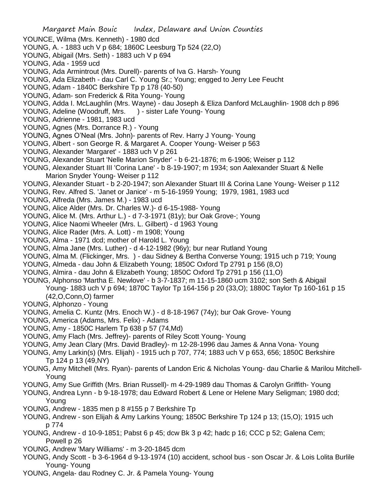YOUNCE, Wilma (Mrs. Kenneth) - 1980 dcd YOUNG, A. - 1883 uch V p 684; 1860C Leesburg Tp 524 (22,O) YOUNG, Abigail (Mrs. Seth) - 1883 uch V p 694 YOUNG, Ada - 1959 ucd YOUNG, Ada Armintrout (Mrs. Durell)- parents of Iva G. Harsh- Young YOUNG, Ada Elizabeth - dau Carl C. Young Sr.; Young; engged to Jerry Lee Feucht YOUNG, Adam - 1840C Berkshire Tp p 178 (40-50) YOUNG, Adam- son Frederick & Rita Young- Young YOUNG, Adda I. McLaughlin (Mrs. Wayne) - dau Joseph & Eliza Danford McLaughlin- 1908 dch p 896 YOUNG, Adeline (Woodruff, Mrs. ) - sister Lafe Young- Young YOUNG, Adrienne - 1981, 1983 ucd YOUNG, Agnes (Mrs. Dorrance R.) - Young YOUNG, Agnes O'Neal (Mrs. John)- parents of Rev. Harry J Young- Young YOUNG, Albert - son George R. & Margaret A. Cooper Young- Weiser p 563 YOUNG, Alexander 'Margaret' - 1883 uch V p 261 YOUNG, Alexander Stuart 'Nelle Marion Snyder' - b 6-21-1876; m 6-1906; Weiser p 112 YOUNG, Alexander Stuart III 'Corina Lane' - b 8-19-1907; m 1934; son Aalexander Stuart & Nelle Marion Snyder Young- Weiser p 112 YOUNG, Alexander Stuart - b 2-20-1947; son Alexander Stuart III & Corina Lane Young- Weiser p 112 YOUNG, Rev. Alfred S. 'Janet or Janice' - m 5-16-1959 Young; 1979, 1981, 1983 ucd YOUNG, Alfreda (Mrs. James M.) - 1983 ucd YOUNG, Alice Alder (Mrs. Dr. Charles W.)- d 6-15-1988- Young YOUNG, Alice M. (Mrs. Arthur L.) - d 7-3-1971 (81y); bur Oak Grove-; Young YOUNG, Alice Naomi Wheeler (Mrs. L. Gilbert) - d 1963 Young YOUNG, Alice Rader (Mrs. A. Lott) - m 1908; Young YOUNG, Alma - 1971 dcd; mother of Harold L. Young YOUNG, Alma Jane (Mrs. Luther) - d 4-12-1982 (96y); bur near Rutland Young YOUNG, Alma M. (Flickinger, Mrs. ) - dau Sidney & Bertha Converse Young; 1915 uch p 719; Young YOUNG, Almeda - dau John & Elizabeth Young; 1850C Oxford Tp 2791 p 156 (8,O) YOUNG, Almira - dau John & Elizabeth Young; 1850C Oxford Tp 2791 p 156 (11,O) YOUNG, Alphonso 'Martha E. Newlove' - b 3-7-1837; m 11-15-1860 ucm 3102; son Seth & Abigail Young- 1883 uch V p 694; 1870C Taylor Tp 164-156 p 20 (33,O); 1880C Taylor Tp 160-161 p 15 (42,O,Conn,O) farmer YOUNG, Alphonzo - Young YOUNG, Amelia C. Kuntz (Mrs. Enoch W.) - d 8-18-1967 (74y); bur Oak Grove- Young YOUNG, America (Adams, Mrs. Felix) - Adams YOUNG, Amy - 1850C Harlem Tp 638 p 57 (74,Md) YOUNG, Amy Flach (Mrs. Jeffrey)- parents of Riley Scott Young- Young YOUNG, Amy Jean Clary (Mrs. David Bradley)- m 12-28-1996 dau James & Anna Vona- Young YOUNG, Amy Larkin(s) (Mrs. Elijah) - 1915 uch p 707, 774; 1883 uch V p 653, 656; 1850C Berkshire Tp 124 p 13 (49,NY) YOUNG, Amy Mitchell (Mrs. Ryan)- parents of Landon Eric & Nicholas Young- dau Charlie & Marilou Mitchell-Young YOUNG, Amy Sue Griffith (Mrs. Brian Russell)- m 4-29-1989 dau Thomas & Carolyn Griffith- Young YOUNG, Andrea Lynn - b 9-18-1978; dau Edward Robert & Lene or Helene Mary Seligman; 1980 dcd; Young YOUNG, Andrew - 1835 men p 8 #155 p 7 Berkshire Tp YOUNG, Andrew - son Elijah & Amy Larkins Young; 1850C Berkshire Tp 124 p 13; (15,O); 1915 uch p 774 YOUNG, Andrew - d 10-9-1851; Pabst 6 p 45; dcw Bk 3 p 42; hadc p 16; CCC p 52; Galena Cem; Powell p 26 YOUNG, Andrew 'Mary Williams' - m 3-20-1845 dcm

Margaret Main Bouic Index, Delaware and Union Counties

- YOUNG, Andy Scott b 3-6-1964 d 9-13-1974 (10) accident, school bus son Oscar Jr. & Lois Lolita Burlile Young- Young
- YOUNG, Angela- dau Rodney C. Jr. & Pamela Young- Young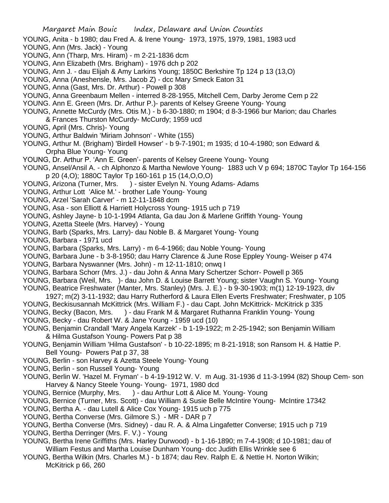- YOUNG, Anita b 1980; dau Fred A. & Irene Young- 1973, 1975, 1979, 1981, 1983 ucd
- YOUNG, Ann (Mrs. Jack) Young
- YOUNG, Ann (Tharp, Mrs. Hiram) m 2-21-1836 dcm
- YOUNG, Ann Elizabeth (Mrs. Brigham) 1976 dch p 202
- YOUNG, Ann J. dau Elijah & Amy Larkins Young; 1850C Berkshire Tp 124 p 13 (13,O)
- YOUNG, Anna (Aneshensle, Mrs. Jacob Z) dcc Mary Smeck Eaton 31
- YOUNG, Anna (Gast, Mrs. Dr. Arthur) Powell p 308
- YOUNG, Anna Greenbaum Mellen interred 8-28-1955, Mitchell Cem, Darby Jerome Cem p 22
- YOUNG. Ann E. Green (Mrs. Dr. Arthur P.)- parents of Kelsey Greene Young- Young
- YOUNG, Annette McCurdy (Mrs. Otis M.) b 6-30-1880; m 1904; d 8-3-1966 bur Marion; dau Charles & Frances Thurston McCurdy- McCurdy; 1959 ucd
- YOUNG, April (Mrs. Chris)- Young
- YOUNG, Arthur Baldwin 'Miriam Johnson' White (155)
- YOUNG, Arthur M. (Brigham) 'Birdell Howser' b 9-7-1901; m 1935; d 10-4-1980; son Edward & Orpha Blue Young- Young
- YOUNG, Dr. Arthur P. 'Ann E. Green'- parents of Kelsey Greene Young- Young
- YOUNG, Ansel/Ansil A. ch Alphonzo & Martha Newlove Young- 1883 uch V p 694; 1870C Taylor Tp 164-156 p 20 (4,O); 1880C Taylor Tp 160-161 p 15 (14,O,O,O)
- YOUNG, Arizona (Turner, Mrs. ) sister Evelyn N. Young Adams- Adams
- YOUNG, Arthur Lott 'Alice M.' brother Lafe Young- Young
- YOUNG, Arzel 'Sarah Carver' m 12-11-1848 dcm
- YOUNG, Asa son Elliott & Harriett Holycross Young- 1915 uch p 719
- YOUNG, Ashley Jayne- b 10-1-1994 Atlanta, Ga dau Jon & Marlene Griffith Young- Young
- YOUNG, Azetta Steele (Mrs. Harvey) Young
- YOUNG, Barb (Sparks, Mrs. Larry)- dau Noble B. & Margaret Young- Young
- YOUNG, Barbara 1971 ucd
- YOUNG, Barbara (Sparks, Mrs. Larry) m 6-4-1966; dau Noble Young- Young
- YOUNG, Barbara June b 3-8-1950; dau Harry Clarence & June Rose Eppley Young- Weiser p 474
- YOUNG, Barbara Nyswanner (Mrs. John) m 12-11-1810; onwq I
- YOUNG, Barbara Schorr (Mrs. J.) dau John & Anna Mary Schertzer Schorr- Powell p 365
- YOUNG, Barbara (Weil, Mrs. )- dau John D. & Louise Barrett Young; sister Vaughn S. Young- Young
- YOUNG, Beatrice Freshwater (Manter, Mrs. Stanley) (Mrs. J. E.) b 9-30-1903; m(1) 12-19-1923, div 1927; m(2) 3-11-1932; dau Harry Rutherford & Laura Ellen Everts Freshwater; Freshwater, p 105
- YOUNG, Beckisusannah McKittrick (Mrs. William F.) dau Capt. John McKittrick- McKitrick p 335
- YOUNG, Becky (Bacon, Mrs. ) dau Frank M & Margaret Ruthanna Franklin Young- Young
- YOUNG, Becky dau Robert W. & Jane Young 1959 ucd (10)
- YOUNG, Benjamin Crandall 'Mary Angela Karzek' b 1-19-1922; m 2-25-1942; son Benjamin William & Hilma Gustafson Young- Powers Pat p 38
- YOUNG, Benjamin William 'Hilma Gustafson' b 10-22-1895; m 8-21-1918; son Ransom H. & Hattie P. Bell Young- Powers Pat p 37, 38
- YOUNG, Berlin son Harvey & Azetta Steele Young- Young
- YOUNG, Berlin son Russell Young- Young
- YOUNG, Berlin W. 'Hazel M. Fryman' b 4-19-1912 W. V. m Aug. 31-1936 d 11-3-1994 (82) Shoup Cem- son Harvey & Nancy Steele Young- Young- 1971, 1980 dcd
- YOUNG, Bernice (Murphy, Mrs. ) dau Arthur Lott & Alice M. Young-Young
- YOUNG, Bernice (Turner, Mrs. Scott) dau William & Susie Belle McIntire Young- McIntire 17342
- YOUNG, Bertha A. dau Lutell & Alice Cox Young- 1915 uch p 775
- YOUNG, Bertha Converse (Mrs. Gilmore S.) MR DAR p 7
- YOUNG, Bertha Converse (Mrs. Sidney) dau R. A. & Alma Lingafetter Converse; 1915 uch p 719
- YOUNG, Bertha Derringer (Mrs. F. V.) Young
- YOUNG, Bertha Irene Griffiths (Mrs. Harley Durwood) b 1-16-1890; m 7-4-1908; d 10-1981; dau of William Festus and Martha Louise Dunham Young- dcc Judith Ellis Wrinkle see 6
- YOUNG, Bertha Wilkin (Mrs. Charles M.) b 1874; dau Rev. Ralph E. & Nettie H. Norton Wilkin; McKitrick p 66, 260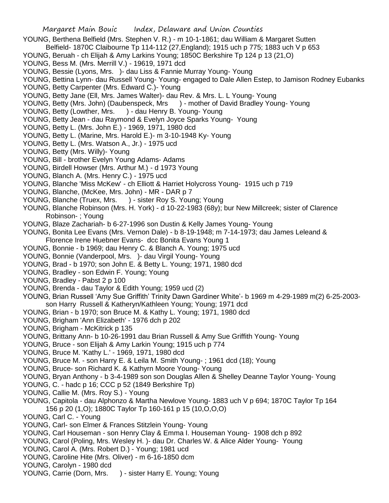- YOUNG, Berthena Belfield (Mrs. Stephen V. R.) m 10-1-1861; dau William & Margaret Sutten
- Belfield- 1870C Claibourne Tp 114-112 (27,England); 1915 uch p 775; 1883 uch V p 653
- YOUNG, Beruah ch Elijah & Amy Larkins Young; 1850C Berkshire Tp 124 p 13 (21,O)
- YOUNG, Bess M. (Mrs. Merrill V.) 19619, 1971 dcd
- YOUNG, Bessie (Lyons, Mrs. )- dau Liss & Fannie Murray Young- Young
- YOUNG, Bettina Lynn- dau Russell Young- Young- engaged to Dale Allen Estep, to Jamison Rodney Eubanks YOUNG, Betty Carpenter (Mrs. Edward C.)- Young
- YOUNG, Betty Jane (Ell, Mrs. James Walter)- dau Rev. & Mrs. L. L Young- Young
- YOUNG, Betty (Mrs. John) (Daubenspeck, Mrs ) mother of David Bradley Young- Young
- YOUNG, Betty (Lowther, Mrs. ) dau Henry B. Young- Young
- YOUNG, Betty Jean dau Raymond & Evelyn Joyce Sparks Young- Young
- YOUNG, Betty L. (Mrs. John E.) 1969, 1971, 1980 dcd
- YOUNG, Betty L. (Marine, Mrs. Harold E.)- m 3-10-1948 Ky- Young
- YOUNG, Betty L. (Mrs. Watson A., Jr.) 1975 ucd
- YOUNG, Betty (Mrs. Willy)- Young
- YOUNG, Bill brother Evelyn Young Adams- Adams
- YOUNG, Birdell Howser (Mrs. Arthur M.) d 1973 Young
- YOUNG, Blanch A. (Mrs. Henry C.) 1975 ucd
- YOUNG, Blanche 'Miss McKew' ch Elliott & Harriet Holycross Young- 1915 uch p 719
- YOUNG, Blanche, (McKee, Mrs. John) MR DAR p 7
- YOUNG, Blanche (Truex, Mrs. ) sister Roy S. Young; Young
- YOUNG, Blanche Robinson (Mrs. H. York) d 10-22-1983 (68y); bur New Millcreek; sister of Clarence Robinson- ; Young
- YOUNG, Blaze Zachariah- b 6-27-1996 son Dustin & Kelly James Young- Young
- YOUNG, Bonita Lee Evans (Mrs. Vernon Dale) b 8-19-1948; m 7-14-1973; dau James Leleand & Florence Irene Huebner Evans- dcc Bonita Evans Young 1
- YOUNG, Bonnie b 1969; dau Henry C. & Blanch A. Young; 1975 ucd
- YOUNG, Bonnie (Vanderpool, Mrs. )- dau Virgil Young- Young
- YOUNG, Brad b 1970; son John E. & Betty L. Young; 1971, 1980 dcd
- YOUNG, Bradley son Edwin F. Young; Young
- YOUNG, Bradley Pabst 2 p 100
- YOUNG, Brenda dau Taylor & Edith Young; 1959 ucd (2)
- YOUNG, Brian Russell 'Amy Sue Griffith' Trinity Dawn Gardiner White'- b 1969 m 4-29-1989 m(2) 6-25-2003 son Harry Russell & Katheryn/Kathleen Young; Young; 1971 dcd
- YOUNG, Brian b 1970; son Bruce M. & Kathy L. Young; 1971, 1980 dcd
- YOUNG, Brigham 'Ann Elizabeth' 1976 dch p 202
- YOUNG, Brigham McKitrick p 135
- YOUNG, Brittany Ann- b 10-26-1991 dau Brian Russell & Amy Sue Griffith Young- Young
- YOUNG, Bruce son Elijah & Amy Larkin Young; 1915 uch p 774
- YOUNG, Bruce M. 'Kathy L.' 1969, 1971, 1980 dcd
- YOUNG, Bruce M. son Harry E. & Leila M. Smith Young- ; 1961 dcd (18); Young
- YOUNG, Bruce- son Richard K. & Kathyrn Moore Young- Young
- YOUNG, Bryan Anthony b 3-4-1989 son son Douglas Allen & Shelley Deanne Taylor Young- Young
- YOUNG, C. hadc p 16; CCC p 52 (1849 Berkshire Tp)
- YOUNG, Callie M. (Mrs. Roy S.) Young
- YOUNG, Capitola dau Alphonzo & Martha Newlove Young- 1883 uch V p 694; 1870C Taylor Tp 164 156 p 20 (1,O); 1880C Taylor Tp 160-161 p 15 (10,O,O,O)
- YOUNG, Carl C. Young
- YOUNG, Carl- son Elmer & Frances Stitzlein Young- Young
- YOUNG, Carl Houseman son Henry Clay & Emma I. Houseman Young- 1908 dch p 892
- YOUNG, Carol (Poling, Mrs. Wesley H. )- dau Dr. Charles W. & Alice Alder Young- Young
- YOUNG, Carol A. (Mrs. Robert D.) Young; 1981 ucd
- YOUNG, Caroline Hite (Mrs. Oliver) m 6-16-1850 dcm
- YOUNG, Carolyn 1980 dcd
- YOUNG, Carrie (Dorn, Mrs. ) sister Harry E. Young; Young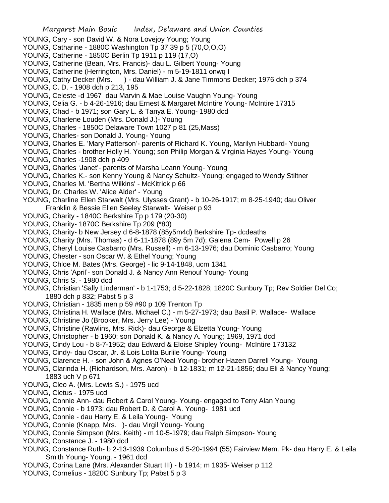- YOUNG, Cary son David W. & Nora Lovejoy Young; Young
- YOUNG, Catharine 1880C Washington Tp 37 39 p 5 (70,O,O,O)
- YOUNG, Catherine 1850C Berlin Tp 1911 p 119 (17,O)
- YOUNG, Catherine (Bean, Mrs. Francis)- dau L. Gilbert Young- Young
- YOUNG, Catherine (Herrington, Mrs. Daniel) m 5-19-1811 onwq I
- YOUNG, Cathy Decker (Mrs. ) dau William J. & Jane Timmons Decker; 1976 dch p 374
- YOUNG, C. D. 1908 dch p 213, 195
- YOUNG, Celeste -d 1967 dau Marvin & Mae Louise Vaughn Young- Young
- YOUNG, Celia G. b 4-26-1916; dau Ernest & Margaret McIntire Young- McIntire 17315
- YOUNG, Chad b 1971; son Gary L. & Tanya E. Young- 1980 dcd
- YOUNG, Charlene Louden (Mrs. Donald J.)- Young
- YOUNG, Charles 1850C Delaware Town 1027 p 81 (25,Mass)
- YOUNG, Charles- son Donald J. Young- Young
- YOUNG, Charles E. 'Mary Patterson'- parents of Richard K. Young, Marilyn Hubbard- Young
- YOUNG, Charles brother Holly H. Young; son Philip Morgan & Virginia Hayes Young- Young YOUNG, Charles -1908 dch p 409
- YOUNG, Charles 'Janet'- parents of Marsha Leann Young- Young
- YOUNG, Charles K.- son Kenny Young & Nancy Schultz- Young; engaged to Wendy Stiltner
- YOUNG, Charles M. 'Bertha Wilkins' McKitrick p 66
- YOUNG, Dr. Charles W. 'Alice Alder' Young
- YOUNG, Charline Ellen Starwalt (Mrs. Ulysses Grant) b 10-26-1917; m 8-25-1940; dau Oliver Franklin & Bessie Ellen Seeley Starwalt- Weiser p 93
- YOUNG, Charity 1840C Berkshire Tp p 179 (20-30)
- YOUNG, Charity- 1870C Berkshire Tp 209 (\*80)
- YOUNG, Charity- b New Jersey d 6-8-1878 (85y5m4d) Berkshire Tp- dcdeaths
- YOUNG, Charity (Mrs. Thomas) d 6-11-1878 (89y 5m 7d); Galena Cem- Powell p 26
- YOUNG, Cheryl Louise Casbarro (Mrs. Russell) m 6-13-1976; dau Dominic Casbarro; Young
- YOUNG, Chester son Oscar W. & Ethel Young; Young
- YOUNG, Chloe M. Bates (Mrs. George) lic 9-14-1848, ucm 1341
- YOUNG, Chris 'April'- son Donald J. & Nancy Ann Renouf Young- Young
- YOUNG, Chris S. 1980 dcd
- YOUNG, Christian 'Sally Linderman' b 1-1753; d 5-22-1828; 1820C Sunbury Tp; Rev Soldier Del Co; 1880 dch p 832; Pabst 5 p 3
- YOUNG, Christian 1835 men p 59 #90 p 109 Trenton Tp
- YOUNG, Christina H. Wallace (Mrs. Michael C.) m 5-27-1973; dau Basil P. Wallace- Wallace
- YOUNG, Christine Jo (Brooker, Mrs. Jerry Lee) Young
- YOUNG, Christine (Rawlins, Mrs. Rick)- dau George & Elzetta Young- Young
- YOUNG, Christopher b 1960; son Donald K. & Nancy A. Young; 1969, 1971 dcd
- YOUNG, Cindy Lou b 8-7-1952; dau Edward & Eloise Shipley Young- McIntire 173132
- YOUNG, Cindy- dau Oscar, Jr. & Lois Lolita Burlile Young- Young
- YOUNG, Clarence H. son John & Agnes O'Neal Young- brother Hazen Darrell Young- Young
- YOUNG, Clarinda H. (Richardson, Mrs. Aaron) b 12-1831; m 12-21-1856; dau Eli & Nancy Young; 1883 uch V p 671
- YOUNG, Cleo A. (Mrs. Lewis S.) 1975 ucd
- YOUNG, Cletus 1975 ucd
- YOUNG, Connie Ann- dau Robert & Carol Young- Young- engaged to Terry Alan Young
- YOUNG, Connie b 1973; dau Robert D. & Carol A. Young- 1981 ucd
- YOUNG, Connie dau Harry E. & Leila Young- Young
- YOUNG, Connie (Knapp, Mrs. )- dau Virgil Young- Young
- YOUNG, Connie Simpson (Mrs. Keith) m 10-5-1979; dau Ralph Simpson- Young
- YOUNG, Constance J. 1980 dcd
- YOUNG, Constance Ruth- b 2-13-1939 Columbus d 5-20-1994 (55) Fairview Mem. Pk- dau Harry E. & Leila Smith Young- Young. - 1961 dcd
- YOUNG, Corina Lane (Mrs. Alexander Stuart III) b 1914; m 1935- Weiser p 112
- YOUNG, Cornelius 1820C Sunbury Tp; Pabst 5 p 3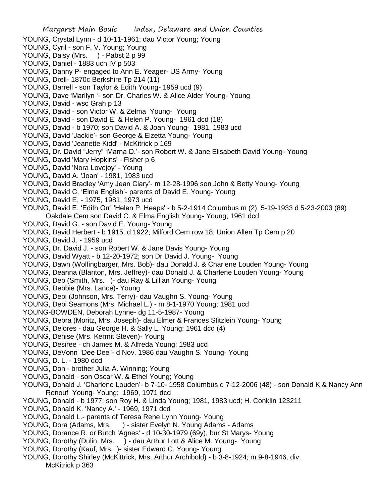Margaret Main Bouic Index, Delaware and Union Counties YOUNG, Crystal Lynn - d 10-11-1961; dau Victor Young; Young YOUNG, Cyril - son F. V. Young; Young YOUNG, Daisy (Mrs. ) - Pabst 2 p 99 YOUNG, Daniel - 1883 uch IV p 503 YOUNG, Danny P- engaged to Ann E. Yeager- US Army- Young YOUNG, Drell- 1870c Berkshire Tp 214 (11) YOUNG, Darrell - son Taylor & Edith Young- 1959 ucd (9) YOUNG, Dave 'Marilyn '- son Dr. Charles W. & Alice Alder Young- Young YOUNG, David - wsc Grah p 13 YOUNG, David - son Victor W. & Zelma Young- Young YOUNG, David - son David E. & Helen P. Young- 1961 dcd (18) YOUNG, David - b 1970; son David A. & Joan Young- 1981, 1983 ucd YOUNG, David 'Jackie'- son George & Elzetta Young- Young YOUNG, David 'Jeanette Kidd' - McKitrick p 169 YOUNG, Dr. David "Jerry" 'Marna D.'- son Robert W. & Jane Elisabeth David Young- Young YOUNG, David 'Mary Hopkins' - Fisher p 6 YOUNG, David 'Nora Lovejoy' - Young YOUNG, David A. 'Joan' - 1981, 1983 ucd YOUNG, David Bradley 'Amy Jean Clary'- m 12-28-1996 son John & Betty Young- Young YOUNG, David C. 'Elma English'- parents of David E. Young- Young YOUNG, David E, - 1975, 1981, 1973 ucd YOUNG, David E. 'Edith Orr' 'Helen P. Heaps' - b 5-2-1914 Columbus m (2) 5-19-1933 d 5-23-2003 (89) Oakdale Cem son David C. & Elma English Young- Young; 1961 dcd YOUNG, David G. - son David E. Young- Young YOUNG, David Herbert - b 1915; d 1922; Milford Cem row 18; Union Allen Tp Cem p 20 YOUNG, David J. - 1959 ucd YOUNG, Dr. David J. - son Robert W. & Jane Davis Young- Young YOUNG, David Wyatt - b 12-20-1972; son Dr David J. Young- Young YOUNG, Dawn (Wolfingbarger, Mrs. Bob)- dau Donald J. & Charlene Louden Young- Young YOUNG, Deanna (Blanton, Mrs. Jeffrey)- dau Donald J. & Charlene Louden Young- Young YOUNG, Deb (Smith, Mrs. )- dau Ray & Lillian Young- Young YOUNG, Debbie (Mrs. Lance)- Young YOUNG, Debi (Johnson, Mrs. Terry)- dau Vaughn S. Young- Young YOUNG, Debi Seamons (Mrs. Michael L.) - m 8-1-1970 Young; 1981 ucd YOUNG-BOWDEN, Deborah Lynne- dg 11-5-1987- Young YOUNG, Debra (Moritz, Mrs. Joseph)- dau Elmer & Frances Stitzlein Young- Young YOUNG, Delores - dau George H. & Sally L. Young; 1961 dcd (4) YOUNG, Denise (Mrs. Kermit Steven)- Young YOUNG, Desiree - ch James M. & Alfreda Young; 1983 ucd YOUNG, DeVonn "Dee Dee"- d Nov. 1986 dau Vaughn S. Young- Young YOUNG, D. L. - 1980 dcd YOUNG, Don - brother Julia A. Winning; Young YOUNG, Donald - son Oscar W. & Ethel Young; Young YOUNG, Donald J. 'Charlene Louden'- b 7-10- 1958 Columbus d 7-12-2006 (48) - son Donald K & Nancy Ann Renouf Young- Young; 1969, 1971 dcd YOUNG, Donald - b 1977; son Roy H. & Linda Young; 1981, 1983 ucd; H. Conklin 123211 YOUNG, Donald K. 'Nancy A.' - 1969, 1971 dcd YOUNG, Donald L.- parents of Teresa Rene Lynn Young- Young YOUNG, Dora (Adams, Mrs. ) - sister Evelyn N. Young Adams - Adams YOUNG, Dorance R. or Butch 'Agnes' - d 10-30-1979 (69y), bur St Marys- Young YOUNG, Dorothy (Dulin, Mrs. ) - dau Arthur Lott & Alice M. Young- Young YOUNG, Dorothy (Kauf, Mrs. )- sister Edward C. Young- Young YOUNG, Dorothy Shirley (McKittrick, Mrs. Arthur Archibold) - b 3-8-1924; m 9-8-1946, div; McKitrick p 363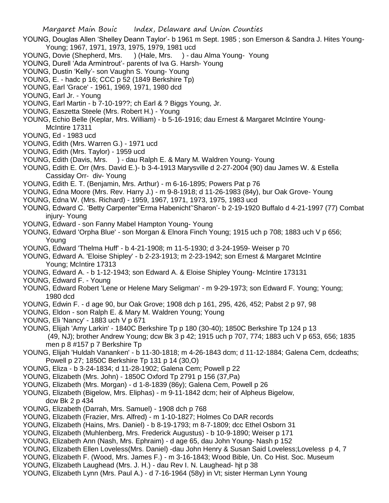- YOUNG, Douglas Allen 'Shelley Deann Taylor'- b 1961 m Sept. 1985 ; son Emerson & Sandra J. Hites Young-Young; 1967, 1971, 1973, 1975, 1979, 1981 ucd
- YOUNG, Dovie (Shepherd, Mrs. ) (Hale, Mrs. ) dau Alma Young- Young
- YOUNG, Durell 'Ada Armintrout'- parents of Iva G. Harsh- Young
- YOUNG, Dustin 'Kelly'- son Vaughn S. Young- Young
- YOUNG, E. hadc p 16; CCC p 52 (1849 Berkshire Tp)
- YOUNG, Earl 'Grace' 1961, 1969, 1971, 1980 dcd
- YOUNG, Earl Jr. Young
- YOUNG, Earl Martin b 7-10-19??; ch Earl & ? Biggs Young, Jr.
- YOUNG, Easzetta Steele (Mrs. Robert H.) Young
- YOUNG, Echio Belle (Keplar, Mrs. William) b 5-16-1916; dau Ernest & Margaret McIntire Young-McIntire 17311
- YOUNG, Ed 1983 ucd
- YOUNG, Edith (Mrs. Warren G.) 1971 ucd
- YOUNG, Edith (Mrs. Taylor) 1959 ucd
- YOUNG, Edith (Davis, Mrs. ) dau Ralph E. & Mary M. Waldren Young- Young
- YOUNG, Edith E. Orr (Mrs. David E.)- b 3-4-1913 Marysville d 2-27-2004 (90) dau James W. & Estella Cassiday Orr- div- Young
- YOUNG, Edith E. T. (Benjamin, Mrs. Arthur) m 6-16-1895; Powers Pat p 76
- YOUNG, Edna Moore (Mrs. Rev. Harry J.) m 9-8-1918; d 11-26-1983 (84y), bur Oak Grove- Young
- YOUNG, Edna W. (Mrs. Richard) 1959, 1967, 1971, 1973, 1975, 1983 ucd
- YOUNG, Edward C. 'Betty Carpenter''Erma Habenicht''Sharon'- b 2-19-1920 Buffalo d 4-21-1997 (77) Combat injury- Young
- YOUNG, Edward son Fanny Mabel Hampton Young- Young
- YOUNG, Edward 'Orpha Blue' son Morgan & Elnora Finch Young; 1915 uch p 708; 1883 uch V p 656; Young
- YOUNG, Edward 'Thelma Huff' b 4-21-1908; m 11-5-1930; d 3-24-1959- Weiser p 70
- YOUNG, Edward A. 'Eloise Shipley' b 2-23-1913; m 2-23-1942; son Ernest & Margaret McIntire Young; McIntire 17313
- YOUNG, Edward A. b 1-12-1943; son Edward A. & Eloise Shipley Young- McIntire 173131
- YOUNG, Edward F. Young
- YOUNG, Edward Robert 'Lene or Helene Mary Seligman' m 9-29-1973; son Edward F. Young; Young; 1980 dcd
- YOUNG, Edwin F. d age 90, bur Oak Grove; 1908 dch p 161, 295, 426, 452; Pabst 2 p 97, 98
- YOUNG, Eldon son Ralph E. & Mary M. Waldren Young; Young
- YOUNG, Eli 'Nancy' 1883 uch V p 671
- YOUNG, Elijah 'Amy Larkin' 1840C Berkshire Tp p 180 (30-40); 1850C Berkshire Tp 124 p 13 (49, NJ); brother Andrew Young; dcw Bk 3 p 42; 1915 uch p 707, 774; 1883 uch V p 653, 656; 1835 men p 8 #157 p 7 Berkshire Tp
- YOUNG, Elijah 'Huldah Vananken' b 11-30-1818; m 4-26-1843 dcm; d 11-12-1884; Galena Cem, dcdeaths; Powell p 27; 1850C Berkshire Tp 131 p 14 (30,O)
- YOUNG, Eliza b 3-24-1834; d 11-28-1902; Galena Cem; Powell p 22
- YOUNG, Elizabeth (Mrs. John) 1850C Oxford Tp 2791 p 156 (37,Pa)
- YOUNG, Elizabeth (Mrs. Morgan) d 1-8-1839 (86y); Galena Cem, Powell p 26
- YOUNG, Elizabeth (Bigelow, Mrs. Eliphas) m 9-11-1842 dcm; heir of Alpheus Bigelow, dcw Bk 2 p 434
- YOUNG, Elizabeth (Darrah, Mrs. Samuel) 1908 dch p 768
- YOUNG, Elizabeth (Frazier, Mrs. Alfred) m 1-10-1827; Holmes Co DAR records
- YOUNG, Elizabeth (Hains, Mrs. Daniel) b 8-19-1793; m 8-7-1809; dcc Ethel Osborn 31
- YOUNG, Elizabeth (Muhlenberg, Mrs. Frederick Augustus) b 10-9-1890; Weiser p 171
- YOUNG, Elizabeth Ann (Nash, Mrs. Ephraim) d age 65, dau John Young- Nash p 152
- YOUNG, Elizabeth Ellen Loveless(Mrs. Daniel) -dau John Henry & Susan Said Loveless;Loveless p 4, 7
- YOUNG, Elizabeth F. (Wood, Mrs. James F.) m 3-16-1843; Wood Bible, Un. Co Hist. Soc. Museum
- YOUNG, Elizabeth Laughead (Mrs. J. H.) dau Rev I. N. Laughead- hjt p 38
- YOUNG, Elizabeth Lynn (Mrs. Paul A.) d 7-16-1964 (58y) in Vt; sister Herman Lynn Young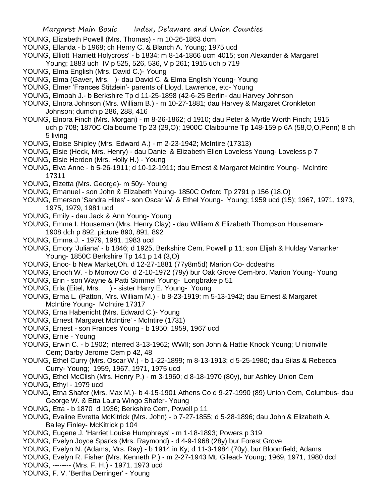- YOUNG, Elizabeth Powell (Mrs. Thomas) m 10-26-1863 dcm
- YOUNG, Ellanda b 1968; ch Henry C. & Blanch A. Young; 1975 ucd
- YOUNG, Elliott 'Harriett Holycross' b 1834; m 8-14-1866 ucm 4015; son Alexander & Margaret Young; 1883 uch IV p 525, 526, 536, V p 261; 1915 uch p 719
- YOUNG, Elma English (Mrs. David C.)- Young
- YOUNG, Elma (Gaver, Mrs. )- dau David C. & Elma English Young- Young
- YOUNG, Elmer 'Frances Stitzlein'- parents of Lloyd, Lawrence, etc- Young
- YOUNG, Elmoah J.- b Berkshire Tp d 11-25-1898 (42-6-25 Berlin- dau Harvey Johnson
- YOUNG, Elnora Johnson (Mrs. William B.) m 10-27-1881; dau Harvey & Margaret Cronkleton Johnson; dumch p 286, 288, 416
- YOUNG, Elnora Finch (Mrs. Morgan) m 8-26-1862; d 1910; dau Peter & Myrtle Worth Finch; 1915 uch p 708; 1870C Claibourne Tp 23 (29,O); 1900C Claibourne Tp 148-159 p 6A (58,O,O,Penn) 8 ch 5 living
- YOUNG, Eloise Shipley (Mrs. Edward A.) m 2-23-1942; McIntire (17313)
- YOUNG, Elsie (Heck, Mrs. Henry) dau Daniel & Elizabeth Ellen Loveless Young- Loveless p 7
- YOUNG, Elsie Herden (Mrs. Holly H.) Young
- YOUNG, Elva Anne b 5-26-1911; d 10-12-1911; dau Ernest & Margaret McIntire Young- McIntire 17311
- YOUNG, Elzetta (Mrs. George)- m 50y- Young
- YOUNG, Emanuel son John & Elizabeth Young- 1850C Oxford Tp 2791 p 156 (18,O)
- YOUNG, Emerson 'Sandra Hites' son Oscar W. & Ethel Young- Young; 1959 ucd (15); 1967, 1971, 1973, 1975, 1979, 1981 ucd
- YOUNG, Emily dau Jack & Ann Young- Young
- YOUNG, Emma I. Houseman (Mrs. Henry Clay) dau William & Elizabeth Thompson Houseman-1908 dch p 892, picture 890, 891, 892
- YOUNG, Emma J. 1979, 1981, 1983 ucd
- YOUNG, Emory 'Juliana' b 1846; d 1925, Berkshire Cem, Powell p 11; son Elijah & Hulday Vananker Young- 1850C Berkshire Tp 141 p 14 (3,O)
- YOUNG, Enoc- b New Market,Oh. d 12-27-1881 (77y8m5d) Marion Co- dcdeaths
- YOUNG, Enoch W. b Morrow Co d 2-10-1972 (79y) bur Oak Grove Cem-bro. Marion Young- Young
- YOUNG, Erin son Wayne & Patti Stimmel Young- Longbrake p 51
- YOUNG, Erla (Eitel, Mrs. ) sister Harry E. Young- Young
- YOUNG, Erma L. (Patton, Mrs. William M.) b 8-23-1919; m 5-13-1942; dau Ernest & Margaret McIntire Young- McIntire 17317
- YOUNG, Erna Habenicht (Mrs. Edward C.)- Young
- YOUNG, Ernest 'Margaret McIntire' McIntire (1731)
- YOUNG, Ernest son Frances Young b 1950; 1959, 1967 ucd
- YOUNG, Ernie Young
- YOUNG, Erwin C. b 1902; interred 3-13-1962; WWII; son John & Hattie Knock Young; U nionville Cem; Darby Jerome Cem p 42, 48
- YOUNG, Ethel Curry (Mrs. Oscar W.) b 1-22-1899; m 8-13-1913; d 5-25-1980; dau Silas & Rebecca Curry- Young; 1959, 1967, 1971, 1975 ucd
- YOUNG, Ethel McClish (Mrs. Henry P.) m 3-1960; d 8-18-1970 (80y), bur Ashley Union Cem

YOUNG, Ethyl - 1979 ucd

- YOUNG, Etna Shafer (Mrs. Max M.)- b 4-15-1901 Athens Co d 9-27-1990 (89) Union Cem, Columbus- dau George W. & Etta Laura Wingo Shafer- Young
- YOUNG, Etta b 1870 d 1936; Berkshire Cem, Powell p 11
- YOUNG, Evaline Evretta McKitrick (Mrs. John) b 7-27-1855; d 5-28-1896; dau John & Elizabeth A. Bailey Finley- McKitrick p 104
- YOUNG, Eugene J. 'Harriet Louise Humphreys' m 1-18-1893; Powers p 319
- YOUNG, Evelyn Joyce Sparks (Mrs. Raymond) d 4-9-1968 (28y) bur Forest Grove
- YOUNG, Evelyn N. (Adams, Mrs. Ray) b 1914 in Ky; d 11-3-1984 (70y), bur Bloomfield; Adams
- YOUNG, Evelyn R. Fisher (Mrs. Kenneth P.) m 2-27-1943 Mt. Gilead- Young; 1969, 1971, 1980 dcd
- YOUNG, -------- (Mrs. F. H.) 1971, 1973 ucd
- YOUNG, F. V. 'Bertha Derringer' Young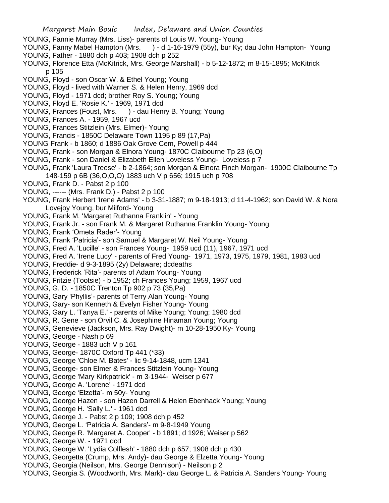- YOUNG, Fannie Murray (Mrs. Liss)- parents of Louis W. Young- Young
- YOUNG, Fanny Mabel Hampton (Mrs. ) d 1-16-1979 (55y), bur Ky; dau John Hampton- Young
- YOUNG, Father 1880 dch p 403; 1908 dch p 252
- YOUNG, Florence Etta (McKitrick, Mrs. George Marshall) b 5-12-1872; m 8-15-1895; McKitrick p 105
- YOUNG, Floyd son Oscar W. & Ethel Young; Young
- YOUNG, Floyd lived with Warner S. & Helen Henry, 1969 dcd
- YOUNG, Floyd 1971 dcd; brother Roy S. Young; Young
- YOUNG, Floyd E. 'Rosie K.' 1969, 1971 dcd
- YOUNG, Frances (Foust, Mrs. ) dau Henry B. Young; Young
- YOUNG, Frances A. 1959, 1967 ucd
- YOUNG, Frances Stitzlein (Mrs. Elmer)- Young
- YOUNG, Francis 1850C Delaware Town 1195 p 89 (17,Pa)
- YOUNG Frank b 1860; d 1886 Oak Grove Cem, Powell p 444
- YOUNG, Frank son Morgan & Elnora Young- 1870C Claibourne Tp 23 (6,O)
- YOUNG, Frank son Daniel & Elizabeth Ellen Loveless Young- Loveless p 7
- YOUNG, Frank 'Laura Treese' b 2-1864; son Morgan & Elnora Finch Morgan- 1900C Claibourne Tp 148-159 p 6B (36,O,O,O) 1883 uch V p 656; 1915 uch p 708
- YOUNG, Frank D. Pabst 2 p 100
- YOUNG, ------ (Mrs. Frank D.) Pabst 2 p 100
- YOUNG, Frank Herbert 'Irene Adams' b 3-31-1887; m 9-18-1913; d 11-4-1962; son David W. & Nora Lovejoy Young, bur Milford- Young
- YOUNG, Frank M. 'Margaret Ruthanna Franklin' Young
- YOUNG, Frank Jr. son Frank M. & Margaret Ruthanna Franklin Young- Young
- YOUNG, Frank 'Ometa Rader'- Young
- YOUNG, Frank 'Patricia'- son Samuel & Margaret W. Neil Young- Young
- YOUNG, Fred A. 'Lucille' son Frances Young- 1959 ucd (11), 1967, 1971 ucd
- YOUNG, Fred A. 'Irene Lucy' parents of Fred Young- 1971, 1973, 1975, 1979, 1981, 1983 ucd
- YOUNG, Freddie- d 9-3-1895 (2y) Delaware; dcdeaths
- YOUNG, Frederick 'Rita'- parents of Adam Young- Young
- YOUNG, Fritzie (Tootsie) b 1952; ch Frances Young; 1959, 1967 ucd
- YOUNG, G. D. 1850C Trenton Tp 902 p 73 (35,Pa)
- YOUNG, Gary 'Phyllis'- parents of Terry Alan Young- Young
- YOUNG, Gary- son Kenneth & Evelyn Fisher Young- Young
- YOUNG, Gary L. 'Tanya E.' parents of Mike Young; Young; 1980 dcd
- YOUNG, R. Gene son Orvil C. & Josephine Hinaman Young; Young
- YOUNG, Genevieve (Jackson, Mrs. Ray Dwight)- m 10-28-1950 Ky- Young
- YOUNG, George Nash p 69
- YOUNG, George 1883 uch V p 161
- YOUNG, George- 1870C Oxford Tp 441 (\*33)
- YOUNG, George 'Chloe M. Bates' lic 9-14-1848, ucm 1341
- YOUNG, George- son Elmer & Frances Stitzlein Young- Young
- YOUNG, George 'Mary Kirkpatrick' m 3-1944- Weiser p 677
- YOUNG, George A. 'Lorene' 1971 dcd
- YOUNG, George 'Elzetta'- m 50y- Young
- YOUNG, George Hazen son Hazen Darrell & Helen Ebenhack Young; Young
- YOUNG, George H. 'Sally L.' 1961 dcd
- YOUNG, George J. Pabst 2 p 109; 1908 dch p 452
- YOUNG, George L. 'Patricia A. Sanders'- m 9-8-1949 Young
- YOUNG, George R. 'Margaret A. Cooper' b 1891; d 1926; Weiser p 562
- YOUNG, George W. 1971 dcd
- YOUNG, George W. 'Lydia Colflesh' 1880 dch p 657; 1908 dch p 430
- YOUNG, Georgetta (Crump, Mrs. Andy)- dau George & Elzetta Young- Young
- YOUNG, Georgia (Neilson, Mrs. George Dennison) Neilson p 2
- YOUNG, Georgia S. (Woodworth, Mrs. Mark)- dau George L. & Patricia A. Sanders Young- Young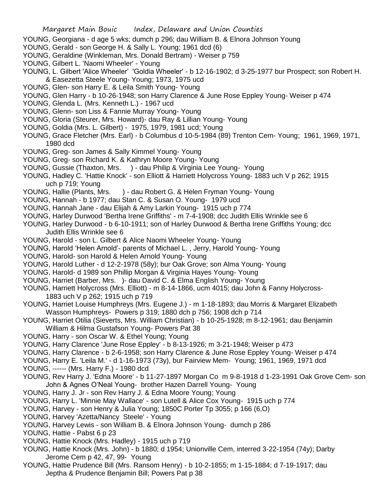- YOUNG, Georgiana d age 5 wks; dumch p 296; dau William B. & Elnora Johnson Young
- YOUNG, Gerald son George H. & Sally L. Young; 1961 dcd (6)
- YOUNG, Geraldine (Winkleman, Mrs. Donald Bertram) Weiser p 759
- YOUNG, Gilbert L. 'Naomi Wheeler' Young
- YOUNG, L. Gilbert 'Alice Wheeler' 'Goldia Wheeler' b 12-16-1902; d 3-25-1977 bur Prospect; son Robert H. & Easezetta Steele Young- Young; 1973, 1975 ucd
- YOUNG, Glen- son Harry E. & Leila Smith Young- Young
- YOUNG, Glen Harry b 10-26-1948; son Harry Clarence & June Rose Eppley Young- Weiser p 474
- YOUNG, Glenda L. (Mrs. Kenneth L.) 1967 ucd
- YOUNG, Glenn- son Liss & Fannie Murray Young- Young
- YOUNG, Gloria (Steurer, Mrs. Howard)- dau Ray & Lillian Young- Young
- YOUNG, Goldia (Mrs. L. Gilbert) 1975, 1979, 1981 ucd; Young
- YOUNG, Grace Fletcher (Mrs. Earl) b Columbus d 10-5-1984 (89) Trenton Cem- Young; 1961, 1969, 1971, 1980 dcd
- YOUNG, Greg- son James & Sally Kimmel Young- Young
- YOUNG, Greg- son Richard K. & Kathryn Moore Young- Young
- YOUNG, Gussie (Thaxton, Mrs. ) dau Philip & Virginia Lee Young-Young
- YOUNG, Hadley C. 'Hattie Knock' son Elliott & Harriett Holycross Young- 1883 uch V p 262; 1915 uch p 719; Young
- YOUNG, Hallie (Plants, Mrs. ) dau Robert G. & Helen Fryman Young- Young
- YOUNG, Hannah b 1977; dau Stan C. & Susan O. Young- 1979 ucd
- YOUNG, Hannah Jane dau Elijah & Amy Larkin Young- 1915 uch p 774
- YOUNG, Harley Durwood 'Bertha Irene Griffiths' m 7-4-1908; dcc Judith Ellis Wrinkle see 6
- YOUNG, Harley Durwood b 6-10-1911; son of Harley Durwood & Bertha Irene Griffiths Young; dcc Judith Ellis Wrinkle see 6
- YOUNG, Harold son L. Gilbert & Alice Naomi Wheeler Young- Young
- YOUNG, Harold 'Helen Arnold'- parents of Michael L. , Jerry, Harold Young- Young
- YOUNG, Harold- son Harold & Helen Arnold Young- Young
- YOUNG, Harold Luther d 12-2-1978 (58y); bur Oak Grove; son Alma Young- Young
- YOUNG, Harold- d 1989 son Phillip Morgan & Virginia Hayes Young- Young
- YOUNG, Harriet (Barber, Mrs. )- dau David C. & Elma English Young- Young
- YOUNG, Harriett Holycross (Mrs. Elliott) m 8-14-1866, ucm 4015; dau John & Fanny Holycross-1883 uch V p 262; 1915 uch p 719
- YOUNG, Harriet Louise Humphreys (Mrs. Eugene J.) m 1-18-1893; dau Morris & Margaret Elizabeth Wasson Humphreys- Powers p 319; 1880 dch p 756; 1908 dch p 714
- YOUNG, Harriet Otilia (Sieverts, Mrs. William Christian) b 10-25-1928; m 8-12-1961; dau Benjamin William & Hilma Gustafson Young- Powers Pat 38
- YOUNG, Harry son Oscar W. & Ethel Young; Young
- YOUNG, Harry Clarence 'June Rose Eppley' b 8-13-1926; m 3-21-1948; Weiser p 473
- YOUNG, Harry Clarence b 2-6-1958; son Harry Clarence & June Rose Eppley Young- Weiser p 474
- YOUNG, Harry E. 'Leila M.' d 1-16-1973 (73y), bur Fairview Mem- Young; 1961, 1969, 1971 dcd YOUNG, ------ (Mrs. Harry F.) - 1980 dcd
- YOUNG, Rev Harry J. 'Edna Moore' b 11-27-1897 Morgan Co m 9-8-1918 d 1-23-1991 Oak Grove Cem- son John & Agnes O'Neal Young- brother Hazen Darrell Young- Young
- YOUNG, Harry J. Jr son Rev Harry J. & Edna Moore Young; Young
- YOUNG, Harry L. 'Minnie May Wallace' son Lutell & Alice Cox Young- 1915 uch p 774
- YOUNG, Harvey son Henry & Julia Young; 1850C Porter Tp 3055; p 166 (6,O)
- YOUNG, Harvey 'Azetta/Nancy Steele' Young
- YOUNG, Harvey Lewis son William B. & Elnora Johnson Young- dumch p 286
- YOUNG, Hattie Pabst 6 p 23
- YOUNG, Hattie Knock (Mrs. Hadley) 1915 uch p 719
- YOUNG, Hattie Knock (Mrs. John) b 1880; d 1954; Unionville Cem, interred 3-22-1954 (74y); Darby Jerome Cem p 42, 47, 99- Young
- YOUNG, Hattie Prudence Bill (Mrs. Ransom Henry) b 10-2-1855; m 1-15-1884; d 7-19-1917; dau Jeptha & Prudence Benjamin Bill; Powers Pat p 38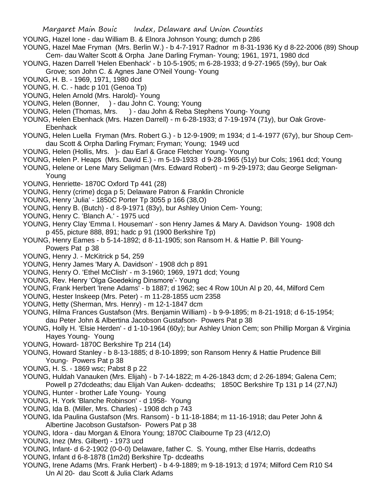YOUNG, Hazel Ione - dau William B. & Elnora Johnson Young; dumch p 286

YOUNG, Hazel Mae Fryman (Mrs. Berlin W.) - b 4-7-1917 Radnor m 8-31-1936 Ky d 8-22-2006 (89) Shoup Cem- dau Walter Scott & Orpha Jane Darling Fryman- Young; 1961, 1971, 1980 dcd

- YOUNG, Hazen Darrell 'Helen Ebenhack' b 10-5-1905; m 6-28-1933; d 9-27-1965 (59y), bur Oak
- Grove; son John C. & Agnes Jane O'Neil Young- Young
- YOUNG, H. B. 1969, 1971, 1980 dcd
- YOUNG, H. C. hadc p 101 (Genoa Tp)
- YOUNG, Helen Arnold (Mrs. Harold)- Young
- YOUNG, Helen (Bonner, ) dau John C. Young; Young
- YOUNG, Helen (Thomas, Mrs. ) dau John & Reba Stephens Young- Young
- YOUNG, Helen Ebenhack (Mrs. Hazen Darrell) m 6-28-1933; d 7-19-1974 (71y), bur Oak Grove-Ebenhack
- YOUNG, Helen Luella Fryman (Mrs. Robert G.) b 12-9-1909; m 1934; d 1-4-1977 (67y), bur Shoup Cemdau Scott & Orpha Darling Fryman; Fryman; Young; 1949 ucd
- YOUNG, Helen (Hollis, Mrs. )- dau Earl & Grace Fletcher Young- Young
- YOUNG, Helen P. Heaps (Mrs. David E.) m 5-19-1933 d 9-28-1965 (51y) bur Cols; 1961 dcd; Young
- YOUNG, Helene or Lene Mary Seligman (Mrs. Edward Robert) m 9-29-1973; dau George Seligman-Young
- YOUNG, Henriette- 1870C Oxford Tp 441 (28)
- YOUNG, Henry (crime) dcga p 5; Delaware Patron & Franklin Chronicle
- YOUNG, Henry 'Julia' 1850C Porter Tp 3055 p 166 (38,O)
- YOUNG, Henry B. (Butch) d 8-9-1971 (83y), bur Ashley Union Cem- Young;
- YOUNG, Henry C. 'Blanch A.' 1975 ucd
- YOUNG, Henry Clay 'Emma I. Houseman' son Henry James & Mary A. Davidson Young- 1908 dch p 455, picture 888, 891; hadc p 91 (1900 Berkshire Tp)
- YOUNG, Henry Eames b 5-14-1892; d 8-11-1905; son Ransom H. & Hattie P. Bill Young-Powers Pat p 38
- YOUNG, Henry J. McKitrick p 54, 259
- YOUNG, Henry James 'Mary A. Davidson' 1908 dch p 891
- YOUNG, Henry O. 'Ethel McClish' m 3-1960; 1969, 1971 dcd; Young
- YOUNG, Rev. Henry 'Olga Goedeking Dinsmore'- Young
- YOUNG, Frank Herbert 'Irene Adams' b 1887; d 1962; sec 4 Row 10Un Al p 20, 44, Milford Cem
- YOUNG, Hester Inskeep (Mrs. Peter) m 11-28-1855 ucm 2358
- YOUNG, Hetty (Sherman, Mrs. Henry) m 12-1-1847 dcm
- YOUNG, Hilma Frances Gustafson (Mrs. Benjamin William) b 9-9-1895; m 8-21-1918; d 6-15-1954; dau Peter John & Albertina Jacobson Gustafson- Powers Pat p 38
- YOUNG, Holly H. 'Elsie Herden' d 1-10-1964 (60y); bur Ashley Union Cem; son Phillip Morgan & Virginia Hayes Young- Young
- YOUNG, Howard- 1870C Berkshire Tp 214 (14)
- YOUNG, Howard Stanley b 8-13-1885; d 8-10-1899; son Ransom Henry & Hattie Prudence Bill Young- Powers Pat p 38
- YOUNG, H. S. 1869 wsc; Pabst 8 p 22
- YOUNG, Huldah Vanauken (Mrs. Elijah) b 7-14-1822; m 4-26-1843 dcm; d 2-26-1894; Galena Cem; Powell p 27dcdeaths; dau Elijah Van Auken- dcdeaths; 1850C Berkshire Tp 131 p 14 (27,NJ)
- YOUNG, Hunter brother Lafe Young- Young
- YOUNG, H. York 'Blanche Robinson' d 1958- Young
- YOUNG, Ida B. (Miller, Mrs. Charles) 1908 dch p 743
- YOUNG, Ida Paulina Gustafson (Mrs. Ransom) b 11-18-1884; m 11-16-1918; dau Peter John & Albertine Jacobson Gustafson- Powers Pat p 38
- YOUNG, Idora dau Morgan & Elnora Young; 1870C Claibourne Tp 23 (4/12,O)
- YOUNG, Inez (Mrs. Gilbert) 1973 ucd
- YOUNG, Infant- d 6-2-1902 (0-0-0) Delaware, father C. S. Young, mther Else Harris, dcdeaths
- YOUNG, Infant d 6-8-1878 (1m2d) Berkshire Tp- dcdeaths
- YOUNG, Irene Adams (Mrs. Frank Herbert) b 4-9-1889; m 9-18-1913; d 1974; Milford Cem R10 S4 Un Al 20- dau Scott & Julia Clark Adams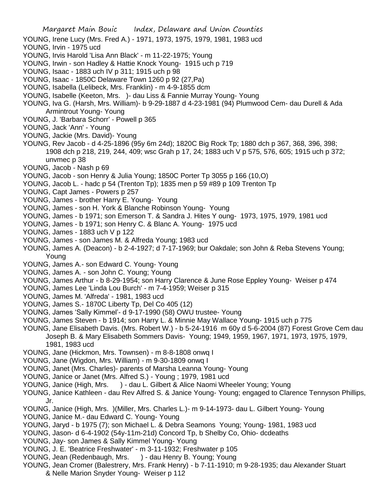- Margaret Main Bouic Index, Delaware and Union Counties YOUNG, Irene Lucy (Mrs. Fred A.) - 1971, 1973, 1975, 1979, 1981, 1983 ucd YOUNG, Irvin - 1975 ucd YOUNG, Irvis Harold 'Lisa Ann Black' - m 11-22-1975; Young YOUNG, Irwin - son Hadley & Hattie Knock Young- 1915 uch p 719 YOUNG, Isaac - 1883 uch IV p 311; 1915 uch p 98 YOUNG, Isaac - 1850C Delaware Town 1260 p 92 (27,Pa) YOUNG, Isabella (Lelibeck, Mrs. Franklin) - m 4-9-1855 dcm YOUNG, Isabelle (Keeton, Mrs. )- dau Liss & Fannie Murray Young- Young YOUNG, Iva G. (Harsh, Mrs. William)- b 9-29-1887 d 4-23-1981 (94) Plumwood Cem- dau Durell & Ada Armintrout Young- Young YOUNG, J. 'Barbara Schorr' - Powell p 365 YOUNG, Jack 'Ann' - Young YOUNG, Jackie (Mrs. David)- Young YOUNG, Rev Jacob - d 4-25-1896 (95y 6m 24d); 1820C Big Rock Tp; 1880 dch p 367, 368, 396, 398; 1908 dch p 218, 219, 244, 409; wsc Grah p 17, 24; 1883 uch V p 575, 576, 605; 1915 uch p 372; unvmec p 38 YOUNG, Jacob - Nash p 69 YOUNG, Jacob - son Henry & Julia Young; 1850C Porter Tp 3055 p 166 (10,O) YOUNG, Jacob L. - hadc p 54 (Trenton Tp); 1835 men p 59 #89 p 109 Trenton Tp YOUNG, Capt James - Powers p 257 YOUNG, James - brother Harry E. Young- Young YOUNG, James - son H. York & Blanche Robinson Young- Young YOUNG, James - b 1971; son Emerson T. & Sandra J. Hites Y oung- 1973, 1975, 1979, 1981 ucd YOUNG, James - b 1971; son Henry C. & Blanc A. Young- 1975 ucd YOUNG, James - 1883 uch V p 122 YOUNG, James - son James M. & Alfreda Young; 1983 ucd YOUNG, James A. (Deacon) - b 2-4-1927; d 7-17-1969; bur Oakdale; son John & Reba Stevens Young; Young YOUNG, James A.- son Edward C. Young- Young YOUNG, James A. - son John C. Young; Young YOUNG, James Arthur - b 8-29-1954; son Harry Clarence & June Rose Eppley Young- Weiser p 474 YOUNG, James Lee 'Linda Lou Burch' - m 7-4-1959; Weiser p 315 YOUNG, James M. 'Alfreda' - 1981, 1983 ucd YOUNG, James S.- 1870C Liberty Tp, Del Co 405 (12) YOUNG, James 'Sally Kimmel'- d 9-17-1990 (58) OWU trustee- Young YOUNG, James Steven - b 1914; son Harry L. & Minnie May Wallace Young- 1915 uch p 775 YOUNG, Jane Elisabeth Davis. (Mrs. Robert W.) - b 5-24-1916 m 60y d 5-6-2004 (87) Forest Grove Cem dau Joseph B. & Mary Elisabeth Sommers Davis- Young; 1949, 1959, 1967, 1971, 1973, 1975, 1979, 1981, 1983 ucd YOUNG, Jane (Hickmon, Mrs. Townsen) - m 8-8-1808 onwq I YOUNG, Jane (Wigdon, Mrs. William) - m 9-30-1809 onwq I YOUNG, Janet (Mrs. Charles)- parents of Marsha Leanna Young- Young YOUNG, Janice or Janet (Mrs. Alfred S.) - Young ; 1979, 1981 ucd YOUNG, Janice (High, Mrs. ) - dau L. Gilbert & Alice Naomi Wheeler Young; Young YOUNG, Janice Kathleen - dau Rev Alfred S. & Janice Young- Young; engaged to Clarence Tennyson Phillips, Jr. YOUNG, Janice (High, Mrs. )(Miller, Mrs. Charles L.)- m 9-14-1973- dau L. Gilbert Young- Young YOUNG, Janice M.- dau Edward C. Young- Young
	- YOUNG, Jaryd b 1975 (7); son Michael L. & Debra Seamons Young; Young- 1981, 1983 ucd
	- YOUNG, Jason- d 6-4-1902 (54y-11m-21d) Concord Tp, b Shelby Co, Ohio- dcdeaths
	- YOUNG, Jay- son James & Sally Kimmel Young- Young
	- YOUNG, J. E. 'Beatrice Freshwater' m 3-11-1932; Freshwater p 105
	- YOUNG, Jean (Redenbaugh, Mrs. ) dau Henry B. Young; Young
	- YOUNG, Jean Cromer (Balestrery, Mrs. Frank Henry) b 7-11-1910; m 9-28-1935; dau Alexander Stuart & Nelle Marion Snyder Young- Weiser p 112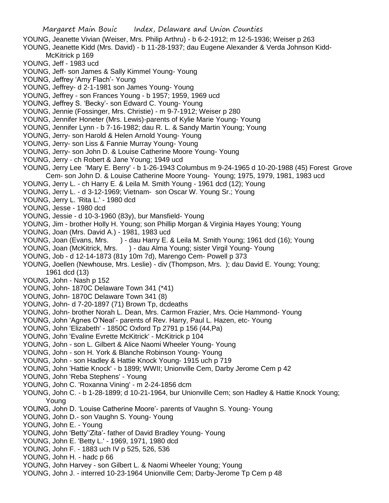- YOUNG, Jeanette Vivian (Weiser, Mrs. Philip Arthru) b 6-2-1912; m 12-5-1936; Weiser p 263 YOUNG, Jeanette Kidd (Mrs. David) - b 11-28-1937; dau Eugene Alexander & Verda Johnson Kidd-McKitrick p 169
- YOUNG, Jeff 1983 ucd
- YOUNG, Jeff- son James & Sally Kimmel Young- Young
- YOUNG, Jeffrey 'Amy Flach'- Young
- YOUNG, Jeffrey- d 2-1-1981 son James Young- Young
- YOUNG, Jeffrey son Frances Young b 1957; 1959, 1969 ucd
- YOUNG, Jeffrey S. 'Becky'- son Edward C. Young- Young
- YOUNG, Jennie (Fossinger, Mrs. Christie) m 9-7-1912; Weiser p 280
- YOUNG, Jennifer Honeter (Mrs. Lewis)-parents of Kylie Marie Young- Young
- YOUNG, Jennifer Lynn b 7-16-1982; dau R. L. & Sandy Martin Young; Young
- YOUNG, Jerry- son Harold & Helen Arnold Young- Young
- YOUNG, Jerry- son Liss & Fannie Murray Young- Young
- YOUNG, Jerry- son John D. & Louise Catherine Moore Young- Young
- YOUNG, Jerry ch Robert & Jane Young; 1949 ucd
- YOUNG, Jerry Lee 'Mary E. Berry' b 1-26-1943 Columbus m 9-24-1965 d 10-20-1988 (45) Forest Grove Cem- son John D. & Louise Catherine Moore Young- Young; 1975, 1979, 1981, 1983 ucd
- YOUNG, Jerry L. ch Harry E. & Leila M. Smith Young 1961 dcd (12); Young
- YOUNG, Jerry L. d 3-12-1969; Vietnam- son Oscar W. Young Sr.; Young
- YOUNG, Jerry L. 'Rita L.' 1980 dcd
- YOUNG, Jesse 1980 dcd
- YOUNG, Jessie d 10-3-1960 (83y), bur Mansfield- Young
- YOUNG, Jim brother Holly H. Young; son Phillip Morgan & Virginia Hayes Young; Young
- YOUNG, Joan (Mrs. David A.) 1981, 1983 ucd
- YOUNG, Joan (Evans, Mrs. ) dau Harry E. & Leila M. Smith Young; 1961 dcd (16); Young
- YOUNG, Joan (McKitrick, Mrs. ) dau Alma Young; sister Virgil Young- Young
- YOUNG, Job d 12-14-1873 (81y 10m 7d), Marengo Cem- Powell p 373
- YOUNG, Joellen (Newhouse, Mrs. Leslie) div (Thompson, Mrs. ); dau David E. Young; Young; 1961 dcd (13)
- YOUNG, John Nash p 152
- YOUNG, John- 1870C Delaware Town 341 (\*41)
- YOUNG, John- 1870C Delaware Town 341 (8)
- YOUNG, John- d 7-20-1897 (71) Brown Tp, dcdeaths
- YOUNG, John- brother Norah L. Dean, Mrs. Carmon Frazier, Mrs. Ocie Hammond- Young
- YOUNG, John 'Agnes O'Neal'- parents of Rev. Harry, Paul L. Hazen, etc- Young
- YOUNG, John 'Elizabeth' 1850C Oxford Tp 2791 p 156 (44,Pa)
- YOUNG, John 'Evaline Evrette McKitrick' McKitrick p 104
- YOUNG, John son L. Gilbert & Alice Naomi Wheeler Young- Young
- YOUNG, John son H. York & Blanche Robinson Young- Young
- YOUNG, John son Hadley & Hattie Knock Young- 1915 uch p 719
- YOUNG, John 'Hattie Knock' b 1899; WWII; Unionville Cem, Darby Jerome Cem p 42
- YOUNG, John 'Reba Stephens' Young
- YOUNG, John C. 'Roxanna Vining' m 2-24-1856 dcm
- YOUNG, John C. b 1-28-1899; d 10-21-1964, bur Unionville Cem; son Hadley & Hattie Knock Young; Young
- YOUNG, John D. 'Louise Catherine Moore'- parents of Vaughn S. Young- Young
- YOUNG, John D.- son Vaughn S. Young- Young
- YOUNG, John E. Young
- YOUNG, John 'Betty''Zita'- father of David Bradley Young- Young
- YOUNG, John E. 'Betty L.' 1969, 1971, 1980 dcd
- YOUNG, John F. 1883 uch IV p 525, 526, 536
- YOUNG, John H. hadc p 66
- YOUNG, John Harvey son Gilbert L. & Naomi Wheeler Young; Young
- YOUNG, John J. interred 10-23-1964 Unionville Cem; Darby-Jerome Tp Cem p 48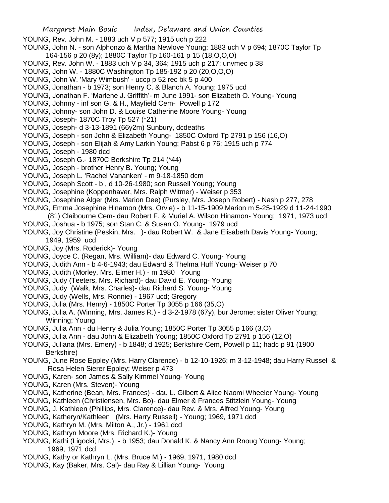- YOUNG, Rev. John M. 1883 uch V p 577; 1915 uch p 222
- YOUNG, John N. son Alphonzo & Martha Newlove Young; 1883 uch V p 694; 1870C Taylor Tp 164-156 p 20 (8y); 1880C Taylor Tp 160-161 p 15 (18,O,O,O)
- YOUNG, Rev. John W. 1883 uch V p 34, 364; 1915 uch p 217; unvmec p 38
- YOUNG, John W. 1880C Washington Tp 185-192 p 20 (20,O,O,O)
- YOUNG, John W. 'Mary Wimbush' uccp p 52 rec bk 5 p 400
- YOUNG, Jonathan b 1973; son Henry C. & Blanch A. Young; 1975 ucd
- YOUNG, Jonathan F. 'Marlene J. Griffith'- m June 1991- son Elizabeth O. Young- Young
- YOUNG, Johnny inf son G. & H., Mayfield Cem- Powell p 172
- YOUNG, Johnny- son John D. & Louise Catherine Moore Young- Young
- YOUNG, Joseph- 1870C Troy Tp 527 (\*21)
- YOUNG, Joseph- d 3-13-1891 (66y2m) Sunbury, dcdeaths
- YOUNG, Joseph son John & Elizabeth Young- 1850C Oxford Tp 2791 p 156 (16,O)
- YOUNG, Joseph son Elijah & Amy Larkin Young; Pabst 6 p 76; 1915 uch p 774
- YOUNG, Joseph 1980 dcd
- YOUNG, Joseph G.- 1870C Berkshire Tp 214 (\*44)
- YOUNG, Joseph brother Henry B. Young; Young
- YOUNG, Joseph L. 'Rachel Vananken' m 9-18-1850 dcm
- YOUNG, Joseph Scott b , d 10-26-1980; son Russell Young; Young
- YOUNG, Josephine (Koppenhaver, Mrs. Ralph Witmer) Weiser p 353
- YOUNG, Josephine Alger (Mrs. Marion Dee) (Pursley, Mrs. Joseph Robert) Nash p 277, 278
- YOUNG, Emma Josephine Hinamon (Mrs. Orvie) b 11-15-1909 Marion m 5-25-1929 d 11-24-1990
- (81) Claibourne Cem- dau Robert F. & Muriel A. Wilson Hinamon- Young; 1971, 1973 ucd
- YOUNG, Joshua b 1975; son Stan C. & Susan O. Young- 1979 ucd
- YOUNG, Joy Christine (Peskin, Mrs. )- dau Robert W. & Jane Elisabeth Davis Young- Young; 1949, 1959 ucd
- YOUNG, Joy (Mrs. Roderick)- Young
- YOUNG, Joyce C. (Regan, Mrs. William)- dau Edward C. Young- Young
- YOUNG, Judith Ann b 4-6-1943; dau Edward & Thelma Huff Young- Weiser p 70
- YOUNG, Judith (Morley, Mrs. Elmer H.) m 1980 Young
- YOUNG, Judy (Teeters, Mrs. Richard)- dau David E. Young- Young
- YOUNG, Judy (Walk, Mrs. Charles)- dau Richard S. Young- Young
- YOUNG, Judy (Wells, Mrs. Ronnie) 1967 ucd; Gregory
- YOUNG, Julia (Mrs. Henry) 1850C Porter Tp 3055 p 166 (35,O)
- YOUNG, Julia A. (Winning, Mrs. James R.) d 3-2-1978 (67y), bur Jerome; sister Oliver Young; Winning; Young
- YOUNG, Julia Ann du Henry & Julia Young; 1850C Porter Tp 3055 p 166 (3,O)
- YOUNG, Julia Ann dau John & Elizabeth Young; 1850C Oxford Tp 2791 p 156 (12,O)
- YOUNG, Juliana (Mrs. Emery) b 1848; d 1925; Berkshire Cem, Powell p 11; hadc p 91 (1900 Berkshire)
- YOUNG, June Rose Eppley (Mrs. Harry Clarence) b 12-10-1926; m 3-12-1948; dau Harry Russel & Rosa Helen Sierer Eppley; Weiser p 473
- YOUNG, Karen- son James & Sally Kimmel Young- Young
- YOUNG, Karen (Mrs. Steven)- Young
- YOUNG, Katherine (Bean, Mrs. Frances) dau L. Gilbert & Alice Naomi Wheeler Young- Young
- YOUNG, Kathleen (Christiensen, Mrs. Bo)- dau Elmer & Frances Stitzlein Young- Young
- YOUNG, J. Kathleen (Phillips, Mrs. Clarence)- dau Rev. & Mrs. Alfred Young- Young
- YOUNG, Katheryn/Kathleen (Mrs. Harry Russell) Young; 1969, 1971 dcd
- YOUNG, Kathryn M. (Mrs. Milton A., Jr.) 1961 dcd
- YOUNG, Kathryn Moore (Mrs. Richard K.)- Young
- YOUNG, Kathi (Ligocki, Mrs.) b 1953; dau Donald K. & Nancy Ann Rnoug Young- Young; 1969, 1971 dcd
- YOUNG, Kathy or Kathryn L. (Mrs. Bruce M.) 1969, 1971, 1980 dcd
- YOUNG, Kay (Baker, Mrs. Cal)- dau Ray & Lillian Young- Young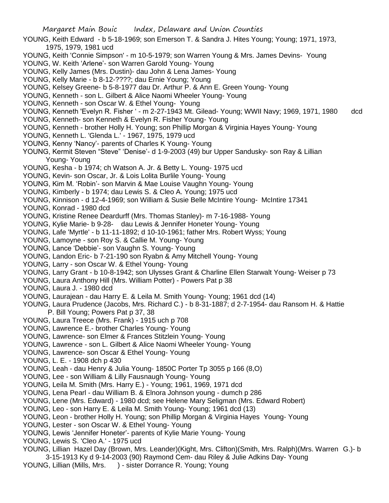- YOUNG, Keith Edward b 5-18-1969; son Emerson T. & Sandra J. Hites Young; Young; 1971, 1973, 1975, 1979, 1981 ucd
- YOUNG, Keith 'Connie Simpson' m 10-5-1979; son Warren Young & Mrs. James Devins- Young
- YOUNG, W. Keith 'Arlene'- son Warren Garold Young- Young
- YOUNG, Kelly James (Mrs. Dustin)- dau John & Lena James- Young
- YOUNG, Kelly Marie b 8-12-????; dau Ernie Young; Young
- YOUNG, Kelsey Greene- b 5-8-1977 dau Dr. Arthur P. & Ann E. Green Young- Young
- YOUNG, Kenneth son L. Gilbert & Alice Naomi Wheeler Young- Young
- YOUNG, Kenneth son Oscar W. & Ethel Young- Young
- YOUNG, Kenneth 'Evelyn R. Fisher ' m 2-27-1943 Mt. Gilead- Young; WWII Navy; 1969, 1971, 1980 dcd
- YOUNG, Kenneth- son Kenneth & Evelyn R. Fisher Young- Young
- YOUNG, Kenneth brother Holly H. Young; son Phillip Morgan & Virginia Hayes Young- Young
- YOUNG, Kenneth L. 'Glenda L.' 1967, 1975, 1979 ucd
- YOUNG, Kenny 'Nancy'- parents of Charles K Young- Young
- YOUNG, Kermit Steven "Steve" 'Denise'- d 1-9-2003 (49) bur Upper Sandusky- son Ray & Lillian Young- Young
- YOUNG, Kesha b 1974; ch Watson A. Jr. & Betty L. Young- 1975 ucd
- YOUNG, Kevin- son Oscar, Jr. & Lois Lolita Burlile Young- Young
- YOUNG, Kim M. 'Robin'- son Marvin & Mae Louise Vaughn Young- Young
- YOUNG, Kimberly b 1974; dau Lewis S. & Cleo A. Young; 1975 ucd
- YOUNG, Kinnison d 12-4-1969; son William & Susie Belle McIntire Young- McIntire 17341
- YOUNG, Konrad 1980 dcd
- YOUNG, Kristine Renee Deardurff (Mrs. Thomas Stanley)- m 7-16-1988- Young
- YOUNG, Kylie Marie- b 9-28- dau Lewis & Jennifer Honeter Young- Young
- YOUNG, Lafe 'Myrtle' b 11-11-1892; d 10-10-1961; father Mrs. Robert Wyss; Young
- YOUNG, Lamoyne son Roy S. & Callie M. Young- Young
- YOUNG, Lance 'Debbie'- son Vaughn S. Young- Young
- YOUNG, Landon Eric- b 7-21-190 son Ryabn & Amy Mitchell Young- Young
- YOUNG, Larry son Oscar W. & Ethel Young- Young
- YOUNG, Larry Grant b 10-8-1942; son Ulysses Grant & Charline Ellen Starwalt Young- Weiser p 73
- YOUNG, Laura Anthony Hill (Mrs. William Potter) Powers Pat p 38
- YOUNG, Laura J. 1980 dcd
- YOUNG, Laurajean dau Harry E. & Leila M. Smith Young- Young; 1961 dcd (14)
- YOUNG, Laura Prudence (Jacobs, Mrs. Richard C.) b 8-31-1887; d 2-7-1954- dau Ransom H. & Hattie P. Bill Young; Powers Pat p 37, 38
- YOUNG, Laura Treece (Mrs. Frank) 1915 uch p 708
- YOUNG, Lawrence E.- brother Charles Young- Young
- YOUNG, Lawrence- son Elmer & Frances Stitzlein Young- Young
- YOUNG, Lawrence son L. Gilbert & Alice Naomi Wheeler Young- Young
- YOUNG, Lawrence- son Oscar & Ethel Young- Young
- YOUNG, L. E. 1908 dch p 430
- YOUNG, Leah dau Henry & Julia Young- 1850C Porter Tp 3055 p 166 (8,O)
- YOUNG, Lee son William & Lilly Fausnaugh Young- Young
- YOUNG, Leila M. Smith (Mrs. Harry E.) Young; 1961, 1969, 1971 dcd
- YOUNG, Lena Pearl dau William B. & Elnora Johnson young dumch p 286
- YOUNG, Lene (Mrs. Edward) 1980 dcd; see Helene Mary Seligman (Mrs. Edward Robert)
- YOUNG, Leo son Harry E. & Leila M. Smith Young- Young; 1961 dcd (13)
- YOUNG, Leon brother Holly H. Young; son Phillip Morgan & Virginia Hayes Young- Young
- YOUNG, Lester son Oscar W. & Ethel Young- Young
- YOUNG, Lewis 'Jennifer Honeter'- parents of Kylie Marie Young- Young
- YOUNG, Lewis S. 'Cleo A.' 1975 ucd
- YOUNG, Lillian Hazel Day (Brown, Mrs. Leander)(Kight, Mrs. Clifton)(Smith, Mrs. Ralph)(Mrs. Warren G.)- b 3-15-1913 Ky d 9-14-2003 (90) Raymond Cem- dau Riley & Julie Adkins Day- Young
- YOUNG, Lillian (Mills, Mrs. ) sister Dorrance R. Young; Young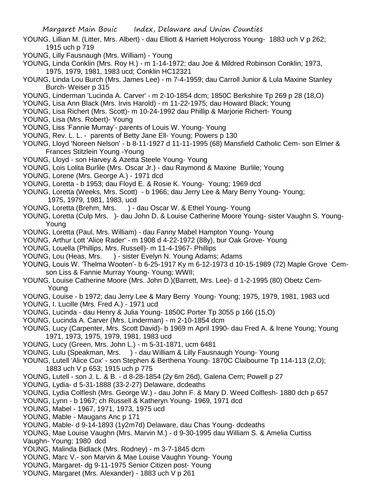- YOUNG, Lillian M. (Litter, Mrs. Albert) dau Elliott & Harriett Holycross Young- 1883 uch V p 262; 1915 uch p 719
- YOUNG, Lilly Fausnaugh (Mrs. William) Young
- YOUNG, Linda Conklin (Mrs. Roy H.) m 1-14-1972; dau Joe & Mildred Robinson Conklin; 1973, 1975, 1979, 1981, 1983 ucd; Conklin HC12321
- YOUNG, Linda Lou Burch (Mrs. James Lee) m 7-4-1959; dau Carroll Junior & Lula Maxine Stanley Burch- Weiser p 315
- YOUNG, Linderman 'Lucinda A. Carver' m 2-10-1854 dcm; 1850C Berkshire Tp 269 p 28 (18,O)
- YOUNG, Lisa Ann Black (Mrs. Irvis Harold) m 11-22-1975; dau Howard Black; Young
- YOUNG, Lisa Richert (Mrs. Scott)- m 10-24-1992 dau Phillip & Marjorie Richert- Young
- YOUNG, Lisa (Mrs. Robert)- Young
- YOUNG, Liss 'Fannie Murray'- parents of Louis W. Young- Young
- YOUNG, Rev. L. L. parents of Betty Jane Ell- Young; Powers p 130
- YOUNG, Lloyd 'Noreen Nelson' b 8-11-1927 d 11-11-1995 (68) Mansfield Catholic Cem- son Elmer & Frances Stitzlein Young -Young
- YOUNG, Lloyd son Harvey & Azetta Steele Young- Young
- YOUNG, Lois Lolita Burlile (Mrs. Oscar Jr.) dau Raymond & Maxine Burlile; Young
- YOUNG, Lorene (Mrs. George A.) 1971 dcd
- YOUNG, Loretta b 1953; dau Floyd E. & Rosie K. Young- Young; 1969 dcd
- YOUNG, Loretta (Weeks, Mrs. Scott) b 1966; dau Jerry Lee & Mary Berry Young- Young; 1975, 1979, 1981, 1983, ucd
- YOUNG, Loretta (Brehm, Mrs. ) dau Oscar W. & Ethel Young- Young
- YOUNG, Loretta (Culp Mrs. )- dau John D. & Louise Catherine Moore Young- sister Vaughn S. Young-Young
- YOUNG, Loretta (Paul, Mrs. William) dau Fanny Mabel Hampton Young- Young
- YOUNG, Arthur Lott 'Alice Rader' m 1908 d 4-22-1972 (88y), bur Oak Grove- Young
- YOUNG, Louella (Phillips, Mrs. Russell)- m 11-4-1967- Phillips
- YOUNG, Lou (Heas, Mrs. ) sister Evelyn N. Young Adams; Adams
- YOUNG, Louis W. 'Thelma Wooten'- b 6-25-1917 Ky m 6-12-1973 d 10-15-1989 (72) Maple Grove Cemson Liss & Fannie Murray Young- Young; WWII;
- YOUNG, Louise Catherine Moore (Mrs. John D.)(Barrett, Mrs. Lee)- d 1-2-1995 (80) Obetz Cem- Young
- YOUNG, Louise b 1972; dau Jerry Lee & Mary Berry Young- Young; 1975, 1979, 1981, 1983 ucd
- YOUNG, I. Lucille (Mrs. Fred A.) 1971 ucd
- YOUNG, Lucinda dau Henry & Julia Young- 1850C Porter Tp 3055 p 166 (15,O)
- YOUNG, Lucinda A. Carver (Mrs. Linderman) m 2-10-1854 dcm
- YOUNG, Lucy (Carpenter, Mrs. Scott David)- b 1969 m April 1990- dau Fred A. & Irene Young; Young 1971, 1973, 1975, 1979, 1981, 1983 ucd
- YOUNG, Lucy (Green, Mrs. John L.) m 5-31-1871, ucm 6481
- YOUNG, Lulu (Speakman, Mrs. ) dau William & Lilly Fausnaugh Young- Young
- YOUNG, Lutell 'Alice Cox' son Stephen & Berthena Young- 1870C Claibourne Tp 114-113 (2,O); 1883 uch V p 653; 1915 uch p 775
- YOUNG, Lutell son J. L. & B. d 8-28-1854 (2y 6m 26d), Galena Cem; Powell p 27
- YOUNG, Lydia- d 5-31-1888 (33-2-27) Delaware, dcdeaths
- YOUNG, Lydia Colflesh (Mrs. George W.) dau John F. & Mary D. Weed Colflesh- 1880 dch p 657
- YOUNG, Lynn b 1967; ch Russell & Katheryn Young- 1969, 1971 dcd
- YOUNG, Mabel 1967, 1971, 1973, 1975 ucd
- YOUNG, Mable Maugans Anc p 171
- YOUNG, Mable- d 9-14-1893 (1y2m7d) Delaware, dau Chas Young- dcdeaths
- YOUNG, Mae Louise Vaughn (Mrs. Marvin M.) d 9-30-1995 dau William S. & Amelia Curtiss Vaughn- Young; 1980 dcd
- YOUNG, Malinda Bidlack (Mrs. Rodney) m 3-7-1845 dcm
- YOUNG, Marc V.- son Marvin & Mae Louise Vaughn Young- Young
- YOUNG, Margaret- dg 9-11-1975 Senior Citizen post- Young
- YOUNG, Margaret (Mrs. Alexander) 1883 uch V p 261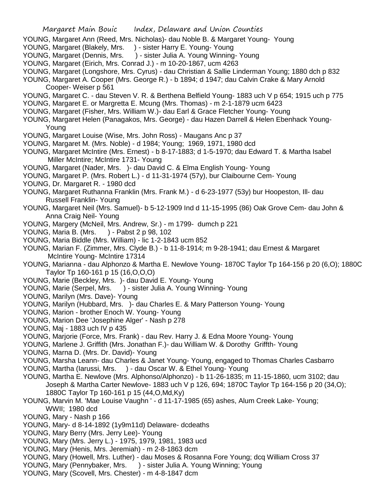- YOUNG, Margaret Ann (Reed, Mrs. Nicholas)- dau Noble B. & Margaret Young- Young
- YOUNG, Margaret (Blakely, Mrs. ) sister Harry E. Young- Young
- YOUNG, Margaret (Dennis, Mrs. ) sister Julia A. Young Winning- Young
- YOUNG, Margaret (Eirich, Mrs. Conrad J.) m 10-20-1867, ucm 4263
- YOUNG, Margaret (Longshore, Mrs. Cyrus) dau Christian & Sallie Linderman Young; 1880 dch p 832
- YOUNG, Margaret A. Cooper (Mrs. George R.) b 1894; d 1947; dau Calvin Crake & Mary Arnold Cooper- Weiser p 561
- YOUNG, Margaret C. dau Steven V. R. & Berthena Belfield Young- 1883 uch V p 654; 1915 uch p 775
- YOUNG, Margaret E. or Margretta E. Mcung (Mrs. Thomas) m 2-1-1879 ucm 6423
- YOUNG, Margaret (Fisher, Mrs. William W.)- dau Earl & Grace Fletcher Young- Young
- YOUNG, Margaret Helen (Panagakos, Mrs. George) dau Hazen Darrell & Helen Ebenhack Young- Young
- YOUNG, Margaret Louise (Wise, Mrs. John Ross) Maugans Anc p 37
- YOUNG, Margaret M. (Mrs. Noble) d 1984; Young; 1969, 1971, 1980 dcd
- YOUNG, Margaret McIntire (Mrs. Ernest) b 8-17-1883; d 1-5-1970; dau Edward T. & Martha Isabel Miller McIntire; McIntire 1731- Young
- YOUNG, Margaret (Nader, Mrs. )- dau David C. & Elma English Young- Young
- YOUNG, Margaret P. (Mrs. Robert L.) d 11-31-1974 (57y), bur Claibourne Cem- Young
- YOUNG, Dr. Margaret R. 1980 dcd
- YOUNG, Margaret Ruthanna Franklin (Mrs. Frank M.) d 6-23-1977 (53y) bur Hoopeston, Ill- dau Russell Franklin- Young
- YOUNG, Margaret Neil (Mrs. Samuel)- b 5-12-1909 Ind d 11-15-1995 (86) Oak Grove Cem- dau John & Anna Craig Neil- Young
- YOUNG, Margery (McNeil, Mrs. Andrew, Sr.) m 1799- dumch p 221
- YOUNG, Maria B. (Mrs. ) Pabst 2 p 98, 102
- YOUNG, Maria Biddle (Mrs. William) lic 1-2-1843 ucm 852
- YOUNG, Marian F. (Zimmer, Mrs. Clyde B.) b 11-8-1914; m 9-28-1941; dau Ernest & Margaret McIntire Young- McIntire 17314
- YOUNG, Marianna dau Alphonzo & Martha E. Newlove Young- 1870C Taylor Tp 164-156 p 20 (6,O); 1880C Taylor Tp 160-161 p 15 (16,O,O,O)
- YOUNG, Marie (Beckley, Mrs. )- dau David E. Young- Young
- YOUNG, Marie (Serpel, Mrs. ) sister Julia A. Young Winning-Young
- YOUNG, Marilyn (Mrs. Dave)- Young
- YOUNG, Marilyn (Hubbard, Mrs. )- dau Charles E. & Mary Patterson Young- Young
- YOUNG, Marion brother Enoch W. Young- Young
- YOUNG, Marion Dee 'Josephine Alger' Nash p 278
- YOUNG, Maj 1883 uch IV p 435
- YOUNG, Marjorie (Force, Mrs. Frank) dau Rev. Harry J. & Edna Moore Young- Young
- YOUNG, Marlene J. Griffith (Mrs. Jonathan F.)- dau William W. & Dorothy Griffth- Young
- YOUNG, Marna D. (Mrs. Dr. David)- Young
- YOUNG, Marsha Leann- dau Charles & Janet Young- Young, engaged to Thomas Charles Casbarro
- YOUNG, Martha (Iarussi, Mrs. ) dau Oscar W. & Ethel Young- Young
- YOUNG, Martha E. Newlove (Mrs. Alphonso/Alphonzo) b 11-26-1835; m 11-15-1860, ucm 3102; dau Joseph & Martha Carter Newlove- 1883 uch V p 126, 694; 1870C Taylor Tp 164-156 p 20 (34,O); 1880C Taylor Tp 160-161 p 15 (44,O,Md,Ky)
- YOUNG, Marvin M. 'Mae Louise Vaughn ' d 11-17-1985 (65) ashes, Alum Creek Lake- Young; WWII; 1980 dcd
- YOUNG, Mary Nash p 166
- YOUNG, Mary- d 8-14-1892 (1y9m11d) Delaware- dcdeaths
- YOUNG, Mary Berry (Mrs. Jerry Lee)- Young
- YOUNG, Mary (Mrs. Jerry L.) 1975, 1979, 1981, 1983 ucd
- YOUNG, Mary (Henis, Mrs. Jeremiah) m 2-8-1863 dcm
- YOUNG, Mary (Howell, Mrs. Luther) dau Moses & Rosanna Fore Young; dcq William Cross 37
- YOUNG, Mary (Pennybaker, Mrs. ) sister Julia A. Young Winning; Young
- YOUNG, Mary (Scovell, Mrs. Chester) m 4-8-1847 dcm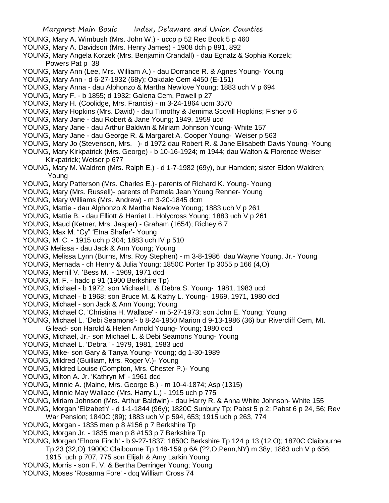- YOUNG, Mary A. Wimbush (Mrs. John W.) uccp p 52 Rec Book 5 p 460
- YOUNG, Mary A. Davidson (Mrs. Henry James) 1908 dch p 891, 892
- YOUNG, Mary Angela Korzek (Mrs. Benjamin Crandall) dau Egnatz & Sophia Korzek; Powers Pat p 38
- YOUNG, Mary Ann (Lee, Mrs. William A.) dau Dorrance R. & Agnes Young- Young
- YOUNG, Mary Ann d 6-27-1932 (68y); Oakdale Cem 4450 (E-151)
- YOUNG, Mary Anna dau Alphonzo & Martha Newlove Young; 1883 uch V p 694
- YOUNG, Mary F. b 1855; d 1932; Galena Cem, Powell p 27
- YOUNG, Mary H. (Coolidge, Mrs. Francis) m 3-24-1864 ucm 3570
- YOUNG, Mary Hopkins (Mrs. David) dau Timothy & Jemima Scovill Hopkins; Fisher p 6
- YOUNG, Mary Jane dau Robert & Jane Young; 1949, 1959 ucd
- YOUNG, Mary Jane dau Arthur Baldwin & Miriam Johnson Young- White 157
- YOUNG, Mary Jane dau George R. & Margaret A. Cooper Young- Weiser p 563
- YOUNG, Mary Jo (Stevenson, Mrs. )- d 1972 dau Robert R. & Jane Elisabeth Davis Young- Young
- YOUNG, Mary Kirkpatrick (Mrs. George) b 10-16-1924; m 1944; dau Walton & Florence Weiser Kirkpatrick; Weiser p 677
- YOUNG, Mary M. Waldren (Mrs. Ralph E.) d 1-7-1982 (69y), bur Hamden; sister Eldon Waldren; Young
- YOUNG, Mary Patterson (Mrs. Charles E.)- parents of Richard K. Young- Young
- YOUNG, Mary (Mrs. Russell)- parents of Pamela Jean Young Renner- Young
- YOUNG, Mary Williams (Mrs. Andrew) m 3-20-1845 dcm
- YOUNG, Mattie dau Alphonzo & Martha Newlove Young; 1883 uch V p 261
- YOUNG, Mattie B. dau Elliott & Harriet L. Holycross Young; 1883 uch V p 261
- YOUNG, Maud (Ketner, Mrs. Jasper) Graham (1654); Richey 6,7
- YOUNG, Max M. "Cy" 'Etna Shafer'- Young
- YOUNG, M. C. 1915 uch p 304; 1883 uch IV p 510
- YOUNG Melissa dau Jack & Ann Young; Young
- YOUNG, Melissa Lynn (Burns, Mrs. Roy Stephen) m 3-8-1986 dau Wayne Young, Jr.- Young
- YOUNG, Mernada ch Henry & Julia Young; 1850C Porter Tp 3055 p 166 (4,O)
- YOUNG, Merrill V. 'Bess M.' 1969, 1971 dcd
- YOUNG, M. F. hadc p 91 (1900 Berkshire Tp)
- YOUNG, Michael b 1972; son Michael L. & Debra S. Young- 1981, 1983 ucd
- YOUNG, Michael b 1968; son Bruce M. & Kathy L. Young- 1969, 1971, 1980 dcd
- YOUNG, Michael son Jack & Ann Young; Young
- YOUNG, Michael C. 'Christina H. Wallace' m 5-27-1973; son John E. Young; Young
- YOUNG, Michael L. 'Debi Seamons'- b 8-24-1950 Marion d 9-13-1986 (36) bur Rivercliff Cem, Mt. Gilead- son Harold & Helen Arnold Young- Young; 1980 dcd
- YOUNG, Michael, Jr.- son Michael L. & Debi Seamons Young- Young
- YOUNG, Michael L. 'Debra ' 1979, 1981, 1983 ucd
- YOUNG, Mike- son Gary & Tanya Young- Young; dg 1-30-1989
- YOUNG, Mildred (Guilliam, Mrs. Roger V.) Young
- YOUNG, Mildred Louise (Compton, Mrs. Chester P.)- Young
- YOUNG, Milton A. Jr. 'Kathryn M' 1961 dcd
- YOUNG, Minnie A. (Maine, Mrs. George B.) m 10-4-1874; Asp (1315)
- YOUNG, Minnie May Wallace (Mrs. Harry L.) 1915 uch p 775
- YOUNG, Miriam Johnson (Mrs. Arthur Baldwin) dau Harry R. & Anna White Johnson- White 155
- YOUNG, Morgan 'Elizabeth' d 1-1-1844 (96y); 1820C Sunbury Tp; Pabst 5 p 2; Pabst 6 p 24, 56; Rev War Pension; 1840C (89); 1883 uch V p 594, 653; 1915 uch p 263, 774
- YOUNG, Morgan 1835 men p 8 #156 p 7 Berkshire Tp
- YOUNG, Morgan Jr. 1835 men p 8 #153 p 7 Berkshire Tp
- YOUNG, Morgan 'Elnora Finch' b 9-27-1837; 1850C Berkshire Tp 124 p 13 (12,O); 1870C Claibourne Tp 23 (32,O) 1900C Claibourne Tp 148-159 p 6A (??,O,Penn,NY) m 38y; 1883 uch V p 656;
	- 1915 uch p 707, 775 son Elijah & Amy Larkin Young
- YOUNG, Morris son F. V. & Bertha Derringer Young; Young
- YOUNG, Moses 'Rosanna Fore' dcq William Cross 74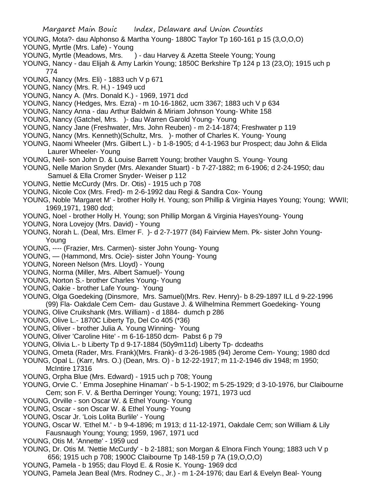- YOUNG, Mota?- dau Alphonso & Martha Young- 1880C Taylor Tp 160-161 p 15 (3,O,O,O)
- YOUNG, Myrtle (Mrs. Lafe) Young
- YOUNG, Myrtle (Meadows, Mrs. ) dau Harvey & Azetta Steele Young; Young
- YOUNG, Nancy dau Elijah & Amy Larkin Young; 1850C Berkshire Tp 124 p 13 (23,O); 1915 uch p 774
- YOUNG, Nancy (Mrs. Eli) 1883 uch V p 671
- YOUNG, Nancy (Mrs. R. H.) 1949 ucd
- YOUNG, Nancy A. (Mrs. Donald K.) 1969, 1971 dcd
- YOUNG, Nancy (Hedges, Mrs. Ezra) m 10-16-1862, ucm 3367; 1883 uch V p 634
- YOUNG, Nancy Anna dau Arthur Baldwin & Miriam Johnson Young- White 158
- YOUNG, Nancy (Gatchel, Mrs. )- dau Warren Garold Young- Young
- YOUNG, Nancy Jane (Freshwater, Mrs. John Reuben) m 2-14-1874; Freshwater p 119
- YOUNG, Nancy (Mrs. Kenneth)(Schultz, Mrs. )- mother of Charles K. Young- Young
- YOUNG, Naomi Wheeler (Mrs. Gilbert L.) b 1-8-1905; d 4-1-1963 bur Prospect; dau John & Elida Laurer Wheeler- Young
- YOUNG, Neil- son John D. & Louise Barrett Young; brother Vaughn S. Young- Young
- YOUNG, Nelle Marion Snyder (Mrs. Alexander Stuart) b 7-27-1882; m 6-1906; d 2-24-1950; dau Samuel & Ella Cromer Snyder- Weiser p 112
- YOUNG, Nettie McCurdy (Mrs. Dr. Otis) 1915 uch p 708
- YOUNG, Nicole Cox (Mrs. Fred)- m 2-6-1992 dau Regi & Sandra Cox- Young
- YOUNG, Noble 'Margaret M' brother Holly H. Young; son Phillip & Virginia Hayes Young; Young; WWII; 1969,1971, 1980 dcd;
- YOUNG, Noel brother Holly H. Young; son Phillip Morgan & Virginia HayesYoung- Young
- YOUNG, Nora Lovejoy (Mrs. David) Young
- YOUNG, Norah L. (Deal, Mrs. Elmer F. )- d 2-7-1977 (84) Fairview Mem. Pk- sister John Young-Young
- YOUNG, ---- (Frazier, Mrs. Carmen)- sister John Young- Young
- YOUNG, (Hammond, Mrs. Ocie)- sister John Young- Young
- YOUNG, Noreen Nelson (Mrs. Lloyd) Young
- YOUNG, Norma (Miller, Mrs. Albert Samuel)- Young
- YOUNG, Norton S.- brother Charles Young- Young
- YOUNG, Oakie brother Lafe Young- Young
- YOUNG, Olga Goedeking (Dinsmore, Mrs. Samuel)(Mrs. Rev. Henry)- b 8-29-1897 ILL d 9-22-1996 (99) Fla- Oakdale Cem Cem- dau Gustave J. & Wilhelmina Remmert Goedeking- Young
- YOUNG, Olive Cruikshank (Mrs. William) d 1884- dumch p 286
- YOUNG, Olive L.- 1870C Liberty Tp, Del Co 405 (\*36)
- YOUNG, Oliver brother Julia A. Young Winning- Young
- YOUNG, Oliver 'Caroline Hite' m 6-16-1850 dcm- Pabst 6 p 79
- YOUNG, Olivia L.- b Liberty Tp d 9-17-1884 (50y9m11d) Liberty Tp- dcdeaths
- YOUNG, Ometa (Rader, Mrs. Frank)(Mrs. Frank)- d 3-26-1985 (94) Jerome Cem- Young; 1980 dcd
- YOUNG, Opal L. (Karr, Mrs. O.) (Dean, Mrs. O) b 12-22-1917; m 11-2-1946 div 1948; m 1950; McIntire 17316
- YOUNG, Orpha Blue (Mrs. Edward) 1915 uch p 708; Young
- YOUNG, Orvie C. ' Emma Josephine Hinaman' b 5-1-1902; m 5-25-1929; d 3-10-1976, bur Claibourne Cem; son F. V. & Bertha Derringer Young; Young; 1971, 1973 ucd
- YOUNG, Orville son Oscar W. & Ethel Young- Young
- YOUNG, Oscar son Oscar W. & Ethel Young- Young
- YOUNG, Oscar Jr. 'Lois Lolita Burlile' Young
- YOUNG, Oscar W. 'Ethel M.' b 9-4-1896; m 1913; d 11-12-1971, Oakdale Cem; son William & Lily Fausnaugh Young; Young; 1959, 1967, 1971 ucd
- YOUNG, Otis M. 'Annette' 1959 ucd
- YOUNG, Dr. Otis M. 'Nettie McCurdy' b 2-1881; son Morgan & Elnora Finch Young; 1883 uch V p 656; 1915 uch p 708; 1900C Claibourne Tp 148-159 p 7A (19,O,O,O)
- YOUNG, Pamela b 1955; dau Floyd E. & Rosie K. Young- 1969 dcd
- YOUNG, Pamela Jean Beal (Mrs. Rodney C., Jr.) m 1-24-1976; dau Earl & Evelyn Beal- Young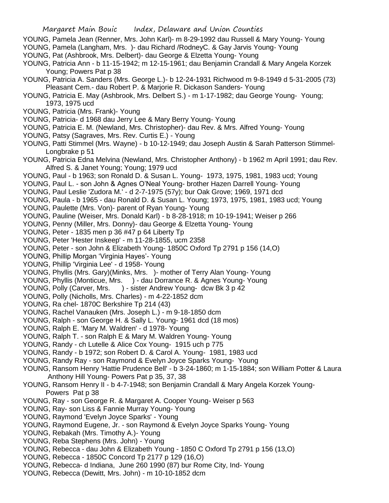- YOUNG, Pamela Jean (Renner, Mrs. John Karl)- m 8-29-1992 dau Russell & Mary Young- Young
- YOUNG, Pamela (Langham, Mrs. )- dau Richard /RodneyC. & Gay Jarvis Young- Young
- YOUNG, Pat (Ashbrook, Mrs. Delbert)- dau George & Elzetta Young- Young
- YOUNG, Patricia Ann b 11-15-1942; m 12-15-1961; dau Benjamin Crandall & Mary Angela Korzek Young; Powers Pat p 38
- YOUNG, Patricia A. Sanders (Mrs. George L.)- b 12-24-1931 Richwood m 9-8-1949 d 5-31-2005 (73) Pleasant Cem.- dau Robert P. & Marjorie R. Dickason Sanders- Young
- YOUNG, Patricia E. May (Ashbrook, Mrs. Delbert S.) m 1-17-1982; dau George Young- Young; 1973, 1975 ucd
- YOUNG, Patricia (Mrs. Frank)- Young
- YOUNG, Patricia- d 1968 dau Jerry Lee & Mary Berry Young- Young
- YOUNG, Patricia E. M. (Newland, Mrs. Christopher)- dau Rev. & Mrs. Alfred Young- Young
- YOUNG, Patsy (Sagraves, Mrs. Rev. Curtis E.) Young
- YOUNG, Patti Stimmel (Mrs. Wayne) b 10-12-1949; dau Joseph Austin & Sarah Patterson Stimmel- Longbrake p 51
- YOUNG, Patricia Edna Melvina (Newland, Mrs. Christopher Anthony) b 1962 m April 1991; dau Rev. Alfred S. & Janet Young; Young; 1979 ucd
- YOUNG, Paul b 1963; son Ronald D. & Susan L. Young- 1973, 1975, 1981, 1983 ucd; Young
- YOUNG, Paul L. son John & Agnes O'Neal Young- brother Hazen Darrell Young- Young
- YOUNG, Paul Leslie 'Zudora M.' d 2-7-1975 (57y); bur Oak Grove; 1969, 1971 dcd
- YOUNG, Paula b 1965 dau Ronald D. & Susan L. Young; 1973, 1975, 1981, 1983 ucd; Young
- YOUNG, Paulette (Mrs. Von)- parent of Ryan Young- Young
- YOUNG, Pauline (Weiser, Mrs. Donald Karl) b 8-28-1918; m 10-19-1941; Weiser p 266
- YOUNG, Penny (Miller, Mrs. Donny)- dau George & Elzetta Young- Young
- YOUNG, Peter 1835 men p 36 #47 p 64 Liberty Tp
- YOUNG, Peter 'Hester Inskeep' m 11-28-1855, ucm 2358
- YOUNG, Peter son John & Elizabeth Young- 1850C Oxford Tp 2791 p 156 (14,O)
- YOUNG, Phillip Morgan 'Virginia Hayes'- Young
- YOUNG, Phillip 'Virginia Lee' d 1958- Young
- YOUNG, Phyllis (Mrs. Gary)(Minks, Mrs. )- mother of Terry Alan Young- Young
- YOUNG, Phyllis (Monticue, Mrs. ) dau Dorrance R. & Agnes Young- Young
- YOUNG, Polly (Carver, Mrs. ) sister Andrew Young- dcw Bk 3 p 42
- YOUNG, Polly (Nicholls, Mrs. Charles) m 4-22-1852 dcm
- YOUNG, Ra chel- 1870C Berkshire Tp 214 (43)
- YOUNG, Rachel Vanauken (Mrs. Joseph L.) m 9-18-1850 dcm
- YOUNG, Ralph son George H. & Sally L. Young- 1961 dcd (18 mos)
- YOUNG, Ralph E. 'Mary M. Waldren' d 1978- Young
- YOUNG, Ralph T. son Ralph E & Mary M. Waldren Young- Young
- YOUNG, Randy ch Lutelle & Alice Cox Young- 1915 uch p 775
- YOUNG, Randy b 1972; son Robert D. & Carol A. Young- 1981, 1983 ucd
- YOUNG, Randy Ray son Raymond & Evelyn Joyce Sparks Young- Young
- YOUNG, Ransom Henry 'Hattie Prudence Bell' b 3-24-1860; m 1-15-1884; son William Potter & Laura Anthony Hill Young- Powers Pat p 35, 37, 38
- YOUNG, Ransom Henry II b 4-7-1948; son Benjamin Crandall & Mary Angela Korzek Young- Powers Pat p 38
- YOUNG, Ray son George R. & Margaret A. Cooper Young- Weiser p 563
- YOUNG, Ray- son Liss & Fannie Murray Young- Young
- YOUNG, Raymond 'Evelyn Joyce Sparks' Young
- YOUNG, Raymond Eugene, Jr. son Raymond & Evelyn Joyce Sparks Young- Young
- YOUNG, Rebakah (Mrs. Timothy A.)- Young
- YOUNG, Reba Stephens (Mrs. John) Young
- YOUNG, Rebecca dau John & Elizabeth Young 1850 C Oxford Tp 2791 p 156 (13,O)
- YOUNG, Rebecca 1850C Concord Tp 2177 p 129 (16,O)
- YOUNG, Rebecca- d Indiana, June 260 1990 (87) bur Rome City, Ind- Young
- YOUNG, Rebecca (Dewitt, Mrs. John) m 10-10-1852 dcm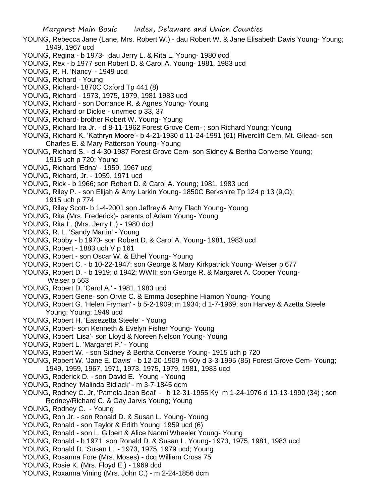- YOUNG, Rebecca Jane (Lane, Mrs. Robert W.) dau Robert W. & Jane Elisabeth Davis Young- Young; 1949, 1967 ucd
- YOUNG, Regina b 1973- dau Jerry L. & Rita L. Young- 1980 dcd
- YOUNG, Rex b 1977 son Robert D. & Carol A. Young- 1981, 1983 ucd
- YOUNG, R. H. 'Nancy' 1949 ucd
- YOUNG, Richard Young
- YOUNG, Richard- 1870C Oxford Tp 441 (8)
- YOUNG, Richard 1973, 1975, 1979, 1981 1983 ucd
- YOUNG, Richard son Dorrance R. & Agnes Young- Young
- YOUNG, Richard or Dickie unvmec p 33, 37
- YOUNG, Richard- brother Robert W. Young- Young
- YOUNG, Richard Ira Jr. d 8-11-1962 Forest Grove Cem-; son Richard Young; Young
- YOUNG, Richard K. 'Kathryn Moore'- b 4-21-1930 d 11-24-1991 (61) Rivercliff Cem, Mt. Gilead- son Charles E. & Mary Patterson Young- Young
- YOUNG, Richard S. d 4-30-1987 Forest Grove Cem- son Sidney & Bertha Converse Young; 1915 uch p 720; Young
- YOUNG, Richard 'Edna' 1959, 1967 ucd
- YOUNG, Richard, Jr. 1959, 1971 ucd
- YOUNG, Rick b 1966; son Robert D. & Carol A. Young; 1981, 1983 ucd
- YOUNG, Riley P. son Elijah & Amy Larkin Young- 1850C Berkshire Tp 124 p 13 (9,O); 1915 uch p 774
- YOUNG, Riley Scott- b 1-4-2001 son Jeffrey & Amy Flach Young- Young
- YOUNG, Rita (Mrs. Frederick)- parents of Adam Young- Young
- YOUNG, Rita L. (Mrs. Jerry L.) 1980 dcd
- YOUNG, R. L. 'Sandy Martin' Young
- YOUNG, Robby b 1970- son Robert D. & Carol A. Young- 1981, 1983 ucd
- YOUNG, Robert 1883 uch V p 161
- YOUNG, Robert son Oscar W. & Ethel Young- Young
- YOUNG, Robert C. b 10-22-1947; son George & Mary Kirkpatrick Young- Weiser p 677
- YOUNG, Robert D. b 1919; d 1942; WWII; son George R. & Margaret A. Cooper Young- Weiser p 563
- YOUNG, Robert D. 'Carol A.' 1981, 1983 ucd
- YOUNG, Robert Gene- son Orvie C. & Emma Josephine Hiamon Young- Young
- YOUNG, Robert G. 'Helen Fryman' b 5-2-1909; m 1934; d 1-7-1969; son Harvey & Azetta Steele Young; Young; 1949 ucd
- YOUNG, Robert H. 'Easezetta Steele' Young
- YOUNG, Robert- son Kenneth & Evelyn Fisher Young- Young
- YOUNG, Robert 'Lisa'- son Lloyd & Noreen Nelson Young- Young
- YOUNG, Robert L. 'Margaret P.' Young
- YOUNG, Robert W. son Sidney & Bertha Converse Young- 1915 uch p 720
- YOUNG, Robert W. 'Jane E. Davis' b 12-20-1909 m 60y d 3-3-1995 (85) Forest Grove Cem- Young; 1949, 1959, 1967, 1971, 1973, 1975, 1979, 1981, 1983 ucd
- YOUNG, Roderick D. son David E. Young Young
- YOUNG, Rodney 'Malinda Bidlack' m 3-7-1845 dcm
- YOUNG, Rodney C. Jr, 'Pamela Jean Beal' b 12-31-1955 Ky m 1-24-1976 d 10-13-1990 (34) ; son Rodney/Richard C. & Gay Jarvis Young; Young
- YOUNG, Rodney C. Young
- YOUNG, Ron Jr. son Ronald D. & Susan L. Young- Young
- YOUNG, Ronald son Taylor & Edith Young; 1959 ucd (6)
- YOUNG, Ronald son L. Gilbert & Alice Naomi Wheeler Young- Young
- YOUNG, Ronald b 1971; son Ronald D. & Susan L. Young- 1973, 1975, 1981, 1983 ucd
- YOUNG, Ronald D. 'Susan L.' 1973, 1975, 1979 ucd; Young
- YOUNG, Rosanna Fore (Mrs. Moses) dcq William Cross 75
- YOUNG, Rosie K. (Mrs. Floyd E.) 1969 dcd
- YOUNG, Roxanna Vining (Mrs. John C.) m 2-24-1856 dcm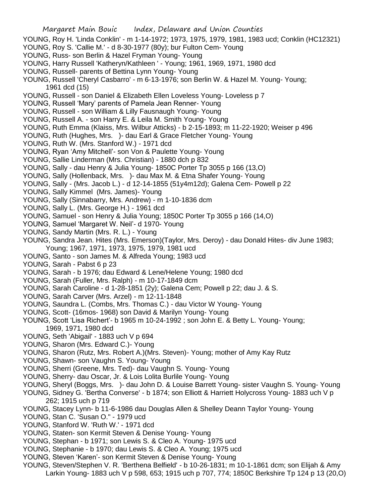- YOUNG, Roy H. 'Linda Conklin' m 1-14-1972; 1973, 1975, 1979, 1981, 1983 ucd; Conklin (HC12321)
- YOUNG, Roy S. 'Callie M.' d 8-30-1977 (80y); bur Fulton Cem- Young
- YOUNG, Russ- son Berlin & Hazel Fryman Young- Young
- YOUNG, Harry Russell 'Katheryn/Kathleen ' Young; 1961, 1969, 1971, 1980 dcd
- YOUNG, Russell- parents of Bettina Lynn Young- Young
- YOUNG, Russell 'Cheryl Casbarro' m 6-13-1976; son Berlin W. & Hazel M. Young- Young; 1961 dcd (15)
- YOUNG, Russell son Daniel & Elizabeth Ellen Loveless Young- Loveless p 7
- YOUNG, Russell 'Mary' parents of Pamela Jean Renner- Young
- YOUNG, Russell son William & Lilly Fausnaugh Young- Young
- YOUNG, Russell A. son Harry E. & Leila M. Smith Young- Young
- YOUNG, Ruth Emma (Klaiss, Mrs. Wilbur Atticks) b 2-15-1893; m 11-22-1920; Weiser p 496
- YOUNG, Ruth (Hughes, Mrs. )- dau Earl & Grace Fletcher Young- Young
- YOUNG, Ruth W. (Mrs. Stanford W.) 1971 dcd
- YOUNG, Ryan 'Amy Mitchell'- son Von & Paulette Young- Young
- YOUNG, Sallie Linderman (Mrs. Christian) 1880 dch p 832
- YOUNG, Sally dau Henry & Julia Young- 1850C Porter Tp 3055 p 166 (13,O)
- YOUNG, Sally (Hollenback, Mrs. )- dau Max M. & Etna Shafer Young- Young
- YOUNG, Sally (Mrs. Jacob L.) d 12-14-1855 (51y4m12d); Galena Cem- Powell p 22
- YOUNG, Sally Kimmel (Mrs. James)- Young
- YOUNG, Sally (Sinnabarry, Mrs. Andrew) m 1-10-1836 dcm
- YOUNG, Sally L. (Mrs. George H.) 1961 dcd
- YOUNG, Samuel son Henry & Julia Young; 1850C Porter Tp 3055 p 166 (14,O)
- YOUNG, Samuel 'Margaret W. Neil'- d 1970- Young
- YOUNG, Sandy Martin (Mrs. R. L.) Young
- YOUNG, Sandra Jean. Hites (Mrs. Emerson)(Taylor, Mrs. Deroy) dau Donald Hites- div June 1983; Young; 1967, 1971, 1973, 1975, 1979, 1981 ucd
- YOUNG, Santo son James M. & Alfreda Young; 1983 ucd
- YOUNG, Sarah Pabst 6 p 23
- YOUNG, Sarah b 1976; dau Edward & Lene/Helene Young; 1980 dcd
- YOUNG, Sarah (Fuller, Mrs. Ralph) m 10-17-1849 dcm
- YOUNG, Sarah Caroline d 1-28-1851 (2y); Galena Cem; Powell p 22; dau J. & S.
- YOUNG, Sarah Carver (Mrs. Arzel) m 12-11-1848
- YOUNG, Saundra L. (Combs, Mrs. Thomas C.) dau Victor W Young- Young
- YOUNG, Scott- (16mos- 1968) son David & Marilyn Young- Young
- YOUNG, Scott 'Lisa Richert'- b 1965 m 10-24-1992 ; son John E. & Betty L. Young- Young; 1969, 1971, 1980 dcd
- YOUNG, Seth 'Abigail' 1883 uch V p 694
- YOUNG, Sharon (Mrs. Edward C.)- Young
- YOUNG, Sharon (Rutz, Mrs. Robert A.)(Mrs. Steven)- Young; mother of Amy Kay Rutz
- YOUNG, Shawn- son Vaughn S. Young- Young
- YOUNG, Sherri (Greene, Mrs. Ted)- dau Vaughn S. Young- Young
- YOUNG, Sherry- dau Oscar, Jr. & Lois Lolita Burlile Young- Young
- YOUNG, Sheryl (Boggs, Mrs. )- dau John D. & Louise Barrett Young- sister Vaughn S. Young- Young
- YOUNG, Sidney G. 'Bertha Converse' b 1874; son Elliott & Harriett Holycross Young- 1883 uch V p 262; 1915 uch p 719
- YOUNG, Stacey Lynn- b 11-6-1986 dau Douglas Allen & Shelley Deann Taylor Young- Young
- YOUNG, Stan C. 'Susan O." 1979 ucd
- YOUNG, Stanford W. 'Ruth W.' 1971 dcd
- YOUNG, Staten- son Kermit Steven & Denise Young- Young
- YOUNG, Stephan b 1971; son Lewis S. & Cleo A. Young- 1975 ucd
- YOUNG, Stephanie b 1970; dau Lewis S. & Cleo A. Young; 1975 ucd
- YOUNG, Steven 'Karen'- son Kermit Steven & Denise Young- Young
- YOUNG, Steven/Stephen V. R. 'Berthena Belfield' b 10-26-1831; m 10-1-1861 dcm; son Elijah & Amy Larkin Young- 1883 uch V p 598, 653; 1915 uch p 707, 774; 1850C Berkshire Tp 124 p 13 (20,O)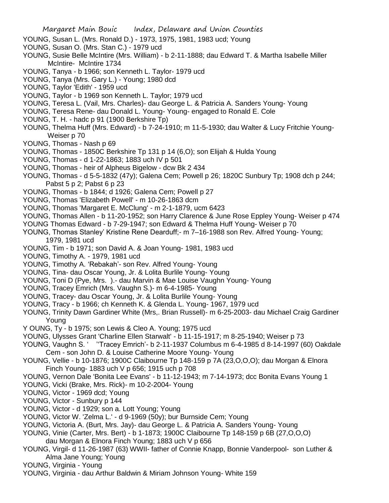- YOUNG, Susan L. (Mrs. Ronald D.) 1973, 1975, 1981, 1983 ucd; Young
- YOUNG, Susan O. (Mrs. Stan C.) 1979 ucd
- YOUNG, Susie Belle McIntire (Mrs. William) b 2-11-1888; dau Edward T. & Martha Isabelle Miller McIntire- McIntire 1734
- YOUNG, Tanya b 1966; son Kenneth L. Taylor- 1979 ucd
- YOUNG, Tanya (Mrs. Gary L.) Young; 1980 dcd
- YOUNG, Taylor 'Edith' 1959 ucd
- YOUNG, Taylor b 1969 son Kenneth L. Taylor; 1979 ucd
- YOUNG, Teresa L. (Vail, Mrs. Charles)- dau George L. & Patricia A. Sanders Young- Young
- YOUNG, Teresa Rene- dau Donald L. Young- Young- engaged to Ronald E. Cole
- YOUNG, T. H. hadc p 91 (1900 Berkshire Tp)
- YOUNG, Thelma Huff (Mrs. Edward) b 7-24-1910; m 11-5-1930; dau Walter & Lucy Fritchie Young- Weiser p 70
- YOUNG, Thomas Nash p 69
- YOUNG, Thomas 1850C Berkshire Tp 131 p 14 (6,O); son Elijah & Hulda Young
- YOUNG, Thomas d 1-22-1863; 1883 uch IV p 501
- YOUNG, Thomas heir of Alpheus Bigelow dcw Bk 2 434
- YOUNG, Thomas d 5-5-1832 (47y); Galena Cem; Powell p 26; 1820C Sunbury Tp; 1908 dch p 244; Pabst 5 p 2; Pabst 6 p 23
- YOUNG, Thomas b 1844; d 1926; Galena Cem; Powell p 27
- YOUNG, Thomas 'Elizabeth Powell' m 10-26-1863 dcm
- YOUNG, Thomas 'Margaret E. McClung' m 2-1-1879, ucm 6423
- YOUNG, Thomas Allen b 11-20-1952; son Harry Clarence & June Rose Eppley Young- Weiser p 474
- YOUNG Thomas Edward b 7-29-1947; son Edward & Thelma Huff Young- Weiser p 70
- YOUNG, Thomas Stanley' Kristine Rene Dearduff;- m 7–16-1988 son Rev. Alfred Young- Young; 1979, 1981 ucd
- YOUNG, Tim b 1971; son David A. & Joan Young- 1981, 1983 ucd
- YOUNG, Timothy A. 1979, 1981 ucd
- YOUNG, Timothy A. 'Rebakah'- son Rev. Alfred Young- Young
- YOUNG, Tina- dau Oscar Young, Jr. & Lolita Burlile Young- Young
- YOUNG, Toni D (Pye, Mrs. ).- dau Marvin & Mae Louise Vaughn Young- Young
- YOUNG, Tracey Emrich (Mrs. Vaughn S.)- m 6-4-1985- Young
- YOUNG, Tracey- dau Oscar Young, Jr. & Lolita Burlile Young- Young
- YOUNG, Tracy b 1966; ch Kenneth K. & Glenda L. Young- 1967, 1979 ucd
- YOUNG, Trinity Dawn Gardiner White (Mrs,. Brian Russell)- m 6-25-2003- dau Michael Craig Gardiner Young
- Y OUNG, Ty b 1975; son Lewis & Cleo A. Young; 1975 ucd
- YOUNG, Ulysses Grant 'Charline Ellen Starwalt' b 11-15-1917; m 8-25-1940; Weiser p 73
- YOUNG, Vaughn S. ' ''Tracey Emrich'- b 2-11-1937 Columbus m 6-4-1985 d 8-14-1997 (60) Oakdale Cem - son John D. & Louise Catherine Moore Young- Young
- YOUNG, Vellie b 10-1876; 1900C Claibourne Tp 148-159 p 7A (23,O,O,O); dau Morgan & Elnora Finch Young- 1883 uch V p 656; 1915 uch p 708
- YOUNG, Vernon Dale 'Bonita Lee Evans' b 11-12-1943; m 7-14-1973; dcc Bonita Evans Young 1
- YOUNG, Vicki (Brake, Mrs. Rick)- m 10-2-2004- Young
- YOUNG, Victor 1969 dcd; Young
- YOUNG, Victor Sunbury p 144
- YOUNG, Victor d 1929; son a. Lott Young; Young
- YOUNG, Victor W. 'Zelma L.' d 9-1969 (50y); bur Burnside Cem; Young
- YOUNG, Victoria A. (Burt, Mrs. Jay)- dau George L. & Patricia A. Sanders Young- Young
- YOUNG, Vinie (Carter, Mrs. Bert) b 1-1873; 1900C Claibourne Tp 148-159 p 6B (27,O,O,O)
- dau Morgan & Elnora Finch Young; 1883 uch V p 656
- YOUNG, Virgil- d 11-26-1987 (63) WWII- father of Connie Knapp, Bonnie Vanderpool- son Luther & Alma Jane Young; Young
- YOUNG, Virginia Young
- YOUNG, Virginia dau Arthur Baldwin & Miriam Johnson Young- White 159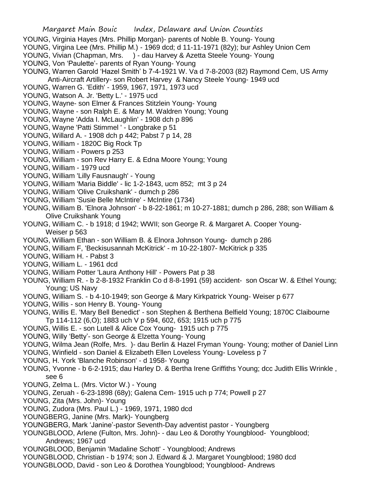- YOUNG, Virginia Hayes (Mrs. Phillip Morgan)- parents of Noble B. Young- Young
- YOUNG, Virgina Lee (Mrs. Phillip M.) 1969 dcd; d 11-11-1971 (82y); bur Ashley Union Cem
- YOUNG, Vivian (Chapman, Mrs. ) dau Harvey & Azetta Steele Young- Young
- YOUNG, Von 'Paulette'- parents of Ryan Young- Young
- YOUNG, Warren Garold 'Hazel Smith' b 7-4-1921 W. Va d 7-8-2003 (82) Raymond Cem, US Army Anti-Aircraft Artillery- son Robert Harvey & Nancy Steele Young- 1949 ucd
- YOUNG, Warren G. 'Edith' 1959, 1967, 1971, 1973 ucd
- YOUNG, Watson A. Jr. 'Betty L.' 1975 ucd
- YOUNG, Wayne- son Elmer & Frances Stitzlein Young- Young
- YOUNG, Wayne son Ralph E. & Mary M. Waldren Young; Young
- YOUNG, Wayne 'Adda I. McLaughlin' 1908 dch p 896
- YOUNG, Wayne 'Patti Stimmel ' Longbrake p 51
- YOUNG, Willard A. 1908 dch p 442; Pabst 7 p 14, 28
- YOUNG, William 1820C Big Rock Tp
- YOUNG, William Powers p 253
- YOUNG, William son Rev Harry E. & Edna Moore Young; Young
- YOUNG, William 1979 ucd
- YOUNG, William 'Lilly Fausnaugh' Young
- YOUNG, William 'Maria Biddle' lic 1-2-1843, ucm 852; mt 3 p 24
- YOUNG, William 'Olive Cruikshank' dumch p 286
- YOUNG, William 'Susie Belle McIntire' McIntire (1734)
- YOUNG, William B. 'Elnora Johnson' b 8-22-1861; m 10-27-1881; dumch p 286, 288; son William & Olive Cruikshank Young
- YOUNG, William C. b 1918; d 1942; WWII; son George R. & Margaret A. Cooper Young- Weiser p 563
- YOUNG, William Ethan son William B. & Elnora Johnson Young- dumch p 286
- YOUNG, William F, 'Beckisusannah McKitrick' m 10-22-1807- McKitrick p 335
- YOUNG, William H. Pabst 3
- YOUNG, William L. 1961 dcd
- YOUNG, William Potter 'Laura Anthony Hill' Powers Pat p 38
- YOUNG, William R. b 2-8-1932 Franklin Co d 8-8-1991 (59) accident- son Oscar W. & Ethel Young; Young; US Navy
- YOUNG, William S. b 4-10-1949; son George & Mary Kirkpatrick Young- Weiser p 677
- YOUNG, Willis son Henry B. Young- Young
- YOUNG, Willis E. 'Mary Bell Benedict' son Stephen & Berthena Belfield Young; 1870C Claibourne
- Tp 114-112 (6,O); 1883 uch V p 594, 602, 653; 1915 uch p 775
- YOUNG, Willis E. son Lutell & Alice Cox Young- 1915 uch p 775
- YOUNG, Willy 'Betty'- son George & Elzetta Young- Young
- YOUNG, Wilma Jean (Rolfe, Mrs. )- dau Berlin & Hazel Fryman Young- Young; mother of Daniel Linn
- YOUNG, Winfield son Daniel & Elizabeth Ellen Loveless Young- Loveless p 7
- YOUNG, H. York 'Blanche Robinson' d 1958- Young
- YOUNG, Yvonne b 6-2-1915; dau Harley D. & Bertha Irene Griffiths Young; dcc Judith Ellis Wrinkle , see 6
- YOUNG, Zelma L. (Mrs. Victor W.) Young
- YOUNG, Zeruah 6-23-1898 (68y); Galena Cem- 1915 uch p 774; Powell p 27
- YOUNG, Zita (Mrs. John)- Young
- YOUNG, Zudora (Mrs. Paul L.) 1969, 1971, 1980 dcd
- YOUNGBERG, Janine (Mrs. Mark)- Youngberg
- YOUNGBERG, Mark 'Janine'-pastor Seventh-Day adventist pastor Youngberg
- YOUNGBLOOD, Arlene (Fulton, Mrs. John)- dau Leo & Dorothy Youngblood- Youngblood; Andrews; 1967 ucd
- YOUNGBLOOD, Benjamin 'Madaline Schott' Youngblood; Andrews
- YOUNGBLOOD, Christian b 1974; son J. Edward & J. Margaret Youngblood; 1980 dcd
- YOUNGBLOOD, David son Leo & Dorothea Youngblood; Youngblood- Andrews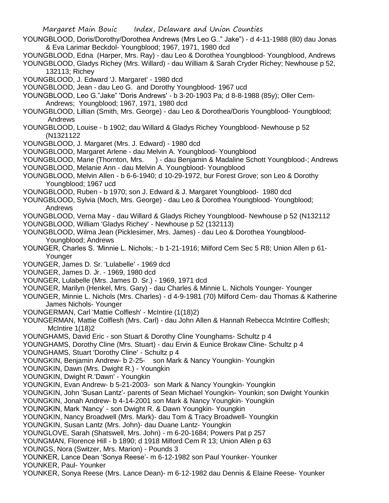Margaret Main Bouic Index, Delaware and Union Counties

YOUNGBLOOD, Doris/Dorothy/Dorothea Andrews (Mrs Leo G.." Jake") - d 4-11-1988 (80) dau Jonas & Eva Larimar Beckdol- Youngblood; 1967, 1971, 1980 dcd

YOUNGBLOOD, Edna (Harper, Mrs. Ray) - dau Leo & Dorothea Youngblood- Youngblood, Andrews YOUNGBLOOD, Gladys Richey (Mrs. Willard) - dau William & Sarah Cryder Richey; Newhouse p 52, 132113; Richey

YOUNGBLOOD, J. Edward 'J. Margaret' - 1980 dcd

YOUNGBLOOD, Jean - dau Leo G. and Dorothy Youngblood- 1967 ucd

YOUNGBLOOD, Leo G."Jake" 'Doris Andrews' - b 3-20-1903 Pa; d 8-8-1988 (85y); Oller Cem- Andrews; Youngblood; 1967, 1971, 1980 dcd

YOUNGBLOOD, Lillian (Smith, Mrs. George) - dau Leo & Dorothea/Doris Youngblood- Youngblood; Andrews

YOUNGBLOOD, Louise - b 1902; dau Willard & Gladys Richey Youngblood- Newhouse p 52 (N1321122

YOUNGBLOOD, J. Margaret (Mrs. J. Edward) - 1980 dcd

YOUNGBLOOD, Margaret Arlene - dau Melvin A. Youngblood- Youngblood

YOUNGBLOOD, Marie (Thornton, Mrs. ) - dau Benjamin & Madaline Schott Youngblood-; Andrews

YOUNGBLOOD, Melanie Ann - dau Melvin A. Youngblood- Youngblood

YOUNGBLOOD, Melvin Allen - b 6-6-1940; d 10-29-1972, bur Forest Grove; son Leo & Dorothy Youngblood; 1967 ucd

YOUNGBLOOD, Ruben - b 1970; son J. Edward & J. Margaret Youngblood- 1980 dcd

YOUNGBLOOD, Sylvia (Moch, Mrs. George) - dau Leo & Dorothea Youngblood- Youngblood; Andrews

YOUNGBLOOD, Verna May - dau Willard & Gladys Richey Youngblood- Newhouse p 52 (N132112

YOUNGBLOOD, William 'Gladys Richey' - Newhouse p 52 (132113)

YOUNGBLOOD, Wilma Jean (Picklesimer, Mrs. James) - dau Leo & Dorothea Youngblood- Youngblood; Andrews

YOUNGER, Charles S. 'Minnie L. Nichols; - b 1-21-1916; Milford Cem Sec 5 R8; Union Allen p 61- Younger

YOUNGER, James D. Sr. 'Lulabelle' - 1969 dcd

YOUNGER, James D. Jr. - 1969, 1980 dcd

YOUNGER, Lulabelle (Mrs. James D. Sr.) - 1969, 1971 dcd

YOUNGER, Marilyn (Henkel, Mrs. Gary) - dau Charles & Minnie L. Nichols Younger- Younger

YOUNGER, Minnie L. Nichols (Mrs. Charles) - d 4-9-1981 (70) Milford Cem- dau Thomas & Katherine James Nichols- Younger

YOUNGERMAN, Carl 'Mattie Colflesh' - McIntire (1(18)2)

YOUNGERMAN, Mattie Colflesh (Mrs. Carl) - dau John Allen & Hannah Rebecca McIntire Colflesh; McIntire 1(18)2

YOUNGHAMS, David Eric - son Stuart & Dorothy Cline Younghams- Schultz p 4

YOUNGHAMS, Dorothy Cline (Mrs. Stuart) - dau Ervin & Eunice Brokaw Cline- Schultz p 4

YOUNGHAMS, Stuart 'Dorothy Cline' - Schultz p 4

YOUNGKIN, Benjamin Andrew- b 2-25- son Mark & Nancy Youngkin- Youngkin

YOUNGKIN, Dawn (Mrs. Dwight R.) - Youngkin

YOUNGKIN, Dwight R.'Dawn' - Youngkin

YOUNGKIN, Evan Andrew- b 5-21-2003- son Mark & Nancy Youngkin- Youngkin

YOUNGKIN, John 'Susan Lantz'- parents of Sean Michael Youngkin- Younkin; son Dwight Younkin

YOUNGKIN, Jonah Andrew- b 4-14-2001 son Mark & Nancy Youngkin- Youngkin

YOUNGKIN, Mark 'Nancy' - son Dwight R. & Dawn Youngkin- Youngkin

YOUNGKIN, Nancy Broadwell (Mrs. Mark)- dau Tom & Tracy Broadwell- Youngkin

YOUNGKIN, Susan Lantz (Mrs. John)- dau Duane Lantz- Youngkin

YOUNGLOVE, Sarah (Shatswell, Mrs. John) - m 6-20-1684; Powers Pat p 257

YOUNGMAN, Florence Hill - b 1890; d 1918 Milford Cem R 13; Union Allen p 63

YOUNGS, Nora (Switzer, Mrs. Marion) - Pounds 3

YOUNKER, Lance Dean 'Sonya Reese'- m 6-12-1982 son Paul Younker- Younker YOUNKER, Paul- Younker

YOUNKER, Sonya Reese (Mrs. Lance Dean)- m 6-12-1982 dau Dennis & Elaine Reese- Younker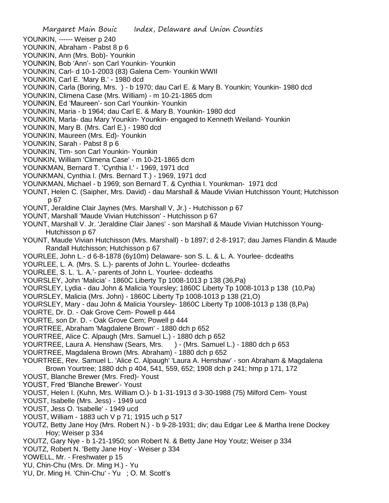- YOUNKIN, ------ Weiser p 240
- YOUNKIN, Abraham Pabst 8 p 6
- YOUNKIN, Ann (Mrs. Bob)- Younkin
- YOUNKIN, Bob 'Ann'- son Carl Younkin- Younkin
- YOUNKIN, Carl- d 10-1-2003 (83) Galena Cem- Younkin WWII
- YOUNKIN, Carl E. 'Mary B.' 1980 dcd
- YOUNKIN, Carla (Boring, Mrs. ) b 1970; dau Carl E. & Mary B. Younkin; Younkin- 1980 dcd
- YOUNKIN, Climena Case (Mrs. William) m 10-21-1865 dcm
- YOUNKIN, Ed 'Maureen'- son Carl Younkin- Younkin
- YOUNKIN, Maria b 1964; dau Carl E. & Mary B. Younkin- 1980 dcd
- YOUNKIN, Marla- dau Mary Younkin- Younkin- engaged to Kenneth Weiland- Younkin
- YOUNKIN, Mary B. (Mrs. Carl E.) 1980 dcd
- YOUNKIN, Maureen (Mrs. Ed)- Younkin
- YOUNKIN, Sarah Pabst 8 p 6
- YOUNKIN, Tim- son Carl Younkin- Younkin
- YOUNKIN, William 'Climena Case' m 10-21-1865 dcm
- YOUNKMAN, Bernard T. 'Cynthia I.' 1969, 1971 dcd
- YOUNKMAN, Cynthia I. (Mrs. Bernard T.) 1969, 1971 dcd
- YOUNKMAN, Michael b 1969; son Bernard T. & Cynthia I. Younkman- 1971 dcd
- YOUNT, Helen C. (Saipher, Mrs. David) dau Marshall & Maude Vivian Hutchisson Yount; Hutchisson p 67
- YOUNT, Jeraldine Clair Jaynes (Mrs. Marshall V, Jr.) Hutchisson p 67
- YOUNT, Marshall 'Maude Vivian Hutchisson' Hutchisson p 67
- YOUNT, Marshall V. Jr. 'Jeraldine Clair Janes' son Marshall & Maude Vivian Hutchisson Young-Hutchisson p 67
- YOUNT, Maude Vivian Hutchisson (Mrs. Marshall) b 1897; d 2-8-1917; dau James Flandin & Maude Randall Hutchisson; Hutchisson p 67
- YOURLEE, John L.- d 6-8-1878 (6y10m) Delaware- son S. L. & L. A. Yourlee- dcdeaths
- YOURLEE, L. A. (Mrs. S. L.)- parents of John L. Yourlee- dcdeaths
- YOURLEE, S. L. 'L. A.'- parents of John L. Yourlee- dcdeaths
- YOURSLEY, John 'Malicia' 1860C Liberty Tp 1008-1013 p 138 (36,Pa)
- YOURSLEY, Lydia dau John & Malicia Yoursley; 1860C Liberty Tp 1008-1013 p 138 (10,Pa)
- YOURSLEY, Malicia (Mrs. John) 1860C Liberty Tp 1008-1013 p 138 (21,O)
- YOURSLEY, Mary dau John & Malicia Yoursley- 1860C Liberty Tp 1008-1013 p 138 (8,Pa)
- YOURTE, Dr. D. Oak Grove Cem- Powell p 444
- YOURTE, son Dr. D. Oak Grove Cem; Powell p 444
- YOURTREE, Abraham 'Magdalene Brown' 1880 dch p 652
- YOURTREE, Alice C. Alpaugh (Mrs. Samuel L.) 1880 dch p 652
- YOURTREE, Laura A. Henshaw (Sears, Mrs. ) (Mrs. Samuel L.) 1880 dch p 653
- YOURTREE, Magdalena Brown (Mrs. Abraham) 1880 dch p 652
- YOURTREE, Rev. Samuel L. 'Alice C. Alpaugh' 'Laura A. Henshaw' son Abraham & Magdalena Brown Yourtree; 1880 dch p 404, 541, 559, 652; 1908 dch p 241; hmp p 171, 172
- YOUST, Blanche Brewer (Mrs. Fred)- Youst
- YOUST, Fred 'Blanche Brewer'- Youst
- YOUST, Helen I. (Kuhn, Mrs. William O.)- b 1-31-1913 d 3-30-1988 (75) Milford Cem- Youst
- YOUST, Isabelle (Mrs. Jess) 1949 ucd
- YOUST, Jess O. 'Isabelle' 1949 ucd
- YOUST, William 1883 uch V p 71; 1915 uch p 517
- YOUTZ, Betty Jane Hoy (Mrs. Robert N.) b 9-28-1931; div; dau Edgar Lee & Martha Irene Dockey Hoy; Weiser p 334
- YOUTZ, Gary Nye b 1-21-1950; son Robert N. & Betty Jane Hoy Youtz; Weiser p 334
- YOUTZ, Robert N. 'Betty Jane Hoy' Weiser p 334
- YOWELL, Mr. Freshwater p 15
- YU, Chin-Chu (Mrs. Dr. Ming H.) Yu
- YU, Dr. Ming H. 'Chin-Chu' Yu ; O. M. Scott's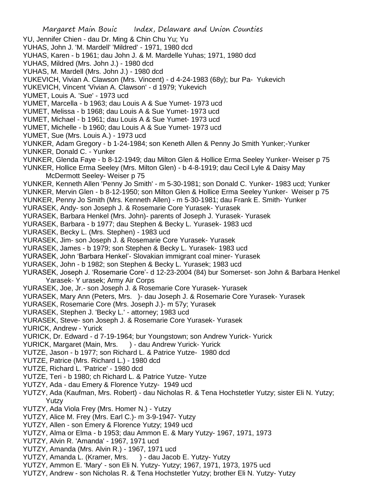Margaret Main Bouic Index, Delaware and Union Counties YU, Jennifer Chien - dau Dr. Ming & Chin Chu Yu; Yu YUHAS, John J. 'M. Mardell' 'Mildred' - 1971, 1980 dcd YUHAS, Karen - b 1961; dau John J. & M. Mardelle Yuhas; 1971, 1980 dcd YUHAS, Mildred (Mrs. John J.) - 1980 dcd YUHAS, M. Mardell (Mrs. John J.) - 1980 dcd YUKEVICH, Vivian A. Clawson (Mrs. Vincent) - d 4-24-1983 (68y); bur Pa- Yukevich YUKEVICH, Vincent 'Vivian A. Clawson' - d 1979; Yukevich YUMET, Louis A. 'Sue' - 1973 ucd YUMET, Marcella - b 1963; dau Louis A & Sue Yumet- 1973 ucd YUMET, Melissa - b 1968; dau Louis A & Sue Yumet- 1973 ucd YUMET, Michael - b 1961; dau Louis A & Sue Yumet- 1973 ucd YUMET, Michelle - b 1960; dau Louis A & Sue Yumet- 1973 ucd YUMET, Sue (Mrs. Louis A.) - 1973 ucd YUNKER, Adam Gregory - b 1-24-1984; son Keneth Allen & Penny Jo Smith Yunker;-Yunker YUNKER, Donald C. - Yunker YUNKER, Glenda Faye - b 8-12-1949; dau Milton Glen & Hollice Erma Seeley Yunker- Weiser p 75 YUNKER, Hollice Erma Seeley (Mrs. Milton Glen) - b 4-8-1919; dau Cecil Lyle & Daisy May McDermott Seeley- Weiser p 75 YUNKER, Kenneth Allen 'Penny Jo Smith' - m 5-30-1981; son Donald C. Yunker- 1983 ucd; Yunker YUNKER, Mervin Glen - b 8-12-1950; son Milton Glen & Hollice Erma Seeley Yunker- Weiser p 75 YUNKER, Penny Jo Smith (Mrs. Kenneth Allen) - m 5-30-1981; dau Frank E. Smith- Yunker YURASEK, Andy- son Joseph J. & Rosemarie Core Yurasek- Yurasek YURASEK, Barbara Henkel (Mrs. John)- parents of Joseph J. Yurasek- Yurasek YURASEK, Barbara - b 1977; dau Stephen & Becky L. Yurasek- 1983 ucd YURASEK, Becky L. (Mrs. Stephen) - 1983 ucd YURASEK, Jim- son Joseph J. & Rosemarie Core Yurasek- Yurasek YURASEK, James - b 1979; son Stephen & Becky L. Yurasek- 1983 ucd YURASEK, John 'Barbara Henkel'- Slovakian immigrant coal miner- Yurasek YURASEK, John - b 1982; son Stephen & Becky L. Yurasek; 1983 ucd YURASEK, Joseph J. 'Rosemarie Core'- d 12-23-2004 (84) bur Somerset- son John & Barbara Henkel Yarasek- Y urasek; Army Air Corps YURASEK, Joe, Jr.- son Joseph J. & Rosemarie Core Yurasek- Yurasek YURASEK, Mary Ann (Peters, Mrs. )- dau Joseph J. & Rosemarie Core Yurasek- Yurasek YURASEK, Rosemarie Core (Mrs. Joseph J.)- m 57y; Yurasek YURASEK, Stephen J. 'Becky L.' - attorney; 1983 ucd YURASEK, Steve- son Joseph J. & Rosemarie Core Yurasek- Yurasek YURICK, Andrew - Yurick YURICK, Dr. Edward - d 7-19-1964; bur Youngstown; son Andrew Yurick- Yurick YURICK, Margaret (Main, Mrs. ) - dau Andrew Yurick- Yurick YUTZE, Jason - b 1977; son Richard L. & Patrice Yutze- 1980 dcd YUTZE, Patrice (Mrs. Richard L.) - 1980 dcd YUTZE, Richard L. 'Patrice' - 1980 dcd YUTZE, Teri - b 1980; ch Richard L. & Patrice Yutze- Yutze YUTZY, Ada - dau Emery & Florence Yutzy- 1949 ucd YUTZY, Ada (Kaufman, Mrs. Robert) - dau Nicholas R. & Tena Hochstetler Yutzy; sister Eli N. Yutzy; Yutzy YUTZY, Ada Viola Frey (Mrs. Homer N.) - Yutzy YUTZY, Alice M. Frey (Mrs. Earl C.)- m 3-9-1947- Yutzy YUTZY, Allen - son Emery & Florence Yutzy; 1949 ucd YUTZY, Alma or Elma - b 1953; dau Ammon E. & Mary Yutzy- 1967, 1971, 1973 YUTZY, Alvin R. 'Amanda' - 1967, 1971 ucd YUTZY, Amanda (Mrs. Alvin R.) - 1967, 1971 ucd YUTZY, Amanda L. (Kramer, Mrs. ) - dau Jacob E. Yutzy- Yutzy YUTZY, Ammon E. 'Mary' - son Eli N. Yutzy- Yutzy; 1967, 1971, 1973, 1975 ucd YUTZY, Andrew - son Nicholas R. & Tena Hochstetler Yutzy; brother Eli N. Yutzy- Yutzy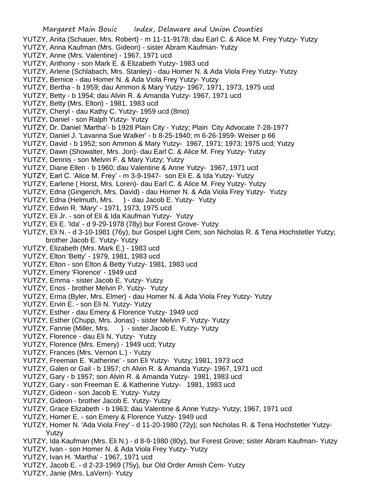- YUTZY, Anita (Schauer, Mrs. Robert) m 11-11-9178; dau Earl C. & Alice M. Frey Yutzy- Yutzy
- YUTZY, Anna Kaufman (Mrs. Gideon) sister Abram Kaufman- Yutzy
- YUTZY, Anne (Mrs. Valentine) 1967, 1971 ucd
- YUTZY, Anthony son Mark E. & Elizabeth Yutzy- 1983 ucd
- YUTZY, Arlene (Schlabach, Mrs. Stanley) dau Homer N. & Ada Viola Frey Yutzy- Yutzy
- YUTZY, Bernice dau Homer N. & Ada Viola Frey Yutzy- Yutzy
- YUTZY, Bertha b 1959; dau Ammon & Mary Yutzy- 1967, 1971, 1973, 1975 ucd
- YUTZY, Betty b 1954; dau Alvin R. & Amanda Yutzy- 1967, 1971 ucd
- YUTZY, Betty (Mrs. Elton) 1981, 1983 ucd
- YUTZY, Cheryl dau Kathy C. Yutzy- 1959 ucd (8mo)
- YUTZY, Daniel son Ralph Yutzy- Yutzy
- YUTZY, Dr. Daniel 'Martha'- b 1928 Plain City Yutzy; Plain City Advocate 7-28-1977
- YUTZY, Daniel J. 'Lavanna Sue Walker' b 8-25-1940; m 6-26-1959- Weiser p 66
- YUTZY, David b 1952; son Ammon & Mary Yutzy- 1967, 1971; 1973; 1975 ucd; Yutzy
- YUTZY, Dawn (Showalter, Mrs. Jon)- dau Earl C. & Alice M. Frey Yutzy- Yutzy
- YUTZY, Dennis son Melvin F. & Mary Yutzy; Yutzy
- YUTZY, Diane Ellen b 1960; dau Valentine & Anne Yutzy- 1967, 1971 ucd
- YUTZY, Earl C. 'Alice M. Frey' m 3-9-1947- son Eli E. & Ida Yutzy- Yutzy
- YUTZY, Earlene ( Horst, Mrs. Loren)- dau Earl C. & Alice M. Frey Yutzy- Yutzy
- YUTZY, Edna (Gingerich, Mrs. David) dau Homer N. & Ada Viola Frey Yutzy- Yutzy
- YUTZY, Edna (Helmuth, Mrs. ) dau Jacob E. Yutzy- Yutzy
- YUTZY, Edwin R. 'Mary' 1971, 1973, 1975 ucd
- YUTZY, Eli Jr. son of Eli & Ida Kaufman Yutzy- Yutzy
- YUTZY, Eli E. 'Ida' d 9-29-1978 (78y) bur Forest Grove- Yutzy
- YUTZY, Eli N. d 3-10-1981 (76y), bur Gospel Light Cem; son Nicholas R. & Tena Hochstetler Yutzy; brother Jacob E. Yutzy- Yutzy
- YUTZY, Elizabeth (Mrs. Mark E.) 1983 ucd
- YUTZY, Elton 'Betty' 1979, 1981, 1983 ucd
- YUTZY, Elton son Elton & Betty Yutzy- 1981, 1983 ucd
- YUTZY, Emery 'Florence' 1949 ucd
- YUTZY, Emma sister Jacob E. Yutzy- Yutzy
- YUTZY, Enos brother Melvin P. Yutzy- Yutzy
- YUTZY, Erma (Byler, Mrs. Elmer) dau Homer N. & Ada Viola Frey Yutzy- Yutzy
- YUTZY, Ervin E. son Eli N. Yutzy- Yutzy
- YUTZY, Esther dau Emery & Florence Yutzy- 1949 ucd
- YUTZY, Esther (Chupp, Mrs. Jonas) sister Melvin F. Yutzy- Yutzy
- YUTZY, Fannie (Miller, Mrs. ) sister Jacob E. Yutzy- Yutzy
- YUTZY, Florence dau Eli N. Yutzy- Yutzy
- YUTZY, Florence (Mrs. Emery) 1949 ucd; Yutzy
- YUTZY, Frances (Mrs. Vernon L.) Yutzy
- YUTZY, Freeman E. 'Katherine' son Eli Yutzy- Yutzy; 1981, 1973 ucd
- YUTZY, Galen or Gail b 1957; ch Alvin R. & Amanda Yutzy- 1967, 1971 ucd
- YUTZY, Gary b 1957; son Alvin R. & Amanda Yutzy- 1981, 1983 ucd
- YUTZY, Gary son Freeman E. & Katherine Yutzy- 1981, 1983 ucd
- YUTZY, Gideon son Jacob E. Yutzy- Yutzy
- YUTZY, Gideon brother Jacob E. Yutzy- Yutzy
- YUTZY, Grace Elizabeth b 1963; dau Valentine & Anne Yutzy- Yutzy; 1967, 1971 ucd
- YUTZY, Homer E. son Emery & Florence Yutzy- 1949 ucd
- YUTZY, Homer N. 'Ada Viola Frey' d 11-20-1980 (72y); son Nicholas R. & Tena Hochstetler Yutzy-Yutzy
- YUTZY, Ida Kaufman (Mrs. Eli N.) d 8-9-1980 (80y), bur Forest Grove; sister Abram Kaufman- Yutzy
- YUTZY, Ivan son Homer N. & Ada Viola Frey Yutzy- Yutzy
- YUTZY, Ivan H. 'Martha' 1967, 1971 ucd
- YUTZY, Jacob E. d 2-23-1969 (75y), bur Old Order Amish Cem- Yutzy
- YUTZY, Janie (Mrs. LaVern)- Yutzy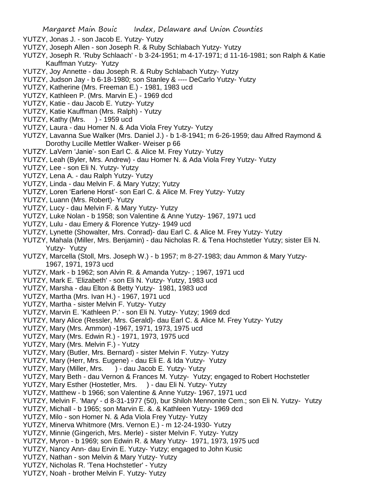- YUTZY, Jonas J. son Jacob E. Yutzy- Yutzy
- YUTZY, Joseph Allen son Joseph R. & Ruby Schlabach Yutzy- Yutzy
- YUTZY, Joseph R. 'Ruby Schlaach' b 3-24-1951; m 4-17-1971; d 11-16-1981; son Ralph & Katie Kauffman Yutzy- Yutzy
- YUTZY, Joy Annette dau Joseph R. & Ruby Schlabach Yutzy- Yutzy
- YUTZY, Judson Jay b 6-18-1980; son Stanley & ---- DeCarlo Yutzy- Yutzy
- YUTZY, Katherine (Mrs. Freeman E.) 1981, 1983 ucd
- YUTZY, Kathleen P. (Mrs. Marvin E.) 1969 dcd
- YUTZY, Katie dau Jacob E. Yutzy- Yutzy
- YUTZY, Katie Kauffman (Mrs. Ralph) Yutzy
- YUTZY, Kathy (Mrs. ) 1959 ucd
- YUTZY, Laura dau Homer N. & Ada Viola Frey Yutzy- Yutzy
- YUTZY, Lavanna Sue Walker (Mrs. Daniel J.) b 1-8-1941; m 6-26-1959; dau Alfred Raymond & Dorothy Lucille Mettler Walker- Weiser p 66
- YUTZY. LaVern 'Janie'- son Earl C. & Alice M. Frey Yutzy- Yutzy
- YUTZY, Leah (Byler, Mrs. Andrew) dau Homer N. & Ada Viola Frey Yutzy- Yutzy
- YUTZY, Lee son Eli N. Yutzy- Yutzy
- YUTZY, Lena A. dau Ralph Yutzy- Yutzy
- YUTZY, Linda dau Melvin F. & Mary Yutzy; Yutzy
- YUTZY, Loren 'Earlene Horst'- son Earl C. & Alice M. Frey Yutzy- Yutzy
- YUTZY, Luann (Mrs. Robert)- Yutzy
- YUTZY, Lucy dau Melvin F. & Mary Yutzy- Yutzy
- YUTZY, Luke Nolan b 1958; son Valentine & Anne Yutzy- 1967, 1971 ucd
- YUTZY, Lulu dau Emery & Florence Yutzy- 1949 ucd
- YUTZY, Lynette (Showalter, Mrs. Conrad)- dau Earl C. & Alice M. Frey Yutzy- Yutzy
- YUTZY, Mahala (Miller, Mrs. Benjamin) dau Nicholas R. & Tena Hochstetler Yutzy; sister Eli N. Yutzy- Yutzy
- YUTZY, Marcella (Stoll, Mrs. Joseph W.) b 1957; m 8-27-1983; dau Ammon & Mary Yutzy- 1967, 1971, 1973 ucd
- YUTZY, Mark b 1962; son Alvin R. & Amanda Yutzy- ; 1967, 1971 ucd
- YUTZY, Mark E. 'Elizabeth' son Eli N. Yutzy- Yutzy, 1983 ucd
- YUTZY, Marsha dau Elton & Betty Yutzy- 1981, 1983 ucd
- YUTZY, Martha (Mrs. Ivan H.) 1967, 1971 ucd
- YUTZY, Martha sister Melvin F. Yutzy- Yutzy
- YUTZY, Marvin E. 'Kathleen P.' son Eli N. Yutzy- Yutzy; 1969 dcd
- YUTZY, Mary Alice (Ressler, Mrs. Gerald)- dau Earl C. & Alice M. Frey Yutzy- Yutzy
- YUTZY, Mary (Mrs. Ammon) -1967, 1971, 1973, 1975 ucd
- YUTZY, Mary (Mrs. Edwin R.) 1971, 1973, 1975 ucd
- YUTZY, Mary (Mrs. Melvin F.) Yutzy
- YUTZY, Mary (Butler, Mrs. Bernard) sister Melvin F. Yutzy- Yutzy
- YUTZY, Mary (Herr, Mrs. Eugene) dau Eli E. & Ida Yutzy- Yutzy
- YUTZY, Mary (Miller, Mrs. ) dau Jacob E. Yutzy- Yutzy
- YUTZY, Mary Beth dau Vernon & Frances M. Yutzy- Yutzy; engaged to Robert Hochstetler
- YUTZY, Mary Esther (Hostetler, Mrs. ) dau Eli N. Yutzy- Yutzy
- YUTZY, Matthew b 1966; son Valentine & Anne Yutzy- 1967, 1971 ucd
- YUTZY, Melvin F. 'Mary' d 8-31-1977 (50), bur Shiloh Mennonite Cem.; son Eli N. Yutzy- Yutzy
- YUTZY, Michall b 1965; son Marvin E. &. & Kathleen Yutzy- 1969 dcd
- YUTZY, Milo son Homer N. & Ada Viola Frey Yutzy- Yutzy
- YUTZY, Minerva Whitmore (Mrs. Vernon E.) m 12-24-1930- Yutzy
- YUTZY, Minnie (Gingerich, Mrs. Merle) sister Melvin F. Yutzy- Yutzy
- YUTZY, Myron b 1969; son Edwin R. & Mary Yutzy- 1971, 1973, 1975 ucd
- YUTZY, Nancy Ann- dau Ervin E. Yutzy- Yutzy; engaged to John Kusic
- YUTZY, Nathan son Melvin & Mary Yutzy- Yutzy
- YUTZY, Nicholas R. 'Tena Hochstetler' Yutzy
- YUTZY, Noah brother Melvin F. Yutzy- Yutzy